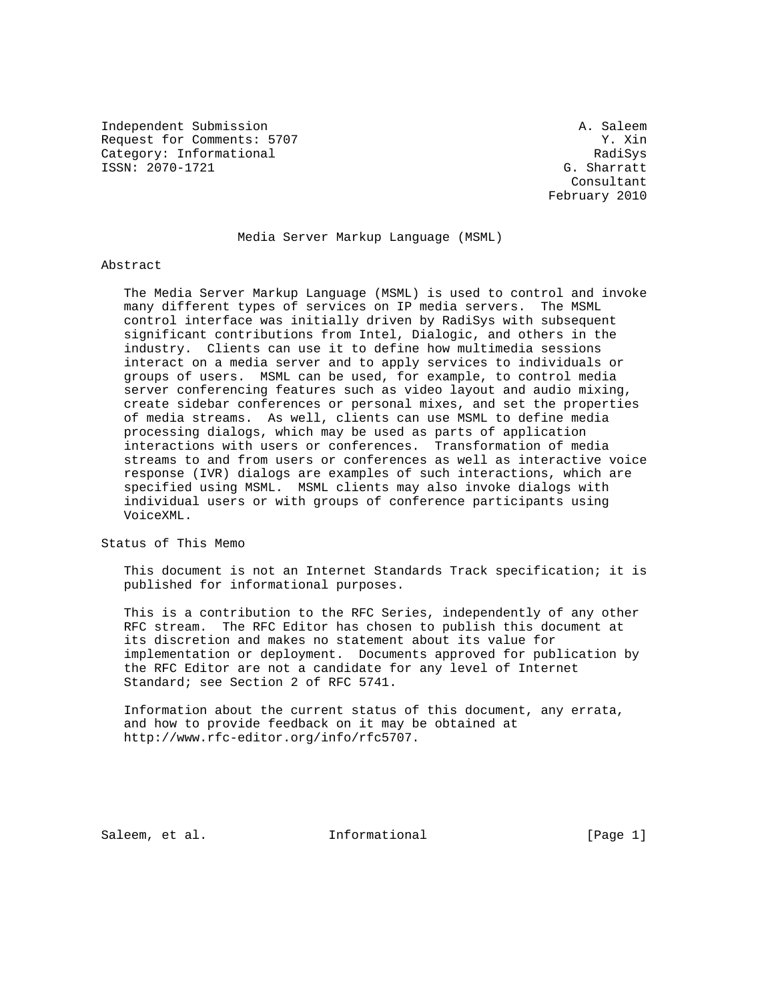Independent Submission **A. Saleem** A. Saleem Request for Comments: 5707 Y. Xin Category: Informational RadiSys ISSN: 2070-1721 G. Sharratt

 Consultant February 2010

# Media Server Markup Language (MSML)

#### Abstract

 The Media Server Markup Language (MSML) is used to control and invoke many different types of services on IP media servers. The MSML control interface was initially driven by RadiSys with subsequent significant contributions from Intel, Dialogic, and others in the industry. Clients can use it to define how multimedia sessions interact on a media server and to apply services to individuals or groups of users. MSML can be used, for example, to control media server conferencing features such as video layout and audio mixing, create sidebar conferences or personal mixes, and set the properties of media streams. As well, clients can use MSML to define media processing dialogs, which may be used as parts of application interactions with users or conferences. Transformation of media streams to and from users or conferences as well as interactive voice response (IVR) dialogs are examples of such interactions, which are specified using MSML. MSML clients may also invoke dialogs with individual users or with groups of conference participants using VoiceXML.

Status of This Memo

 This document is not an Internet Standards Track specification; it is published for informational purposes.

 This is a contribution to the RFC Series, independently of any other RFC stream. The RFC Editor has chosen to publish this document at its discretion and makes no statement about its value for implementation or deployment. Documents approved for publication by the RFC Editor are not a candidate for any level of Internet Standard; see Section 2 of RFC 5741.

 Information about the current status of this document, any errata, and how to provide feedback on it may be obtained at http://www.rfc-editor.org/info/rfc5707.

Saleem, et al. Informational [Page 1]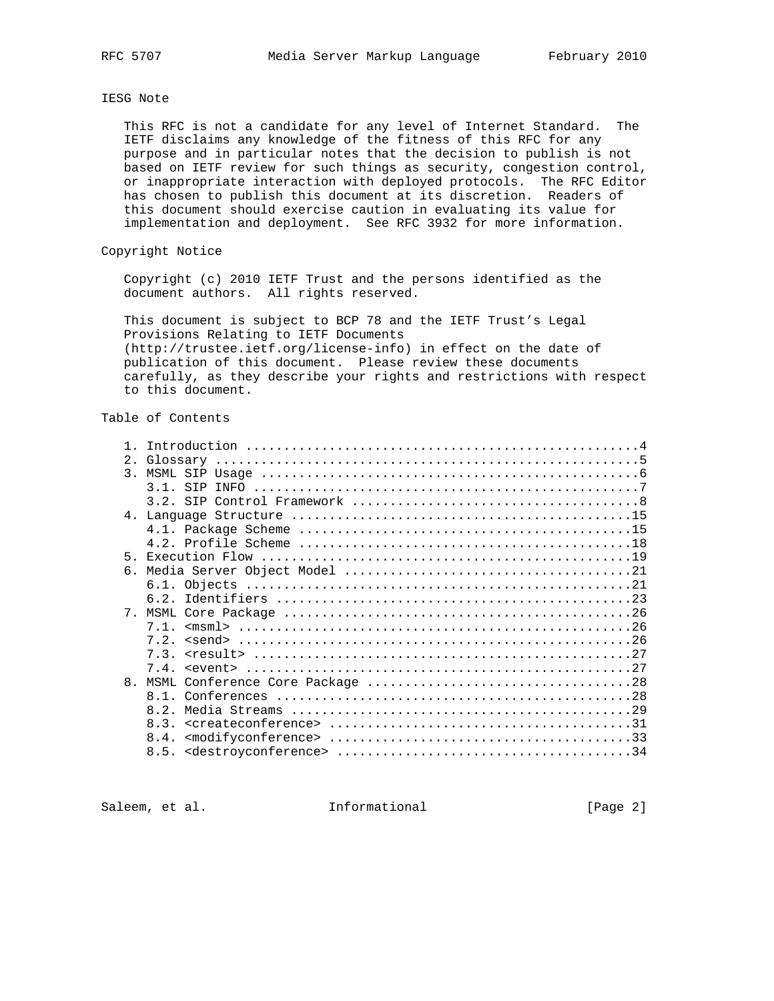IESG Note

 This RFC is not a candidate for any level of Internet Standard. The IETF disclaims any knowledge of the fitness of this RFC for any purpose and in particular notes that the decision to publish is not based on IETF review for such things as security, congestion control, or inappropriate interaction with deployed protocols. The RFC Editor has chosen to publish this document at its discretion. Readers of this document should exercise caution in evaluating its value for implementation and deployment. See RFC 3932 for more information.

### Copyright Notice

 Copyright (c) 2010 IETF Trust and the persons identified as the document authors. All rights reserved.

 This document is subject to BCP 78 and the IETF Trust's Legal Provisions Relating to IETF Documents (http://trustee.ietf.org/license-info) in effect on the date of publication of this document. Please review these documents carefully, as they describe your rights and restrictions with respect to this document.

# Table of Contents

| 2.             |             |
|----------------|-------------|
| $\mathcal{R}$  |             |
|                | $3.1$ . STP |
|                |             |
|                |             |
|                |             |
|                |             |
| 5 <sub>1</sub> |             |
| 6.             |             |
|                |             |
|                |             |
|                |             |
|                |             |
|                |             |
|                |             |
|                |             |
| 8 <sub>1</sub> | M.SMT.      |
|                |             |
|                |             |
|                |             |
|                | 8.4.        |
|                |             |
|                |             |

Saleem, et al. 1nformational [Page 2]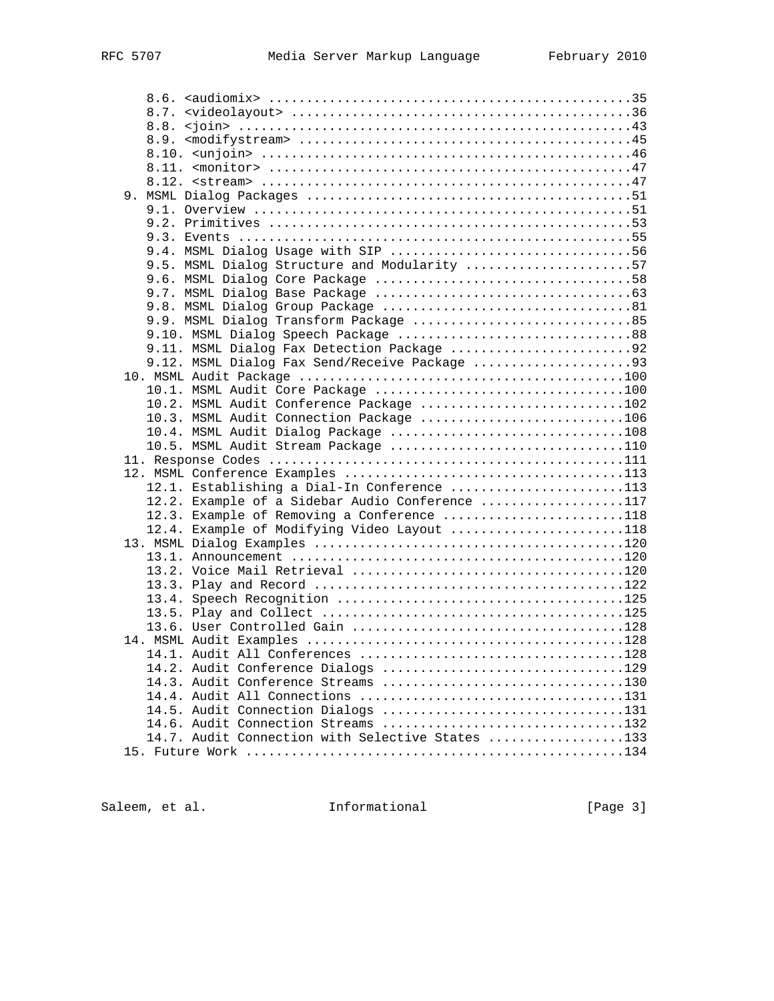| 9.5. MSML Dialog Structure and Modularity 57     |  |
|--------------------------------------------------|--|
|                                                  |  |
|                                                  |  |
|                                                  |  |
| 9.9. MSML Dialog Transform Package 85            |  |
| 9.10. MSML Dialog Speech Package 88              |  |
| 9.11. MSML Dialog Fax Detection Package 92       |  |
|                                                  |  |
| 9.12. MSML Dialog Fax Send/Receive Package 93    |  |
|                                                  |  |
| 10.1. MSML Audit Core Package 100                |  |
| 10.2. MSML Audit Conference Package 102          |  |
| 10.3. MSML Audit Connection Package 106          |  |
| 10.4. MSML Audit Dialog Package 108              |  |
| 10.5. MSML Audit Stream Package 110              |  |
|                                                  |  |
|                                                  |  |
| 12.1. Establishing a Dial-In Conference 113      |  |
| 12.2. Example of a Sidebar Audio Conference 117  |  |
| 12.3. Example of Removing a Conference 118       |  |
| 12.4. Example of Modifying Video Layout 118      |  |
|                                                  |  |
|                                                  |  |
|                                                  |  |
|                                                  |  |
|                                                  |  |
|                                                  |  |
|                                                  |  |
|                                                  |  |
|                                                  |  |
| 14.2. Audit Conference Dialogs 129               |  |
| 14.3. Audit Conference Streams 130               |  |
|                                                  |  |
| 14.5. Audit Connection Dialogs 131               |  |
| 14.6. Audit Connection Streams 132               |  |
| 14.7. Audit Connection with Selective States 133 |  |
|                                                  |  |
|                                                  |  |

Saleem, et al. 1nformational [Page 3]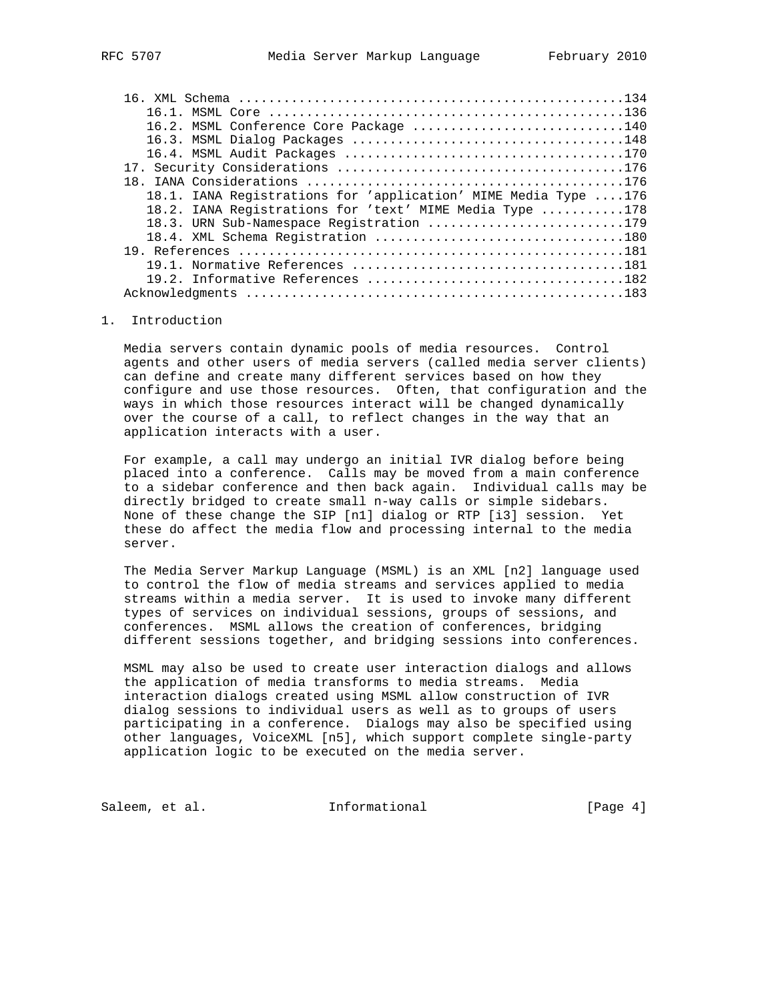| 16.2. MSML Conference Core Package 140                         |  |
|----------------------------------------------------------------|--|
|                                                                |  |
|                                                                |  |
|                                                                |  |
|                                                                |  |
| 18.1. IANA Registrations for 'application' MIME Media Type 176 |  |
| 18.2. IANA Registrations for 'text' MIME Media Type 178        |  |
| 18.3. URN Sub-Namespace Registration 179                       |  |
|                                                                |  |
|                                                                |  |
|                                                                |  |
|                                                                |  |
|                                                                |  |
|                                                                |  |

### 1. Introduction

 Media servers contain dynamic pools of media resources. Control agents and other users of media servers (called media server clients) can define and create many different services based on how they configure and use those resources. Often, that configuration and the ways in which those resources interact will be changed dynamically over the course of a call, to reflect changes in the way that an application interacts with a user.

 For example, a call may undergo an initial IVR dialog before being placed into a conference. Calls may be moved from a main conference to a sidebar conference and then back again. Individual calls may be directly bridged to create small n-way calls or simple sidebars. None of these change the SIP [n1] dialog or RTP [i3] session. Yet these do affect the media flow and processing internal to the media server.

 The Media Server Markup Language (MSML) is an XML [n2] language used to control the flow of media streams and services applied to media streams within a media server. It is used to invoke many different types of services on individual sessions, groups of sessions, and conferences. MSML allows the creation of conferences, bridging different sessions together, and bridging sessions into conferences.

 MSML may also be used to create user interaction dialogs and allows the application of media transforms to media streams. Media interaction dialogs created using MSML allow construction of IVR dialog sessions to individual users as well as to groups of users participating in a conference. Dialogs may also be specified using other languages, VoiceXML [n5], which support complete single-party application logic to be executed on the media server.

Saleem, et al. 1nformational [Page 4]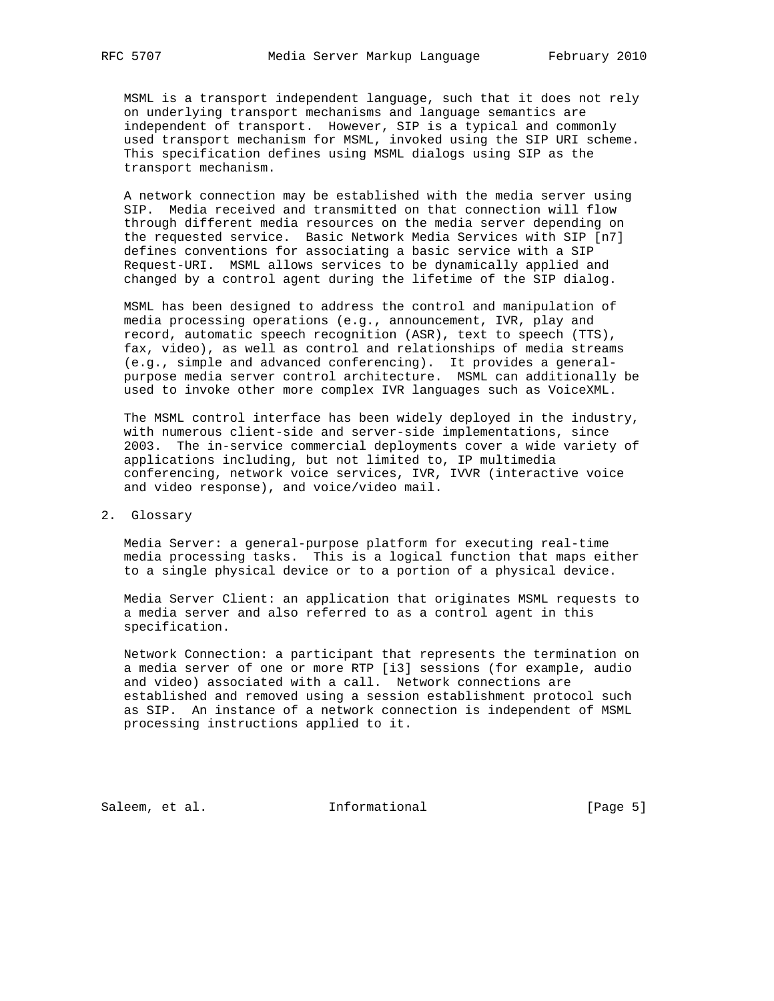MSML is a transport independent language, such that it does not rely on underlying transport mechanisms and language semantics are independent of transport. However, SIP is a typical and commonly used transport mechanism for MSML, invoked using the SIP URI scheme. This specification defines using MSML dialogs using SIP as the transport mechanism.

 A network connection may be established with the media server using SIP. Media received and transmitted on that connection will flow through different media resources on the media server depending on the requested service. Basic Network Media Services with SIP [n7] defines conventions for associating a basic service with a SIP Request-URI. MSML allows services to be dynamically applied and changed by a control agent during the lifetime of the SIP dialog.

 MSML has been designed to address the control and manipulation of media processing operations (e.g., announcement, IVR, play and record, automatic speech recognition (ASR), text to speech (TTS), fax, video), as well as control and relationships of media streams (e.g., simple and advanced conferencing). It provides a general purpose media server control architecture. MSML can additionally be used to invoke other more complex IVR languages such as VoiceXML.

 The MSML control interface has been widely deployed in the industry, with numerous client-side and server-side implementations, since 2003. The in-service commercial deployments cover a wide variety of applications including, but not limited to, IP multimedia conferencing, network voice services, IVR, IVVR (interactive voice and video response), and voice/video mail.

2. Glossary

 Media Server: a general-purpose platform for executing real-time media processing tasks. This is a logical function that maps either to a single physical device or to a portion of a physical device.

 Media Server Client: an application that originates MSML requests to a media server and also referred to as a control agent in this specification.

 Network Connection: a participant that represents the termination on a media server of one or more RTP [i3] sessions (for example, audio and video) associated with a call. Network connections are established and removed using a session establishment protocol such as SIP. An instance of a network connection is independent of MSML processing instructions applied to it.

Saleem, et al. 1nformational [Page 5]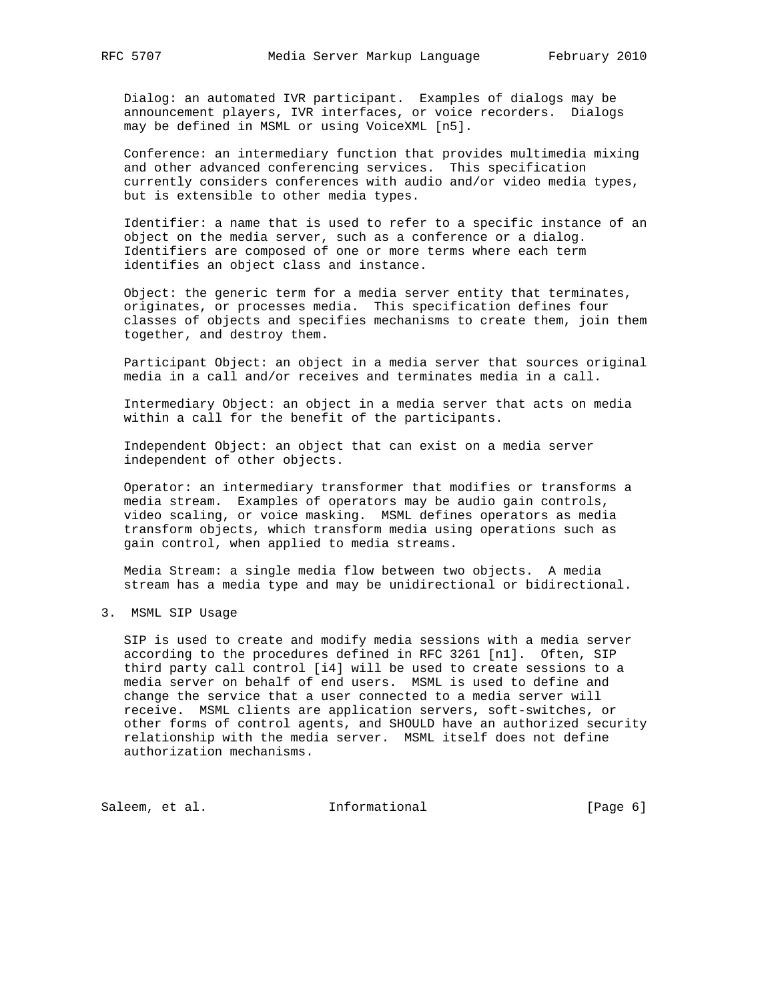Dialog: an automated IVR participant. Examples of dialogs may be announcement players, IVR interfaces, or voice recorders. Dialogs may be defined in MSML or using VoiceXML [n5].

 Conference: an intermediary function that provides multimedia mixing and other advanced conferencing services. This specification currently considers conferences with audio and/or video media types, but is extensible to other media types.

 Identifier: a name that is used to refer to a specific instance of an object on the media server, such as a conference or a dialog. Identifiers are composed of one or more terms where each term identifies an object class and instance.

 Object: the generic term for a media server entity that terminates, originates, or processes media. This specification defines four classes of objects and specifies mechanisms to create them, join them together, and destroy them.

 Participant Object: an object in a media server that sources original media in a call and/or receives and terminates media in a call.

 Intermediary Object: an object in a media server that acts on media within a call for the benefit of the participants.

 Independent Object: an object that can exist on a media server independent of other objects.

 Operator: an intermediary transformer that modifies or transforms a media stream. Examples of operators may be audio gain controls, video scaling, or voice masking. MSML defines operators as media transform objects, which transform media using operations such as gain control, when applied to media streams.

 Media Stream: a single media flow between two objects. A media stream has a media type and may be unidirectional or bidirectional.

3. MSML SIP Usage

 SIP is used to create and modify media sessions with a media server according to the procedures defined in RFC 3261 [n1]. Often, SIP third party call control [i4] will be used to create sessions to a media server on behalf of end users. MSML is used to define and change the service that a user connected to a media server will receive. MSML clients are application servers, soft-switches, or other forms of control agents, and SHOULD have an authorized security relationship with the media server. MSML itself does not define authorization mechanisms.

Saleem, et al. 1nformational [Page 6]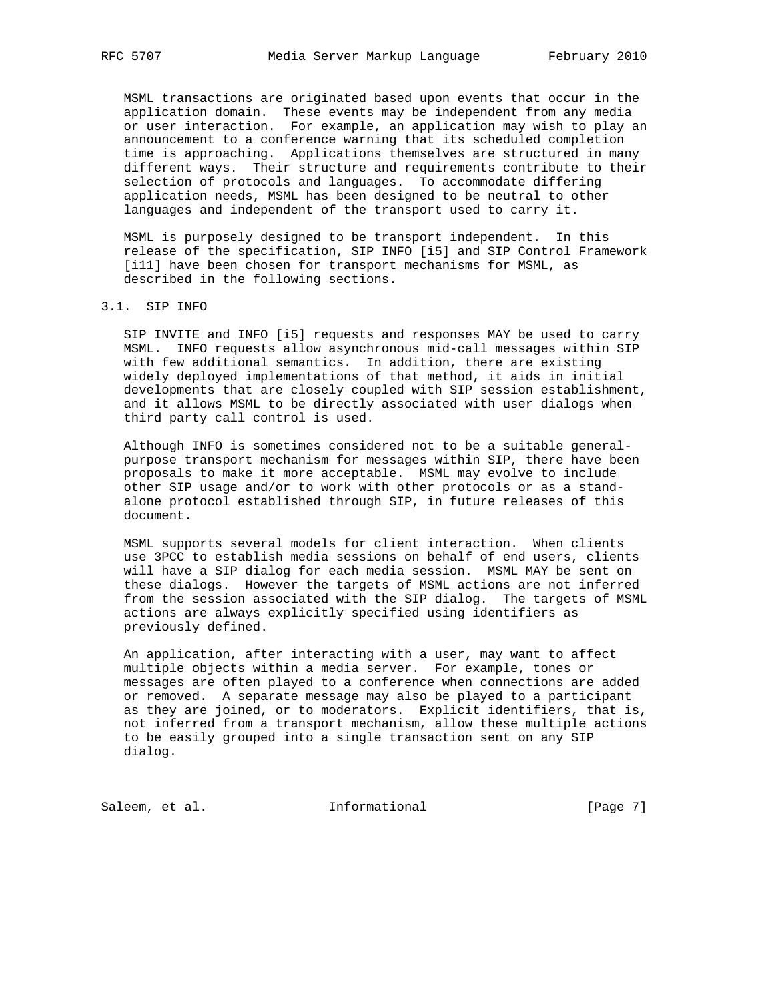MSML transactions are originated based upon events that occur in the application domain. These events may be independent from any media or user interaction. For example, an application may wish to play an announcement to a conference warning that its scheduled completion time is approaching. Applications themselves are structured in many different ways. Their structure and requirements contribute to their selection of protocols and languages. To accommodate differing application needs, MSML has been designed to be neutral to other languages and independent of the transport used to carry it.

 MSML is purposely designed to be transport independent. In this release of the specification, SIP INFO [i5] and SIP Control Framework [i11] have been chosen for transport mechanisms for MSML, as described in the following sections.

# 3.1. SIP INFO

 SIP INVITE and INFO [i5] requests and responses MAY be used to carry MSML. INFO requests allow asynchronous mid-call messages within SIP with few additional semantics. In addition, there are existing widely deployed implementations of that method, it aids in initial developments that are closely coupled with SIP session establishment, and it allows MSML to be directly associated with user dialogs when third party call control is used.

 Although INFO is sometimes considered not to be a suitable general purpose transport mechanism for messages within SIP, there have been proposals to make it more acceptable. MSML may evolve to include other SIP usage and/or to work with other protocols or as a stand alone protocol established through SIP, in future releases of this document.

 MSML supports several models for client interaction. When clients use 3PCC to establish media sessions on behalf of end users, clients will have a SIP dialog for each media session. MSML MAY be sent on these dialogs. However the targets of MSML actions are not inferred from the session associated with the SIP dialog. The targets of MSML actions are always explicitly specified using identifiers as previously defined.

 An application, after interacting with a user, may want to affect multiple objects within a media server. For example, tones or messages are often played to a conference when connections are added or removed. A separate message may also be played to a participant as they are joined, or to moderators. Explicit identifiers, that is, not inferred from a transport mechanism, allow these multiple actions to be easily grouped into a single transaction sent on any SIP dialog.

Saleem, et al. 1nformational [Page 7]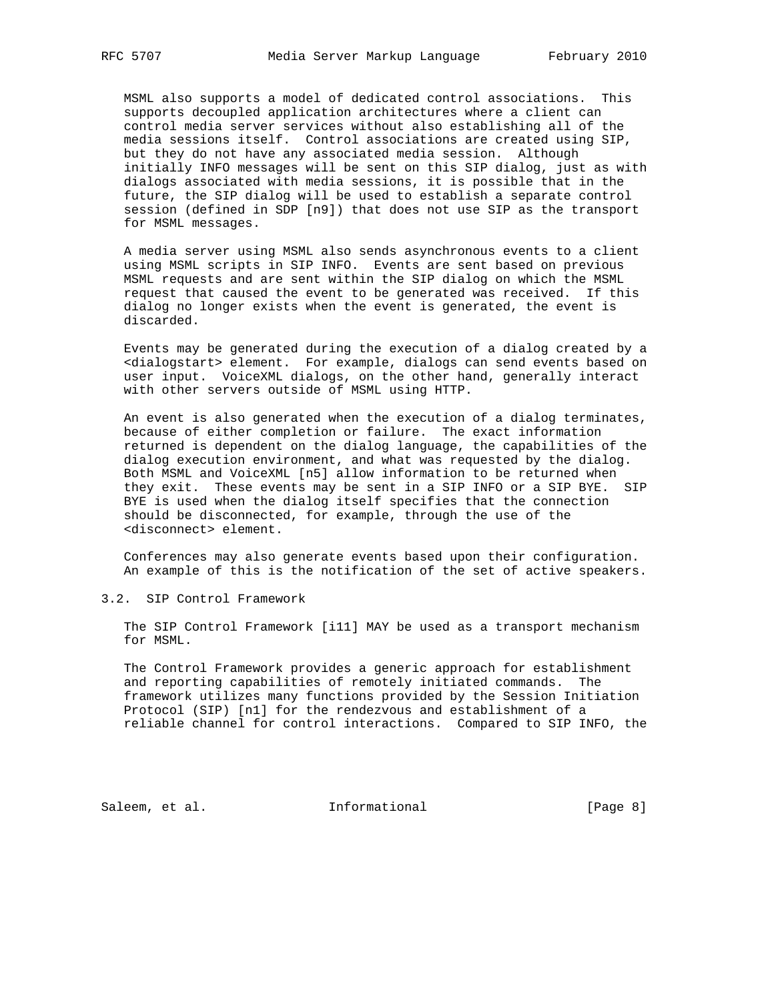MSML also supports a model of dedicated control associations. This supports decoupled application architectures where a client can control media server services without also establishing all of the media sessions itself. Control associations are created using SIP, but they do not have any associated media session. Although initially INFO messages will be sent on this SIP dialog, just as with dialogs associated with media sessions, it is possible that in the future, the SIP dialog will be used to establish a separate control session (defined in SDP [n9]) that does not use SIP as the transport for MSML messages.

 A media server using MSML also sends asynchronous events to a client using MSML scripts in SIP INFO. Events are sent based on previous MSML requests and are sent within the SIP dialog on which the MSML request that caused the event to be generated was received. If this dialog no longer exists when the event is generated, the event is discarded.

 Events may be generated during the execution of a dialog created by a <dialogstart> element. For example, dialogs can send events based on user input. VoiceXML dialogs, on the other hand, generally interact with other servers outside of MSML using HTTP.

 An event is also generated when the execution of a dialog terminates, because of either completion or failure. The exact information returned is dependent on the dialog language, the capabilities of the dialog execution environment, and what was requested by the dialog. Both MSML and VoiceXML [n5] allow information to be returned when they exit. These events may be sent in a SIP INFO or a SIP BYE. SIP BYE is used when the dialog itself specifies that the connection should be disconnected, for example, through the use of the <disconnect> element.

 Conferences may also generate events based upon their configuration. An example of this is the notification of the set of active speakers.

3.2. SIP Control Framework

 The SIP Control Framework [i11] MAY be used as a transport mechanism for MSML.

 The Control Framework provides a generic approach for establishment and reporting capabilities of remotely initiated commands. The framework utilizes many functions provided by the Session Initiation Protocol (SIP) [n1] for the rendezvous and establishment of a reliable channel for control interactions. Compared to SIP INFO, the

Saleem, et al. 1nformational [Page 8]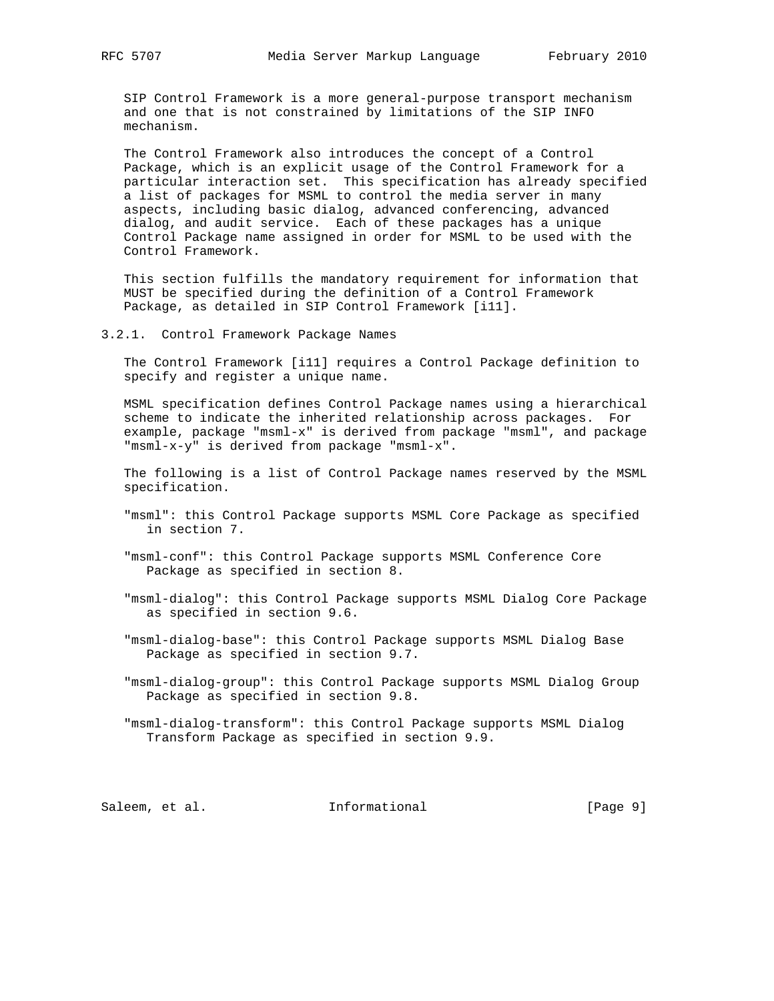SIP Control Framework is a more general-purpose transport mechanism and one that is not constrained by limitations of the SIP INFO mechanism.

 The Control Framework also introduces the concept of a Control Package, which is an explicit usage of the Control Framework for a particular interaction set. This specification has already specified a list of packages for MSML to control the media server in many aspects, including basic dialog, advanced conferencing, advanced dialog, and audit service. Each of these packages has a unique Control Package name assigned in order for MSML to be used with the Control Framework.

 This section fulfills the mandatory requirement for information that MUST be specified during the definition of a Control Framework Package, as detailed in SIP Control Framework [i11].

#### 3.2.1. Control Framework Package Names

 The Control Framework [i11] requires a Control Package definition to specify and register a unique name.

 MSML specification defines Control Package names using a hierarchical scheme to indicate the inherited relationship across packages. For example, package "msml-x" is derived from package "msml", and package "msml-x-y" is derived from package "msml-x".

 The following is a list of Control Package names reserved by the MSML specification.

- "msml": this Control Package supports MSML Core Package as specified in section 7.
- "msml-conf": this Control Package supports MSML Conference Core Package as specified in section 8.
- "msml-dialog": this Control Package supports MSML Dialog Core Package as specified in section 9.6.
- "msml-dialog-base": this Control Package supports MSML Dialog Base Package as specified in section 9.7.
- "msml-dialog-group": this Control Package supports MSML Dialog Group Package as specified in section 9.8.
- "msml-dialog-transform": this Control Package supports MSML Dialog Transform Package as specified in section 9.9.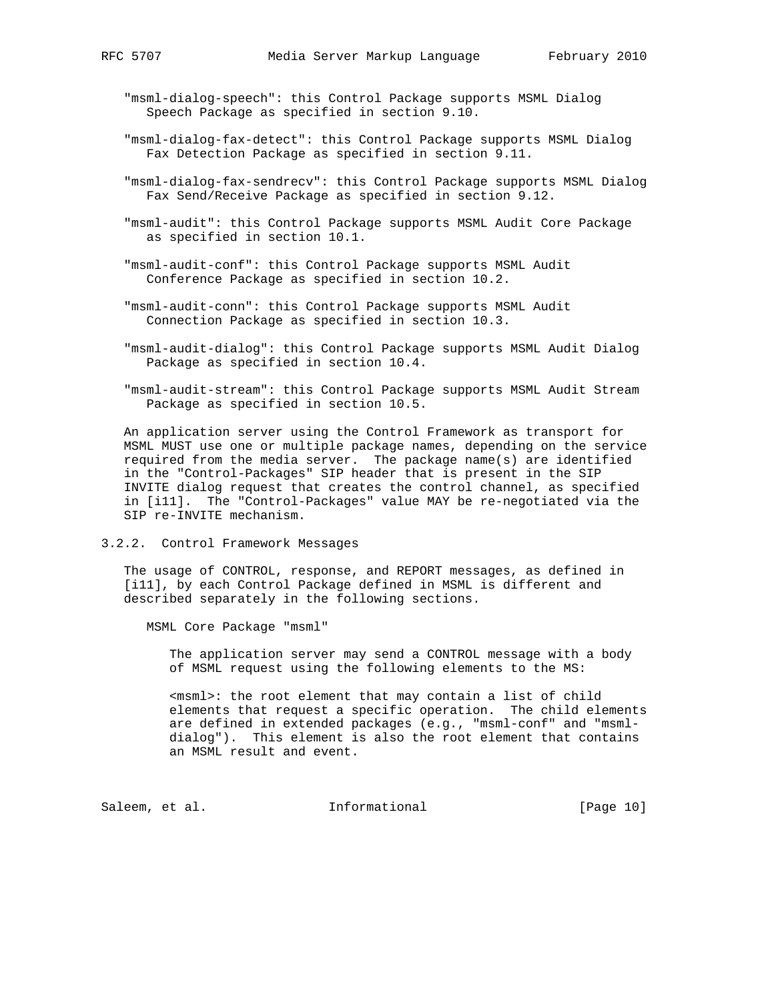"msml-dialog-speech": this Control Package supports MSML Dialog Speech Package as specified in section 9.10.

- "msml-dialog-fax-detect": this Control Package supports MSML Dialog Fax Detection Package as specified in section 9.11.
- "msml-dialog-fax-sendrecv": this Control Package supports MSML Dialog Fax Send/Receive Package as specified in section 9.12.
- "msml-audit": this Control Package supports MSML Audit Core Package as specified in section 10.1.
- "msml-audit-conf": this Control Package supports MSML Audit Conference Package as specified in section 10.2.
- "msml-audit-conn": this Control Package supports MSML Audit Connection Package as specified in section 10.3.
- "msml-audit-dialog": this Control Package supports MSML Audit Dialog Package as specified in section 10.4.
- "msml-audit-stream": this Control Package supports MSML Audit Stream Package as specified in section 10.5.

 An application server using the Control Framework as transport for MSML MUST use one or multiple package names, depending on the service required from the media server. The package name(s) are identified in the "Control-Packages" SIP header that is present in the SIP INVITE dialog request that creates the control channel, as specified in [i11]. The "Control-Packages" value MAY be re-negotiated via the SIP re-INVITE mechanism.

3.2.2. Control Framework Messages

 The usage of CONTROL, response, and REPORT messages, as defined in [i11], by each Control Package defined in MSML is different and described separately in the following sections.

MSML Core Package "msml"

 The application server may send a CONTROL message with a body of MSML request using the following elements to the MS:

 <msml>: the root element that may contain a list of child elements that request a specific operation. The child elements are defined in extended packages (e.g., "msml-conf" and "msml dialog"). This element is also the root element that contains an MSML result and event.

Saleem, et al. 10 mm = Informational [Page 10]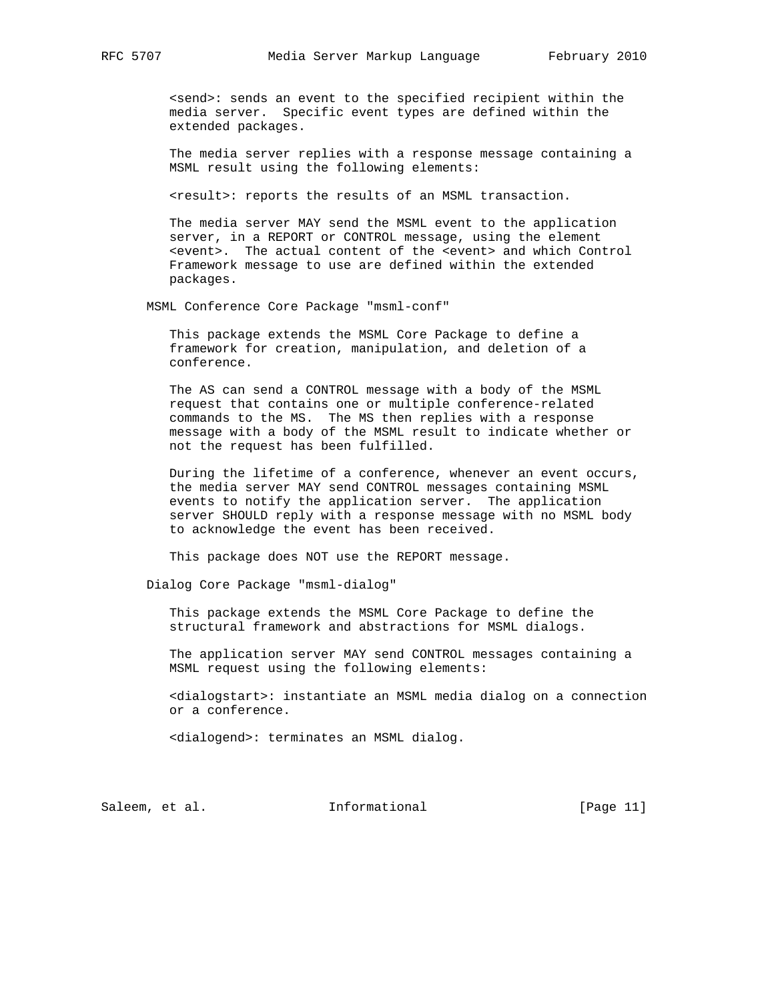<send>: sends an event to the specified recipient within the media server. Specific event types are defined within the extended packages.

 The media server replies with a response message containing a MSML result using the following elements:

<result>: reports the results of an MSML transaction.

 The media server MAY send the MSML event to the application server, in a REPORT or CONTROL message, using the element <event>. The actual content of the <event> and which Control Framework message to use are defined within the extended packages.

MSML Conference Core Package "msml-conf"

 This package extends the MSML Core Package to define a framework for creation, manipulation, and deletion of a conference.

 The AS can send a CONTROL message with a body of the MSML request that contains one or multiple conference-related commands to the MS. The MS then replies with a response message with a body of the MSML result to indicate whether or not the request has been fulfilled.

 During the lifetime of a conference, whenever an event occurs, the media server MAY send CONTROL messages containing MSML events to notify the application server. The application server SHOULD reply with a response message with no MSML body to acknowledge the event has been received.

This package does NOT use the REPORT message.

Dialog Core Package "msml-dialog"

 This package extends the MSML Core Package to define the structural framework and abstractions for MSML dialogs.

 The application server MAY send CONTROL messages containing a MSML request using the following elements:

 <dialogstart>: instantiate an MSML media dialog on a connection or a conference.

<dialogend>: terminates an MSML dialog.

Saleem, et al. 10. Informational [Page 11]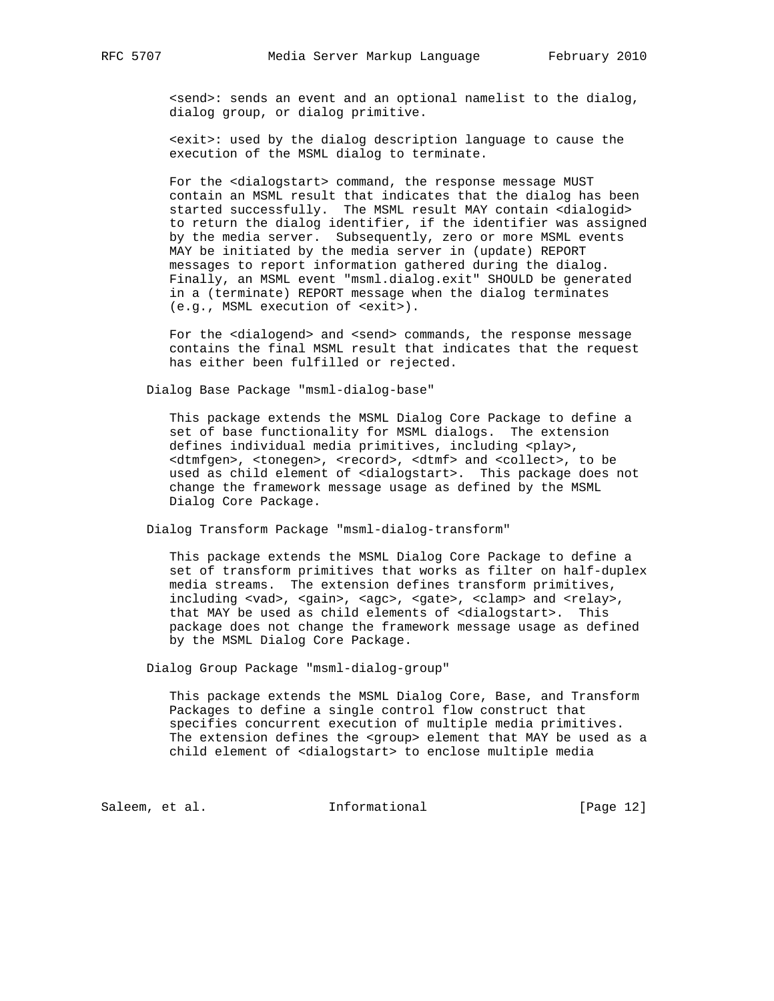<send>: sends an event and an optional namelist to the dialog, dialog group, or dialog primitive.

 <exit>: used by the dialog description language to cause the execution of the MSML dialog to terminate.

For the <dialogstart> command, the response message MUST contain an MSML result that indicates that the dialog has been started successfully. The MSML result MAY contain <dialogid> to return the dialog identifier, if the identifier was assigned by the media server. Subsequently, zero or more MSML events MAY be initiated by the media server in (update) REPORT messages to report information gathered during the dialog. Finally, an MSML event "msml.dialog.exit" SHOULD be generated in a (terminate) REPORT message when the dialog terminates (e.g., MSML execution of <exit>).

For the <dialogend> and <send> commands, the response message contains the final MSML result that indicates that the request has either been fulfilled or rejected.

Dialog Base Package "msml-dialog-base"

 This package extends the MSML Dialog Core Package to define a set of base functionality for MSML dialogs. The extension defines individual media primitives, including <play>, <dtmfgen>, <tonegen>, <record>, <dtmf> and <collect>, to be used as child element of <dialogstart>. This package does not change the framework message usage as defined by the MSML Dialog Core Package.

Dialog Transform Package "msml-dialog-transform"

 This package extends the MSML Dialog Core Package to define a set of transform primitives that works as filter on half-duplex media streams. The extension defines transform primitives, including <vad>, <gain>, <agc>, <gate>, <clamp> and <relay>, that MAY be used as child elements of <dialogstart>. This package does not change the framework message usage as defined by the MSML Dialog Core Package.

Dialog Group Package "msml-dialog-group"

 This package extends the MSML Dialog Core, Base, and Transform Packages to define a single control flow construct that specifies concurrent execution of multiple media primitives. The extension defines the <group> element that MAY be used as a child element of <dialogstart> to enclose multiple media

Saleem, et al. 1nformational [Page 12]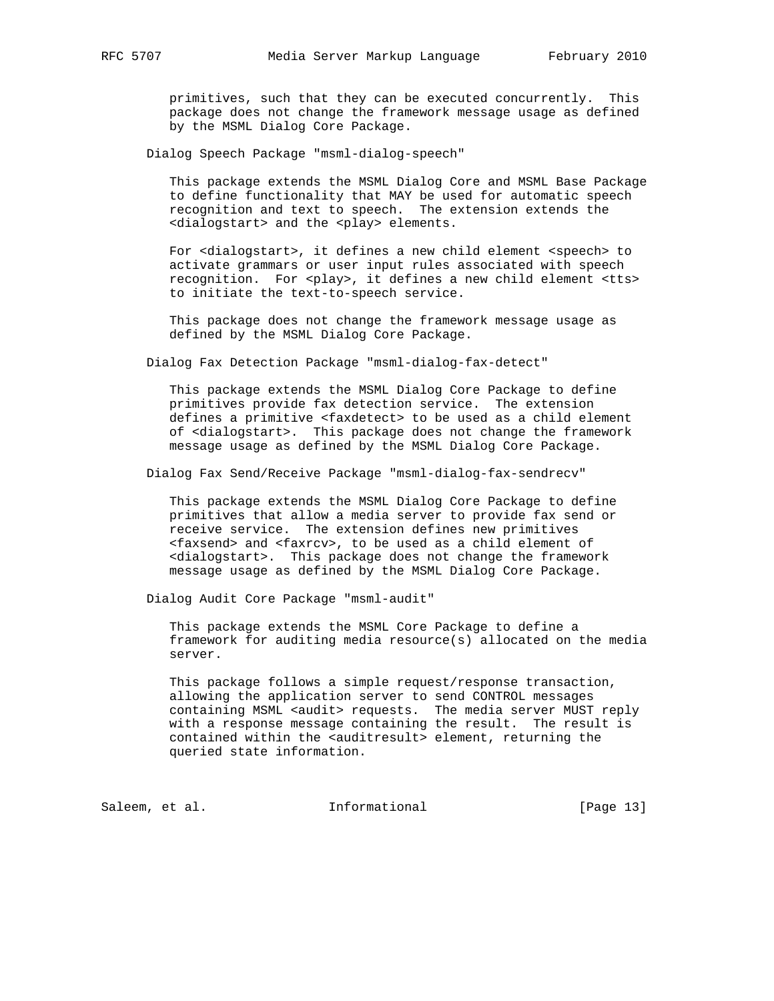primitives, such that they can be executed concurrently. This package does not change the framework message usage as defined by the MSML Dialog Core Package.

Dialog Speech Package "msml-dialog-speech"

 This package extends the MSML Dialog Core and MSML Base Package to define functionality that MAY be used for automatic speech recognition and text to speech. The extension extends the <dialogstart> and the <play> elements.

 For <dialogstart>, it defines a new child element <speech> to activate grammars or user input rules associated with speech recognition. For <play>, it defines a new child element <tts> to initiate the text-to-speech service.

 This package does not change the framework message usage as defined by the MSML Dialog Core Package.

Dialog Fax Detection Package "msml-dialog-fax-detect"

 This package extends the MSML Dialog Core Package to define primitives provide fax detection service. The extension defines a primitive <faxdetect> to be used as a child element of <dialogstart>. This package does not change the framework message usage as defined by the MSML Dialog Core Package.

Dialog Fax Send/Receive Package "msml-dialog-fax-sendrecv"

 This package extends the MSML Dialog Core Package to define primitives that allow a media server to provide fax send or receive service. The extension defines new primitives <faxsend> and <faxrcv>, to be used as a child element of <dialogstart>. This package does not change the framework message usage as defined by the MSML Dialog Core Package.

Dialog Audit Core Package "msml-audit"

 This package extends the MSML Core Package to define a framework for auditing media resource(s) allocated on the media server.

 This package follows a simple request/response transaction, allowing the application server to send CONTROL messages containing MSML <audit> requests. The media server MUST reply with a response message containing the result. The result is contained within the <auditresult> element, returning the queried state information.

Saleem, et al. 10 Informational [Page 13]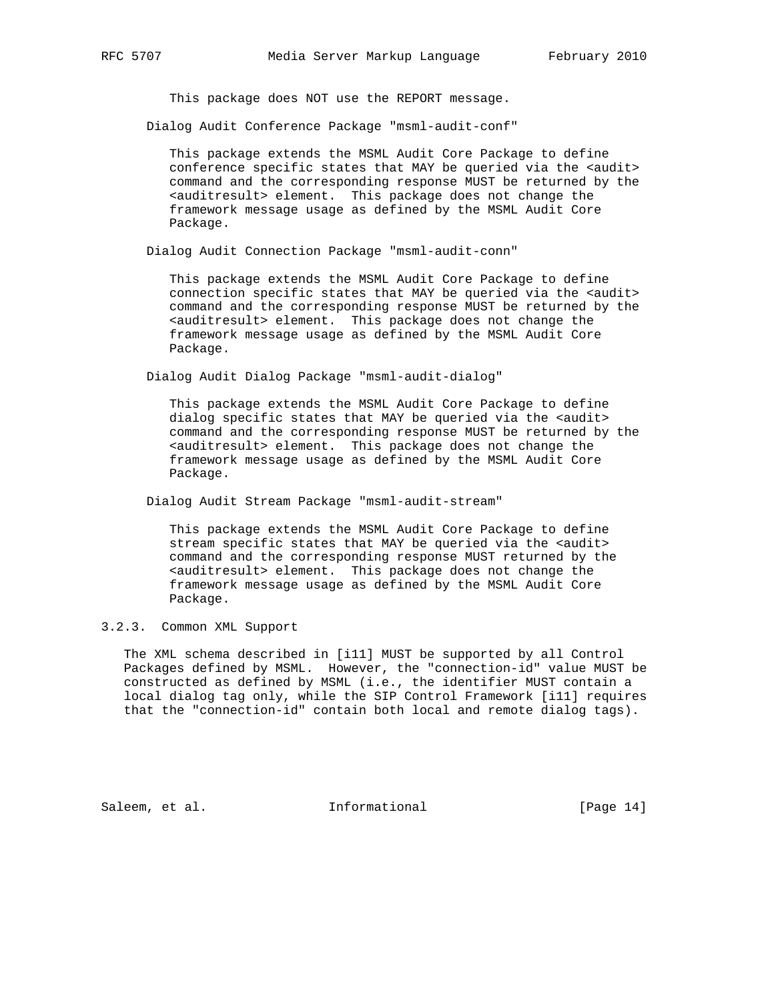This package does NOT use the REPORT message.

Dialog Audit Conference Package "msml-audit-conf"

 This package extends the MSML Audit Core Package to define conference specific states that MAY be queried via the <audit> command and the corresponding response MUST be returned by the <auditresult> element. This package does not change the framework message usage as defined by the MSML Audit Core Package.

Dialog Audit Connection Package "msml-audit-conn"

 This package extends the MSML Audit Core Package to define connection specific states that MAY be queried via the <audit> command and the corresponding response MUST be returned by the <auditresult> element. This package does not change the framework message usage as defined by the MSML Audit Core Package.

Dialog Audit Dialog Package "msml-audit-dialog"

 This package extends the MSML Audit Core Package to define dialog specific states that MAY be queried via the <audit> command and the corresponding response MUST be returned by the <auditresult> element. This package does not change the framework message usage as defined by the MSML Audit Core Package.

Dialog Audit Stream Package "msml-audit-stream"

 This package extends the MSML Audit Core Package to define stream specific states that MAY be queried via the <audit> command and the corresponding response MUST returned by the <auditresult> element. This package does not change the framework message usage as defined by the MSML Audit Core Package.

3.2.3. Common XML Support

 The XML schema described in [i11] MUST be supported by all Control Packages defined by MSML. However, the "connection-id" value MUST be constructed as defined by MSML (i.e., the identifier MUST contain a local dialog tag only, while the SIP Control Framework [i11] requires that the "connection-id" contain both local and remote dialog tags).

Saleem, et al. 1nformational [Page 14]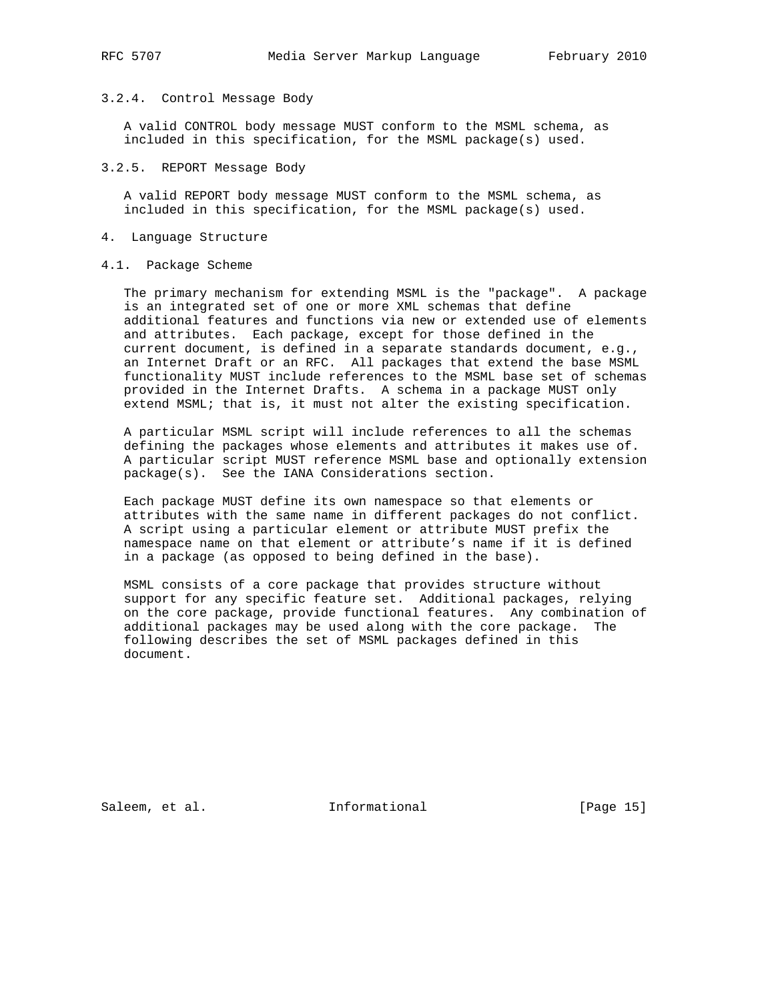# 3.2.4. Control Message Body

 A valid CONTROL body message MUST conform to the MSML schema, as included in this specification, for the MSML package(s) used.

#### 3.2.5. REPORT Message Body

 A valid REPORT body message MUST conform to the MSML schema, as included in this specification, for the MSML package(s) used.

#### 4. Language Structure

#### 4.1. Package Scheme

 The primary mechanism for extending MSML is the "package". A package is an integrated set of one or more XML schemas that define additional features and functions via new or extended use of elements and attributes. Each package, except for those defined in the current document, is defined in a separate standards document, e.g., an Internet Draft or an RFC. All packages that extend the base MSML functionality MUST include references to the MSML base set of schemas provided in the Internet Drafts. A schema in a package MUST only extend MSML; that is, it must not alter the existing specification.

 A particular MSML script will include references to all the schemas defining the packages whose elements and attributes it makes use of. A particular script MUST reference MSML base and optionally extension package(s). See the IANA Considerations section.

 Each package MUST define its own namespace so that elements or attributes with the same name in different packages do not conflict. A script using a particular element or attribute MUST prefix the namespace name on that element or attribute's name if it is defined in a package (as opposed to being defined in the base).

 MSML consists of a core package that provides structure without support for any specific feature set. Additional packages, relying on the core package, provide functional features. Any combination of additional packages may be used along with the core package. The following describes the set of MSML packages defined in this document.

Saleem, et al. 100 mm informational [Page 15]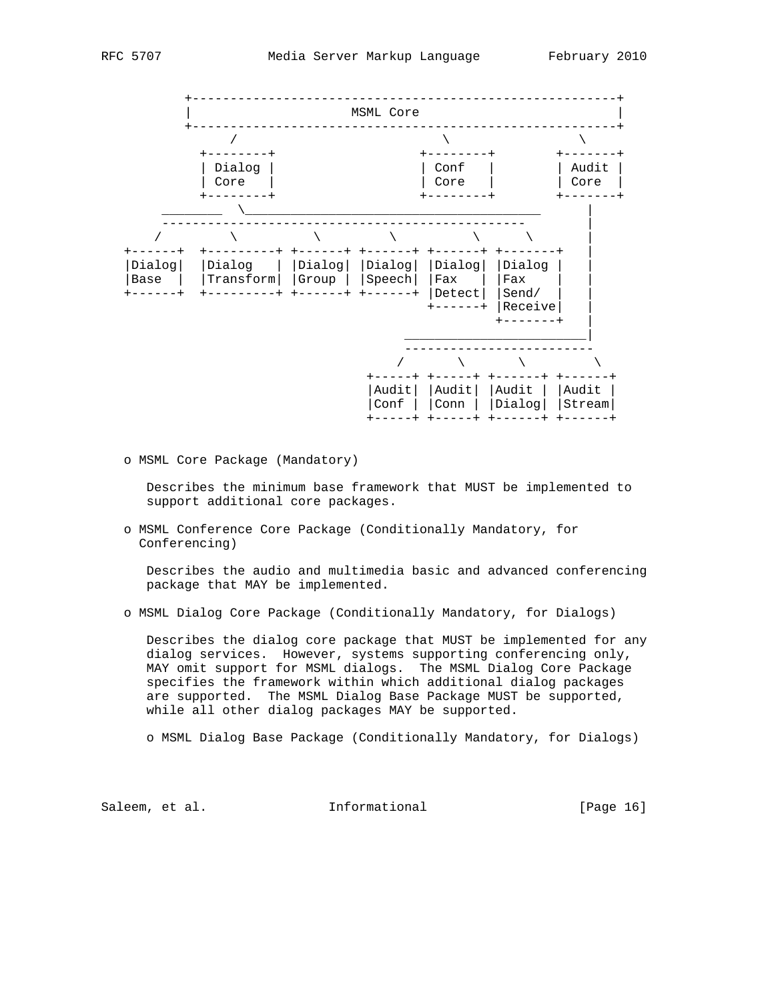



o MSML Core Package (Mandatory)

 Describes the minimum base framework that MUST be implemented to support additional core packages.

 o MSML Conference Core Package (Conditionally Mandatory, for Conferencing)

 Describes the audio and multimedia basic and advanced conferencing package that MAY be implemented.

o MSML Dialog Core Package (Conditionally Mandatory, for Dialogs)

 Describes the dialog core package that MUST be implemented for any dialog services. However, systems supporting conferencing only, MAY omit support for MSML dialogs. The MSML Dialog Core Package specifies the framework within which additional dialog packages are supported. The MSML Dialog Base Package MUST be supported, while all other dialog packages MAY be supported.

o MSML Dialog Base Package (Conditionally Mandatory, for Dialogs)

Saleem, et al. 1nformational [Page 16]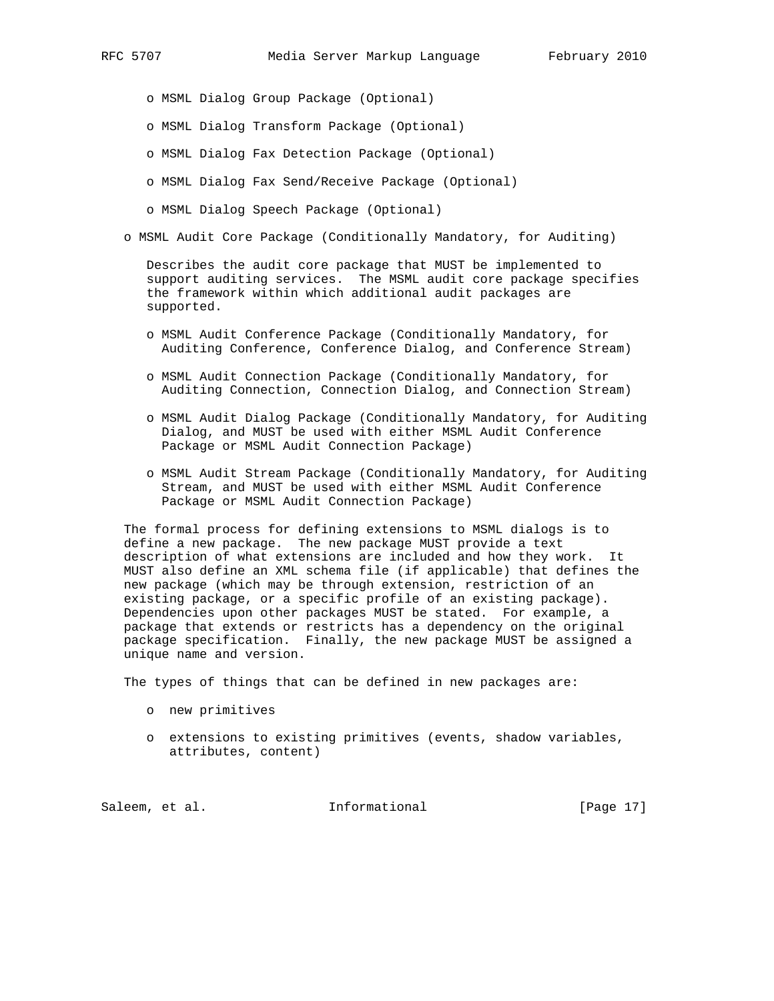o MSML Dialog Group Package (Optional)

- o MSML Dialog Transform Package (Optional)
- o MSML Dialog Fax Detection Package (Optional)
- o MSML Dialog Fax Send/Receive Package (Optional)
- o MSML Dialog Speech Package (Optional)
- o MSML Audit Core Package (Conditionally Mandatory, for Auditing)

 Describes the audit core package that MUST be implemented to support auditing services. The MSML audit core package specifies the framework within which additional audit packages are supported.

- o MSML Audit Conference Package (Conditionally Mandatory, for Auditing Conference, Conference Dialog, and Conference Stream)
- o MSML Audit Connection Package (Conditionally Mandatory, for Auditing Connection, Connection Dialog, and Connection Stream)
- o MSML Audit Dialog Package (Conditionally Mandatory, for Auditing Dialog, and MUST be used with either MSML Audit Conference Package or MSML Audit Connection Package)
- o MSML Audit Stream Package (Conditionally Mandatory, for Auditing Stream, and MUST be used with either MSML Audit Conference Package or MSML Audit Connection Package)

 The formal process for defining extensions to MSML dialogs is to define a new package. The new package MUST provide a text description of what extensions are included and how they work. It MUST also define an XML schema file (if applicable) that defines the new package (which may be through extension, restriction of an existing package, or a specific profile of an existing package). Dependencies upon other packages MUST be stated. For example, a package that extends or restricts has a dependency on the original package specification. Finally, the new package MUST be assigned a unique name and version.

The types of things that can be defined in new packages are:

- o new primitives
- o extensions to existing primitives (events, shadow variables, attributes, content)

Saleem, et al. 10 mm informational [Page 17]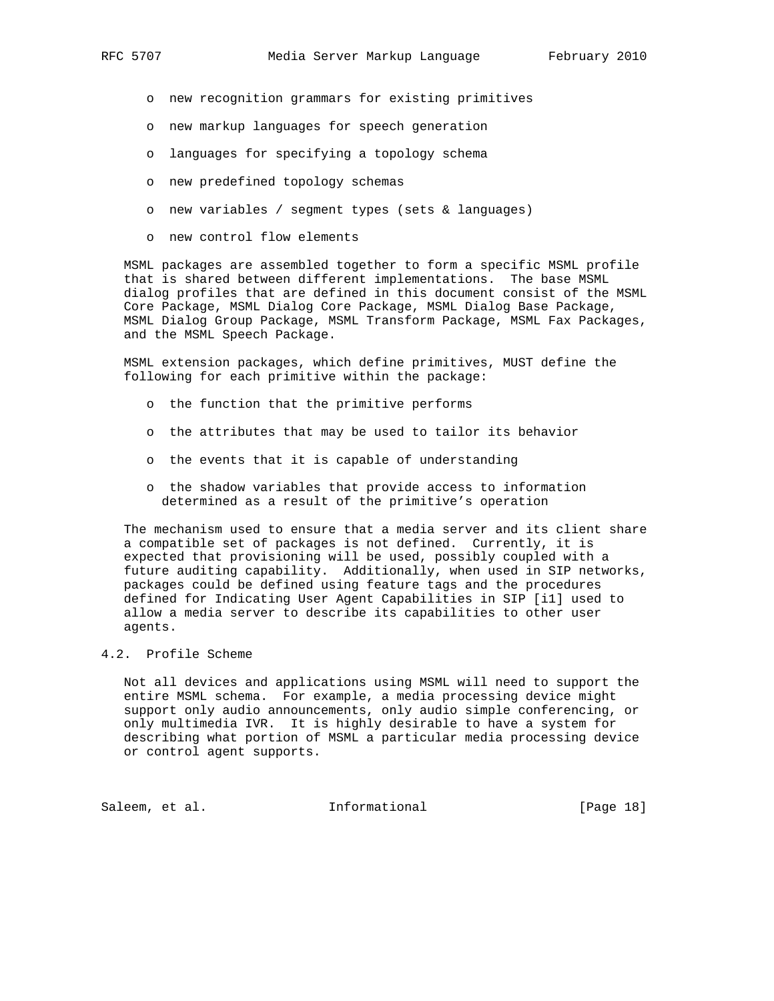o new recognition grammars for existing primitives

- o new markup languages for speech generation
- o languages for specifying a topology schema
- o new predefined topology schemas
- o new variables / segment types (sets & languages)
- o new control flow elements

 MSML packages are assembled together to form a specific MSML profile that is shared between different implementations. The base MSML dialog profiles that are defined in this document consist of the MSML Core Package, MSML Dialog Core Package, MSML Dialog Base Package, MSML Dialog Group Package, MSML Transform Package, MSML Fax Packages, and the MSML Speech Package.

 MSML extension packages, which define primitives, MUST define the following for each primitive within the package:

- o the function that the primitive performs
- o the attributes that may be used to tailor its behavior
- o the events that it is capable of understanding
- o the shadow variables that provide access to information determined as a result of the primitive's operation

 The mechanism used to ensure that a media server and its client share a compatible set of packages is not defined. Currently, it is expected that provisioning will be used, possibly coupled with a future auditing capability. Additionally, when used in SIP networks, packages could be defined using feature tags and the procedures defined for Indicating User Agent Capabilities in SIP [i1] used to allow a media server to describe its capabilities to other user agents.

#### 4.2. Profile Scheme

 Not all devices and applications using MSML will need to support the entire MSML schema. For example, a media processing device might support only audio announcements, only audio simple conferencing, or only multimedia IVR. It is highly desirable to have a system for describing what portion of MSML a particular media processing device or control agent supports.

Saleem, et al. 10 Informational [Page 18]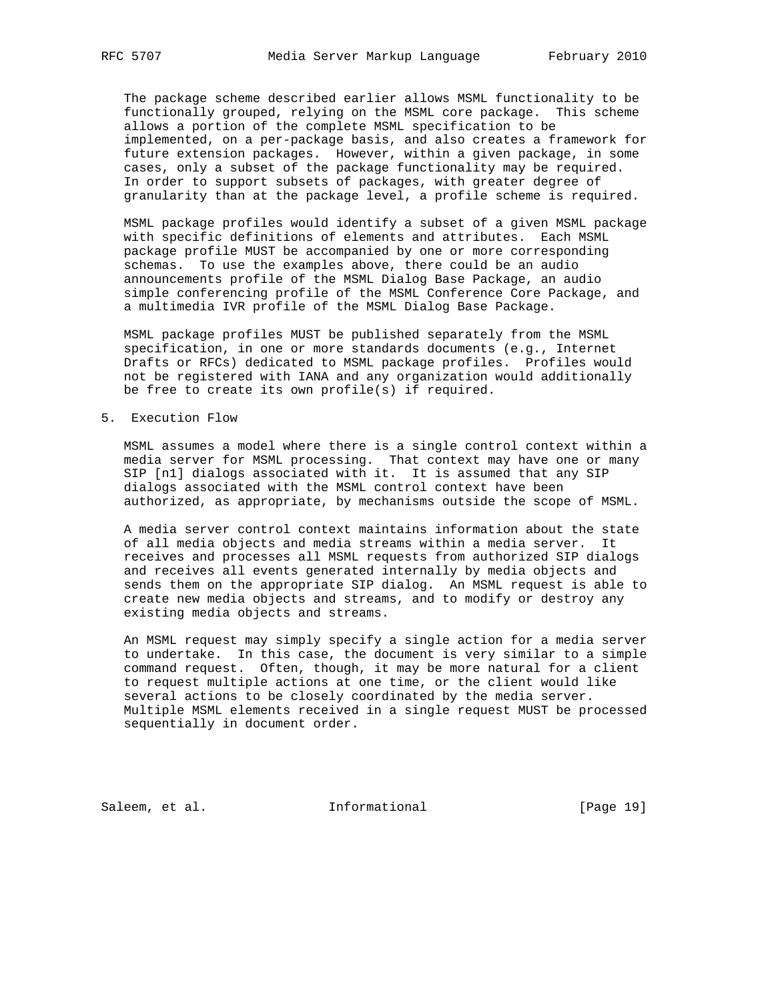The package scheme described earlier allows MSML functionality to be functionally grouped, relying on the MSML core package. This scheme allows a portion of the complete MSML specification to be implemented, on a per-package basis, and also creates a framework for future extension packages. However, within a given package, in some cases, only a subset of the package functionality may be required. In order to support subsets of packages, with greater degree of granularity than at the package level, a profile scheme is required.

 MSML package profiles would identify a subset of a given MSML package with specific definitions of elements and attributes. Each MSML package profile MUST be accompanied by one or more corresponding schemas. To use the examples above, there could be an audio announcements profile of the MSML Dialog Base Package, an audio simple conferencing profile of the MSML Conference Core Package, and a multimedia IVR profile of the MSML Dialog Base Package.

 MSML package profiles MUST be published separately from the MSML specification, in one or more standards documents (e.g., Internet Drafts or RFCs) dedicated to MSML package profiles. Profiles would not be registered with IANA and any organization would additionally be free to create its own profile(s) if required.

5. Execution Flow

 MSML assumes a model where there is a single control context within a media server for MSML processing. That context may have one or many SIP [n1] dialogs associated with it. It is assumed that any SIP dialogs associated with the MSML control context have been authorized, as appropriate, by mechanisms outside the scope of MSML.

 A media server control context maintains information about the state of all media objects and media streams within a media server. It receives and processes all MSML requests from authorized SIP dialogs and receives all events generated internally by media objects and sends them on the appropriate SIP dialog. An MSML request is able to create new media objects and streams, and to modify or destroy any existing media objects and streams.

 An MSML request may simply specify a single action for a media server to undertake. In this case, the document is very similar to a simple command request. Often, though, it may be more natural for a client to request multiple actions at one time, or the client would like several actions to be closely coordinated by the media server. Multiple MSML elements received in a single request MUST be processed sequentially in document order.

Saleem, et al. 1nformational [Page 19]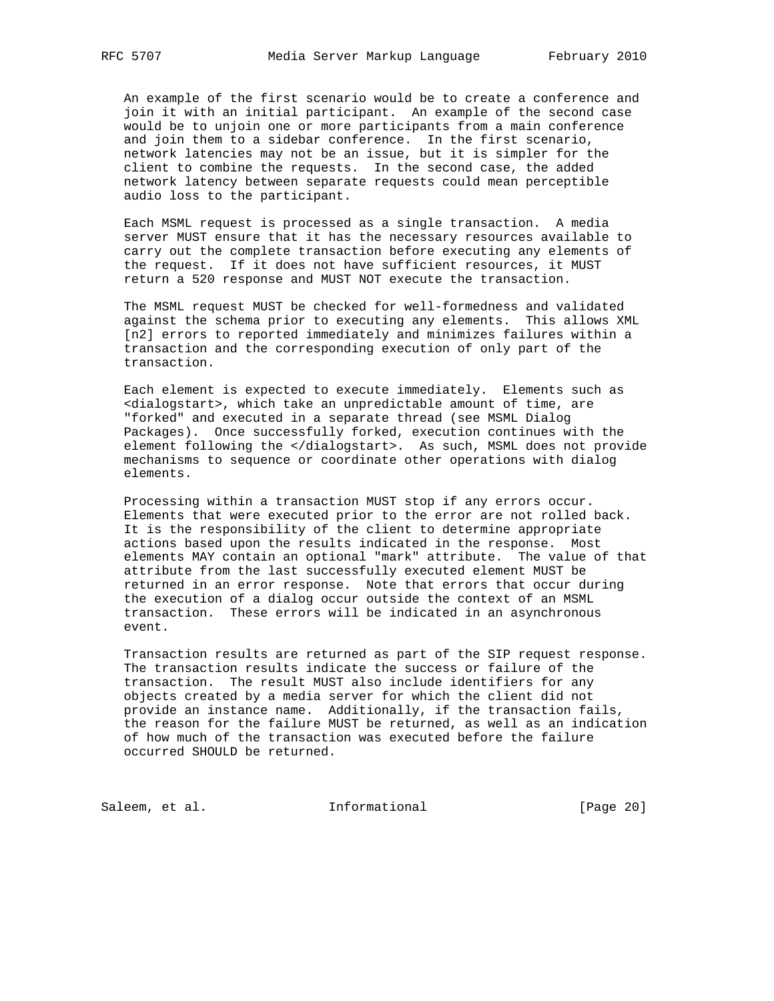An example of the first scenario would be to create a conference and join it with an initial participant. An example of the second case would be to unjoin one or more participants from a main conference and join them to a sidebar conference. In the first scenario, network latencies may not be an issue, but it is simpler for the client to combine the requests. In the second case, the added network latency between separate requests could mean perceptible audio loss to the participant.

 Each MSML request is processed as a single transaction. A media server MUST ensure that it has the necessary resources available to carry out the complete transaction before executing any elements of the request. If it does not have sufficient resources, it MUST return a 520 response and MUST NOT execute the transaction.

 The MSML request MUST be checked for well-formedness and validated against the schema prior to executing any elements. This allows XML [n2] errors to reported immediately and minimizes failures within a transaction and the corresponding execution of only part of the transaction.

 Each element is expected to execute immediately. Elements such as <dialogstart>, which take an unpredictable amount of time, are "forked" and executed in a separate thread (see MSML Dialog Packages). Once successfully forked, execution continues with the element following the </dialogstart>. As such, MSML does not provide mechanisms to sequence or coordinate other operations with dialog elements.

 Processing within a transaction MUST stop if any errors occur. Elements that were executed prior to the error are not rolled back. It is the responsibility of the client to determine appropriate actions based upon the results indicated in the response. Most elements MAY contain an optional "mark" attribute. The value of that attribute from the last successfully executed element MUST be returned in an error response. Note that errors that occur during the execution of a dialog occur outside the context of an MSML transaction. These errors will be indicated in an asynchronous event.

 Transaction results are returned as part of the SIP request response. The transaction results indicate the success or failure of the transaction. The result MUST also include identifiers for any objects created by a media server for which the client did not provide an instance name. Additionally, if the transaction fails, the reason for the failure MUST be returned, as well as an indication of how much of the transaction was executed before the failure occurred SHOULD be returned.

Saleem, et al. 1nformational [Page 20]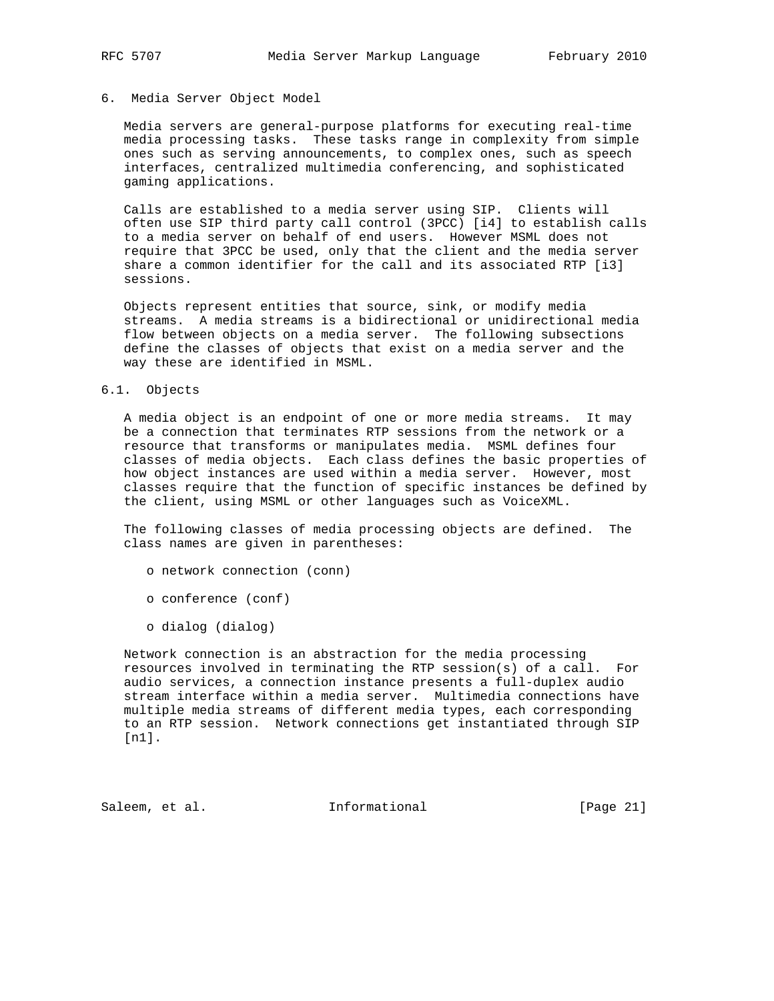# 6. Media Server Object Model

 Media servers are general-purpose platforms for executing real-time media processing tasks. These tasks range in complexity from simple ones such as serving announcements, to complex ones, such as speech interfaces, centralized multimedia conferencing, and sophisticated gaming applications.

 Calls are established to a media server using SIP. Clients will often use SIP third party call control (3PCC) [i4] to establish calls to a media server on behalf of end users. However MSML does not require that 3PCC be used, only that the client and the media server share a common identifier for the call and its associated RTP [i3] sessions.

 Objects represent entities that source, sink, or modify media streams. A media streams is a bidirectional or unidirectional media flow between objects on a media server. The following subsections define the classes of objects that exist on a media server and the way these are identified in MSML.

#### 6.1. Objects

 A media object is an endpoint of one or more media streams. It may be a connection that terminates RTP sessions from the network or a resource that transforms or manipulates media. MSML defines four classes of media objects. Each class defines the basic properties of how object instances are used within a media server. However, most classes require that the function of specific instances be defined by the client, using MSML or other languages such as VoiceXML.

 The following classes of media processing objects are defined. The class names are given in parentheses:

- o network connection (conn)
- o conference (conf)
- o dialog (dialog)

 Network connection is an abstraction for the media processing resources involved in terminating the RTP session(s) of a call. For audio services, a connection instance presents a full-duplex audio stream interface within a media server. Multimedia connections have multiple media streams of different media types, each corresponding to an RTP session. Network connections get instantiated through SIP [n1].

Saleem, et al. 1nformational [Page 21]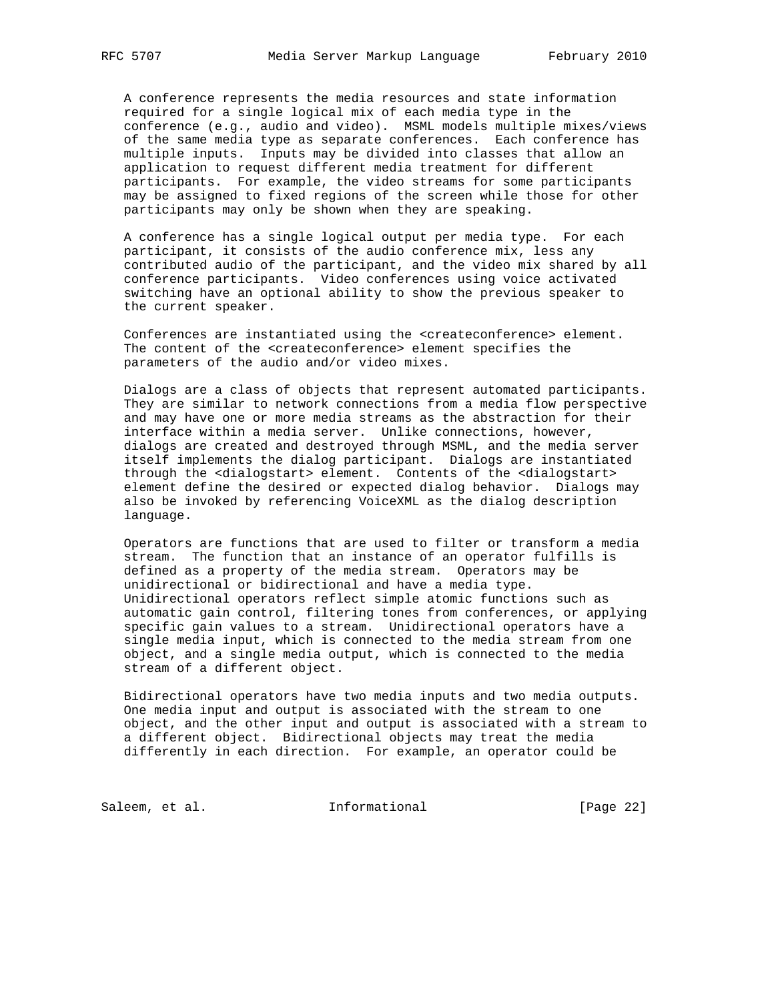A conference represents the media resources and state information required for a single logical mix of each media type in the conference (e.g., audio and video). MSML models multiple mixes/views of the same media type as separate conferences. Each conference has multiple inputs. Inputs may be divided into classes that allow an application to request different media treatment for different participants. For example, the video streams for some participants may be assigned to fixed regions of the screen while those for other participants may only be shown when they are speaking.

 A conference has a single logical output per media type. For each participant, it consists of the audio conference mix, less any contributed audio of the participant, and the video mix shared by all conference participants. Video conferences using voice activated switching have an optional ability to show the previous speaker to the current speaker.

 Conferences are instantiated using the <createconference> element. The content of the <createconference> element specifies the parameters of the audio and/or video mixes.

 Dialogs are a class of objects that represent automated participants. They are similar to network connections from a media flow perspective and may have one or more media streams as the abstraction for their interface within a media server. Unlike connections, however, dialogs are created and destroyed through MSML, and the media server itself implements the dialog participant. Dialogs are instantiated through the <dialogstart> element. Contents of the <dialogstart> element define the desired or expected dialog behavior. Dialogs may also be invoked by referencing VoiceXML as the dialog description language.

 Operators are functions that are used to filter or transform a media stream. The function that an instance of an operator fulfills is defined as a property of the media stream. Operators may be unidirectional or bidirectional and have a media type. Unidirectional operators reflect simple atomic functions such as automatic gain control, filtering tones from conferences, or applying specific gain values to a stream. Unidirectional operators have a single media input, which is connected to the media stream from one object, and a single media output, which is connected to the media stream of a different object.

 Bidirectional operators have two media inputs and two media outputs. One media input and output is associated with the stream to one object, and the other input and output is associated with a stream to a different object. Bidirectional objects may treat the media differently in each direction. For example, an operator could be

Saleem, et al. 1nformational [Page 22]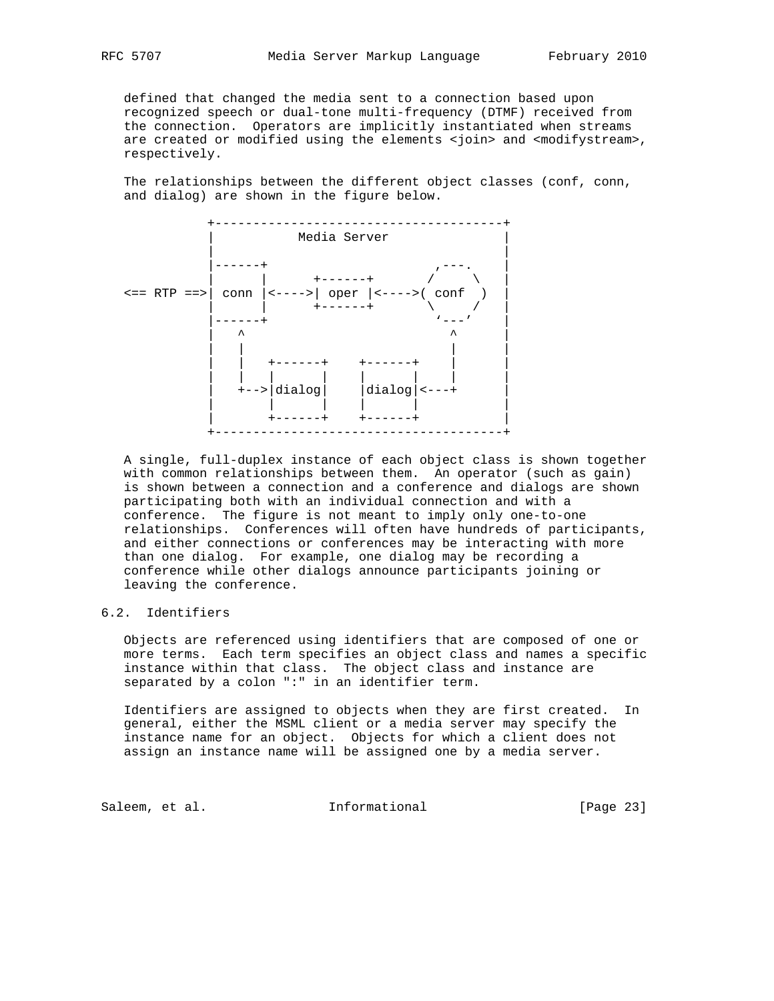defined that changed the media sent to a connection based upon recognized speech or dual-tone multi-frequency (DTMF) received from the connection. Operators are implicitly instantiated when streams are created or modified using the elements <join> and <modifystream>, respectively.

 The relationships between the different object classes (conf, conn, and dialog) are shown in the figure below.



 A single, full-duplex instance of each object class is shown together with common relationships between them. An operator (such as gain) is shown between a connection and a conference and dialogs are shown participating both with an individual connection and with a conference. The figure is not meant to imply only one-to-one relationships. Conferences will often have hundreds of participants, and either connections or conferences may be interacting with more than one dialog. For example, one dialog may be recording a conference while other dialogs announce participants joining or leaving the conference.

# 6.2. Identifiers

 Objects are referenced using identifiers that are composed of one or more terms. Each term specifies an object class and names a specific instance within that class. The object class and instance are separated by a colon ":" in an identifier term.

 Identifiers are assigned to objects when they are first created. In general, either the MSML client or a media server may specify the instance name for an object. Objects for which a client does not assign an instance name will be assigned one by a media server.

Saleem, et al. 1nformational [Page 23]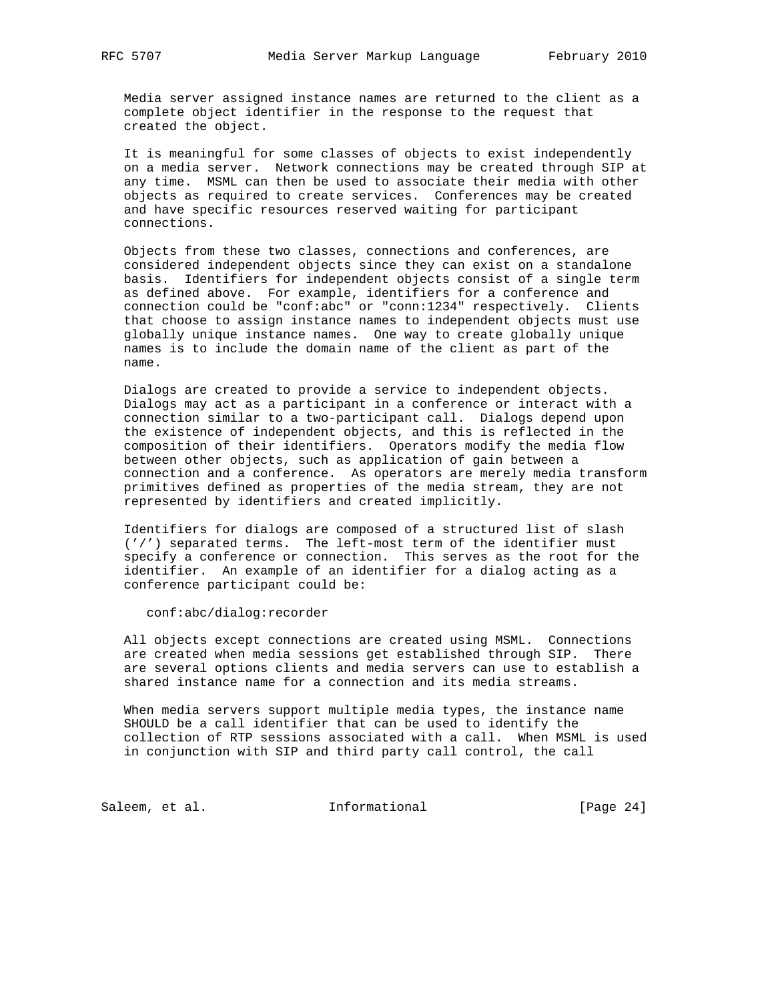Media server assigned instance names are returned to the client as a complete object identifier in the response to the request that created the object.

 It is meaningful for some classes of objects to exist independently on a media server. Network connections may be created through SIP at any time. MSML can then be used to associate their media with other objects as required to create services. Conferences may be created and have specific resources reserved waiting for participant connections.

 Objects from these two classes, connections and conferences, are considered independent objects since they can exist on a standalone basis. Identifiers for independent objects consist of a single term as defined above. For example, identifiers for a conference and connection could be "conf:abc" or "conn:1234" respectively. Clients that choose to assign instance names to independent objects must use globally unique instance names. One way to create globally unique names is to include the domain name of the client as part of the name.

 Dialogs are created to provide a service to independent objects. Dialogs may act as a participant in a conference or interact with a connection similar to a two-participant call. Dialogs depend upon the existence of independent objects, and this is reflected in the composition of their identifiers. Operators modify the media flow between other objects, such as application of gain between a connection and a conference. As operators are merely media transform primitives defined as properties of the media stream, they are not represented by identifiers and created implicitly.

 Identifiers for dialogs are composed of a structured list of slash ('/') separated terms. The left-most term of the identifier must specify a conference or connection. This serves as the root for the identifier. An example of an identifier for a dialog acting as a conference participant could be:

conf:abc/dialog:recorder

 All objects except connections are created using MSML. Connections are created when media sessions get established through SIP. There are several options clients and media servers can use to establish a shared instance name for a connection and its media streams.

 When media servers support multiple media types, the instance name SHOULD be a call identifier that can be used to identify the collection of RTP sessions associated with a call. When MSML is used in conjunction with SIP and third party call control, the call

Saleem, et al. 1nformational [Page 24]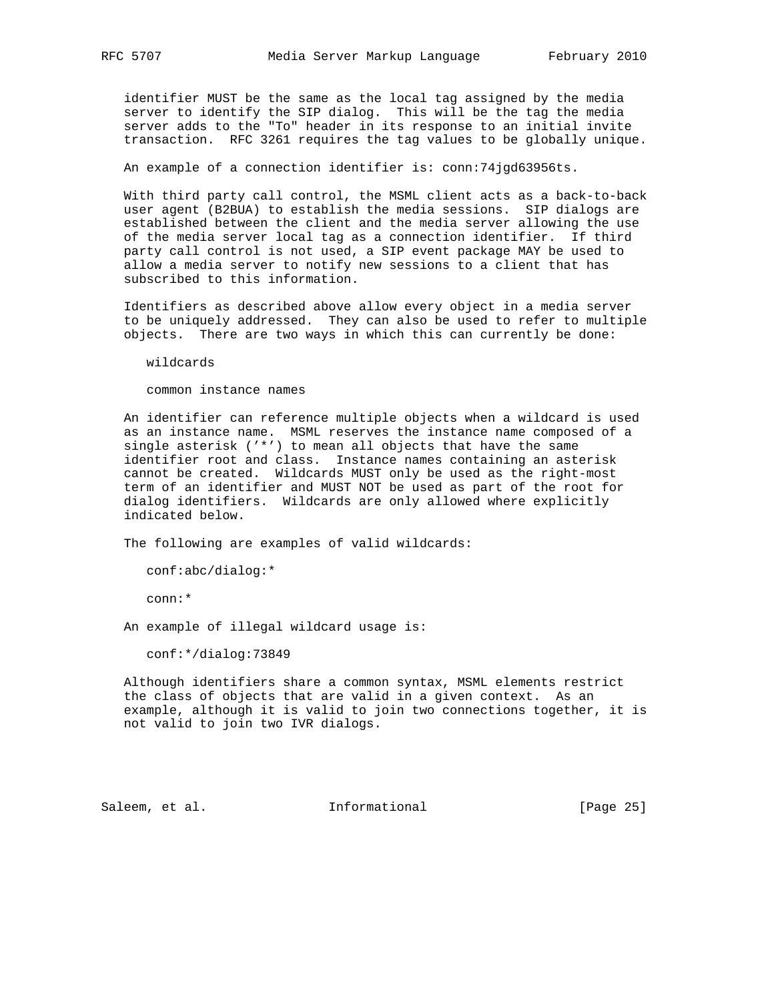identifier MUST be the same as the local tag assigned by the media server to identify the SIP dialog. This will be the tag the media server adds to the "To" header in its response to an initial invite transaction. RFC 3261 requires the tag values to be globally unique.

An example of a connection identifier is: conn:74jgd63956ts.

 With third party call control, the MSML client acts as a back-to-back user agent (B2BUA) to establish the media sessions. SIP dialogs are established between the client and the media server allowing the use of the media server local tag as a connection identifier. If third party call control is not used, a SIP event package MAY be used to allow a media server to notify new sessions to a client that has subscribed to this information.

 Identifiers as described above allow every object in a media server to be uniquely addressed. They can also be used to refer to multiple objects. There are two ways in which this can currently be done:

wildcards

common instance names

 An identifier can reference multiple objects when a wildcard is used as an instance name. MSML reserves the instance name composed of a single asterisk ('\*') to mean all objects that have the same identifier root and class. Instance names containing an asterisk cannot be created. Wildcards MUST only be used as the right-most term of an identifier and MUST NOT be used as part of the root for dialog identifiers. Wildcards are only allowed where explicitly indicated below.

The following are examples of valid wildcards:

conf:abc/dialog:\*

conn:\*

An example of illegal wildcard usage is:

conf:\*/dialog:73849

 Although identifiers share a common syntax, MSML elements restrict the class of objects that are valid in a given context. As an example, although it is valid to join two connections together, it is not valid to join two IVR dialogs.

Saleem, et al. 1nformational [Page 25]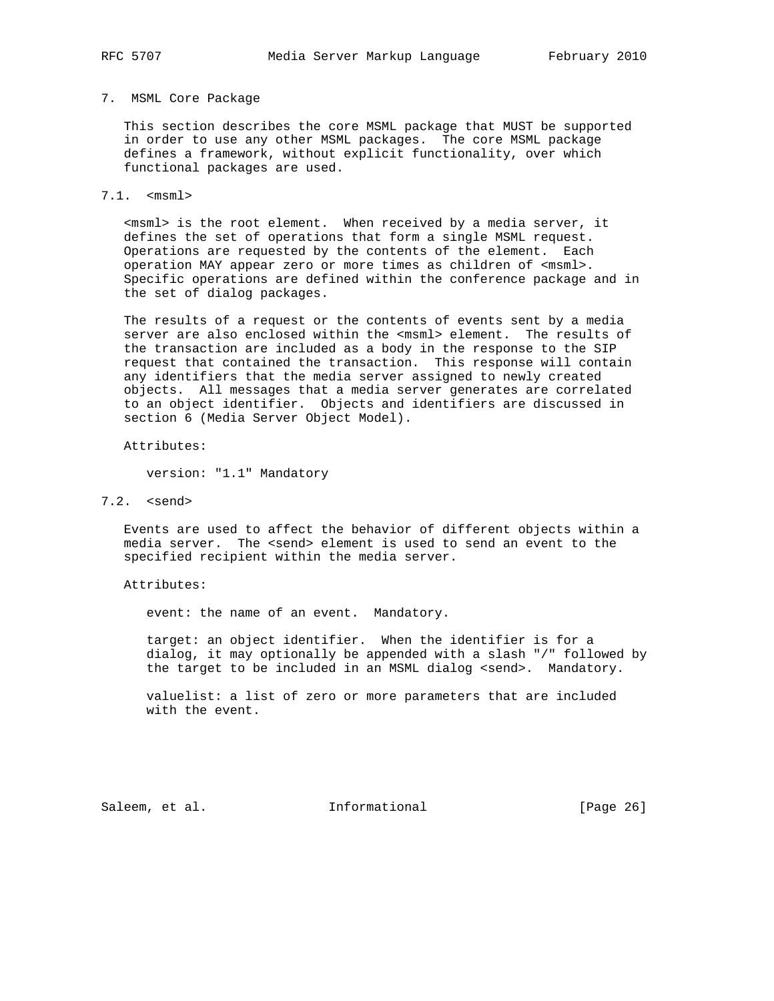#### 7. MSML Core Package

 This section describes the core MSML package that MUST be supported in order to use any other MSML packages. The core MSML package defines a framework, without explicit functionality, over which functional packages are used.

7.1. <msml>

 <msml> is the root element. When received by a media server, it defines the set of operations that form a single MSML request. Operations are requested by the contents of the element. Each operation MAY appear zero or more times as children of <msml>. Specific operations are defined within the conference package and in the set of dialog packages.

 The results of a request or the contents of events sent by a media server are also enclosed within the <msml> element. The results of the transaction are included as a body in the response to the SIP request that contained the transaction. This response will contain any identifiers that the media server assigned to newly created objects. All messages that a media server generates are correlated to an object identifier. Objects and identifiers are discussed in section 6 (Media Server Object Model).

Attributes:

version: "1.1" Mandatory

7.2. <send>

 Events are used to affect the behavior of different objects within a media server. The <send> element is used to send an event to the specified recipient within the media server.

Attributes:

event: the name of an event. Mandatory.

 target: an object identifier. When the identifier is for a dialog, it may optionally be appended with a slash "/" followed by the target to be included in an MSML dialog <send>. Mandatory.

 valuelist: a list of zero or more parameters that are included with the event.

Saleem, et al. 100 mm = Informational [Page 26]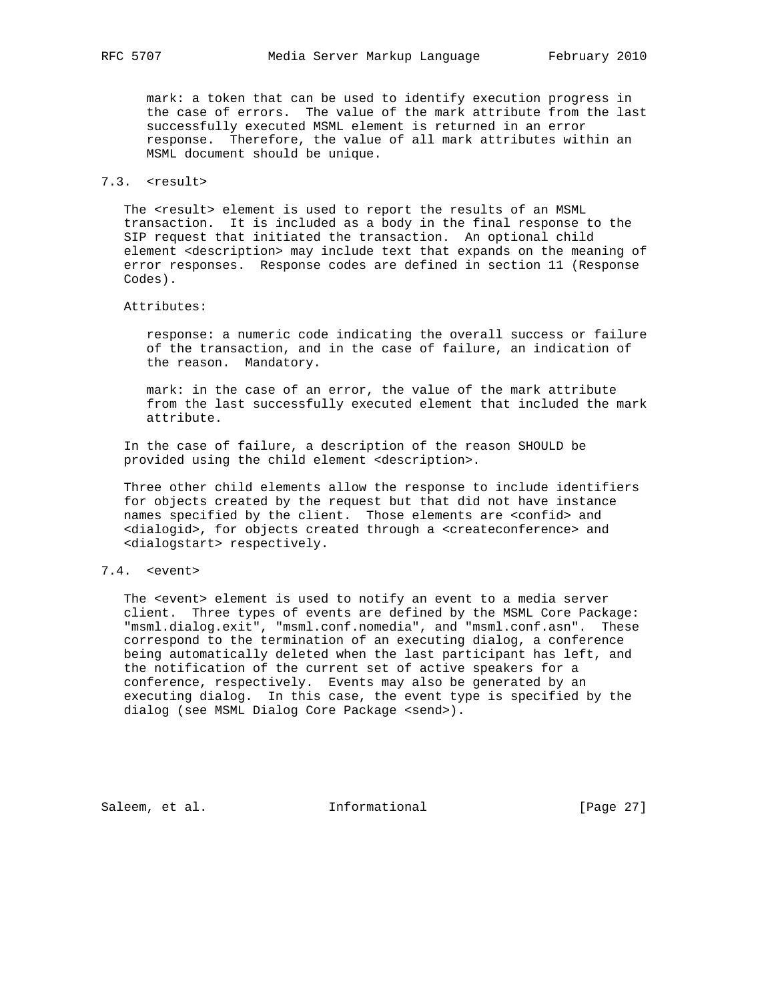mark: a token that can be used to identify execution progress in the case of errors. The value of the mark attribute from the last successfully executed MSML element is returned in an error response. Therefore, the value of all mark attributes within an MSML document should be unique.

# 7.3. <result>

 The <result> element is used to report the results of an MSML transaction. It is included as a body in the final response to the SIP request that initiated the transaction. An optional child element <description> may include text that expands on the meaning of error responses. Response codes are defined in section 11 (Response Codes).

#### Attributes:

 response: a numeric code indicating the overall success or failure of the transaction, and in the case of failure, an indication of the reason. Mandatory.

 mark: in the case of an error, the value of the mark attribute from the last successfully executed element that included the mark attribute.

 In the case of failure, a description of the reason SHOULD be provided using the child element <description>.

 Three other child elements allow the response to include identifiers for objects created by the request but that did not have instance names specified by the client. Those elements are <confid> and <dialogid>, for objects created through a <createconference> and <dialogstart> respectively.

# 7.4. <event>

The <event> element is used to notify an event to a media server client. Three types of events are defined by the MSML Core Package: "msml.dialog.exit", "msml.conf.nomedia", and "msml.conf.asn". These correspond to the termination of an executing dialog, a conference being automatically deleted when the last participant has left, and the notification of the current set of active speakers for a conference, respectively. Events may also be generated by an executing dialog. In this case, the event type is specified by the dialog (see MSML Dialog Core Package <send>).

Saleem, et al. 1nformational [Page 27]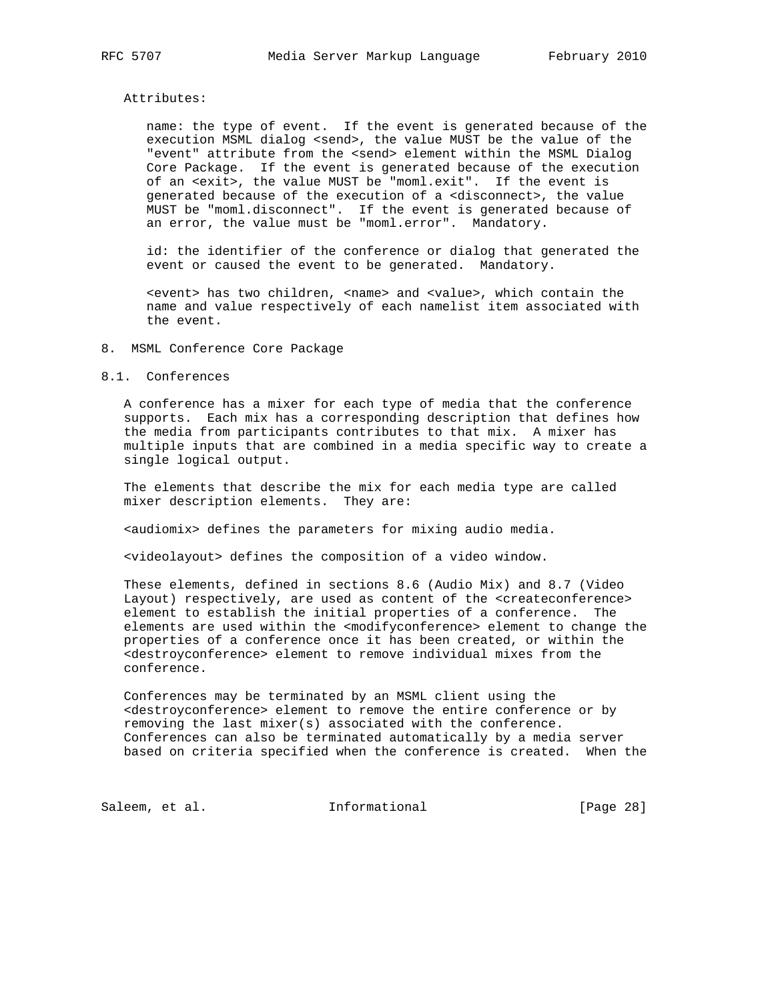#### Attributes:

 name: the type of event. If the event is generated because of the execution MSML dialog <send>, the value MUST be the value of the "event" attribute from the <send> element within the MSML Dialog Core Package. If the event is generated because of the execution of an <exit>, the value MUST be "moml.exit". If the event is generated because of the execution of a <disconnect>, the value MUST be "moml.disconnect". If the event is generated because of an error, the value must be "moml.error". Mandatory.

 id: the identifier of the conference or dialog that generated the event or caused the event to be generated. Mandatory.

 <event> has two children, <name> and <value>, which contain the name and value respectively of each namelist item associated with the event.

### 8. MSML Conference Core Package

#### 8.1. Conferences

 A conference has a mixer for each type of media that the conference supports. Each mix has a corresponding description that defines how the media from participants contributes to that mix. A mixer has multiple inputs that are combined in a media specific way to create a single logical output.

 The elements that describe the mix for each media type are called mixer description elements. They are:

<audiomix> defines the parameters for mixing audio media.

<videolayout> defines the composition of a video window.

 These elements, defined in sections 8.6 (Audio Mix) and 8.7 (Video Layout) respectively, are used as content of the <createconference> element to establish the initial properties of a conference. The elements are used within the <modifyconference> element to change the properties of a conference once it has been created, or within the <destroyconference> element to remove individual mixes from the conference.

 Conferences may be terminated by an MSML client using the <destroyconference> element to remove the entire conference or by removing the last mixer(s) associated with the conference. Conferences can also be terminated automatically by a media server based on criteria specified when the conference is created. When the

Saleem, et al. 1nformational [Page 28]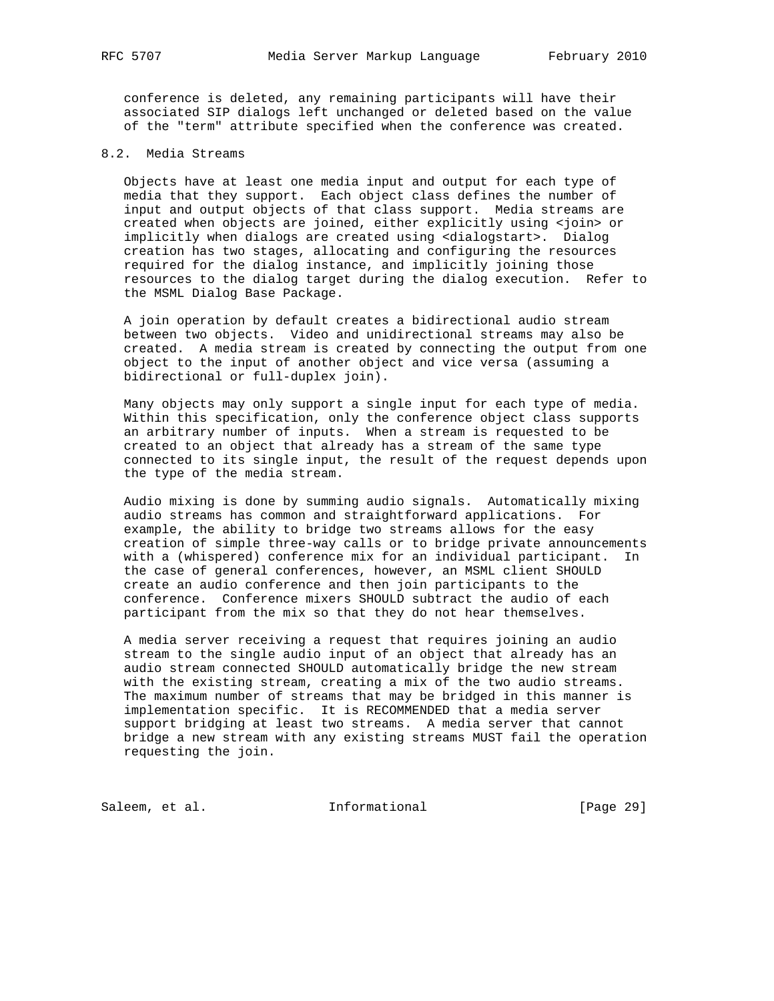conference is deleted, any remaining participants will have their associated SIP dialogs left unchanged or deleted based on the value of the "term" attribute specified when the conference was created.

# 8.2. Media Streams

 Objects have at least one media input and output for each type of media that they support. Each object class defines the number of input and output objects of that class support. Media streams are created when objects are joined, either explicitly using <join> or implicitly when dialogs are created using <dialogstart>. Dialog creation has two stages, allocating and configuring the resources required for the dialog instance, and implicitly joining those resources to the dialog target during the dialog execution. Refer to the MSML Dialog Base Package.

 A join operation by default creates a bidirectional audio stream between two objects. Video and unidirectional streams may also be created. A media stream is created by connecting the output from one object to the input of another object and vice versa (assuming a bidirectional or full-duplex join).

 Many objects may only support a single input for each type of media. Within this specification, only the conference object class supports an arbitrary number of inputs. When a stream is requested to be created to an object that already has a stream of the same type connected to its single input, the result of the request depends upon the type of the media stream.

 Audio mixing is done by summing audio signals. Automatically mixing audio streams has common and straightforward applications. For example, the ability to bridge two streams allows for the easy creation of simple three-way calls or to bridge private announcements with a (whispered) conference mix for an individual participant. In the case of general conferences, however, an MSML client SHOULD create an audio conference and then join participants to the conference. Conference mixers SHOULD subtract the audio of each participant from the mix so that they do not hear themselves.

 A media server receiving a request that requires joining an audio stream to the single audio input of an object that already has an audio stream connected SHOULD automatically bridge the new stream with the existing stream, creating a mix of the two audio streams. The maximum number of streams that may be bridged in this manner is implementation specific. It is RECOMMENDED that a media server support bridging at least two streams. A media server that cannot bridge a new stream with any existing streams MUST fail the operation requesting the join.

Saleem, et al. 1nformational [Page 29]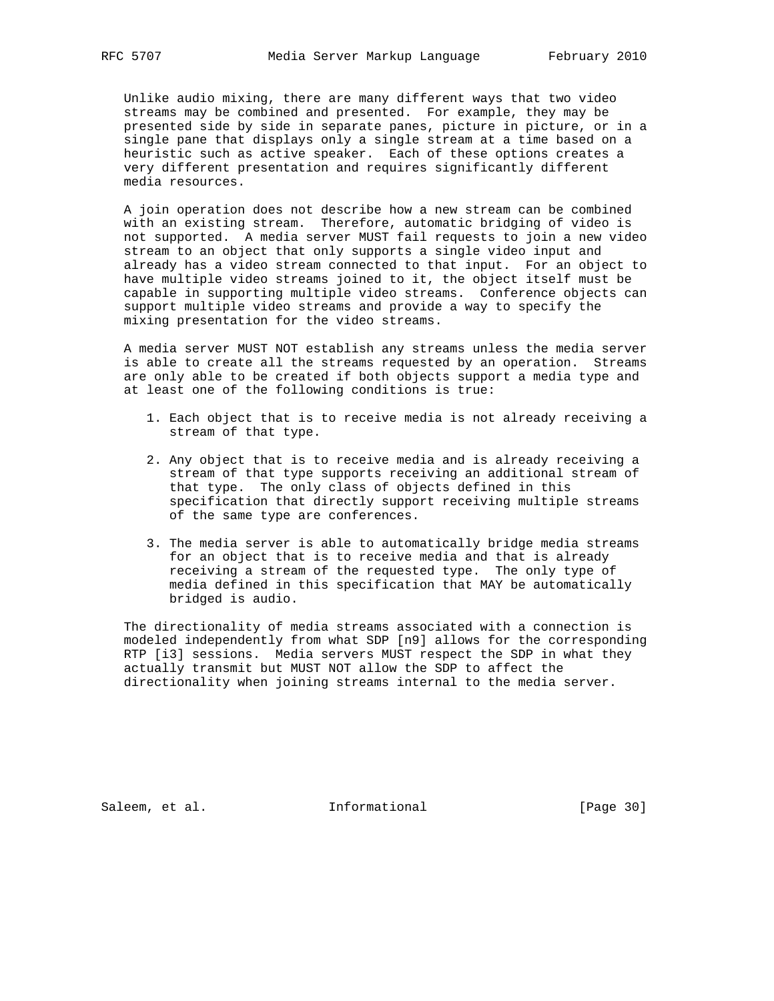Unlike audio mixing, there are many different ways that two video streams may be combined and presented. For example, they may be presented side by side in separate panes, picture in picture, or in a single pane that displays only a single stream at a time based on a heuristic such as active speaker. Each of these options creates a very different presentation and requires significantly different media resources.

 A join operation does not describe how a new stream can be combined with an existing stream. Therefore, automatic bridging of video is not supported. A media server MUST fail requests to join a new video stream to an object that only supports a single video input and already has a video stream connected to that input. For an object to have multiple video streams joined to it, the object itself must be capable in supporting multiple video streams. Conference objects can support multiple video streams and provide a way to specify the mixing presentation for the video streams.

 A media server MUST NOT establish any streams unless the media server is able to create all the streams requested by an operation. Streams are only able to be created if both objects support a media type and at least one of the following conditions is true:

- 1. Each object that is to receive media is not already receiving a stream of that type.
- 2. Any object that is to receive media and is already receiving a stream of that type supports receiving an additional stream of that type. The only class of objects defined in this specification that directly support receiving multiple streams of the same type are conferences.
- 3. The media server is able to automatically bridge media streams for an object that is to receive media and that is already receiving a stream of the requested type. The only type of media defined in this specification that MAY be automatically bridged is audio.

 The directionality of media streams associated with a connection is modeled independently from what SDP [n9] allows for the corresponding RTP [i3] sessions. Media servers MUST respect the SDP in what they actually transmit but MUST NOT allow the SDP to affect the directionality when joining streams internal to the media server.

Saleem, et al. 1nformational [Page 30]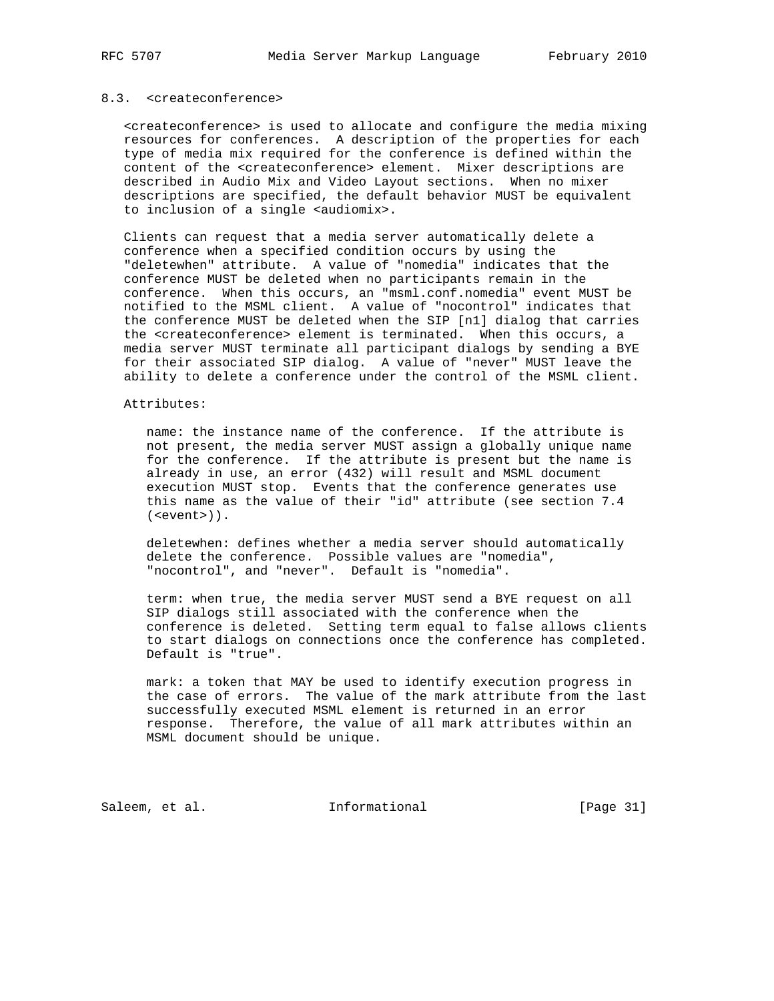# 8.3. <createconference>

 <createconference> is used to allocate and configure the media mixing resources for conferences. A description of the properties for each type of media mix required for the conference is defined within the content of the <createconference> element. Mixer descriptions are described in Audio Mix and Video Layout sections. When no mixer descriptions are specified, the default behavior MUST be equivalent to inclusion of a single <audiomix>.

 Clients can request that a media server automatically delete a conference when a specified condition occurs by using the "deletewhen" attribute. A value of "nomedia" indicates that the conference MUST be deleted when no participants remain in the conference. When this occurs, an "msml.conf.nomedia" event MUST be notified to the MSML client. A value of "nocontrol" indicates that the conference MUST be deleted when the SIP [n1] dialog that carries the <createconference> element is terminated. When this occurs, a media server MUST terminate all participant dialogs by sending a BYE for their associated SIP dialog. A value of "never" MUST leave the ability to delete a conference under the control of the MSML client.

#### Attributes:

 name: the instance name of the conference. If the attribute is not present, the media server MUST assign a globally unique name for the conference. If the attribute is present but the name is already in use, an error (432) will result and MSML document execution MUST stop. Events that the conference generates use this name as the value of their "id" attribute (see section 7.4 (<event>)).

 deletewhen: defines whether a media server should automatically delete the conference. Possible values are "nomedia", "nocontrol", and "never". Default is "nomedia".

 term: when true, the media server MUST send a BYE request on all SIP dialogs still associated with the conference when the conference is deleted. Setting term equal to false allows clients to start dialogs on connections once the conference has completed. Default is "true".

 mark: a token that MAY be used to identify execution progress in the case of errors. The value of the mark attribute from the last successfully executed MSML element is returned in an error response. Therefore, the value of all mark attributes within an MSML document should be unique.

Saleem, et al. 1nformational [Page 31]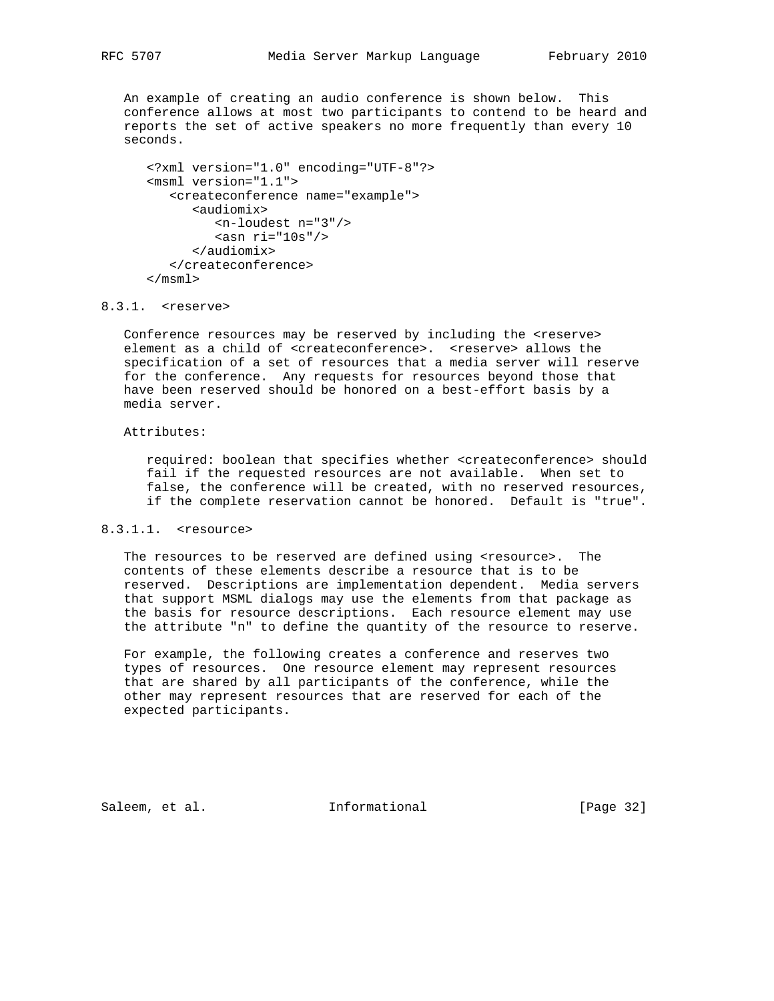An example of creating an audio conference is shown below. This conference allows at most two participants to contend to be heard and reports the set of active speakers no more frequently than every 10 seconds.

```
 <?xml version="1.0" encoding="UTF-8"?>
<msml version="1.1">
  <createconference name="example">
      <audiomix>
         <n-loudest n="3"/>
        \cos n ri="10s"/>
      </audiomix>
   </createconference>
</msml>
```
# 8.3.1. <reserve>

 Conference resources may be reserved by including the <reserve> element as a child of <createconference>. <reserve> allows the specification of a set of resources that a media server will reserve for the conference. Any requests for resources beyond those that have been reserved should be honored on a best-effort basis by a media server.

#### Attributes:

 required: boolean that specifies whether <createconference> should fail if the requested resources are not available. When set to false, the conference will be created, with no reserved resources, if the complete reservation cannot be honored. Default is "true".

### 8.3.1.1. <resource>

The resources to be reserved are defined using <resource>. The contents of these elements describe a resource that is to be reserved. Descriptions are implementation dependent. Media servers that support MSML dialogs may use the elements from that package as the basis for resource descriptions. Each resource element may use the attribute "n" to define the quantity of the resource to reserve.

 For example, the following creates a conference and reserves two types of resources. One resource element may represent resources that are shared by all participants of the conference, while the other may represent resources that are reserved for each of the expected participants.

Saleem, et al. 1nformational [Page 32]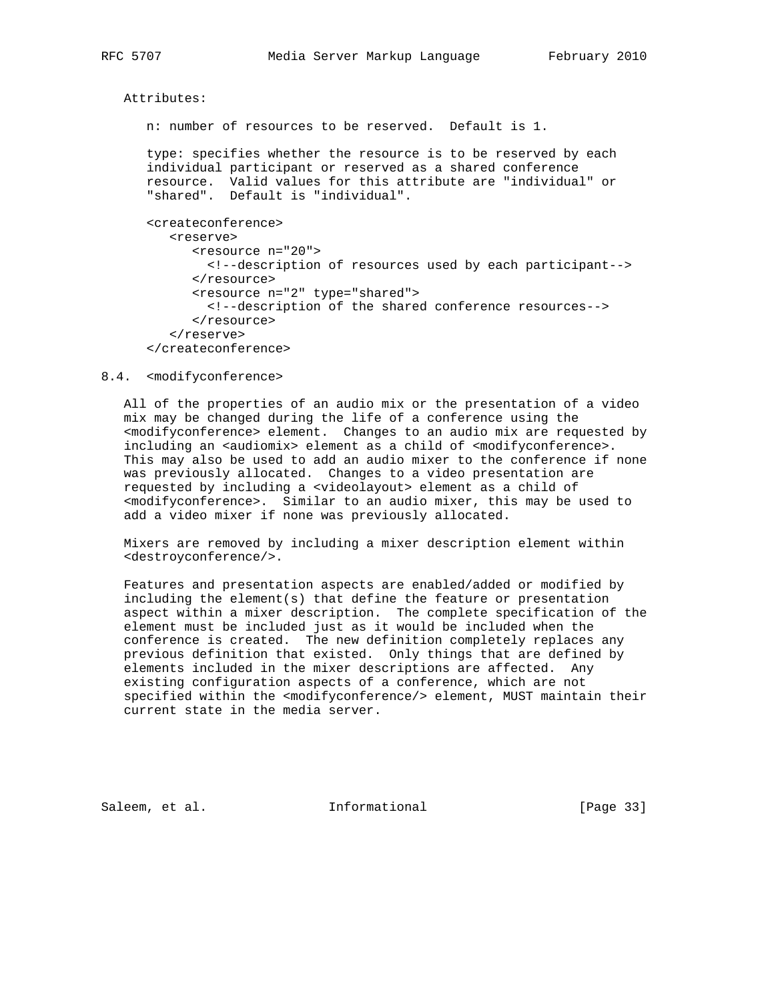Attributes:

n: number of resources to be reserved. Default is 1.

 type: specifies whether the resource is to be reserved by each individual participant or reserved as a shared conference resource. Valid values for this attribute are "individual" or "shared". Default is "individual".

```
 <createconference>
   <reserve>
      <resource n="20">
        <!--description of resources used by each participant-->
      </resource>
      <resource n="2" type="shared">
        <!--description of the shared conference resources-->
      </resource>
   </reserve>
</createconference>
```
#### 8.4. <modifyconference>

 All of the properties of an audio mix or the presentation of a video mix may be changed during the life of a conference using the <modifyconference> element. Changes to an audio mix are requested by including an <audiomix> element as a child of <modifyconference>. This may also be used to add an audio mixer to the conference if none was previously allocated. Changes to a video presentation are requested by including a <videolayout> element as a child of <modifyconference>. Similar to an audio mixer, this may be used to add a video mixer if none was previously allocated.

 Mixers are removed by including a mixer description element within <destroyconference/>.

 Features and presentation aspects are enabled/added or modified by including the element(s) that define the feature or presentation aspect within a mixer description. The complete specification of the element must be included just as it would be included when the conference is created. The new definition completely replaces any previous definition that existed. Only things that are defined by elements included in the mixer descriptions are affected. Any existing configuration aspects of a conference, which are not specified within the <modifyconference/> element, MUST maintain their current state in the media server.

Saleem, et al. Informational [Page 33]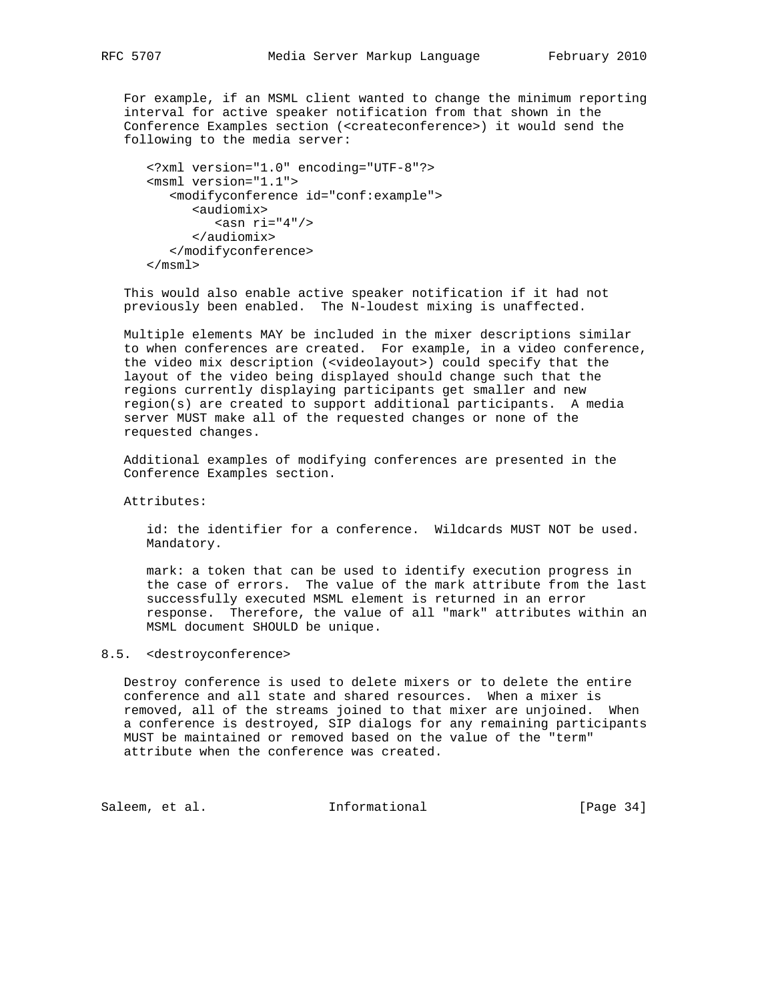For example, if an MSML client wanted to change the minimum reporting interval for active speaker notification from that shown in the Conference Examples section (<createconference>) it would send the following to the media server:

```
 <?xml version="1.0" encoding="UTF-8"?>
<msml version="1.1">
   <modifyconference id="conf:example">
     <audiomix>
        <asn ri="4"/>
     </audiomix>
   </modifyconference>
</msml>
```
 This would also enable active speaker notification if it had not previously been enabled. The N-loudest mixing is unaffected.

 Multiple elements MAY be included in the mixer descriptions similar to when conferences are created. For example, in a video conference, the video mix description (<videolayout>) could specify that the layout of the video being displayed should change such that the regions currently displaying participants get smaller and new region(s) are created to support additional participants. A media server MUST make all of the requested changes or none of the requested changes.

 Additional examples of modifying conferences are presented in the Conference Examples section.

Attributes:

 id: the identifier for a conference. Wildcards MUST NOT be used. Mandatory.

 mark: a token that can be used to identify execution progress in the case of errors. The value of the mark attribute from the last successfully executed MSML element is returned in an error response. Therefore, the value of all "mark" attributes within an MSML document SHOULD be unique.

### 8.5. <destroyconference>

 Destroy conference is used to delete mixers or to delete the entire conference and all state and shared resources. When a mixer is removed, all of the streams joined to that mixer are unjoined. When a conference is destroyed, SIP dialogs for any remaining participants MUST be maintained or removed based on the value of the "term" attribute when the conference was created.

Saleem, et al. 1nformational [Page 34]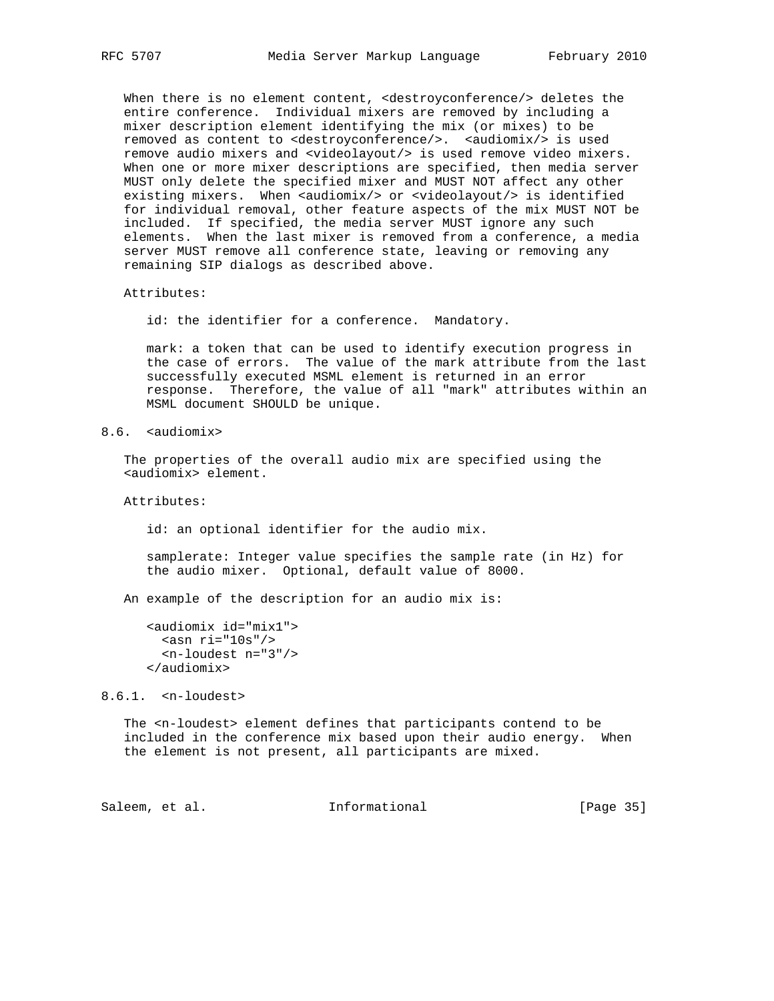When there is no element content, <destroyconference/> deletes the entire conference. Individual mixers are removed by including a mixer description element identifying the mix (or mixes) to be removed as content to <destroyconference/>. <audiomix/> is used remove audio mixers and <videolayout/> is used remove video mixers. When one or more mixer descriptions are specified, then media server MUST only delete the specified mixer and MUST NOT affect any other existing mixers. When <audiomix/> or <videolayout/> is identified for individual removal, other feature aspects of the mix MUST NOT be included. If specified, the media server MUST ignore any such elements. When the last mixer is removed from a conference, a media server MUST remove all conference state, leaving or removing any remaining SIP dialogs as described above.

Attributes:

id: the identifier for a conference. Mandatory.

 mark: a token that can be used to identify execution progress in the case of errors. The value of the mark attribute from the last successfully executed MSML element is returned in an error response. Therefore, the value of all "mark" attributes within an MSML document SHOULD be unique.

8.6. <audiomix>

 The properties of the overall audio mix are specified using the <audiomix> element.

Attributes:

id: an optional identifier for the audio mix.

 samplerate: Integer value specifies the sample rate (in Hz) for the audio mixer. Optional, default value of 8000.

An example of the description for an audio mix is:

8.6.1. <n-loudest>

 The <n-loudest> element defines that participants contend to be included in the conference mix based upon their audio energy. When the element is not present, all participants are mixed.

Saleem, et al. 10 mm = Informational [Page 35]

 <sup>&</sup>lt;audiomix id="mix1">  $\sin$  ri="10s"/> <n-loudest n="3"/> </audiomix>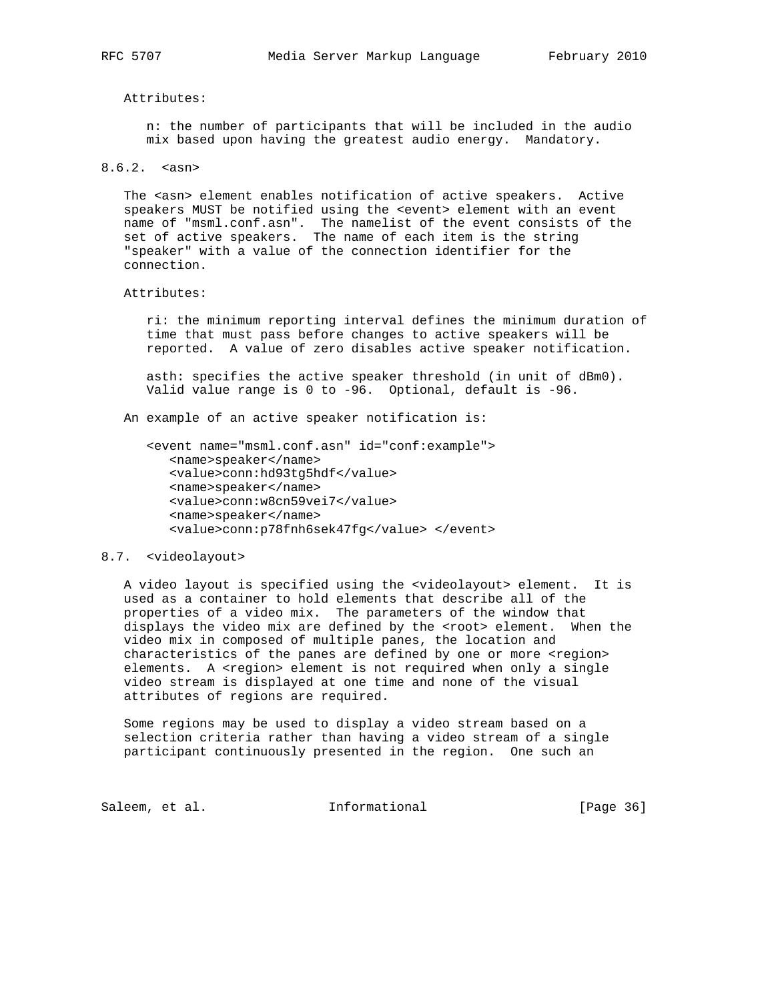Attributes:

 n: the number of participants that will be included in the audio mix based upon having the greatest audio energy. Mandatory.

8.6.2. <asn>

The <asn> element enables notification of active speakers. Active speakers MUST be notified using the <event> element with an event name of "msml.conf.asn". The namelist of the event consists of the set of active speakers. The name of each item is the string "speaker" with a value of the connection identifier for the connection.

#### Attributes:

 ri: the minimum reporting interval defines the minimum duration of time that must pass before changes to active speakers will be reported. A value of zero disables active speaker notification.

 asth: specifies the active speaker threshold (in unit of dBm0). Valid value range is 0 to -96. Optional, default is -96.

An example of an active speaker notification is:

```
 <event name="msml.conf.asn" id="conf:example">
  <name>speaker</name>
  <value>conn:hd93tg5hdf</value>
  <name>speaker</name>
  <value>conn:w8cn59vei7</value>
  <name>speaker</name>
   <value>conn:p78fnh6sek47fg</value> </event>
```
#### 8.7. <videolayout>

 A video layout is specified using the <videolayout> element. It is used as a container to hold elements that describe all of the properties of a video mix. The parameters of the window that displays the video mix are defined by the <root> element. When the video mix in composed of multiple panes, the location and characteristics of the panes are defined by one or more <region> elements. A <region> element is not required when only a single video stream is displayed at one time and none of the visual attributes of regions are required.

 Some regions may be used to display a video stream based on a selection criteria rather than having a video stream of a single participant continuously presented in the region. One such an

Saleem, et al. 1nformational [Page 36]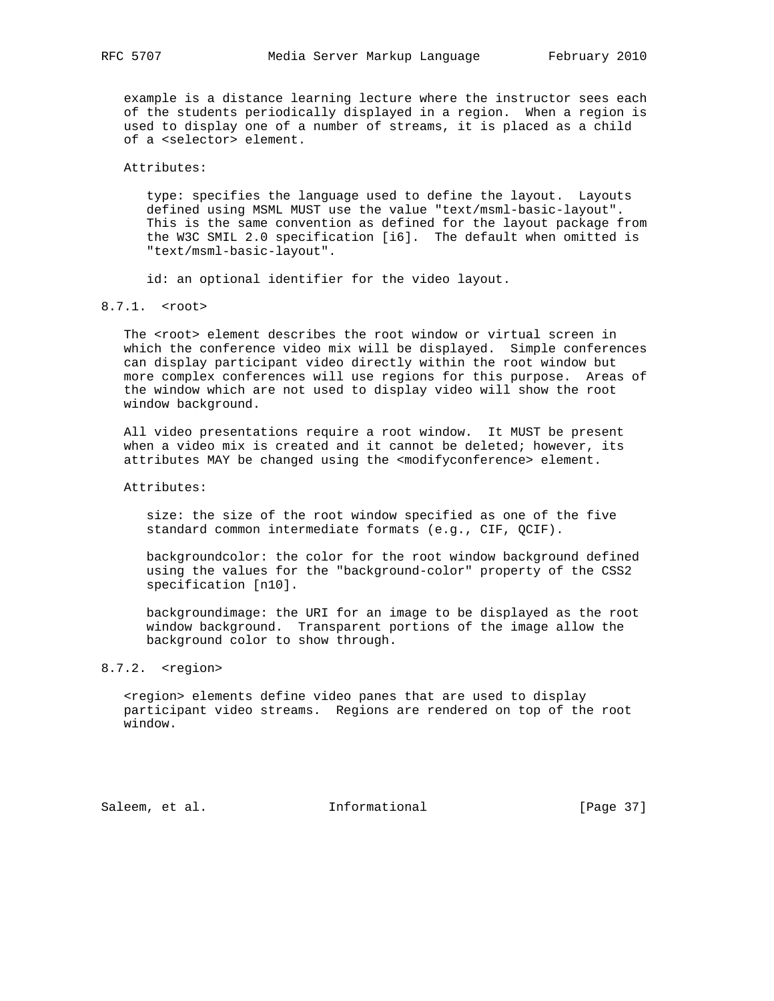example is a distance learning lecture where the instructor sees each of the students periodically displayed in a region. When a region is used to display one of a number of streams, it is placed as a child of a <selector> element.

Attributes:

 type: specifies the language used to define the layout. Layouts defined using MSML MUST use the value "text/msml-basic-layout". This is the same convention as defined for the layout package from the W3C SMIL 2.0 specification [i6]. The default when omitted is "text/msml-basic-layout".

id: an optional identifier for the video layout.

8.7.1. <root>

 The <root> element describes the root window or virtual screen in which the conference video mix will be displayed. Simple conferences can display participant video directly within the root window but more complex conferences will use regions for this purpose. Areas of the window which are not used to display video will show the root window background.

 All video presentations require a root window. It MUST be present when a video mix is created and it cannot be deleted; however, its attributes MAY be changed using the <modifyconference> element.

Attributes:

 size: the size of the root window specified as one of the five standard common intermediate formats (e.g., CIF, QCIF).

 backgroundcolor: the color for the root window background defined using the values for the "background-color" property of the CSS2 specification [n10].

 backgroundimage: the URI for an image to be displayed as the root window background. Transparent portions of the image allow the background color to show through.

# 8.7.2. <region>

 <region> elements define video panes that are used to display participant video streams. Regions are rendered on top of the root window.

Saleem, et al. 1nformational [Page 37]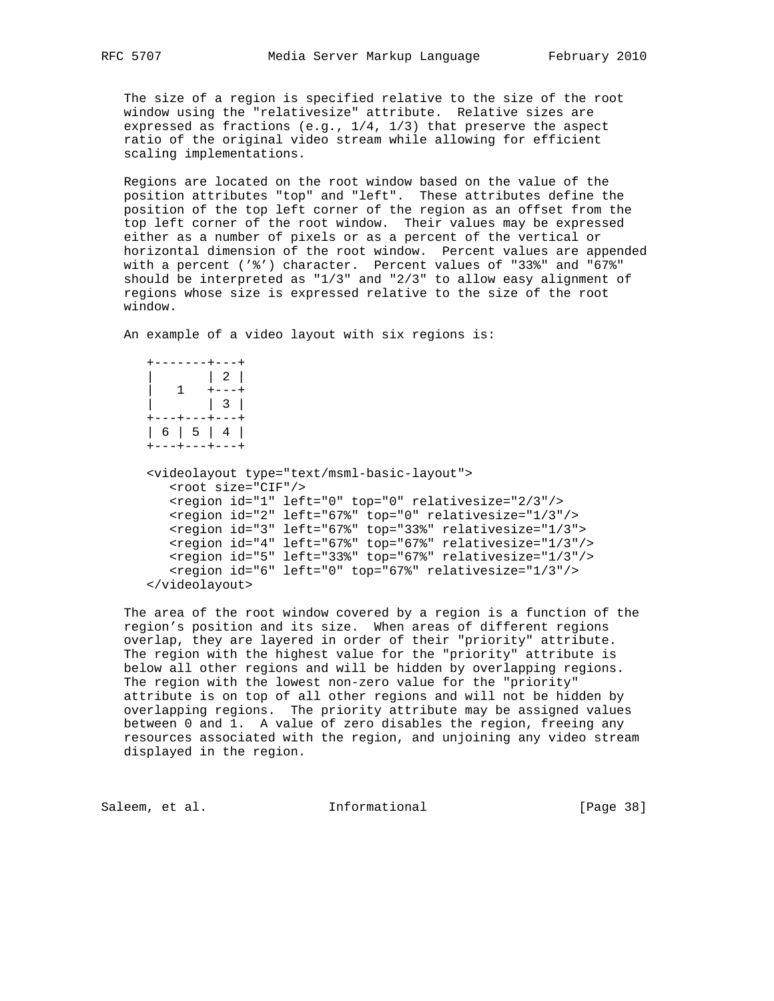The size of a region is specified relative to the size of the root window using the "relativesize" attribute. Relative sizes are expressed as fractions (e.g., 1/4, 1/3) that preserve the aspect ratio of the original video stream while allowing for efficient scaling implementations.

 Regions are located on the root window based on the value of the position attributes "top" and "left". These attributes define the position of the top left corner of the region as an offset from the top left corner of the root window. Their values may be expressed either as a number of pixels or as a percent of the vertical or horizontal dimension of the root window. Percent values are appended with a percent ('%') character. Percent values of "33%" and "67%" should be interpreted as " $1/3$ " and " $2/3$ " to allow easy alignment of regions whose size is expressed relative to the size of the root window.

An example of a video layout with six regions is:

|  | +----- |               | $- - + - - - +$ |  |
|--|--------|---------------|-----------------|--|
|  |        |               |                 |  |
|  |        |               | $+ - - - +$     |  |
|  |        |               |                 |  |
|  |        | +---+---+---+ |                 |  |
|  |        | 6   5   4     |                 |  |
|  |        | +---+---+---+ |                 |  |

```
 <videolayout type="text/msml-basic-layout">
   <root size="CIF"/>
   <region id="1" left="0" top="0" relativesize="2/3"/>
   <region id="2" left="67%" top="0" relativesize="1/3"/>
   <region id="3" left="67%" top="33%" relativesize="1/3">
   <region id="4" left="67%" top="67%" relativesize="1/3"/>
   <region id="5" left="33%" top="67%" relativesize="1/3"/>
   <region id="6" left="0" top="67%" relativesize="1/3"/>
 </videolayout>
```
 The area of the root window covered by a region is a function of the region's position and its size. When areas of different regions overlap, they are layered in order of their "priority" attribute. The region with the highest value for the "priority" attribute is below all other regions and will be hidden by overlapping regions. The region with the lowest non-zero value for the "priority" attribute is on top of all other regions and will not be hidden by overlapping regions. The priority attribute may be assigned values between 0 and 1. A value of zero disables the region, freeing any resources associated with the region, and unjoining any video stream displayed in the region.

Saleem, et al. 1nformational [Page 38]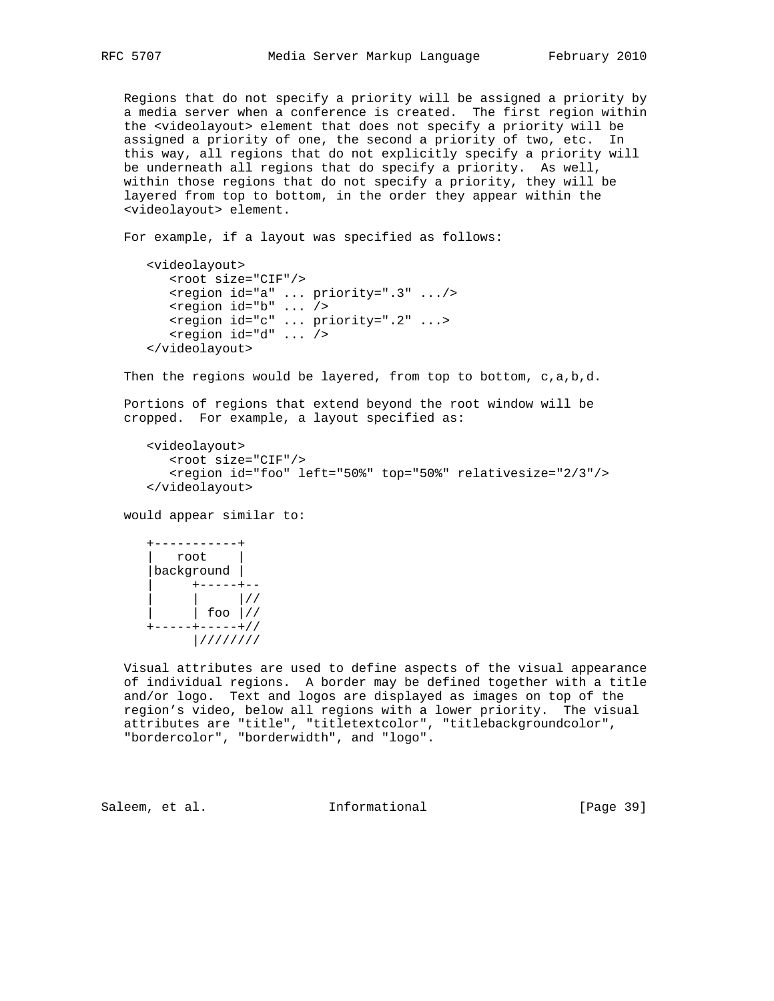Regions that do not specify a priority will be assigned a priority by a media server when a conference is created. The first region within the <videolayout> element that does not specify a priority will be assigned a priority of one, the second a priority of two, etc. In this way, all regions that do not explicitly specify a priority will be underneath all regions that do specify a priority. As well, within those regions that do not specify a priority, they will be layered from top to bottom, in the order they appear within the <videolayout> element.

For example, if a layout was specified as follows:

```
 <videolayout>
    <root size="CIF"/>
    <region id="a" ... priority=".3" .../>
    <region id="b" ... />
    <region id="c" ... priority=".2" ...>
    <region id="d" ... />
 </videolayout>
```
Then the regions would be layered, from top to bottom, c,a,b,d.

 Portions of regions that extend beyond the root window will be cropped. For example, a layout specified as:

```
 <videolayout>
   <root size="CIF"/>
    <region id="foo" left="50%" top="50%" relativesize="2/3"/>
 </videolayout>
```
would appear similar to:



 Visual attributes are used to define aspects of the visual appearance of individual regions. A border may be defined together with a title and/or logo. Text and logos are displayed as images on top of the region's video, below all regions with a lower priority. The visual attributes are "title", "titletextcolor", "titlebackgroundcolor", "bordercolor", "borderwidth", and "logo".

Saleem, et al. 10 Informational [Page 39]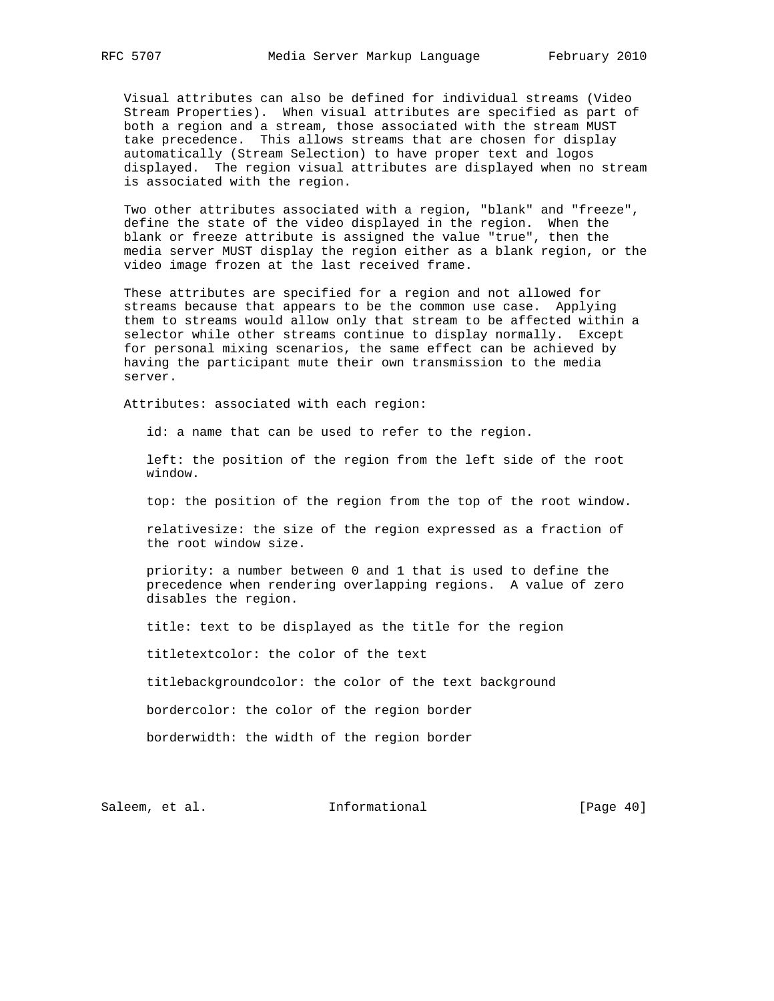Visual attributes can also be defined for individual streams (Video Stream Properties). When visual attributes are specified as part of both a region and a stream, those associated with the stream MUST take precedence. This allows streams that are chosen for display automatically (Stream Selection) to have proper text and logos displayed. The region visual attributes are displayed when no stream is associated with the region.

 Two other attributes associated with a region, "blank" and "freeze", define the state of the video displayed in the region. When the blank or freeze attribute is assigned the value "true", then the media server MUST display the region either as a blank region, or the video image frozen at the last received frame.

 These attributes are specified for a region and not allowed for streams because that appears to be the common use case. Applying them to streams would allow only that stream to be affected within a selector while other streams continue to display normally. Except for personal mixing scenarios, the same effect can be achieved by having the participant mute their own transmission to the media server.

Attributes: associated with each region:

id: a name that can be used to refer to the region.

 left: the position of the region from the left side of the root window.

top: the position of the region from the top of the root window.

 relativesize: the size of the region expressed as a fraction of the root window size.

 priority: a number between 0 and 1 that is used to define the precedence when rendering overlapping regions. A value of zero disables the region.

title: text to be displayed as the title for the region

titletextcolor: the color of the text

titlebackgroundcolor: the color of the text background

bordercolor: the color of the region border

borderwidth: the width of the region border

Saleem, et al. 1nformational [Page 40]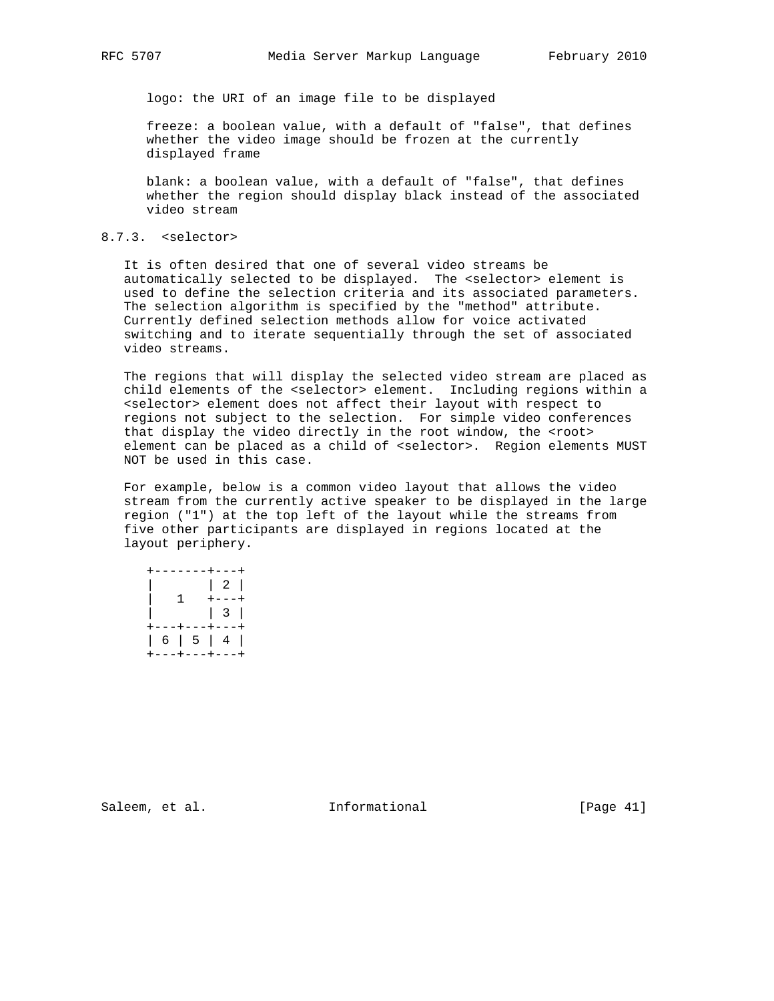logo: the URI of an image file to be displayed

 freeze: a boolean value, with a default of "false", that defines whether the video image should be frozen at the currently displayed frame

 blank: a boolean value, with a default of "false", that defines whether the region should display black instead of the associated video stream

### 8.7.3. <selector>

 It is often desired that one of several video streams be automatically selected to be displayed. The <selector> element is used to define the selection criteria and its associated parameters. The selection algorithm is specified by the "method" attribute. Currently defined selection methods allow for voice activated switching and to iterate sequentially through the set of associated video streams.

 The regions that will display the selected video stream are placed as child elements of the <selector> element. Including regions within a <selector> element does not affect their layout with respect to regions not subject to the selection. For simple video conferences that display the video directly in the root window, the <root> element can be placed as a child of <selector>. Region elements MUST NOT be used in this case.

 For example, below is a common video layout that allows the video stream from the currently active speaker to be displayed in the large region ("1") at the top left of the layout while the streams from five other participants are displayed in regions located at the layout periphery.

|  |    | +-------+---+          |             |  |
|--|----|------------------------|-------------|--|
|  |    |                        |             |  |
|  | 1. |                        | $+ - - - +$ |  |
|  |    |                        |             |  |
|  |    | +---+---+---+          |             |  |
|  |    | $6 \mid 5 \mid 4 \mid$ |             |  |
|  |    | +---+---+---+          |             |  |

Saleem, et al. 1nformational [Page 41]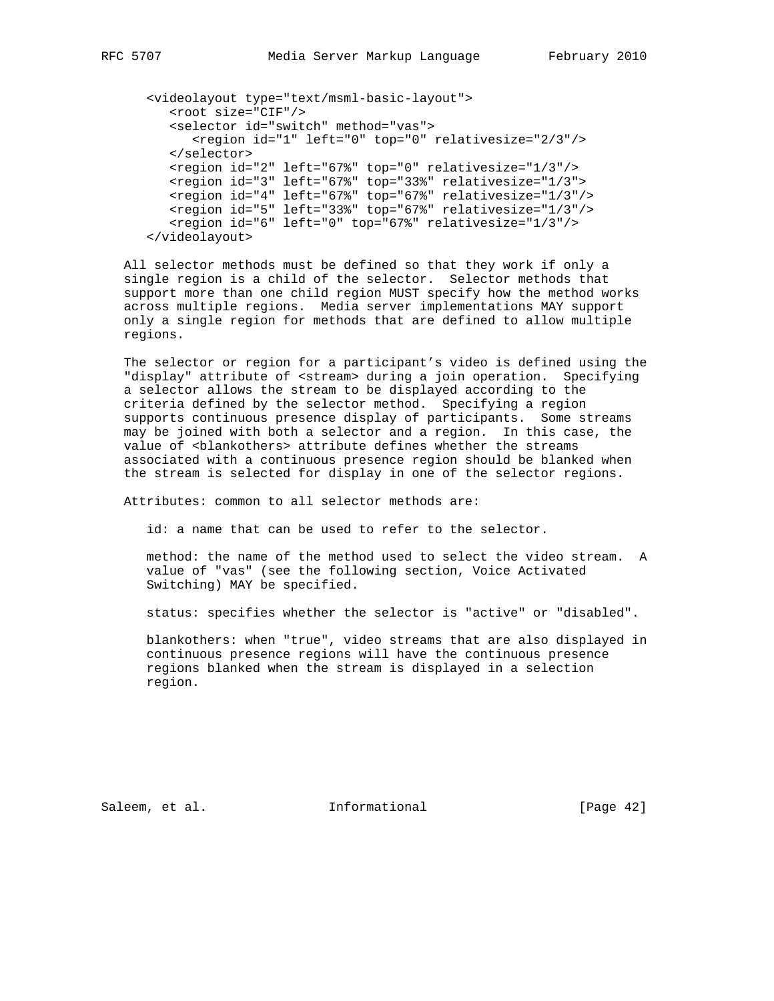```
 <videolayout type="text/msml-basic-layout">
   <root size="CIF"/>
   <selector id="switch" method="vas">
       <region id="1" left="0" top="0" relativesize="2/3"/>
   </selector>
   <region id="2" left="67%" top="0" relativesize="1/3"/>
   <region id="3" left="67%" top="33%" relativesize="1/3">
   <region id="4" left="67%" top="67%" relativesize="1/3"/>
   <region id="5" left="33%" top="67%" relativesize="1/3"/>
   <region id="6" left="0" top="67%" relativesize="1/3"/>
 </videolayout>
```
 All selector methods must be defined so that they work if only a single region is a child of the selector. Selector methods that support more than one child region MUST specify how the method works across multiple regions. Media server implementations MAY support only a single region for methods that are defined to allow multiple regions.

 The selector or region for a participant's video is defined using the "display" attribute of <stream> during a join operation. Specifying a selector allows the stream to be displayed according to the criteria defined by the selector method. Specifying a region supports continuous presence display of participants. Some streams may be joined with both a selector and a region. In this case, the value of <blankothers> attribute defines whether the streams associated with a continuous presence region should be blanked when the stream is selected for display in one of the selector regions.

Attributes: common to all selector methods are:

id: a name that can be used to refer to the selector.

 method: the name of the method used to select the video stream. A value of "vas" (see the following section, Voice Activated Switching) MAY be specified.

status: specifies whether the selector is "active" or "disabled".

 blankothers: when "true", video streams that are also displayed in continuous presence regions will have the continuous presence regions blanked when the stream is displayed in a selection region.

Saleem, et al. 100 mm informational [Page 42]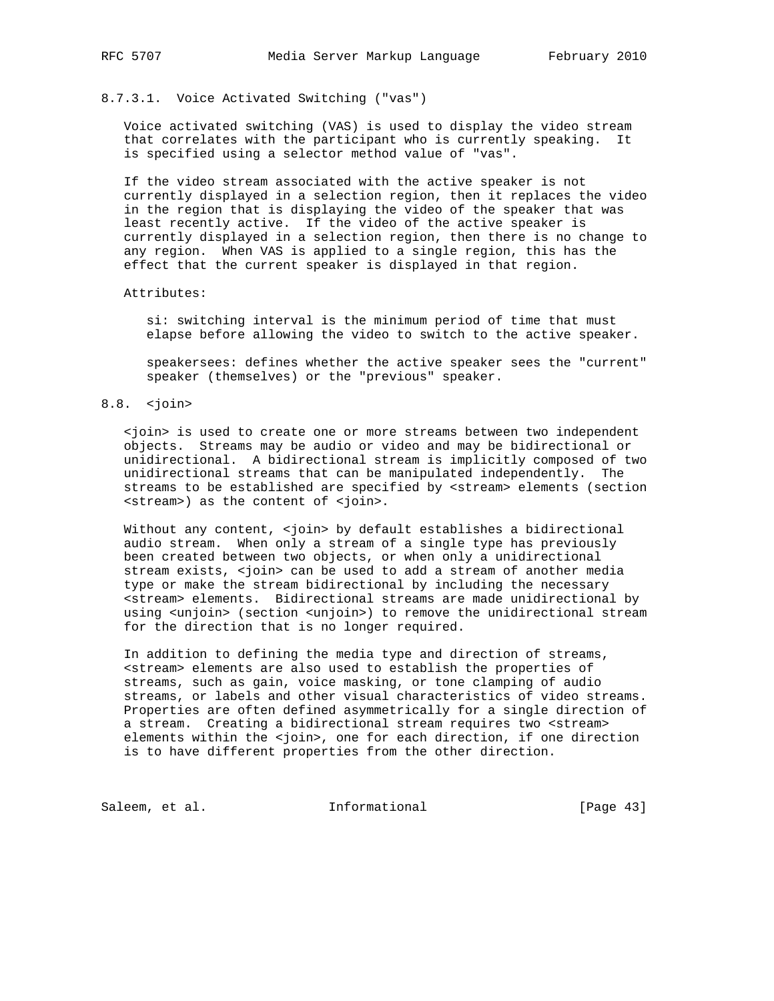# 8.7.3.1. Voice Activated Switching ("vas")

 Voice activated switching (VAS) is used to display the video stream that correlates with the participant who is currently speaking. It is specified using a selector method value of "vas".

 If the video stream associated with the active speaker is not currently displayed in a selection region, then it replaces the video in the region that is displaying the video of the speaker that was least recently active. If the video of the active speaker is currently displayed in a selection region, then there is no change to any region. When VAS is applied to a single region, this has the effect that the current speaker is displayed in that region.

#### Attributes:

 si: switching interval is the minimum period of time that must elapse before allowing the video to switch to the active speaker.

 speakersees: defines whether the active speaker sees the "current" speaker (themselves) or the "previous" speaker.

# 8.8. <join>

 <join> is used to create one or more streams between two independent objects. Streams may be audio or video and may be bidirectional or unidirectional. A bidirectional stream is implicitly composed of two unidirectional streams that can be manipulated independently. The streams to be established are specified by <stream> elements (section <stream>) as the content of <join>.

Without any content, <join> by default establishes a bidirectional audio stream. When only a stream of a single type has previously been created between two objects, or when only a unidirectional stream exists, <join> can be used to add a stream of another media type or make the stream bidirectional by including the necessary <stream> elements. Bidirectional streams are made unidirectional by using <unjoin> (section <unjoin>) to remove the unidirectional stream for the direction that is no longer required.

 In addition to defining the media type and direction of streams, <stream> elements are also used to establish the properties of streams, such as gain, voice masking, or tone clamping of audio streams, or labels and other visual characteristics of video streams. Properties are often defined asymmetrically for a single direction of a stream. Creating a bidirectional stream requires two <stream> elements within the <join>, one for each direction, if one direction is to have different properties from the other direction.

Saleem, et al. 1nformational [Page 43]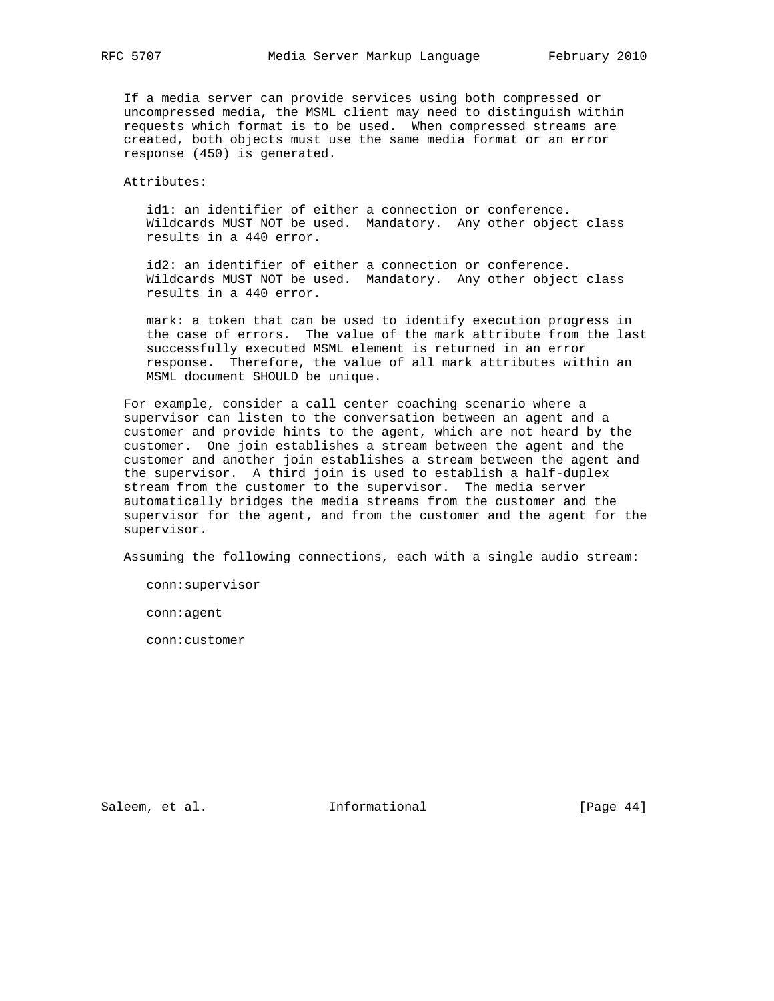If a media server can provide services using both compressed or uncompressed media, the MSML client may need to distinguish within requests which format is to be used. When compressed streams are created, both objects must use the same media format or an error response (450) is generated.

Attributes:

 id1: an identifier of either a connection or conference. Wildcards MUST NOT be used. Mandatory. Any other object class results in a 440 error.

 id2: an identifier of either a connection or conference. Wildcards MUST NOT be used. Mandatory. Any other object class results in a 440 error.

 mark: a token that can be used to identify execution progress in the case of errors. The value of the mark attribute from the last successfully executed MSML element is returned in an error response. Therefore, the value of all mark attributes within an MSML document SHOULD be unique.

 For example, consider a call center coaching scenario where a supervisor can listen to the conversation between an agent and a customer and provide hints to the agent, which are not heard by the customer. One join establishes a stream between the agent and the customer and another join establishes a stream between the agent and the supervisor. A third join is used to establish a half-duplex stream from the customer to the supervisor. The media server automatically bridges the media streams from the customer and the supervisor for the agent, and from the customer and the agent for the supervisor.

Assuming the following connections, each with a single audio stream:

conn:supervisor

conn:agent

conn:customer

Saleem, et al. 100 mm informational [Page 44]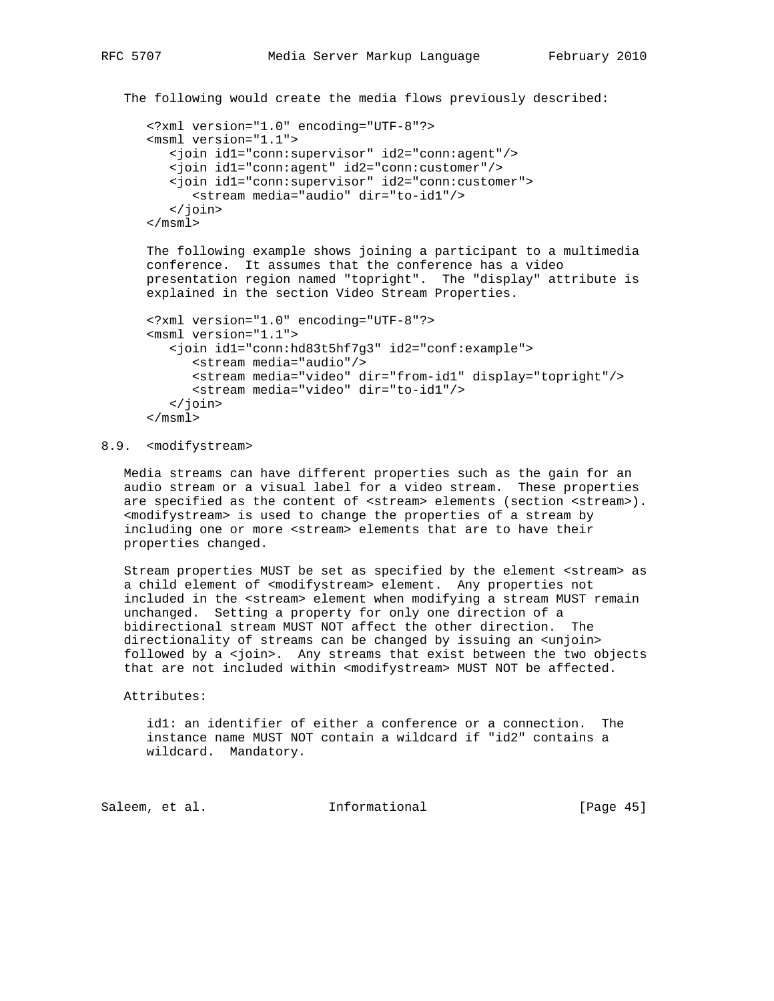```
 The following would create the media flows previously described:
```

```
 <?xml version="1.0" encoding="UTF-8"?>
 <msml version="1.1">
    <join id1="conn:supervisor" id2="conn:agent"/>
   <join id1="conn:agent" id2="conn:customer"/>
   <join id1="conn:supervisor" id2="conn:customer">
       <stream media="audio" dir="to-id1"/>
    </join>
 </msml>
```
 The following example shows joining a participant to a multimedia conference. It assumes that the conference has a video presentation region named "topright". The "display" attribute is explained in the section Video Stream Properties.

```
 <?xml version="1.0" encoding="UTF-8"?>
 <msml version="1.1">
    <join id1="conn:hd83t5hf7g3" id2="conf:example">
       <stream media="audio"/>
       <stream media="video" dir="from-id1" display="topright"/>
       <stream media="video" dir="to-id1"/>
    </join>
 </msml>
```
# 8.9. <modifystream>

 Media streams can have different properties such as the gain for an audio stream or a visual label for a video stream. These properties are specified as the content of <stream> elements (section <stream>). <modifystream> is used to change the properties of a stream by including one or more <stream> elements that are to have their properties changed.

 Stream properties MUST be set as specified by the element <stream> as a child element of <modifystream> element. Any properties not included in the <stream> element when modifying a stream MUST remain unchanged. Setting a property for only one direction of a bidirectional stream MUST NOT affect the other direction. The directionality of streams can be changed by issuing an <unjoin> followed by a <join>. Any streams that exist between the two objects that are not included within <modifystream> MUST NOT be affected.

Attributes:

 id1: an identifier of either a conference or a connection. The instance name MUST NOT contain a wildcard if "id2" contains a wildcard. Mandatory.

Saleem, et al. 1nformational [Page 45]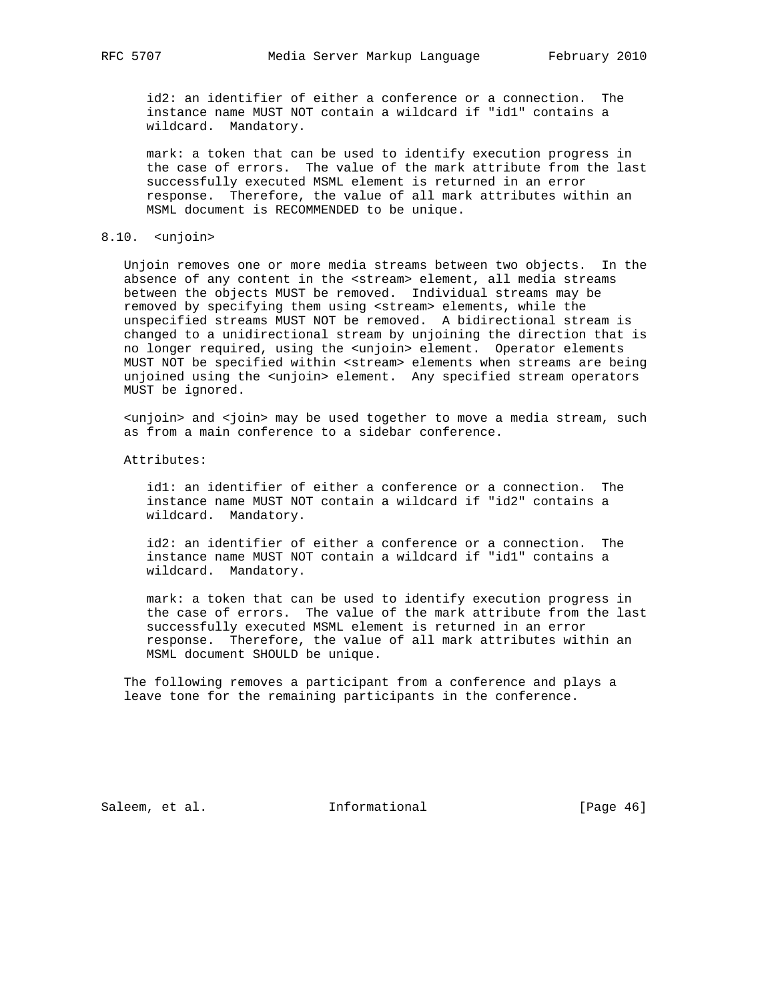id2: an identifier of either a conference or a connection. The instance name MUST NOT contain a wildcard if "id1" contains a wildcard. Mandatory.

 mark: a token that can be used to identify execution progress in the case of errors. The value of the mark attribute from the last successfully executed MSML element is returned in an error response. Therefore, the value of all mark attributes within an MSML document is RECOMMENDED to be unique.

## 8.10. <unjoin>

 Unjoin removes one or more media streams between two objects. In the absence of any content in the <stream> element, all media streams between the objects MUST be removed. Individual streams may be removed by specifying them using <stream> elements, while the unspecified streams MUST NOT be removed. A bidirectional stream is changed to a unidirectional stream by unjoining the direction that is no longer required, using the <unjoin> element. Operator elements MUST NOT be specified within <stream> elements when streams are being unjoined using the <unjoin> element. Any specified stream operators MUST be ignored.

 <unjoin> and <join> may be used together to move a media stream, such as from a main conference to a sidebar conference.

Attributes:

 id1: an identifier of either a conference or a connection. The instance name MUST NOT contain a wildcard if "id2" contains a wildcard. Mandatory.

 id2: an identifier of either a conference or a connection. The instance name MUST NOT contain a wildcard if "id1" contains a wildcard. Mandatory.

 mark: a token that can be used to identify execution progress in the case of errors. The value of the mark attribute from the last successfully executed MSML element is returned in an error response. Therefore, the value of all mark attributes within an MSML document SHOULD be unique.

 The following removes a participant from a conference and plays a leave tone for the remaining participants in the conference.

Saleem, et al. 100 mm informational [Page 46]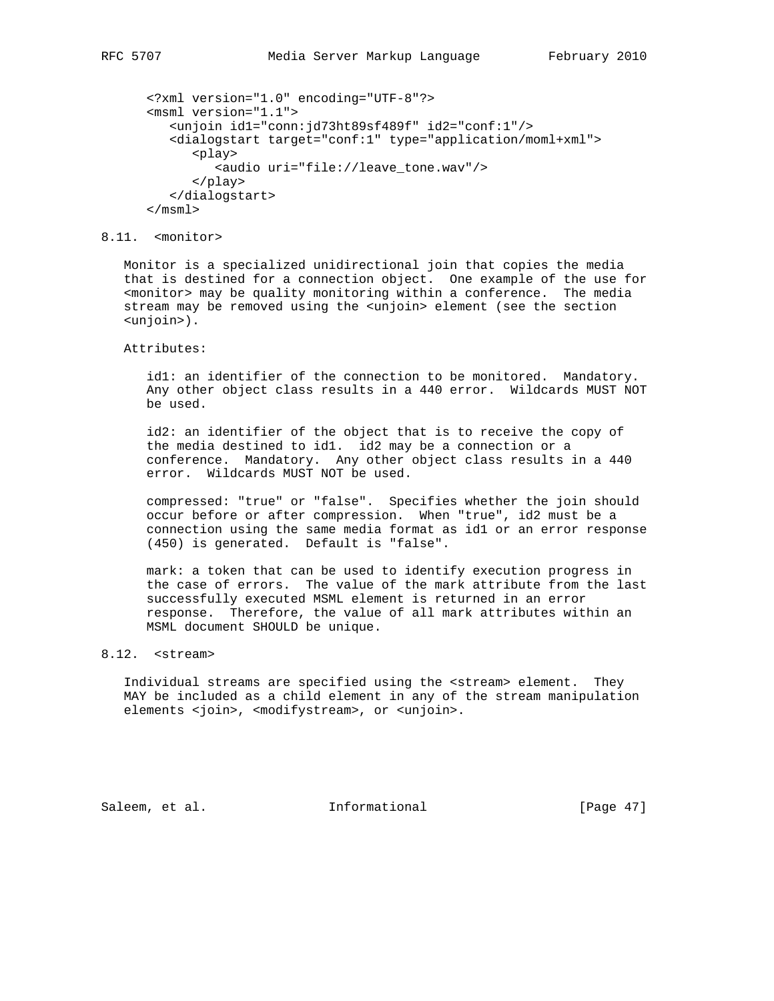```
 <?xml version="1.0" encoding="UTF-8"?>
 <msml version="1.1">
    <unjoin id1="conn:jd73ht89sf489f" id2="conf:1"/>
    <dialogstart target="conf:1" type="application/moml+xml">
       <play>
          <audio uri="file://leave_tone.wav"/>
       </play>
    </dialogstart>
 </msml>
```
## 8.11. <monitor>

 Monitor is a specialized unidirectional join that copies the media that is destined for a connection object. One example of the use for <monitor> may be quality monitoring within a conference. The media stream may be removed using the <unjoin> element (see the section <unjoin>).

Attributes:

 id1: an identifier of the connection to be monitored. Mandatory. Any other object class results in a 440 error. Wildcards MUST NOT be used.

 id2: an identifier of the object that is to receive the copy of the media destined to id1. id2 may be a connection or a conference. Mandatory. Any other object class results in a 440 error. Wildcards MUST NOT be used.

 compressed: "true" or "false". Specifies whether the join should occur before or after compression. When "true", id2 must be a connection using the same media format as id1 or an error response (450) is generated. Default is "false".

 mark: a token that can be used to identify execution progress in the case of errors. The value of the mark attribute from the last successfully executed MSML element is returned in an error response. Therefore, the value of all mark attributes within an MSML document SHOULD be unique.

# 8.12. <stream>

 Individual streams are specified using the <stream> element. They MAY be included as a child element in any of the stream manipulation elements <join>, <modifystream>, or <unjoin>.

Saleem, et al. 1nformational [Page 47]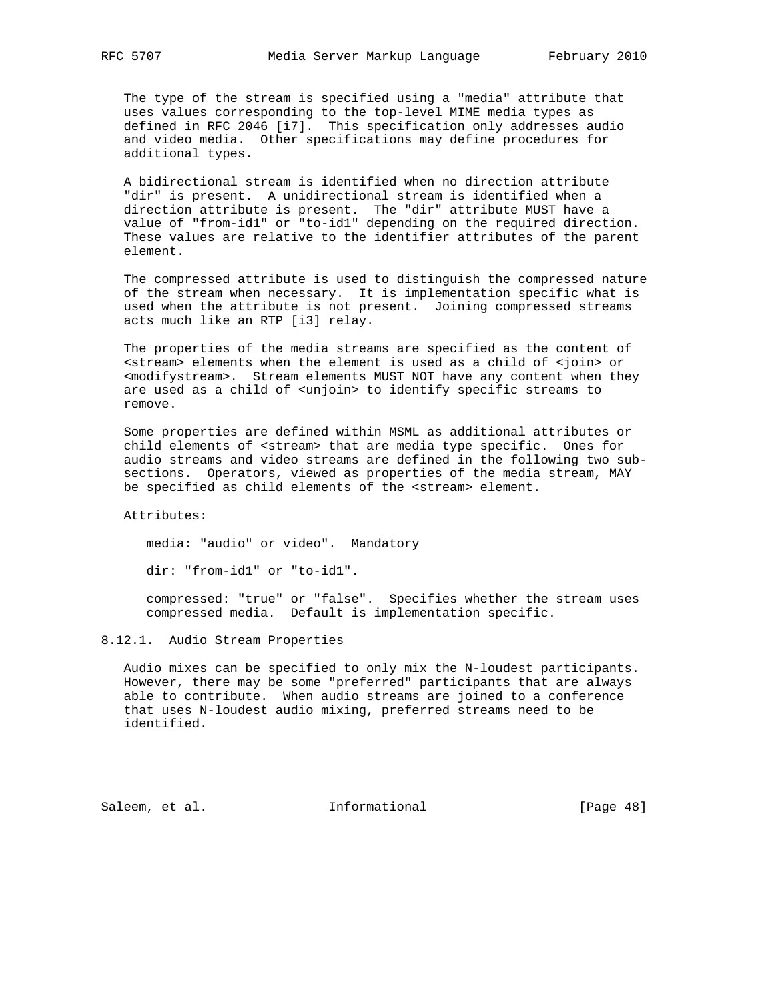The type of the stream is specified using a "media" attribute that uses values corresponding to the top-level MIME media types as defined in RFC 2046 [i7]. This specification only addresses audio and video media. Other specifications may define procedures for additional types.

 A bidirectional stream is identified when no direction attribute "dir" is present. A unidirectional stream is identified when a direction attribute is present. The "dir" attribute MUST have a value of "from-id1" or "to-id1" depending on the required direction. These values are relative to the identifier attributes of the parent element.

 The compressed attribute is used to distinguish the compressed nature of the stream when necessary. It is implementation specific what is used when the attribute is not present. Joining compressed streams acts much like an RTP [i3] relay.

 The properties of the media streams are specified as the content of <stream> elements when the element is used as a child of <join> or <modifystream>. Stream elements MUST NOT have any content when they are used as a child of <unjoin> to identify specific streams to remove.

 Some properties are defined within MSML as additional attributes or child elements of <stream> that are media type specific. Ones for audio streams and video streams are defined in the following two sub sections. Operators, viewed as properties of the media stream, MAY be specified as child elements of the <stream> element.

Attributes:

media: "audio" or video". Mandatory

dir: "from-id1" or "to-id1".

 compressed: "true" or "false". Specifies whether the stream uses compressed media. Default is implementation specific.

## 8.12.1. Audio Stream Properties

 Audio mixes can be specified to only mix the N-loudest participants. However, there may be some "preferred" participants that are always able to contribute. When audio streams are joined to a conference that uses N-loudest audio mixing, preferred streams need to be identified.

Saleem, et al. 1nformational [Page 48]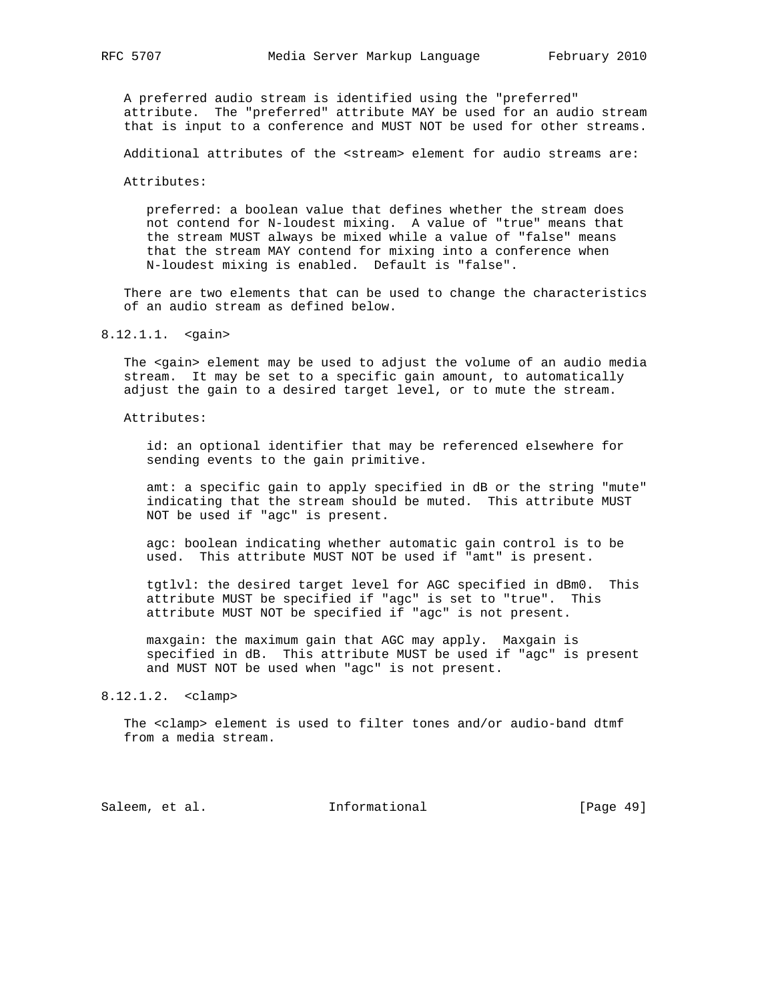A preferred audio stream is identified using the "preferred" attribute. The "preferred" attribute MAY be used for an audio stream that is input to a conference and MUST NOT be used for other streams.

Additional attributes of the <stream> element for audio streams are:

Attributes:

 preferred: a boolean value that defines whether the stream does not contend for N-loudest mixing. A value of "true" means that the stream MUST always be mixed while a value of "false" means that the stream MAY contend for mixing into a conference when N-loudest mixing is enabled. Default is "false".

 There are two elements that can be used to change the characteristics of an audio stream as defined below.

#### 8.12.1.1. <gain>

 The <gain> element may be used to adjust the volume of an audio media stream. It may be set to a specific gain amount, to automatically adjust the gain to a desired target level, or to mute the stream.

Attributes:

 id: an optional identifier that may be referenced elsewhere for sending events to the gain primitive.

 amt: a specific gain to apply specified in dB or the string "mute" indicating that the stream should be muted. This attribute MUST NOT be used if "agc" is present.

 agc: boolean indicating whether automatic gain control is to be used. This attribute MUST NOT be used if "amt" is present.

 tgtlvl: the desired target level for AGC specified in dBm0. This attribute MUST be specified if "agc" is set to "true". This attribute MUST NOT be specified if "agc" is not present.

 maxgain: the maximum gain that AGC may apply. Maxgain is specified in dB. This attribute MUST be used if "agc" is present and MUST NOT be used when "agc" is not present.

#### 8.12.1.2. <clamp>

 The <clamp> element is used to filter tones and/or audio-band dtmf from a media stream.

Saleem, et al. 10 Informational [Page 49]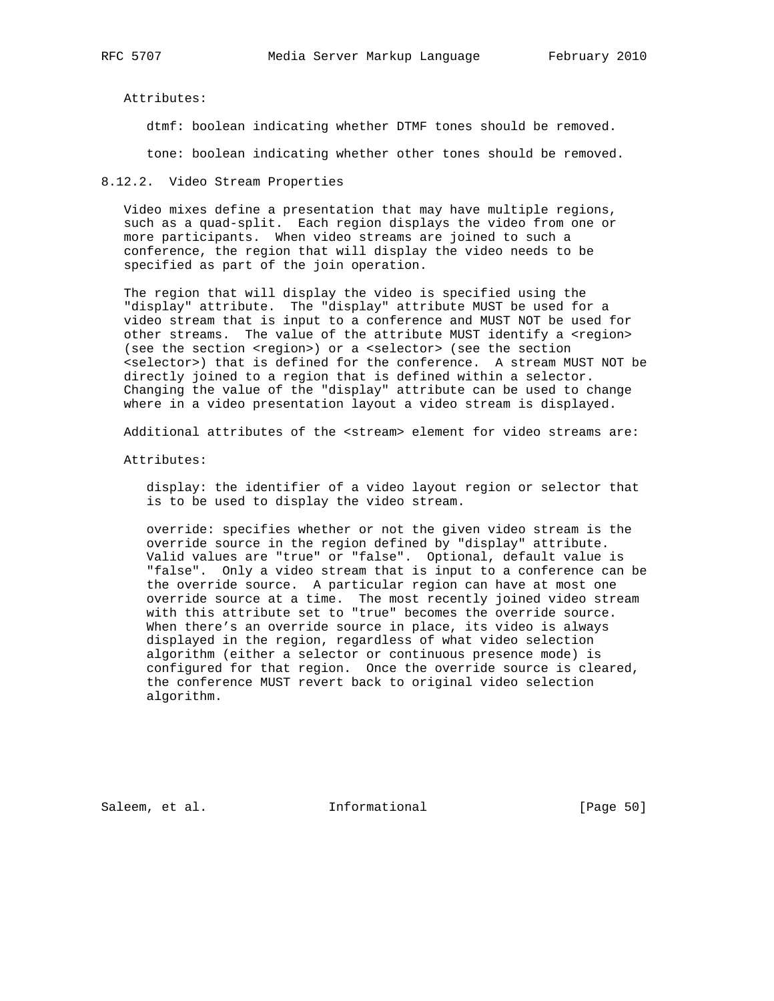Attributes:

dtmf: boolean indicating whether DTMF tones should be removed.

tone: boolean indicating whether other tones should be removed.

8.12.2. Video Stream Properties

 Video mixes define a presentation that may have multiple regions, such as a quad-split. Each region displays the video from one or more participants. When video streams are joined to such a conference, the region that will display the video needs to be specified as part of the join operation.

 The region that will display the video is specified using the "display" attribute. The "display" attribute MUST be used for a video stream that is input to a conference and MUST NOT be used for other streams. The value of the attribute MUST identify a <region> (see the section <region>) or a <selector> (see the section <selector>) that is defined for the conference. A stream MUST NOT be directly joined to a region that is defined within a selector. Changing the value of the "display" attribute can be used to change where in a video presentation layout a video stream is displayed.

Additional attributes of the <stream> element for video streams are:

Attributes:

 display: the identifier of a video layout region or selector that is to be used to display the video stream.

 override: specifies whether or not the given video stream is the override source in the region defined by "display" attribute. Valid values are "true" or "false". Optional, default value is "false". Only a video stream that is input to a conference can be the override source. A particular region can have at most one override source at a time. The most recently joined video stream with this attribute set to "true" becomes the override source. When there's an override source in place, its video is always displayed in the region, regardless of what video selection algorithm (either a selector or continuous presence mode) is configured for that region. Once the override source is cleared, the conference MUST revert back to original video selection algorithm.

Saleem, et al. 10 mm = Informational [Page 50]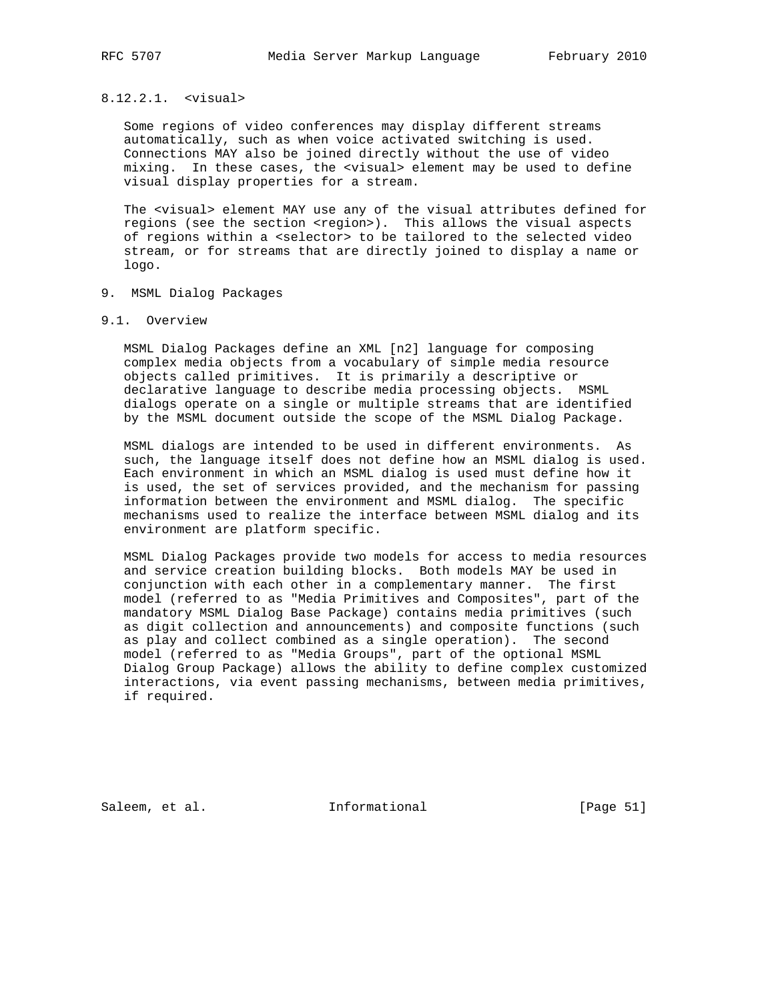## 8.12.2.1. <visual>

 Some regions of video conferences may display different streams automatically, such as when voice activated switching is used. Connections MAY also be joined directly without the use of video mixing. In these cases, the <visual> element may be used to define visual display properties for a stream.

 The <visual> element MAY use any of the visual attributes defined for regions (see the section <region>). This allows the visual aspects of regions within a <selector> to be tailored to the selected video stream, or for streams that are directly joined to display a name or logo.

- 9. MSML Dialog Packages
- 9.1. Overview

 MSML Dialog Packages define an XML [n2] language for composing complex media objects from a vocabulary of simple media resource objects called primitives. It is primarily a descriptive or declarative language to describe media processing objects. MSML dialogs operate on a single or multiple streams that are identified by the MSML document outside the scope of the MSML Dialog Package.

 MSML dialogs are intended to be used in different environments. As such, the language itself does not define how an MSML dialog is used. Each environment in which an MSML dialog is used must define how it is used, the set of services provided, and the mechanism for passing information between the environment and MSML dialog. The specific mechanisms used to realize the interface between MSML dialog and its environment are platform specific.

 MSML Dialog Packages provide two models for access to media resources and service creation building blocks. Both models MAY be used in conjunction with each other in a complementary manner. The first model (referred to as "Media Primitives and Composites", part of the mandatory MSML Dialog Base Package) contains media primitives (such as digit collection and announcements) and composite functions (such as play and collect combined as a single operation). The second model (referred to as "Media Groups", part of the optional MSML Dialog Group Package) allows the ability to define complex customized interactions, via event passing mechanisms, between media primitives, if required.

Saleem, et al. 1nformational [Page 51]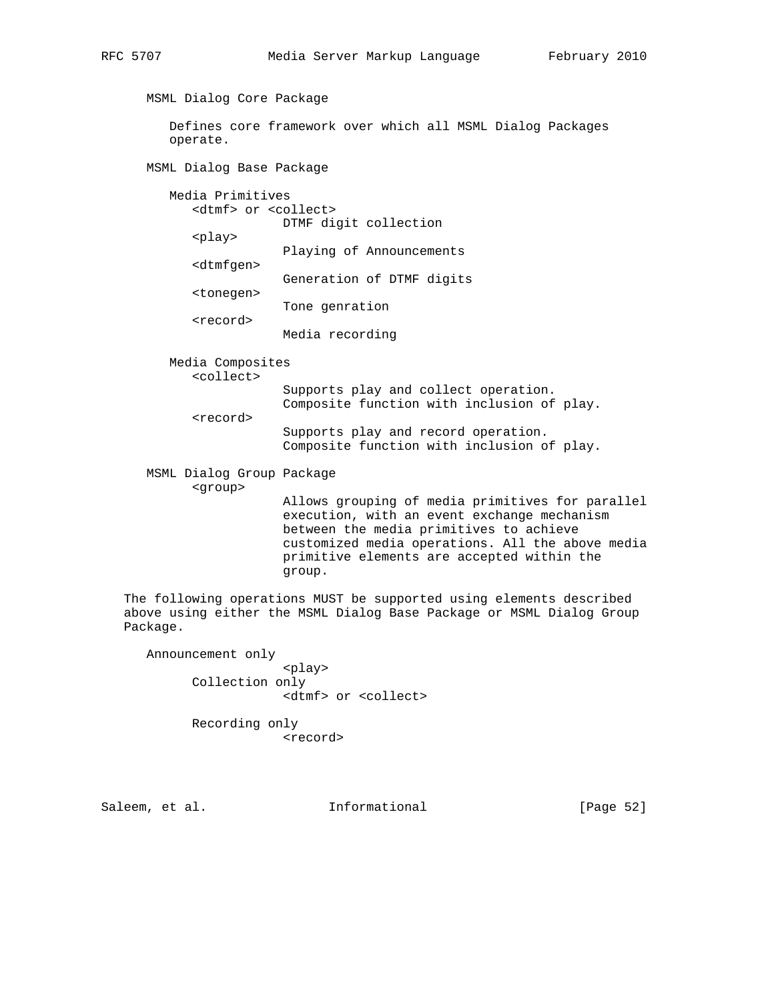MSML Dialog Core Package Defines core framework over which all MSML Dialog Packages operate. MSML Dialog Base Package

 Media Primitives <dtmf> or <collect> DTMF digit collection <play> Playing of Announcements <dtmfgen> Generation of DTMF digits <tonegen> Tone genration <record> Media recording

Media Composites

<collect>

<record>

 Supports play and collect operation. Composite function with inclusion of play.

 Supports play and record operation. Composite function with inclusion of play.

 MSML Dialog Group Package <group>

 Allows grouping of media primitives for parallel execution, with an event exchange mechanism between the media primitives to achieve customized media operations. All the above media primitive elements are accepted within the group.

 The following operations MUST be supported using elements described above using either the MSML Dialog Base Package or MSML Dialog Group Package.

 Announcement only <play> Collection only <dtmf> or <collect>

> Recording only <record>

Saleem, et al. Informational [Page 52]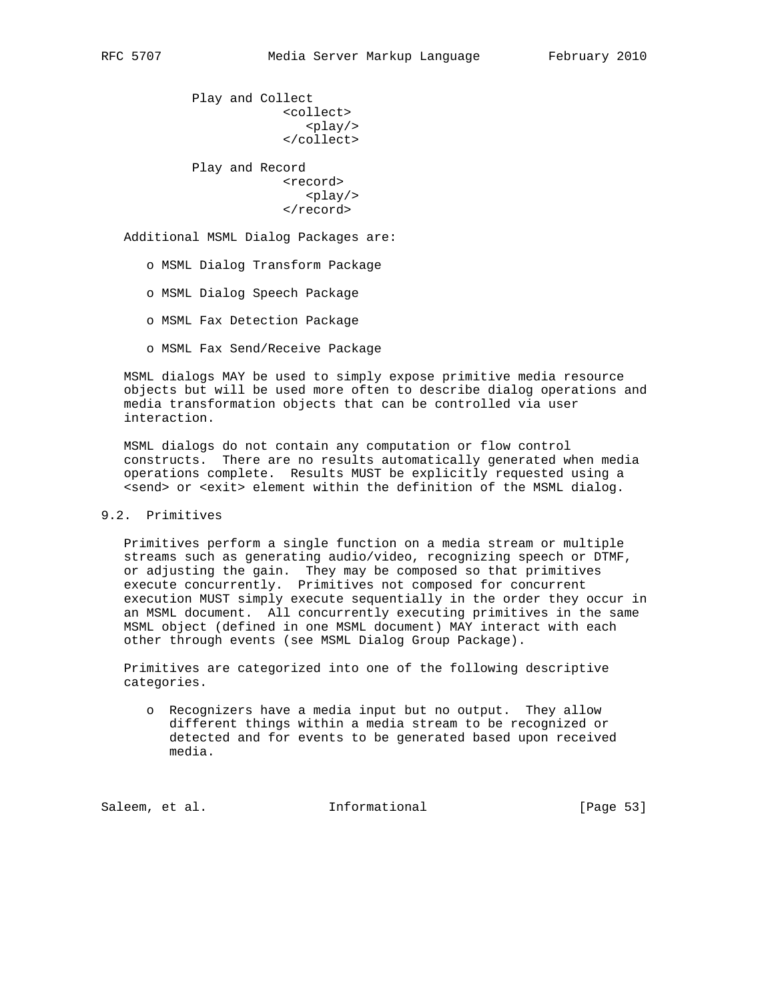Play and Collect <collect>  $<$ play/> </collect> Play and Record <record> <play/> </record>

Additional MSML Dialog Packages are:

- o MSML Dialog Transform Package
- o MSML Dialog Speech Package
- o MSML Fax Detection Package
- o MSML Fax Send/Receive Package

 MSML dialogs MAY be used to simply expose primitive media resource objects but will be used more often to describe dialog operations and media transformation objects that can be controlled via user interaction.

 MSML dialogs do not contain any computation or flow control constructs. There are no results automatically generated when media operations complete. Results MUST be explicitly requested using a <send> or <exit> element within the definition of the MSML dialog.

# 9.2. Primitives

 Primitives perform a single function on a media stream or multiple streams such as generating audio/video, recognizing speech or DTMF, or adjusting the gain. They may be composed so that primitives execute concurrently. Primitives not composed for concurrent execution MUST simply execute sequentially in the order they occur in an MSML document. All concurrently executing primitives in the same MSML object (defined in one MSML document) MAY interact with each other through events (see MSML Dialog Group Package).

 Primitives are categorized into one of the following descriptive categories.

 o Recognizers have a media input but no output. They allow different things within a media stream to be recognized or detected and for events to be generated based upon received media.

Saleem, et al. 10 mm = Informational [Page 53]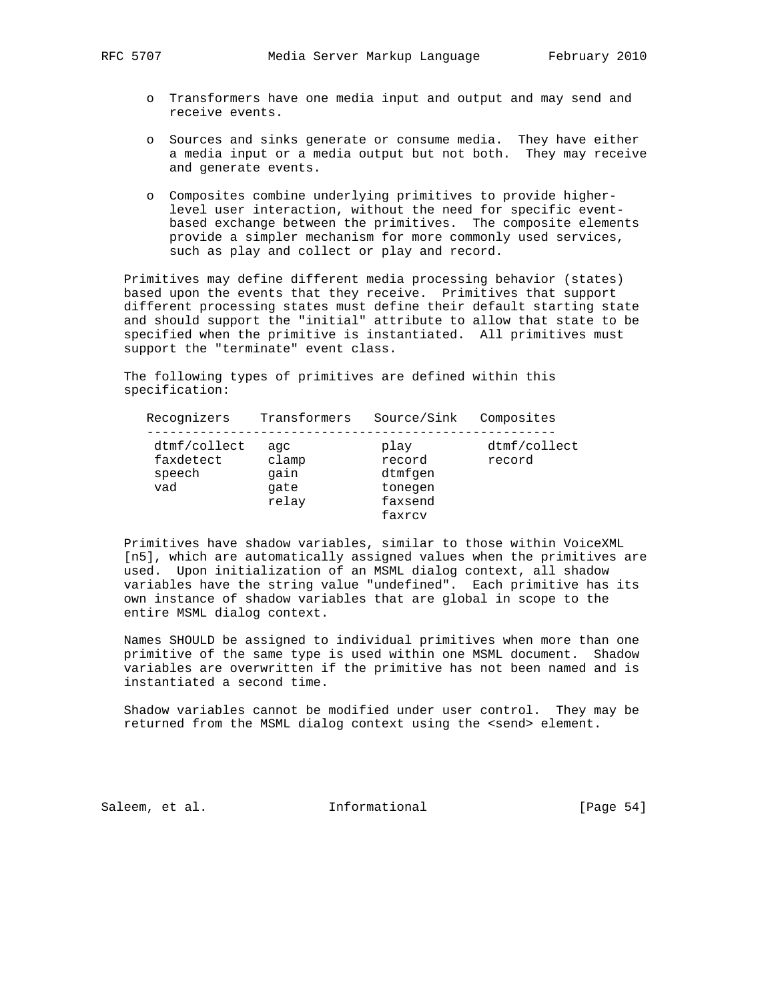- o Transformers have one media input and output and may send and receive events.
- o Sources and sinks generate or consume media. They have either a media input or a media output but not both. They may receive and generate events.
- o Composites combine underlying primitives to provide higher level user interaction, without the need for specific event based exchange between the primitives. The composite elements provide a simpler mechanism for more commonly used services, such as play and collect or play and record.

 Primitives may define different media processing behavior (states) based upon the events that they receive. Primitives that support different processing states must define their default starting state and should support the "initial" attribute to allow that state to be specified when the primitive is instantiated. All primitives must support the "terminate" event class.

 The following types of primitives are defined within this specification:

| Recognizers                                | Transformers                          | Source/Sink                                               | Composites             |
|--------------------------------------------|---------------------------------------|-----------------------------------------------------------|------------------------|
| dtmf/collect<br>faxdetect<br>speech<br>vad | aqc<br>clamp<br>gain<br>qate<br>relay | play<br>record<br>dtmfgen<br>tonegen<br>faxsend<br>faxrcy | dtmf/collect<br>record |

 Primitives have shadow variables, similar to those within VoiceXML [n5], which are automatically assigned values when the primitives are used. Upon initialization of an MSML dialog context, all shadow variables have the string value "undefined". Each primitive has its own instance of shadow variables that are global in scope to the entire MSML dialog context.

 Names SHOULD be assigned to individual primitives when more than one primitive of the same type is used within one MSML document. Shadow variables are overwritten if the primitive has not been named and is instantiated a second time.

 Shadow variables cannot be modified under user control. They may be returned from the MSML dialog context using the <send> element.

Saleem, et al. 10 Informational [Page 54]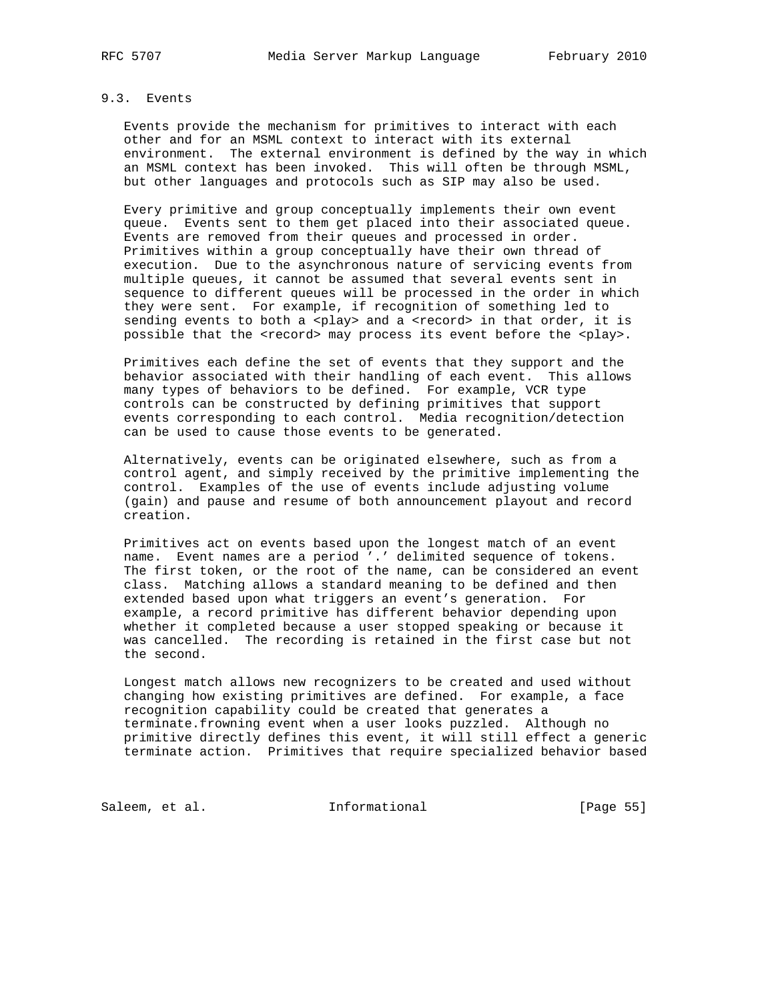# 9.3. Events

 Events provide the mechanism for primitives to interact with each other and for an MSML context to interact with its external environment. The external environment is defined by the way in which an MSML context has been invoked. This will often be through MSML, but other languages and protocols such as SIP may also be used.

 Every primitive and group conceptually implements their own event queue. Events sent to them get placed into their associated queue. Events are removed from their queues and processed in order. Primitives within a group conceptually have their own thread of execution. Due to the asynchronous nature of servicing events from multiple queues, it cannot be assumed that several events sent in sequence to different queues will be processed in the order in which they were sent. For example, if recognition of something led to sending events to both a <play> and a <record> in that order, it is possible that the <record> may process its event before the <play>.

 Primitives each define the set of events that they support and the behavior associated with their handling of each event. This allows many types of behaviors to be defined. For example, VCR type controls can be constructed by defining primitives that support events corresponding to each control. Media recognition/detection can be used to cause those events to be generated.

 Alternatively, events can be originated elsewhere, such as from a control agent, and simply received by the primitive implementing the control. Examples of the use of events include adjusting volume (gain) and pause and resume of both announcement playout and record creation.

 Primitives act on events based upon the longest match of an event name. Event names are a period '.' delimited sequence of tokens. The first token, or the root of the name, can be considered an event class. Matching allows a standard meaning to be defined and then extended based upon what triggers an event's generation. For example, a record primitive has different behavior depending upon whether it completed because a user stopped speaking or because it was cancelled. The recording is retained in the first case but not the second.

 Longest match allows new recognizers to be created and used without changing how existing primitives are defined. For example, a face recognition capability could be created that generates a terminate.frowning event when a user looks puzzled. Although no primitive directly defines this event, it will still effect a generic terminate action. Primitives that require specialized behavior based

Saleem, et al. 1nformational [Page 55]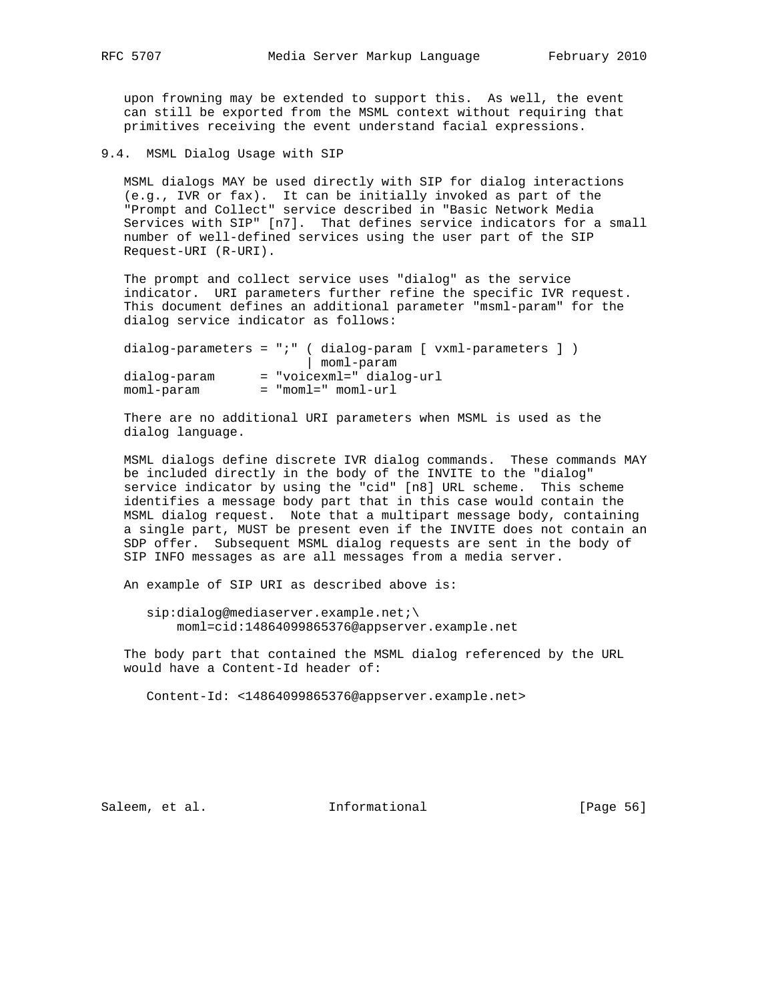upon frowning may be extended to support this. As well, the event can still be exported from the MSML context without requiring that primitives receiving the event understand facial expressions.

9.4. MSML Dialog Usage with SIP

 MSML dialogs MAY be used directly with SIP for dialog interactions (e.g., IVR or fax). It can be initially invoked as part of the "Prompt and Collect" service described in "Basic Network Media Services with SIP" [n7]. That defines service indicators for a small number of well-defined services using the user part of the SIP Request-URI (R-URI).

 The prompt and collect service uses "dialog" as the service indicator. URI parameters further refine the specific IVR request. This document defines an additional parameter "msml-param" for the dialog service indicator as follows:

|              | $dialog-parameters = "i" (dialog-param [vxm]-parameters ] )$ |  |
|--------------|--------------------------------------------------------------|--|
|              | moml-param                                                   |  |
| dialog-param | = "voicexml=" dialog-url                                     |  |
| moml-param   | $=$ "moml=" moml-url                                         |  |

 There are no additional URI parameters when MSML is used as the dialog language.

 MSML dialogs define discrete IVR dialog commands. These commands MAY be included directly in the body of the INVITE to the "dialog" service indicator by using the "cid" [n8] URL scheme. This scheme identifies a message body part that in this case would contain the MSML dialog request. Note that a multipart message body, containing a single part, MUST be present even if the INVITE does not contain an SDP offer. Subsequent MSML dialog requests are sent in the body of SIP INFO messages as are all messages from a media server.

An example of SIP URI as described above is:

sip:dialog@mediaserver.example.net;\ moml=cid:14864099865376@appserver.example.net

 The body part that contained the MSML dialog referenced by the URL would have a Content-Id header of:

Content-Id: <14864099865376@appserver.example.net>

Saleem, et al. 100 mm = Informational [Page 56]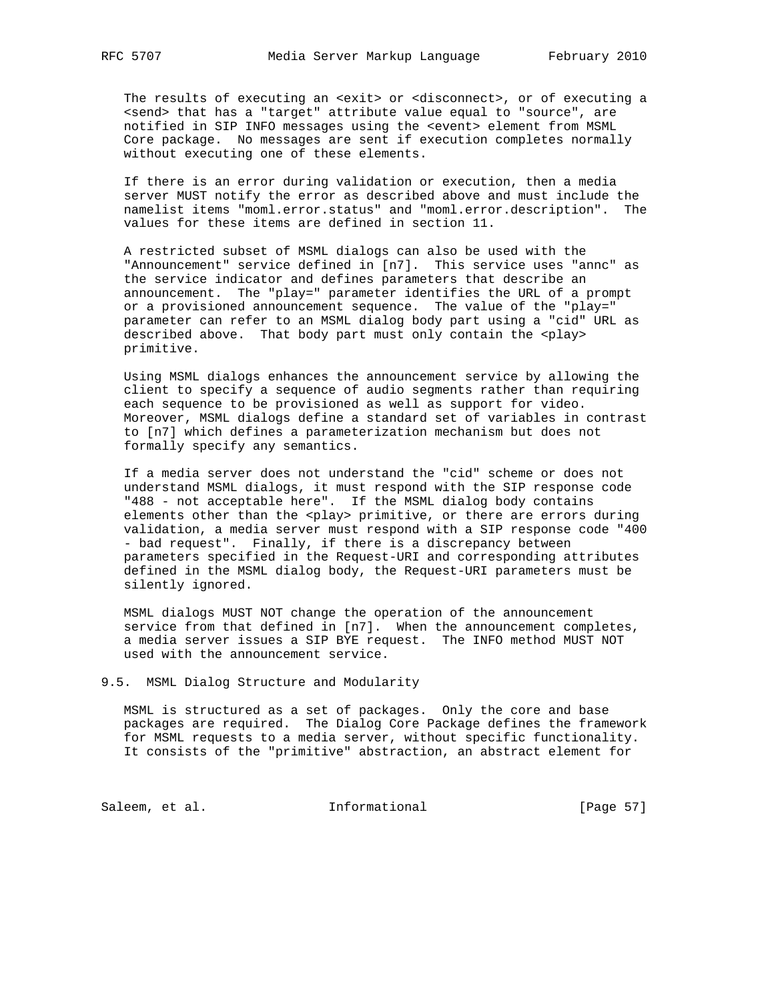The results of executing an <exit> or <disconnect>, or of executing a <send> that has a "target" attribute value equal to "source", are notified in SIP INFO messages using the <event> element from MSML Core package. No messages are sent if execution completes normally without executing one of these elements.

 If there is an error during validation or execution, then a media server MUST notify the error as described above and must include the namelist items "moml.error.status" and "moml.error.description". The values for these items are defined in section 11.

 A restricted subset of MSML dialogs can also be used with the "Announcement" service defined in [n7]. This service uses "annc" as the service indicator and defines parameters that describe an announcement. The "play=" parameter identifies the URL of a prompt or a provisioned announcement sequence. The value of the "play=" parameter can refer to an MSML dialog body part using a "cid" URL as described above. That body part must only contain the <play> primitive.

 Using MSML dialogs enhances the announcement service by allowing the client to specify a sequence of audio segments rather than requiring each sequence to be provisioned as well as support for video. Moreover, MSML dialogs define a standard set of variables in contrast to [n7] which defines a parameterization mechanism but does not formally specify any semantics.

 If a media server does not understand the "cid" scheme or does not understand MSML dialogs, it must respond with the SIP response code "488 - not acceptable here". If the MSML dialog body contains elements other than the <play> primitive, or there are errors during validation, a media server must respond with a SIP response code "400 - bad request". Finally, if there is a discrepancy between parameters specified in the Request-URI and corresponding attributes defined in the MSML dialog body, the Request-URI parameters must be silently ignored.

 MSML dialogs MUST NOT change the operation of the announcement service from that defined in [n7]. When the announcement completes, a media server issues a SIP BYE request. The INFO method MUST NOT used with the announcement service.

9.5. MSML Dialog Structure and Modularity

 MSML is structured as a set of packages. Only the core and base packages are required. The Dialog Core Package defines the framework for MSML requests to a media server, without specific functionality. It consists of the "primitive" abstraction, an abstract element for

Saleem, et al. 1nformational [Page 57]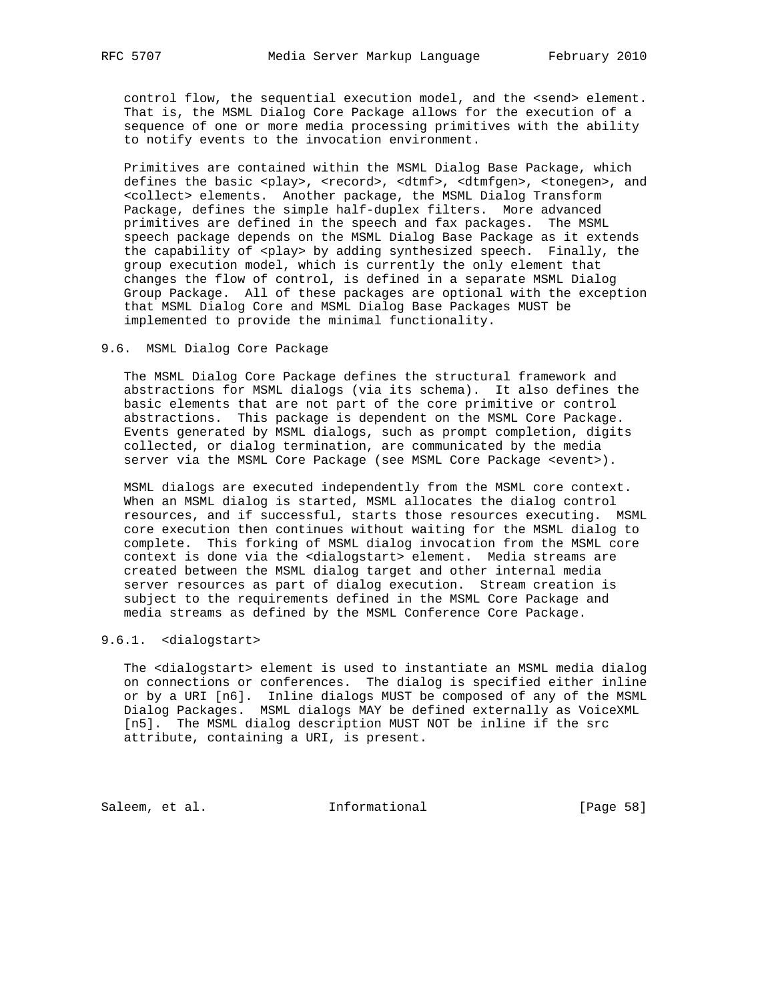control flow, the sequential execution model, and the <send> element. That is, the MSML Dialog Core Package allows for the execution of a sequence of one or more media processing primitives with the ability to notify events to the invocation environment.

 Primitives are contained within the MSML Dialog Base Package, which defines the basic <play>, <record>, <dtmf>, <dtmfgen>, <tonegen>, and <collect> elements. Another package, the MSML Dialog Transform Package, defines the simple half-duplex filters. More advanced primitives are defined in the speech and fax packages. The MSML speech package depends on the MSML Dialog Base Package as it extends the capability of <play> by adding synthesized speech. Finally, the group execution model, which is currently the only element that changes the flow of control, is defined in a separate MSML Dialog Group Package. All of these packages are optional with the exception that MSML Dialog Core and MSML Dialog Base Packages MUST be implemented to provide the minimal functionality.

## 9.6. MSML Dialog Core Package

 The MSML Dialog Core Package defines the structural framework and abstractions for MSML dialogs (via its schema). It also defines the basic elements that are not part of the core primitive or control abstractions. This package is dependent on the MSML Core Package. Events generated by MSML dialogs, such as prompt completion, digits collected, or dialog termination, are communicated by the media server via the MSML Core Package (see MSML Core Package <event>).

 MSML dialogs are executed independently from the MSML core context. When an MSML dialog is started, MSML allocates the dialog control resources, and if successful, starts those resources executing. MSML core execution then continues without waiting for the MSML dialog to complete. This forking of MSML dialog invocation from the MSML core context is done via the <dialogstart> element. Media streams are created between the MSML dialog target and other internal media server resources as part of dialog execution. Stream creation is subject to the requirements defined in the MSML Core Package and media streams as defined by the MSML Conference Core Package.

## 9.6.1. <dialogstart>

 The <dialogstart> element is used to instantiate an MSML media dialog on connections or conferences. The dialog is specified either inline or by a URI [n6]. Inline dialogs MUST be composed of any of the MSML Dialog Packages. MSML dialogs MAY be defined externally as VoiceXML [n5]. The MSML dialog description MUST NOT be inline if the src attribute, containing a URI, is present.

Saleem, et al. 1nformational [Page 58]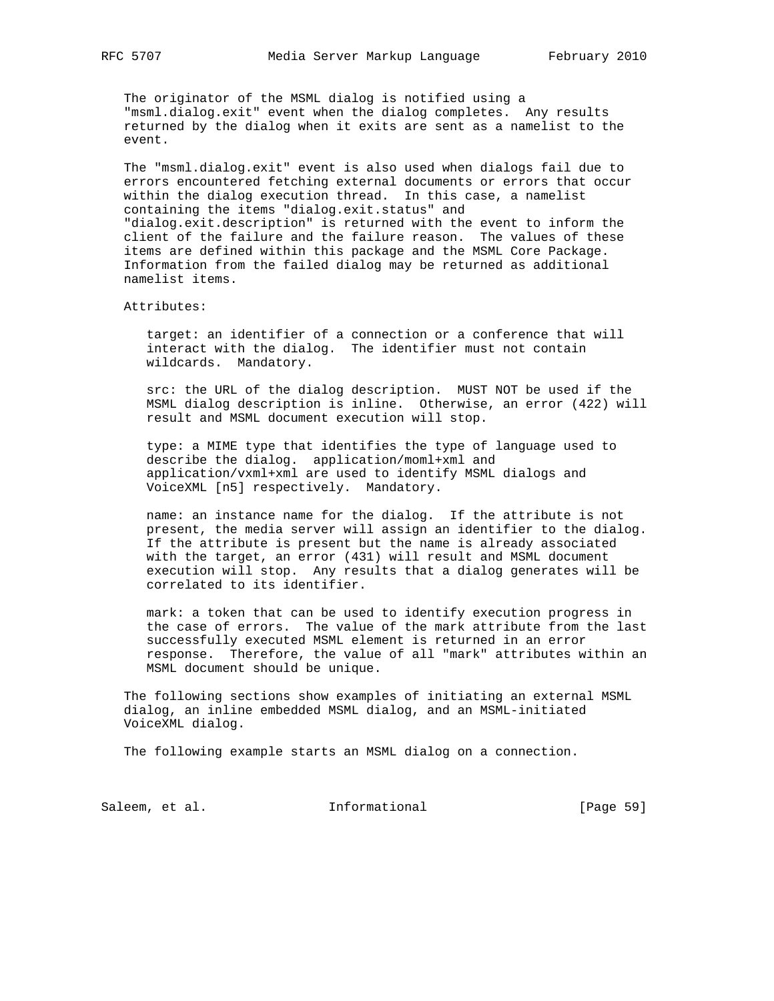The originator of the MSML dialog is notified using a "msml.dialog.exit" event when the dialog completes. Any results returned by the dialog when it exits are sent as a namelist to the event.

 The "msml.dialog.exit" event is also used when dialogs fail due to errors encountered fetching external documents or errors that occur within the dialog execution thread. In this case, a namelist containing the items "dialog.exit.status" and "dialog.exit.description" is returned with the event to inform the client of the failure and the failure reason. The values of these items are defined within this package and the MSML Core Package. Information from the failed dialog may be returned as additional namelist items.

Attributes:

 target: an identifier of a connection or a conference that will interact with the dialog. The identifier must not contain wildcards. Mandatory.

 src: the URL of the dialog description. MUST NOT be used if the MSML dialog description is inline. Otherwise, an error (422) will result and MSML document execution will stop.

 type: a MIME type that identifies the type of language used to describe the dialog. application/moml+xml and application/vxml+xml are used to identify MSML dialogs and VoiceXML [n5] respectively. Mandatory.

 name: an instance name for the dialog. If the attribute is not present, the media server will assign an identifier to the dialog. If the attribute is present but the name is already associated with the target, an error (431) will result and MSML document execution will stop. Any results that a dialog generates will be correlated to its identifier.

 mark: a token that can be used to identify execution progress in the case of errors. The value of the mark attribute from the last successfully executed MSML element is returned in an error response. Therefore, the value of all "mark" attributes within an MSML document should be unique.

 The following sections show examples of initiating an external MSML dialog, an inline embedded MSML dialog, and an MSML-initiated VoiceXML dialog.

The following example starts an MSML dialog on a connection.

Saleem, et al. 1nformational [Page 59]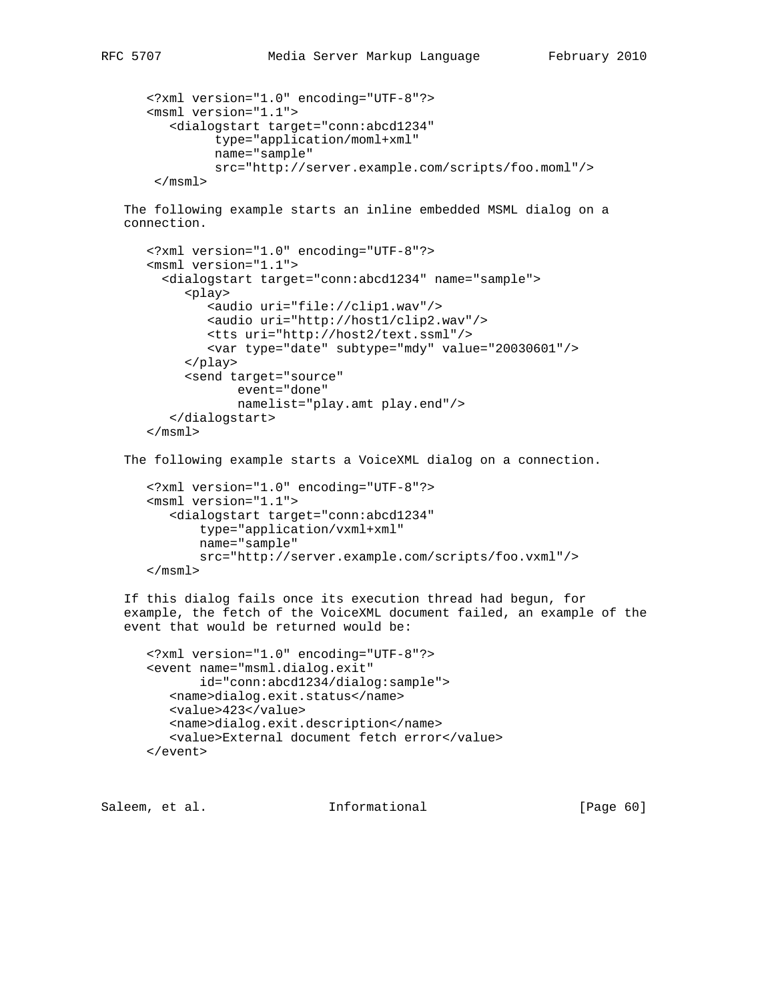```
 <?xml version="1.0" encoding="UTF-8"?>
 <msml version="1.1">
    <dialogstart target="conn:abcd1234"
          type="application/moml+xml"
          name="sample"
          src="http://server.example.com/scripts/foo.moml"/>
 \langle/msm]>
```
 The following example starts an inline embedded MSML dialog on a connection.

```
 <?xml version="1.0" encoding="UTF-8"?>
 <msml version="1.1">
   <dialogstart target="conn:abcd1234" name="sample">
      <play>
         <audio uri="file://clip1.wav"/>
         <audio uri="http://host1/clip2.wav"/>
         <tts uri="http://host2/text.ssml"/>
         <var type="date" subtype="mdy" value="20030601"/>
      </play>
      <send target="source"
             event="done"
             namelist="play.amt play.end"/>
    </dialogstart>
 </msml>
```

```
 The following example starts a VoiceXML dialog on a connection.
```

```
 <?xml version="1.0" encoding="UTF-8"?>
 <msml version="1.1">
    <dialogstart target="conn:abcd1234"
        type="application/vxml+xml"
        name="sample"
        src="http://server.example.com/scripts/foo.vxml"/>
\langle / \text{msml} \rangle
```
 If this dialog fails once its execution thread had begun, for example, the fetch of the VoiceXML document failed, an example of the event that would be returned would be:

```
 <?xml version="1.0" encoding="UTF-8"?>
 <event name="msml.dialog.exit"
        id="conn:abcd1234/dialog:sample">
    <name>dialog.exit.status</name>
    <value>423</value>
    <name>dialog.exit.description</name>
    <value>External document fetch error</value>
 </event>
```
Saleem, et al. Informational [Page 60]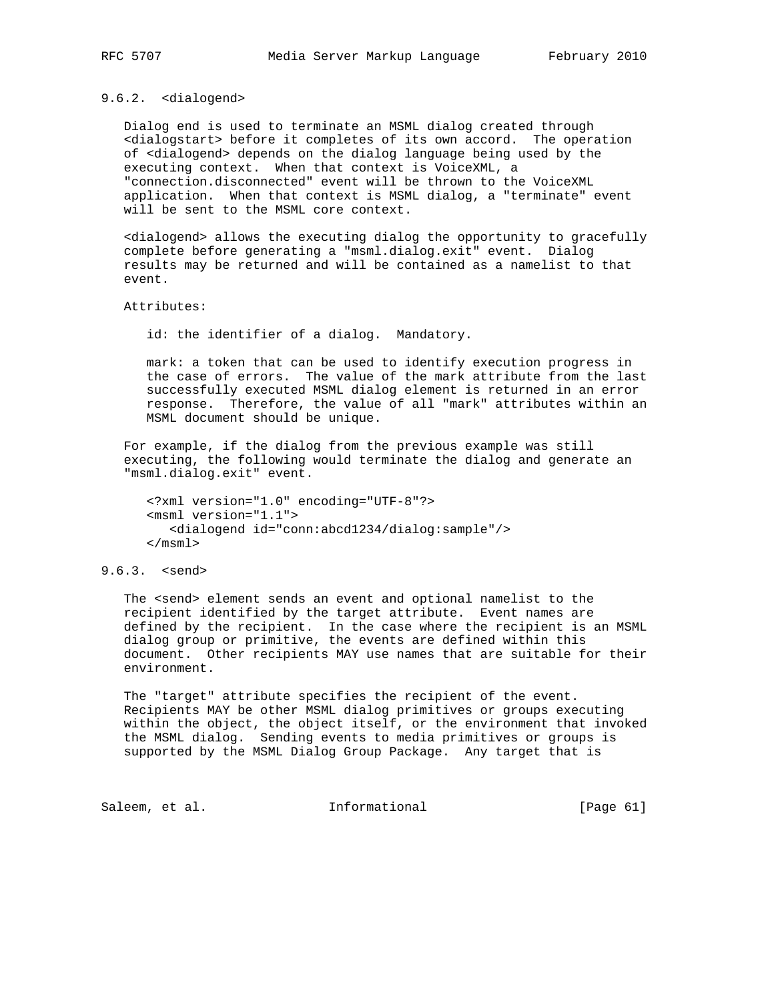## 9.6.2. <dialogend>

 Dialog end is used to terminate an MSML dialog created through <dialogstart> before it completes of its own accord. The operation of <dialogend> depends on the dialog language being used by the executing context. When that context is VoiceXML, a "connection.disconnected" event will be thrown to the VoiceXML application. When that context is MSML dialog, a "terminate" event will be sent to the MSML core context.

 <dialogend> allows the executing dialog the opportunity to gracefully complete before generating a "msml.dialog.exit" event. Dialog results may be returned and will be contained as a namelist to that event.

Attributes:

id: the identifier of a dialog. Mandatory.

 mark: a token that can be used to identify execution progress in the case of errors. The value of the mark attribute from the last successfully executed MSML dialog element is returned in an error response. Therefore, the value of all "mark" attributes within an MSML document should be unique.

 For example, if the dialog from the previous example was still executing, the following would terminate the dialog and generate an "msml.dialog.exit" event.

 <?xml version="1.0" encoding="UTF-8"?> <msml version="1.1"> <dialogend id="conn:abcd1234/dialog:sample"/> </msml>

# 9.6.3. <send>

 The <send> element sends an event and optional namelist to the recipient identified by the target attribute. Event names are defined by the recipient. In the case where the recipient is an MSML dialog group or primitive, the events are defined within this document. Other recipients MAY use names that are suitable for their environment.

 The "target" attribute specifies the recipient of the event. Recipients MAY be other MSML dialog primitives or groups executing within the object, the object itself, or the environment that invoked the MSML dialog. Sending events to media primitives or groups is supported by the MSML Dialog Group Package. Any target that is

Saleem, et al. 1nformational [Page 61]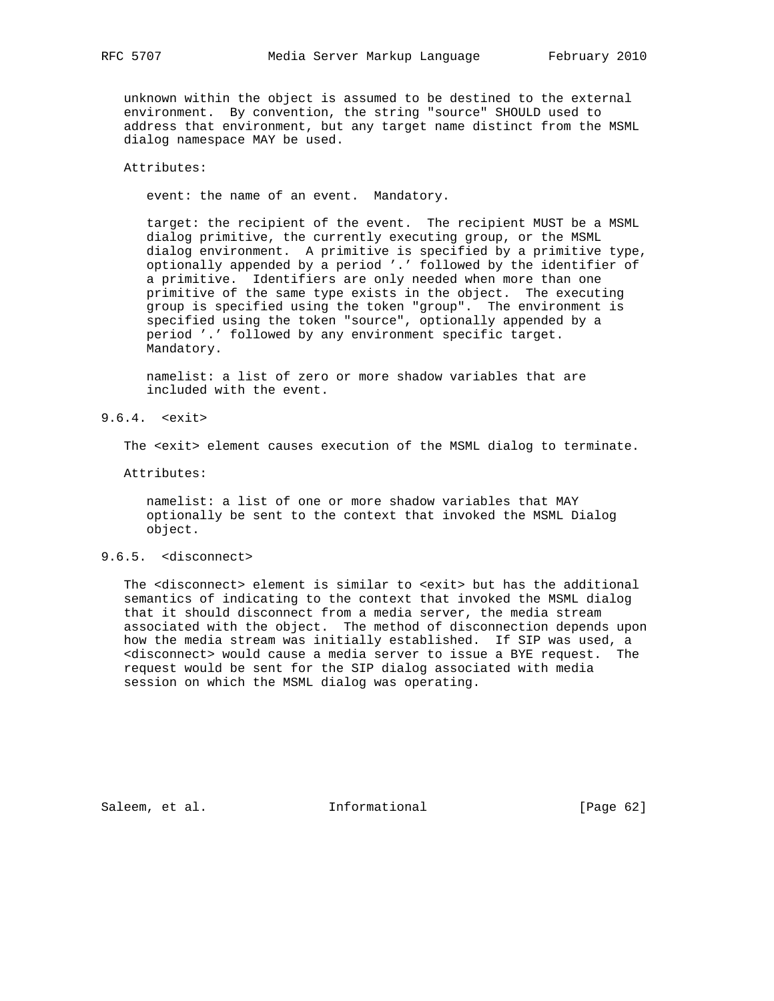unknown within the object is assumed to be destined to the external environment. By convention, the string "source" SHOULD used to address that environment, but any target name distinct from the MSML dialog namespace MAY be used.

## Attributes:

event: the name of an event. Mandatory.

 target: the recipient of the event. The recipient MUST be a MSML dialog primitive, the currently executing group, or the MSML dialog environment. A primitive is specified by a primitive type, optionally appended by a period '.' followed by the identifier of a primitive. Identifiers are only needed when more than one primitive of the same type exists in the object. The executing group is specified using the token "group". The environment is specified using the token "source", optionally appended by a period '.' followed by any environment specific target. Mandatory.

 namelist: a list of zero or more shadow variables that are included with the event.

9.6.4. <exit>

The <exit> element causes execution of the MSML dialog to terminate.

Attributes:

 namelist: a list of one or more shadow variables that MAY optionally be sent to the context that invoked the MSML Dialog object.

### 9.6.5. <disconnect>

 The <disconnect> element is similar to <exit> but has the additional semantics of indicating to the context that invoked the MSML dialog that it should disconnect from a media server, the media stream associated with the object. The method of disconnection depends upon how the media stream was initially established. If SIP was used, a <disconnect> would cause a media server to issue a BYE request. The request would be sent for the SIP dialog associated with media session on which the MSML dialog was operating.

Saleem, et al. 1nformational [Page 62]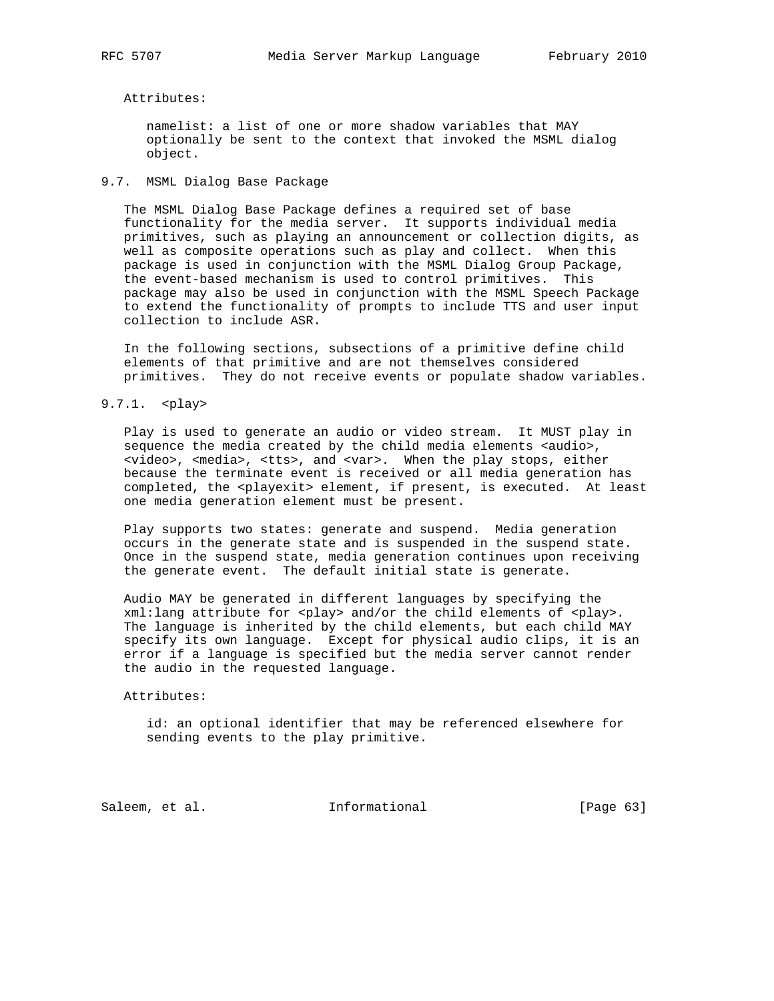#### Attributes:

 namelist: a list of one or more shadow variables that MAY optionally be sent to the context that invoked the MSML dialog object.

# 9.7. MSML Dialog Base Package

 The MSML Dialog Base Package defines a required set of base functionality for the media server. It supports individual media primitives, such as playing an announcement or collection digits, as well as composite operations such as play and collect. When this package is used in conjunction with the MSML Dialog Group Package, the event-based mechanism is used to control primitives. This package may also be used in conjunction with the MSML Speech Package to extend the functionality of prompts to include TTS and user input collection to include ASR.

 In the following sections, subsections of a primitive define child elements of that primitive and are not themselves considered primitives. They do not receive events or populate shadow variables.

9.7.1. <play>

 Play is used to generate an audio or video stream. It MUST play in sequence the media created by the child media elements <audio>, <video>, <media>, <tts>, and <var>. When the play stops, either because the terminate event is received or all media generation has completed, the <playexit> element, if present, is executed. At least one media generation element must be present.

 Play supports two states: generate and suspend. Media generation occurs in the generate state and is suspended in the suspend state. Once in the suspend state, media generation continues upon receiving the generate event. The default initial state is generate.

 Audio MAY be generated in different languages by specifying the  $xml:$ lang attribute for <play> and/or the child elements of <play>. The language is inherited by the child elements, but each child MAY specify its own language. Except for physical audio clips, it is an error if a language is specified but the media server cannot render the audio in the requested language.

#### Attributes:

 id: an optional identifier that may be referenced elsewhere for sending events to the play primitive.

Saleem, et al. 100 mm = Informational [Page 63]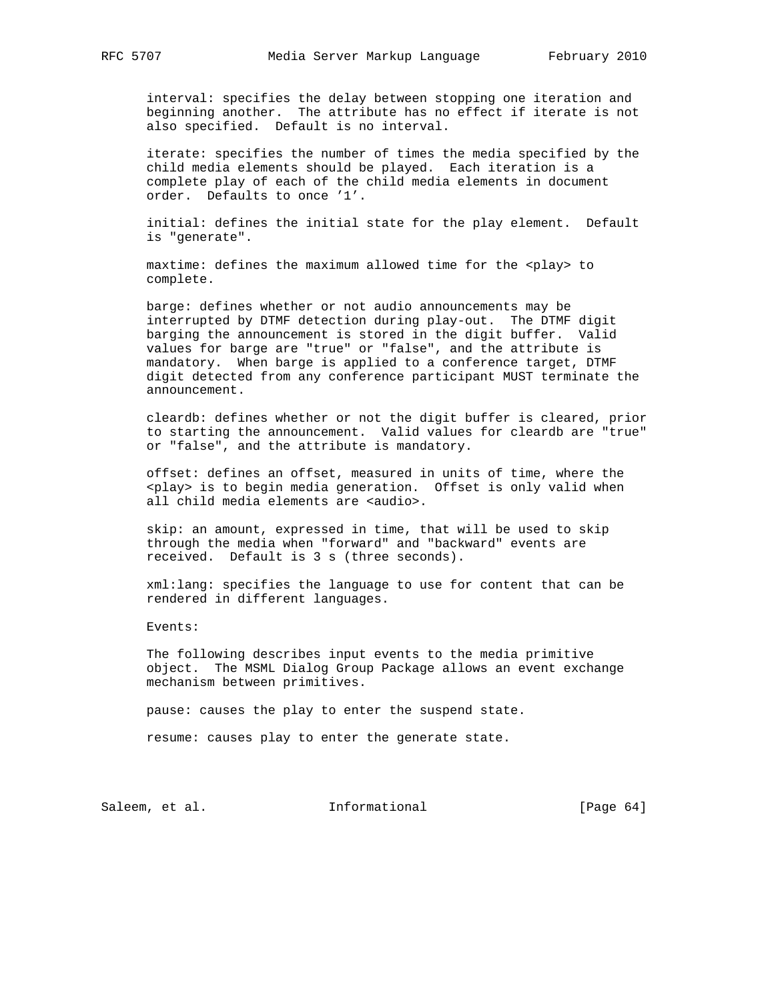interval: specifies the delay between stopping one iteration and beginning another. The attribute has no effect if iterate is not also specified. Default is no interval.

 iterate: specifies the number of times the media specified by the child media elements should be played. Each iteration is a complete play of each of the child media elements in document order. Defaults to once '1'.

 initial: defines the initial state for the play element. Default is "generate".

 maxtime: defines the maximum allowed time for the <play> to complete.

 barge: defines whether or not audio announcements may be interrupted by DTMF detection during play-out. The DTMF digit barging the announcement is stored in the digit buffer. Valid values for barge are "true" or "false", and the attribute is mandatory. When barge is applied to a conference target, DTMF digit detected from any conference participant MUST terminate the announcement.

 cleardb: defines whether or not the digit buffer is cleared, prior to starting the announcement. Valid values for cleardb are "true" or "false", and the attribute is mandatory.

 offset: defines an offset, measured in units of time, where the <play> is to begin media generation. Offset is only valid when all child media elements are <audio>.

 skip: an amount, expressed in time, that will be used to skip through the media when "forward" and "backward" events are received. Default is 3 s (three seconds).

 xml:lang: specifies the language to use for content that can be rendered in different languages.

Events:

 The following describes input events to the media primitive object. The MSML Dialog Group Package allows an event exchange mechanism between primitives.

pause: causes the play to enter the suspend state.

resume: causes play to enter the generate state.

Saleem, et al. 100 mm informational [Page 64]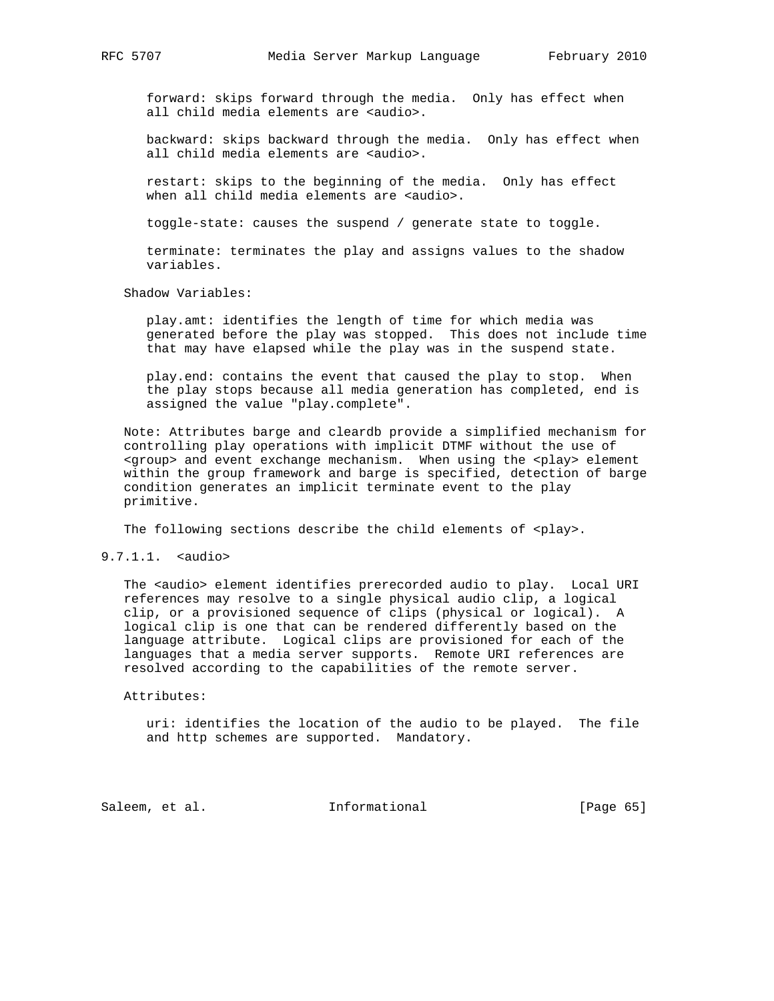forward: skips forward through the media. Only has effect when all child media elements are <audio>.

 backward: skips backward through the media. Only has effect when all child media elements are <audio>.

 restart: skips to the beginning of the media. Only has effect when all child media elements are <audio>.

toggle-state: causes the suspend / generate state to toggle.

 terminate: terminates the play and assigns values to the shadow variables.

Shadow Variables:

 play.amt: identifies the length of time for which media was generated before the play was stopped. This does not include time that may have elapsed while the play was in the suspend state.

 play.end: contains the event that caused the play to stop. When the play stops because all media generation has completed, end is assigned the value "play.complete".

 Note: Attributes barge and cleardb provide a simplified mechanism for controlling play operations with implicit DTMF without the use of <group> and event exchange mechanism. When using the <play> element within the group framework and barge is specified, detection of barge condition generates an implicit terminate event to the play primitive.

The following sections describe the child elements of <play>.

9.7.1.1. <audio>

The <audio> element identifies prerecorded audio to play. Local URI references may resolve to a single physical audio clip, a logical clip, or a provisioned sequence of clips (physical or logical). A logical clip is one that can be rendered differently based on the language attribute. Logical clips are provisioned for each of the languages that a media server supports. Remote URI references are resolved according to the capabilities of the remote server.

Attributes:

 uri: identifies the location of the audio to be played. The file and http schemes are supported. Mandatory.

Saleem, et al. 10 mm = Informational [Page 65]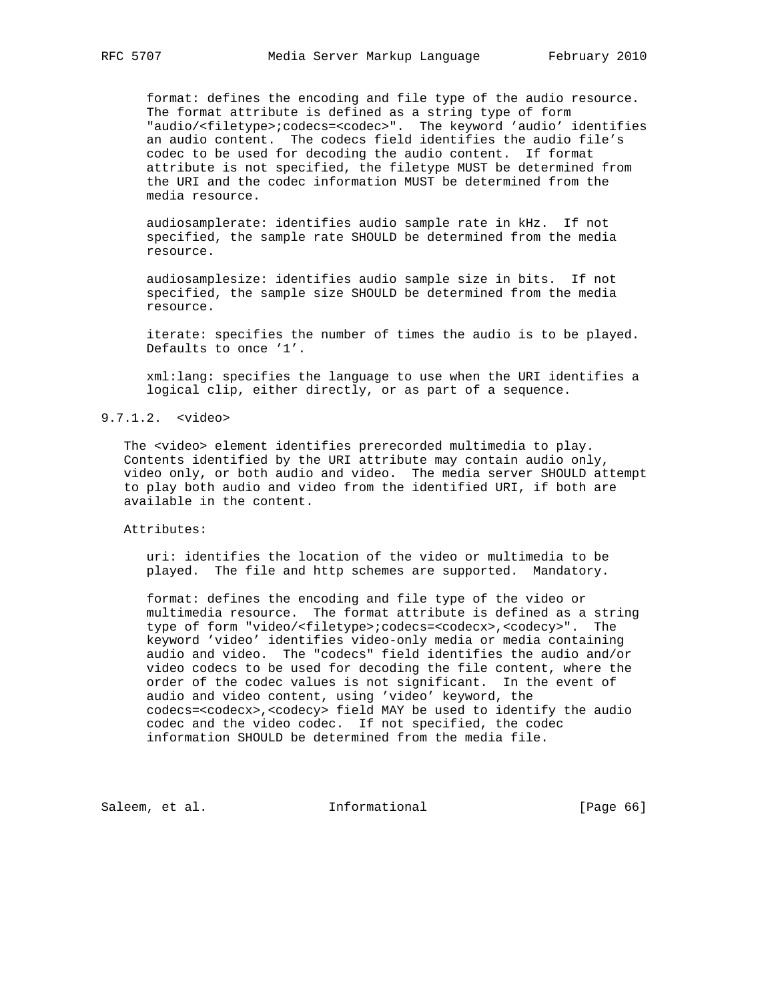format: defines the encoding and file type of the audio resource. The format attribute is defined as a string type of form "audio/<filetype>;codecs=<codec>". The keyword 'audio' identifies an audio content. The codecs field identifies the audio file's codec to be used for decoding the audio content. If format attribute is not specified, the filetype MUST be determined from the URI and the codec information MUST be determined from the media resource.

 audiosamplerate: identifies audio sample rate in kHz. If not specified, the sample rate SHOULD be determined from the media resource.

 audiosamplesize: identifies audio sample size in bits. If not specified, the sample size SHOULD be determined from the media resource.

 iterate: specifies the number of times the audio is to be played. Defaults to once '1'.

 xml:lang: specifies the language to use when the URI identifies a logical clip, either directly, or as part of a sequence.

# 9.7.1.2. <video>

 The <video> element identifies prerecorded multimedia to play. Contents identified by the URI attribute may contain audio only, video only, or both audio and video. The media server SHOULD attempt to play both audio and video from the identified URI, if both are available in the content.

Attributes:

 uri: identifies the location of the video or multimedia to be played. The file and http schemes are supported. Mandatory.

 format: defines the encoding and file type of the video or multimedia resource. The format attribute is defined as a string type of form "video/<filetype>;codecs=<codecx>,<codecy>". The keyword 'video' identifies video-only media or media containing audio and video. The "codecs" field identifies the audio and/or video codecs to be used for decoding the file content, where the order of the codec values is not significant. In the event of audio and video content, using 'video' keyword, the codecs=<codecx>,<codecy> field MAY be used to identify the audio codec and the video codec. If not specified, the codec information SHOULD be determined from the media file.

Saleem, et al. 1nformational [Page 66]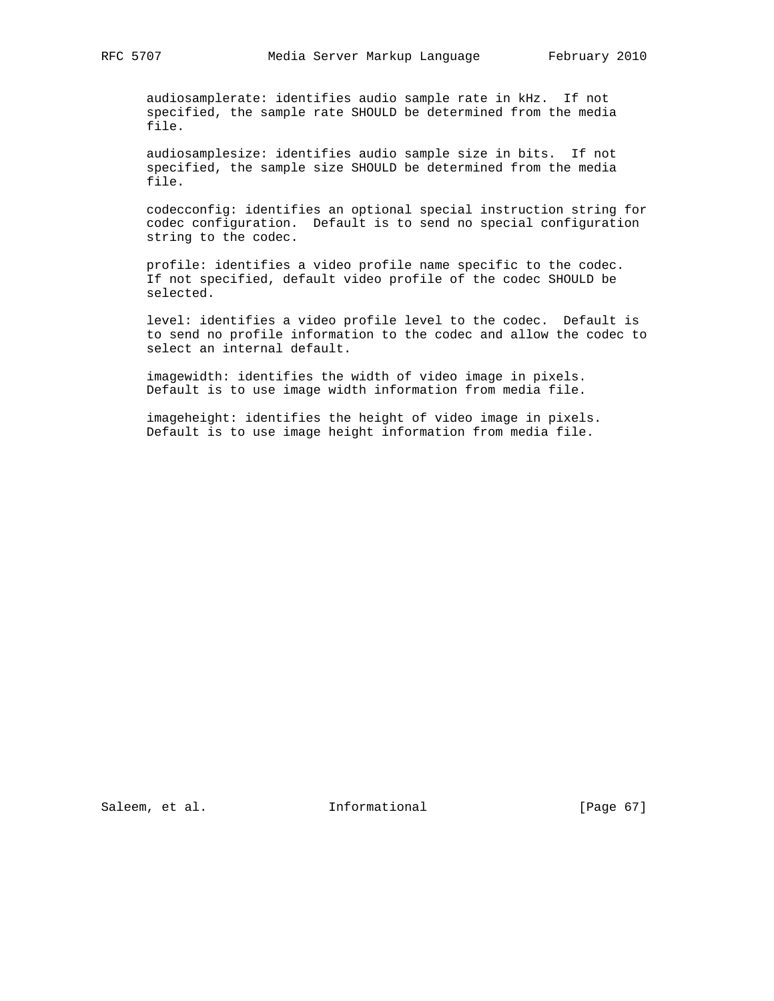audiosamplerate: identifies audio sample rate in kHz. If not specified, the sample rate SHOULD be determined from the media file.

 audiosamplesize: identifies audio sample size in bits. If not specified, the sample size SHOULD be determined from the media file.

 codecconfig: identifies an optional special instruction string for codec configuration. Default is to send no special configuration string to the codec.

 profile: identifies a video profile name specific to the codec. If not specified, default video profile of the codec SHOULD be selected.

 level: identifies a video profile level to the codec. Default is to send no profile information to the codec and allow the codec to select an internal default.

 imagewidth: identifies the width of video image in pixels. Default is to use image width information from media file.

 imageheight: identifies the height of video image in pixels. Default is to use image height information from media file.

Saleem, et al. 1nformational [Page 67]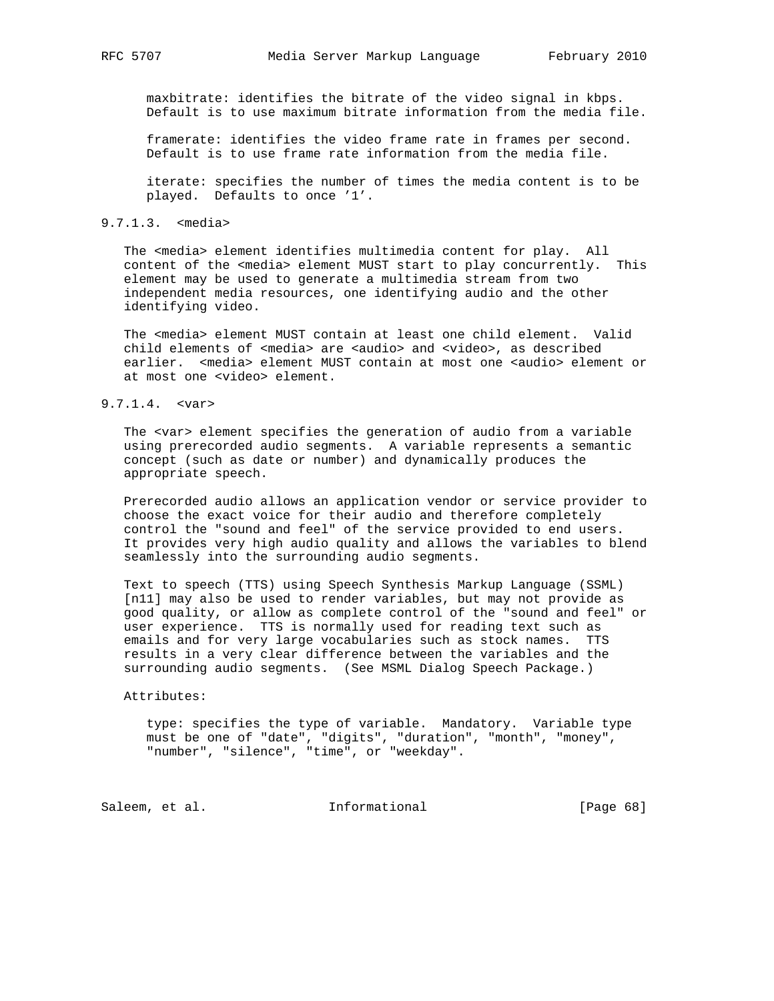maxbitrate: identifies the bitrate of the video signal in kbps. Default is to use maximum bitrate information from the media file.

 framerate: identifies the video frame rate in frames per second. Default is to use frame rate information from the media file.

 iterate: specifies the number of times the media content is to be played. Defaults to once '1'.

#### 9.7.1.3. <media>

 The <media> element identifies multimedia content for play. All content of the <media> element MUST start to play concurrently. This element may be used to generate a multimedia stream from two independent media resources, one identifying audio and the other identifying video.

 The <media> element MUST contain at least one child element. Valid child elements of <media> are <audio> and <video>, as described earlier. <media> element MUST contain at most one <audio> element or at most one <video> element.

## 9.7.1.4. <var>

 The <var> element specifies the generation of audio from a variable using prerecorded audio segments. A variable represents a semantic concept (such as date or number) and dynamically produces the appropriate speech.

 Prerecorded audio allows an application vendor or service provider to choose the exact voice for their audio and therefore completely control the "sound and feel" of the service provided to end users. It provides very high audio quality and allows the variables to blend seamlessly into the surrounding audio segments.

 Text to speech (TTS) using Speech Synthesis Markup Language (SSML) [n11] may also be used to render variables, but may not provide as good quality, or allow as complete control of the "sound and feel" or user experience. TTS is normally used for reading text such as emails and for very large vocabularies such as stock names. TTS results in a very clear difference between the variables and the surrounding audio segments. (See MSML Dialog Speech Package.)

#### Attributes:

 type: specifies the type of variable. Mandatory. Variable type must be one of "date", "digits", "duration", "month", "money", "number", "silence", "time", or "weekday".

Saleem, et al. 1nformational [Page 68]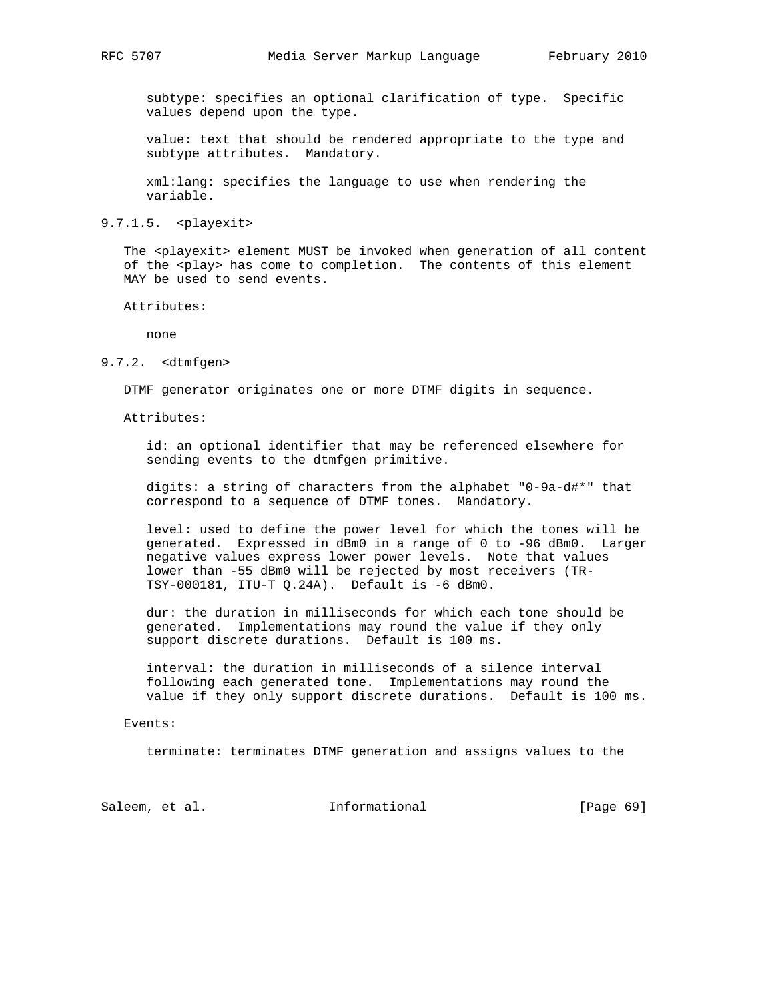subtype: specifies an optional clarification of type. Specific values depend upon the type.

 value: text that should be rendered appropriate to the type and subtype attributes. Mandatory.

 xml:lang: specifies the language to use when rendering the variable.

9.7.1.5. <playexit>

The <playexit> element MUST be invoked when generation of all content of the <play> has come to completion. The contents of this element MAY be used to send events.

Attributes:

none

#### 9.7.2. <dtmfgen>

DTMF generator originates one or more DTMF digits in sequence.

Attributes:

 id: an optional identifier that may be referenced elsewhere for sending events to the dtmfgen primitive.

 digits: a string of characters from the alphabet "0-9a-d#\*" that correspond to a sequence of DTMF tones. Mandatory.

 level: used to define the power level for which the tones will be generated. Expressed in dBm0 in a range of 0 to -96 dBm0. Larger negative values express lower power levels. Note that values lower than -55 dBm0 will be rejected by most receivers (TR- TSY-000181, ITU-T Q.24A). Default is -6 dBm0.

 dur: the duration in milliseconds for which each tone should be generated. Implementations may round the value if they only support discrete durations. Default is 100 ms.

 interval: the duration in milliseconds of a silence interval following each generated tone. Implementations may round the value if they only support discrete durations. Default is 100 ms.

#### Events:

terminate: terminates DTMF generation and assigns values to the

Saleem, et al. Informational [Page 69]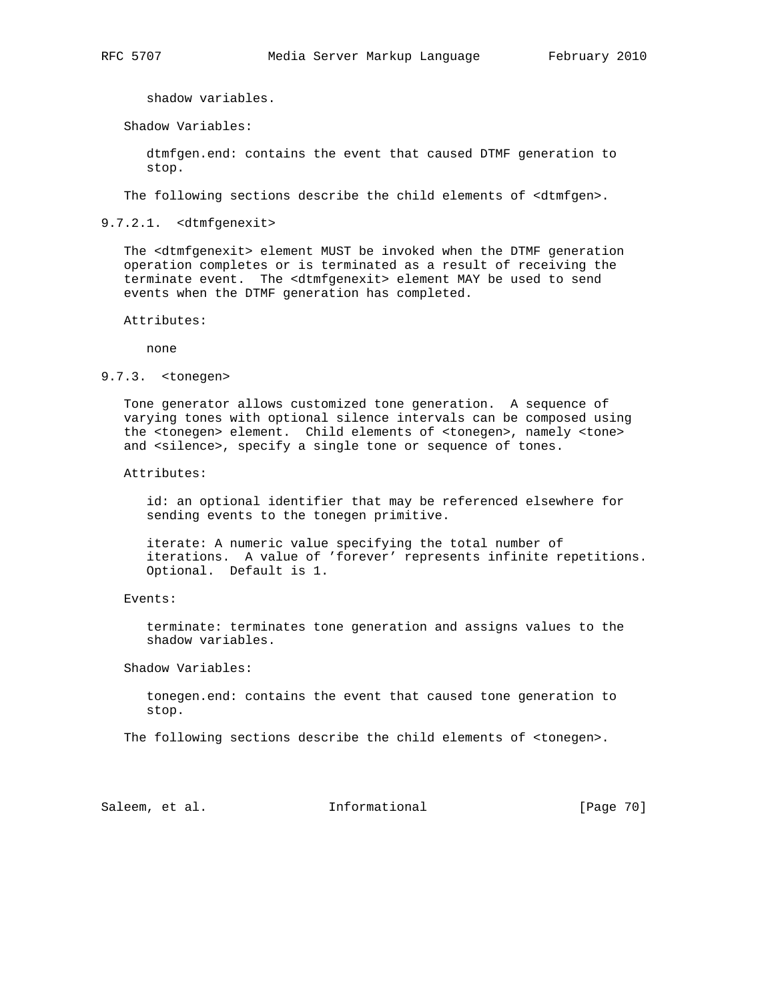shadow variables.

Shadow Variables:

 dtmfgen.end: contains the event that caused DTMF generation to stop.

The following sections describe the child elements of <dtmfgen>.

9.7.2.1. <dtmfgenexit>

 The <dtmfgenexit> element MUST be invoked when the DTMF generation operation completes or is terminated as a result of receiving the terminate event. The <dtmfgenexit> element MAY be used to send events when the DTMF generation has completed.

Attributes:

none

## 9.7.3. <tonegen>

 Tone generator allows customized tone generation. A sequence of varying tones with optional silence intervals can be composed using the <tonegen> element. Child elements of <tonegen>, namely <tone> and <silence>, specify a single tone or sequence of tones.

#### Attributes:

 id: an optional identifier that may be referenced elsewhere for sending events to the tonegen primitive.

 iterate: A numeric value specifying the total number of iterations. A value of 'forever' represents infinite repetitions. Optional. Default is 1.

#### Events:

 terminate: terminates tone generation and assigns values to the shadow variables.

Shadow Variables:

 tonegen.end: contains the event that caused tone generation to stop.

The following sections describe the child elements of <tonegen>.

Saleem, et al. 1nformational [Page 70]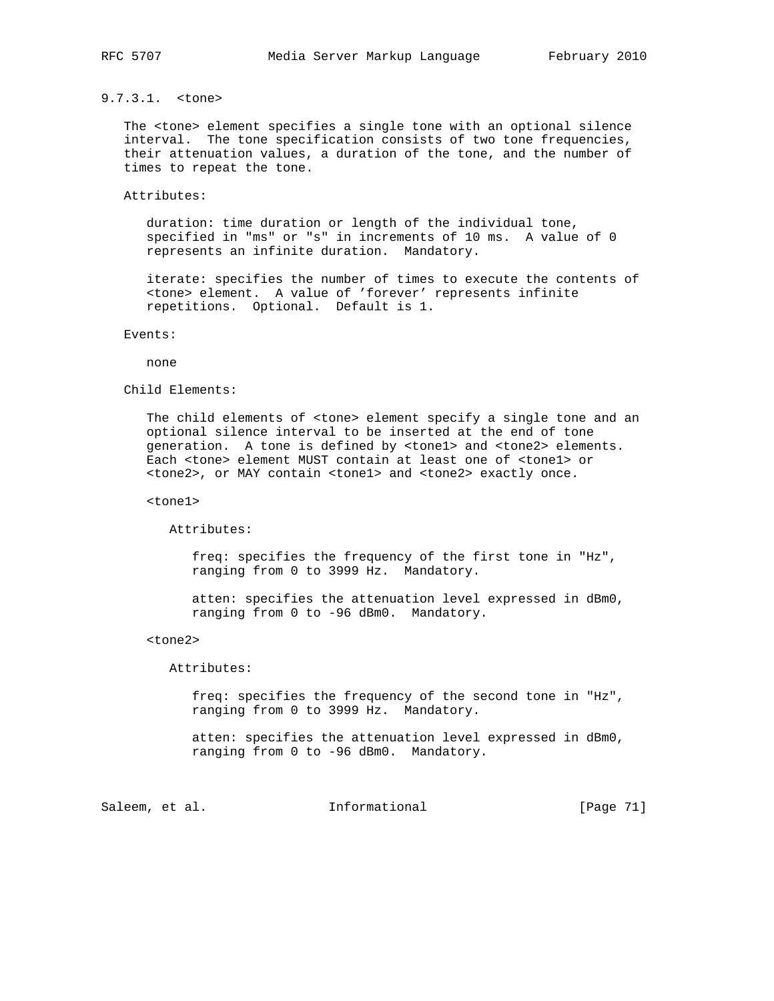# 9.7.3.1. <tone>

 The <tone> element specifies a single tone with an optional silence interval. The tone specification consists of two tone frequencies, their attenuation values, a duration of the tone, and the number of times to repeat the tone.

#### Attributes:

 duration: time duration or length of the individual tone, specified in "ms" or "s" in increments of 10 ms. A value of 0 represents an infinite duration. Mandatory.

 iterate: specifies the number of times to execute the contents of <tone> element. A value of 'forever' represents infinite repetitions. Optional. Default is 1.

#### Events:

none

### Child Elements:

 The child elements of <tone> element specify a single tone and an optional silence interval to be inserted at the end of tone generation. A tone is defined by <tone1> and <tone2> elements. Each <tone> element MUST contain at least one of <tone1> or <tone2>, or MAY contain <tone1> and <tone2> exactly once.

<tone1>

Attributes:

 freq: specifies the frequency of the first tone in "Hz", ranging from 0 to 3999 Hz. Mandatory.

 atten: specifies the attenuation level expressed in dBm0, ranging from 0 to -96 dBm0. Mandatory.

#### <tone2>

Attributes:

 freq: specifies the frequency of the second tone in "Hz", ranging from 0 to 3999 Hz. Mandatory.

 atten: specifies the attenuation level expressed in dBm0, ranging from 0 to -96 dBm0. Mandatory.

Saleem, et al. 1nformational [Page 71]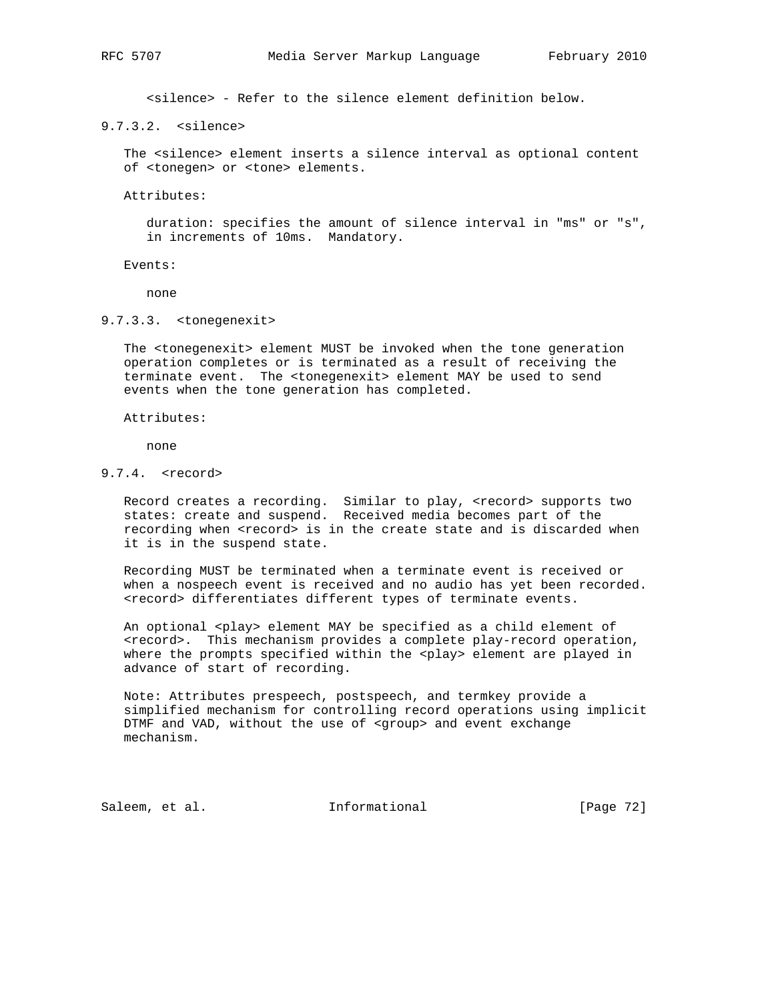<silence> - Refer to the silence element definition below.

9.7.3.2. <silence>

 The <silence> element inserts a silence interval as optional content of <tonegen> or <tone> elements.

Attributes:

 duration: specifies the amount of silence interval in "ms" or "s", in increments of 10ms. Mandatory.

Events:

none

9.7.3.3. <tonegenexit>

 The <tonegenexit> element MUST be invoked when the tone generation operation completes or is terminated as a result of receiving the terminate event. The <tonegenexit> element MAY be used to send events when the tone generation has completed.

Attributes:

none

9.7.4. <record>

 Record creates a recording. Similar to play, <record> supports two states: create and suspend. Received media becomes part of the recording when <record> is in the create state and is discarded when it is in the suspend state.

 Recording MUST be terminated when a terminate event is received or when a nospeech event is received and no audio has yet been recorded. <record> differentiates different types of terminate events.

 An optional <play> element MAY be specified as a child element of <record>. This mechanism provides a complete play-record operation, where the prompts specified within the <play> element are played in advance of start of recording.

 Note: Attributes prespeech, postspeech, and termkey provide a simplified mechanism for controlling record operations using implicit DTMF and VAD, without the use of <group> and event exchange mechanism.

Saleem, et al. 1nformational [Page 72]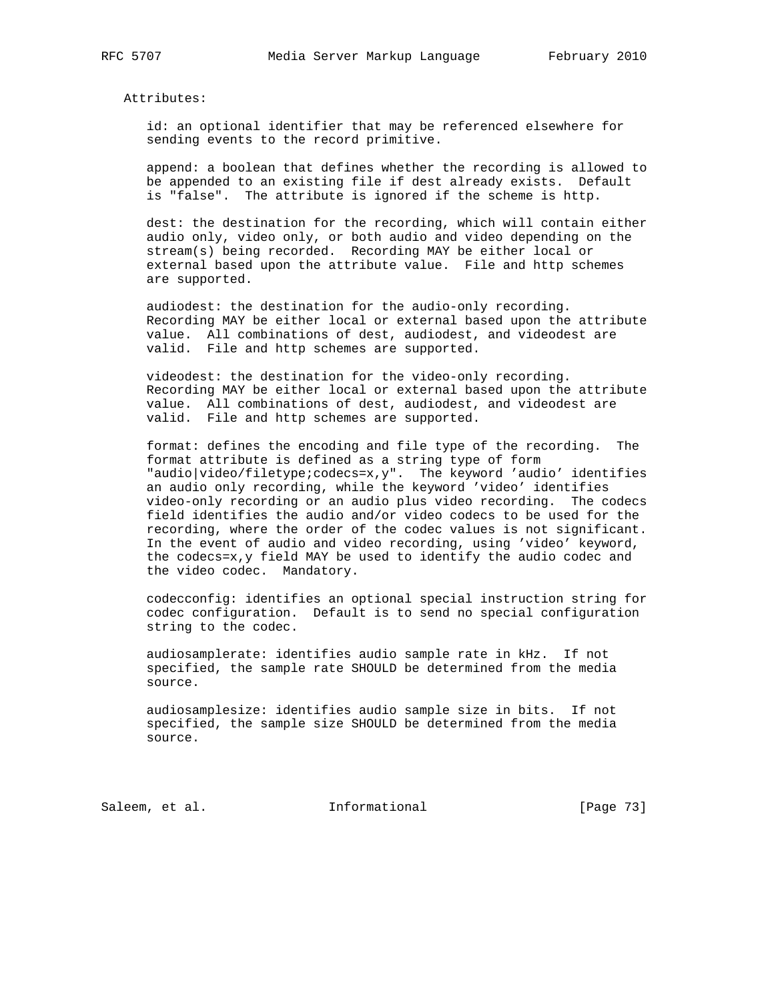Attributes:

 id: an optional identifier that may be referenced elsewhere for sending events to the record primitive.

 append: a boolean that defines whether the recording is allowed to be appended to an existing file if dest already exists. Default is "false". The attribute is ignored if the scheme is http.

 dest: the destination for the recording, which will contain either audio only, video only, or both audio and video depending on the stream(s) being recorded. Recording MAY be either local or external based upon the attribute value. File and http schemes are supported.

 audiodest: the destination for the audio-only recording. Recording MAY be either local or external based upon the attribute value. All combinations of dest, audiodest, and videodest are valid. File and http schemes are supported.

 videodest: the destination for the video-only recording. Recording MAY be either local or external based upon the attribute value. All combinations of dest, audiodest, and videodest are valid. File and http schemes are supported.

 format: defines the encoding and file type of the recording. The format attribute is defined as a string type of form "audio|video/filetype;codecs=x,y". The keyword 'audio' identifies an audio only recording, while the keyword 'video' identifies video-only recording or an audio plus video recording. The codecs field identifies the audio and/or video codecs to be used for the recording, where the order of the codec values is not significant. In the event of audio and video recording, using 'video' keyword, the codecs=x,y field MAY be used to identify the audio codec and the video codec. Mandatory.

 codecconfig: identifies an optional special instruction string for codec configuration. Default is to send no special configuration string to the codec.

 audiosamplerate: identifies audio sample rate in kHz. If not specified, the sample rate SHOULD be determined from the media source.

 audiosamplesize: identifies audio sample size in bits. If not specified, the sample size SHOULD be determined from the media source.

Saleem, et al. 1nformational [Page 73]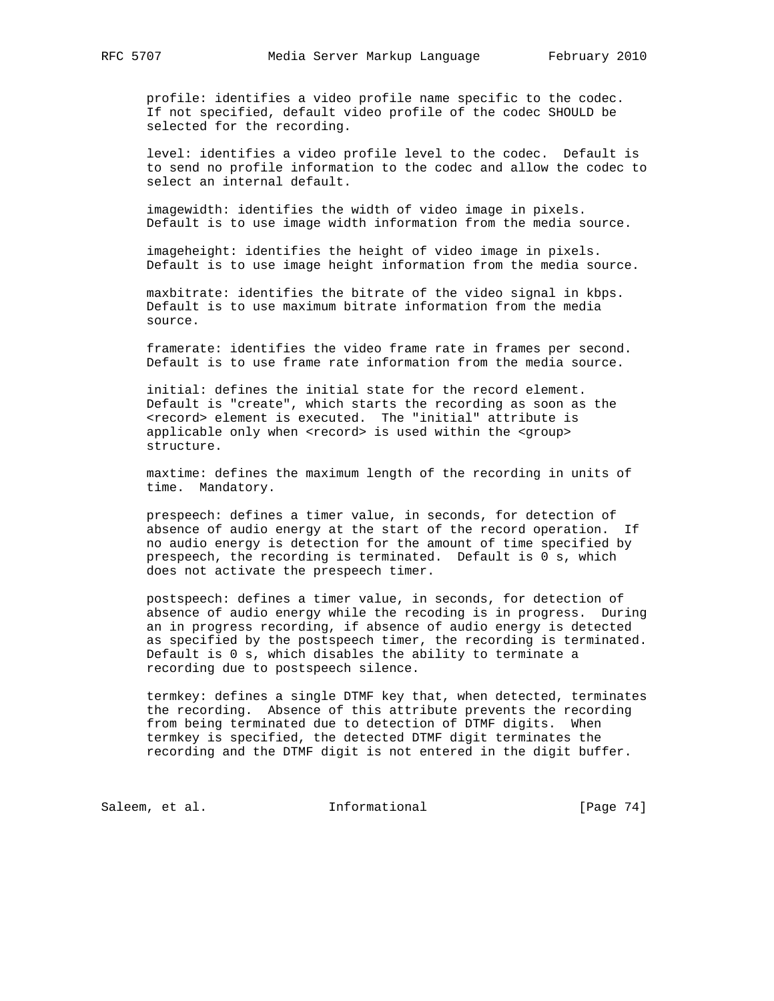profile: identifies a video profile name specific to the codec. If not specified, default video profile of the codec SHOULD be selected for the recording.

 level: identifies a video profile level to the codec. Default is to send no profile information to the codec and allow the codec to select an internal default.

 imagewidth: identifies the width of video image in pixels. Default is to use image width information from the media source.

 imageheight: identifies the height of video image in pixels. Default is to use image height information from the media source.

 maxbitrate: identifies the bitrate of the video signal in kbps. Default is to use maximum bitrate information from the media source.

 framerate: identifies the video frame rate in frames per second. Default is to use frame rate information from the media source.

 initial: defines the initial state for the record element. Default is "create", which starts the recording as soon as the <record> element is executed. The "initial" attribute is applicable only when <record> is used within the <group> structure.

 maxtime: defines the maximum length of the recording in units of time. Mandatory.

 prespeech: defines a timer value, in seconds, for detection of absence of audio energy at the start of the record operation. If no audio energy is detection for the amount of time specified by prespeech, the recording is terminated. Default is 0 s, which does not activate the prespeech timer.

 postspeech: defines a timer value, in seconds, for detection of absence of audio energy while the recoding is in progress. During an in progress recording, if absence of audio energy is detected as specified by the postspeech timer, the recording is terminated. Default is 0 s, which disables the ability to terminate a recording due to postspeech silence.

 termkey: defines a single DTMF key that, when detected, terminates the recording. Absence of this attribute prevents the recording from being terminated due to detection of DTMF digits. When termkey is specified, the detected DTMF digit terminates the recording and the DTMF digit is not entered in the digit buffer.

Saleem, et al. 1nformational [Page 74]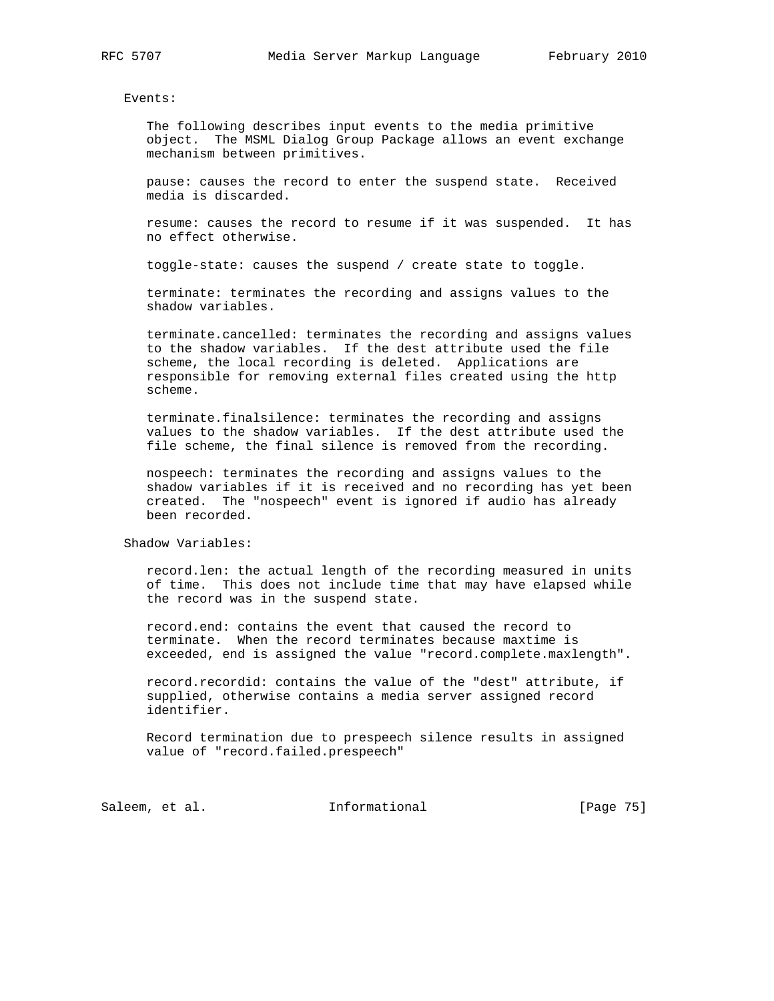Events:

 The following describes input events to the media primitive object. The MSML Dialog Group Package allows an event exchange mechanism between primitives.

 pause: causes the record to enter the suspend state. Received media is discarded.

 resume: causes the record to resume if it was suspended. It has no effect otherwise.

toggle-state: causes the suspend / create state to toggle.

 terminate: terminates the recording and assigns values to the shadow variables.

 terminate.cancelled: terminates the recording and assigns values to the shadow variables. If the dest attribute used the file scheme, the local recording is deleted. Applications are responsible for removing external files created using the http scheme.

 terminate.finalsilence: terminates the recording and assigns values to the shadow variables. If the dest attribute used the file scheme, the final silence is removed from the recording.

 nospeech: terminates the recording and assigns values to the shadow variables if it is received and no recording has yet been created. The "nospeech" event is ignored if audio has already been recorded.

Shadow Variables:

 record.len: the actual length of the recording measured in units of time. This does not include time that may have elapsed while the record was in the suspend state.

 record.end: contains the event that caused the record to terminate. When the record terminates because maxtime is exceeded, end is assigned the value "record.complete.maxlength".

 record.recordid: contains the value of the "dest" attribute, if supplied, otherwise contains a media server assigned record identifier.

 Record termination due to prespeech silence results in assigned value of "record.failed.prespeech"

Saleem, et al. 10 1nformational [Page 75]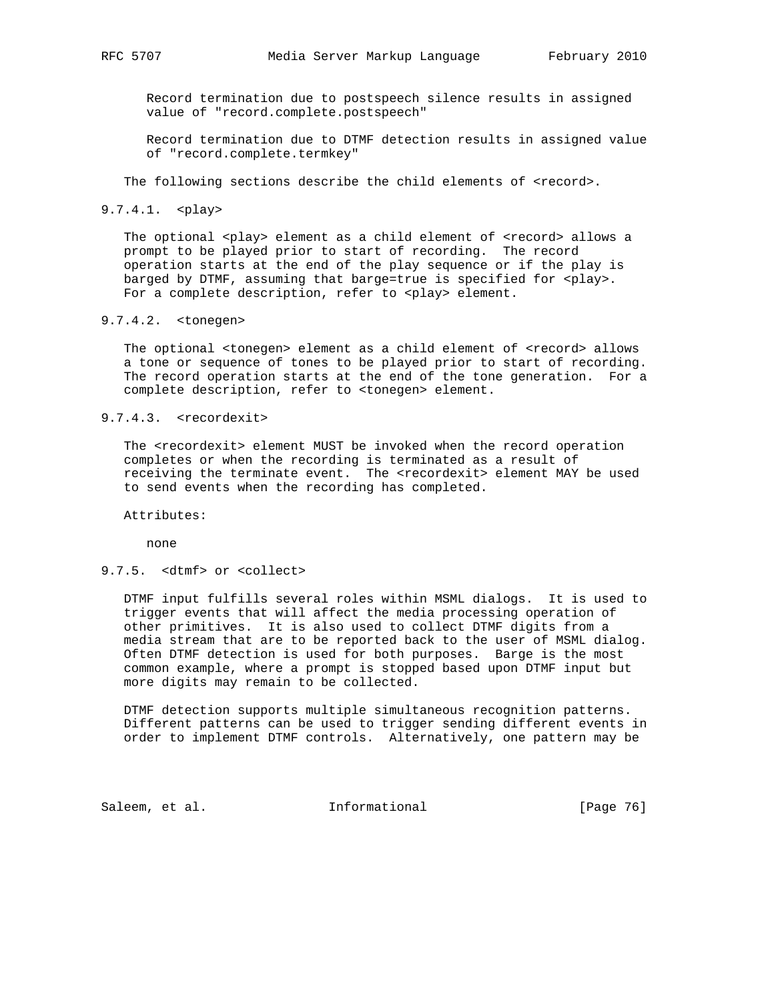Record termination due to postspeech silence results in assigned value of "record.complete.postspeech"

 Record termination due to DTMF detection results in assigned value of "record.complete.termkey"

The following sections describe the child elements of <record>.

### 9.7.4.1. <play>

The optional <play> element as a child element of <record> allows a prompt to be played prior to start of recording. The record operation starts at the end of the play sequence or if the play is barged by DTMF, assuming that barge=true is specified for <play>. For a complete description, refer to <play> element.

# 9.7.4.2. <tonegen>

 The optional <tonegen> element as a child element of <record> allows a tone or sequence of tones to be played prior to start of recording. The record operation starts at the end of the tone generation. For a complete description, refer to <tonegen> element.

# 9.7.4.3. <recordexit>

 The <recordexit> element MUST be invoked when the record operation completes or when the recording is terminated as a result of receiving the terminate event. The <recordexit> element MAY be used to send events when the recording has completed.

Attributes:

none

# 9.7.5. <dtmf> or <collect>

 DTMF input fulfills several roles within MSML dialogs. It is used to trigger events that will affect the media processing operation of other primitives. It is also used to collect DTMF digits from a media stream that are to be reported back to the user of MSML dialog. Often DTMF detection is used for both purposes. Barge is the most common example, where a prompt is stopped based upon DTMF input but more digits may remain to be collected.

 DTMF detection supports multiple simultaneous recognition patterns. Different patterns can be used to trigger sending different events in order to implement DTMF controls. Alternatively, one pattern may be

Saleem, et al. 1nformational [Page 76]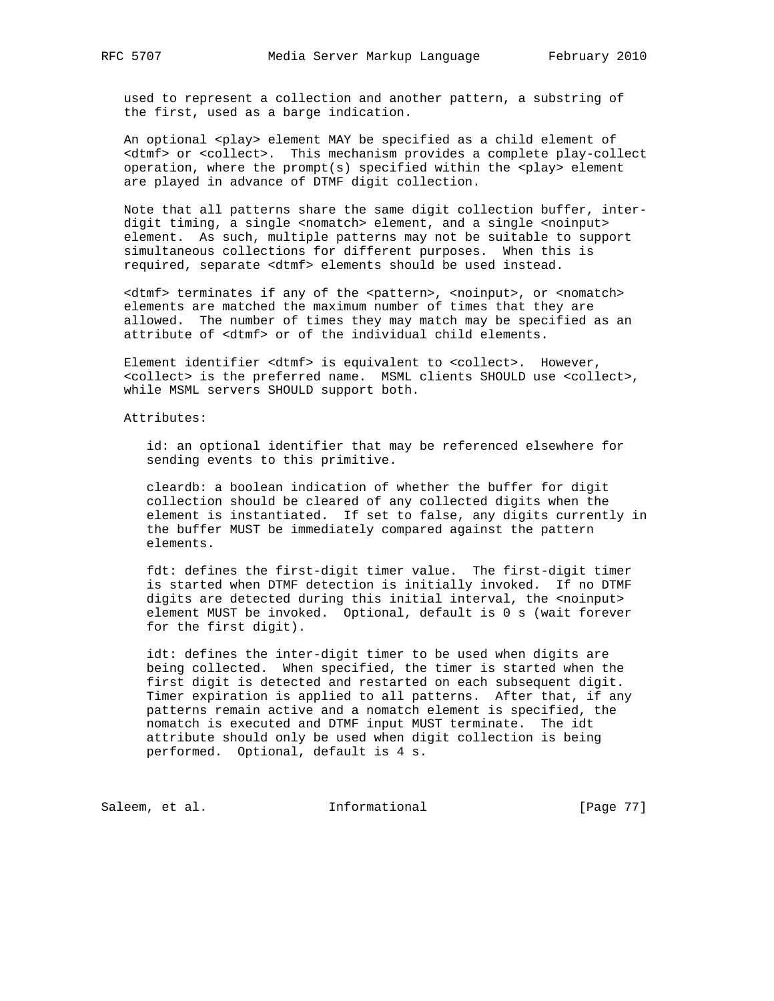used to represent a collection and another pattern, a substring of the first, used as a barge indication.

An optional <play> element MAY be specified as a child element of <dtmf> or <collect>. This mechanism provides a complete play-collect operation, where the prompt(s) specified within the  $<$ play> element are played in advance of DTMF digit collection.

 Note that all patterns share the same digit collection buffer, inter digit timing, a single <nomatch> element, and a single <noinput> element. As such, multiple patterns may not be suitable to support simultaneous collections for different purposes. When this is required, separate <dtmf> elements should be used instead.

 <dtmf> terminates if any of the <pattern>, <noinput>, or <nomatch> elements are matched the maximum number of times that they are allowed. The number of times they may match may be specified as an attribute of <dtmf> or of the individual child elements.

 Element identifier <dtmf> is equivalent to <collect>. However, <collect> is the preferred name. MSML clients SHOULD use <collect>, while MSML servers SHOULD support both.

Attributes:

 id: an optional identifier that may be referenced elsewhere for sending events to this primitive.

 cleardb: a boolean indication of whether the buffer for digit collection should be cleared of any collected digits when the element is instantiated. If set to false, any digits currently in the buffer MUST be immediately compared against the pattern elements.

 fdt: defines the first-digit timer value. The first-digit timer is started when DTMF detection is initially invoked. If no DTMF digits are detected during this initial interval, the <noinput> element MUST be invoked. Optional, default is 0 s (wait forever for the first digit).

 idt: defines the inter-digit timer to be used when digits are being collected. When specified, the timer is started when the first digit is detected and restarted on each subsequent digit. Timer expiration is applied to all patterns. After that, if any patterns remain active and a nomatch element is specified, the nomatch is executed and DTMF input MUST terminate. The idt attribute should only be used when digit collection is being performed. Optional, default is 4 s.

Saleem, et al. 1nformational [Page 77]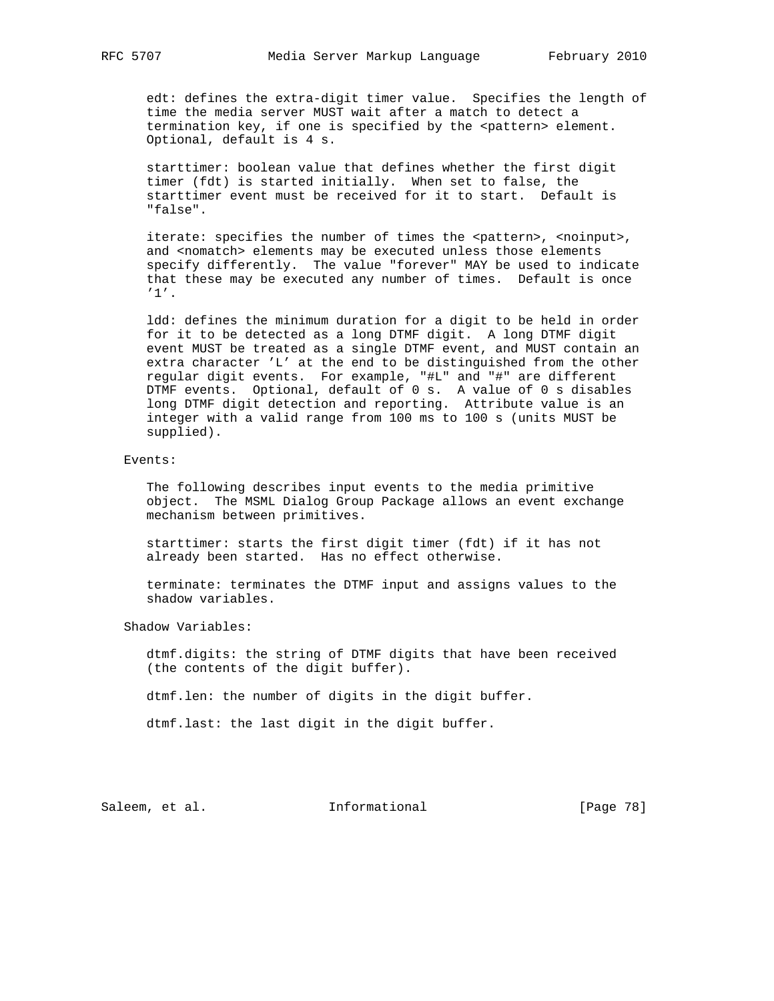edt: defines the extra-digit timer value. Specifies the length of time the media server MUST wait after a match to detect a termination key, if one is specified by the <pattern> element. Optional, default is 4 s.

 starttimer: boolean value that defines whether the first digit timer (fdt) is started initially. When set to false, the starttimer event must be received for it to start. Default is "false".

iterate: specifies the number of times the <pattern>, <noinput>, and <nomatch> elements may be executed unless those elements specify differently. The value "forever" MAY be used to indicate that these may be executed any number of times. Default is once '1'.

 ldd: defines the minimum duration for a digit to be held in order for it to be detected as a long DTMF digit. A long DTMF digit event MUST be treated as a single DTMF event, and MUST contain an extra character 'L' at the end to be distinguished from the other regular digit events. For example, "#L" and "#" are different DTMF events. Optional, default of 0 s. A value of 0 s disables long DTMF digit detection and reporting. Attribute value is an integer with a valid range from 100 ms to 100 s (units MUST be supplied).

#### Events:

 The following describes input events to the media primitive object. The MSML Dialog Group Package allows an event exchange mechanism between primitives.

 starttimer: starts the first digit timer (fdt) if it has not already been started. Has no effect otherwise.

 terminate: terminates the DTMF input and assigns values to the shadow variables.

Shadow Variables:

 dtmf.digits: the string of DTMF digits that have been received (the contents of the digit buffer).

dtmf.len: the number of digits in the digit buffer.

dtmf.last: the last digit in the digit buffer.

Saleem, et al. 100 mm = Informational [Page 78]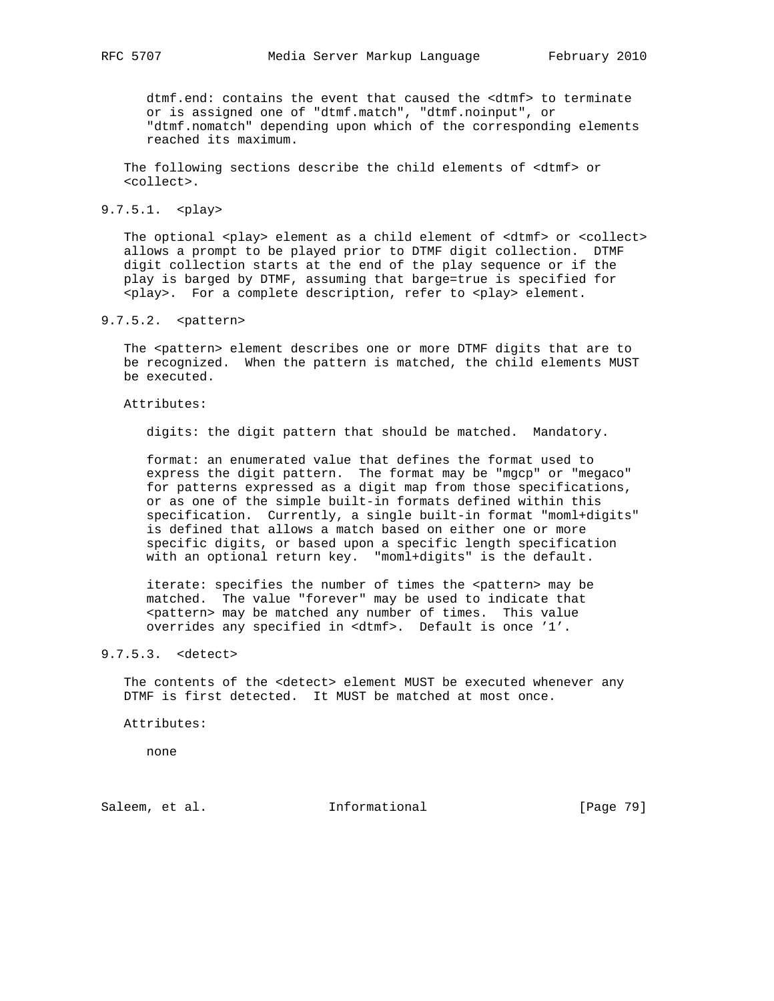dtmf.end: contains the event that caused the <dtmf> to terminate or is assigned one of "dtmf.match", "dtmf.noinput", or "dtmf.nomatch" depending upon which of the corresponding elements reached its maximum.

 The following sections describe the child elements of <dtmf> or <collect>.

# 9.7.5.1. <play>

The optional <play> element as a child element of <dtmf> or <collect> allows a prompt to be played prior to DTMF digit collection. DTMF digit collection starts at the end of the play sequence or if the play is barged by DTMF, assuming that barge=true is specified for <play>. For a complete description, refer to <play> element.

# 9.7.5.2. <pattern>

The <pattern> element describes one or more DTMF digits that are to be recognized. When the pattern is matched, the child elements MUST be executed.

## Attributes:

digits: the digit pattern that should be matched. Mandatory.

 format: an enumerated value that defines the format used to express the digit pattern. The format may be "mgcp" or "megaco" for patterns expressed as a digit map from those specifications, or as one of the simple built-in formats defined within this specification. Currently, a single built-in format "moml+digits" is defined that allows a match based on either one or more specific digits, or based upon a specific length specification with an optional return key. "moml+digits" is the default.

iterate: specifies the number of times the <pattern> may be matched. The value "forever" may be used to indicate that <pattern> may be matched any number of times. This value overrides any specified in <dtmf>. Default is once '1'.

# 9.7.5.3. <detect>

 The contents of the <detect> element MUST be executed whenever any DTMF is first detected. It MUST be matched at most once.

Attributes:

none

Saleem, et al. 10 Informational [Page 79]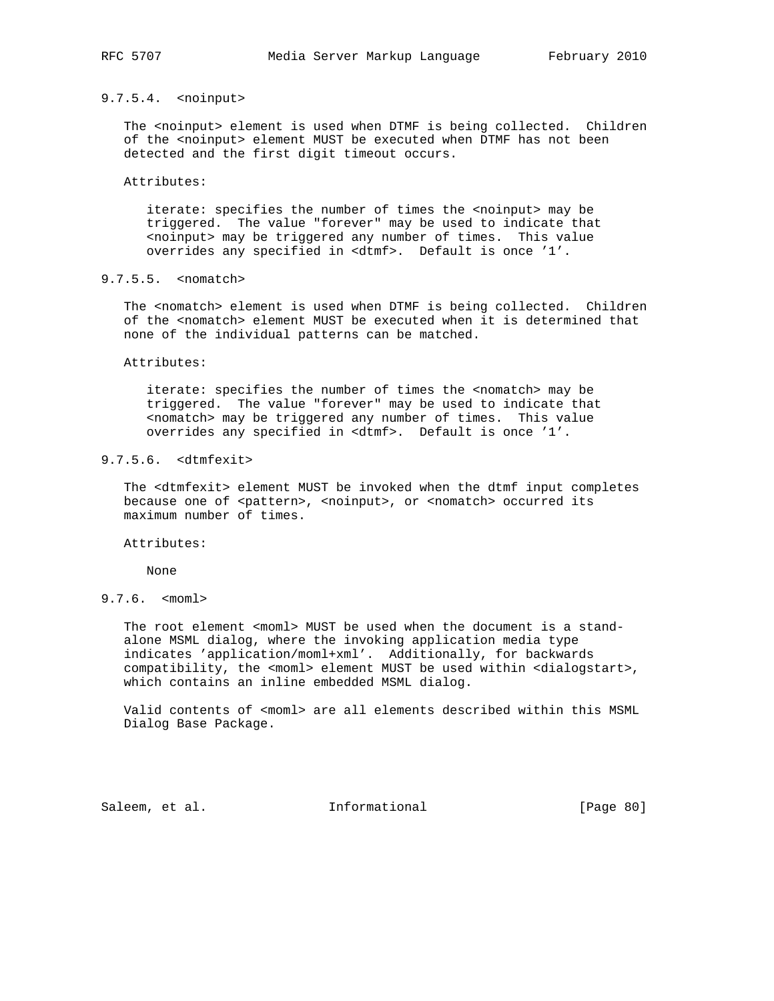# 9.7.5.4. <noinput>

The <noinput> element is used when DTMF is being collected. Children of the <noinput> element MUST be executed when DTMF has not been detected and the first digit timeout occurs.

# Attributes:

 iterate: specifies the number of times the <noinput> may be triggered. The value "forever" may be used to indicate that <noinput> may be triggered any number of times. This value overrides any specified in <dtmf>. Default is once '1'.

# 9.7.5.5. <nomatch>

The <nomatch> element is used when DTMF is being collected. Children of the <nomatch> element MUST be executed when it is determined that none of the individual patterns can be matched.

Attributes:

 iterate: specifies the number of times the <nomatch> may be triggered. The value "forever" may be used to indicate that <nomatch> may be triggered any number of times. This value overrides any specified in <dtmf>. Default is once '1'.

# 9.7.5.6. <dtmfexit>

 The <dtmfexit> element MUST be invoked when the dtmf input completes because one of <pattern>, <noinput>, or <nomatch> occurred its maximum number of times.

Attributes:

None

# 9.7.6. <moml>

The root element <moml> MUST be used when the document is a stand alone MSML dialog, where the invoking application media type indicates 'application/moml+xml'. Additionally, for backwards compatibility, the <moml> element MUST be used within <dialogstart>, which contains an inline embedded MSML dialog.

 Valid contents of <moml> are all elements described within this MSML Dialog Base Package.

Saleem, et al. Informational [Page 80]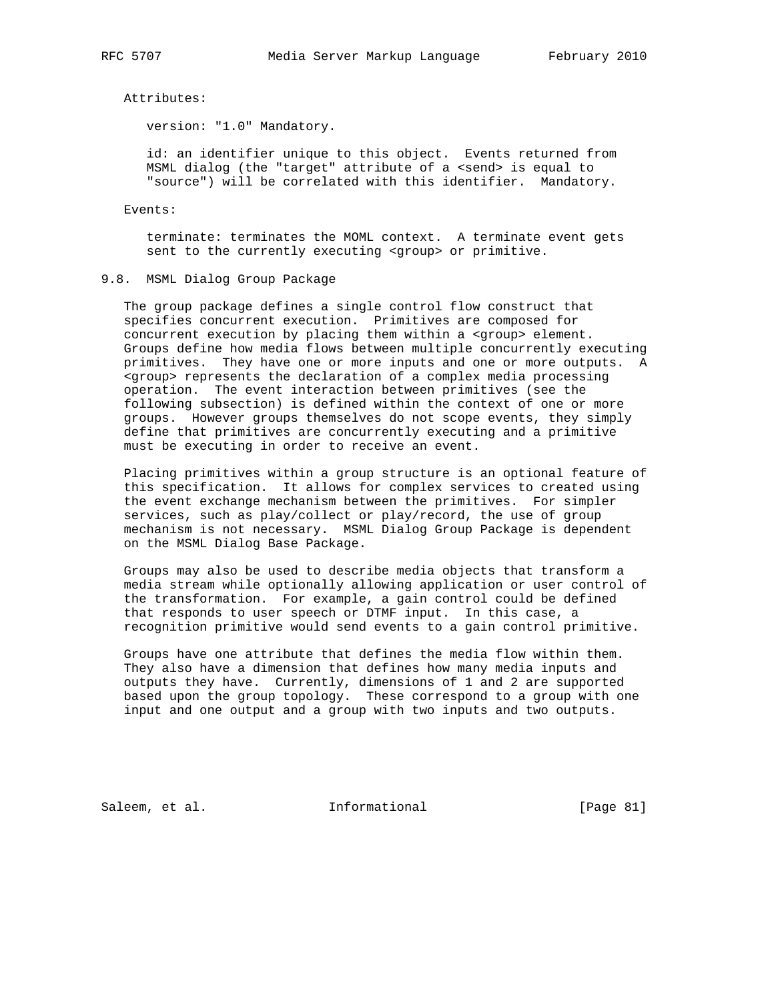Attributes:

version: "1.0" Mandatory.

 id: an identifier unique to this object. Events returned from MSML dialog (the "target" attribute of a <send> is equal to "source") will be correlated with this identifier. Mandatory.

Events:

 terminate: terminates the MOML context. A terminate event gets sent to the currently executing <group> or primitive.

# 9.8. MSML Dialog Group Package

 The group package defines a single control flow construct that specifies concurrent execution. Primitives are composed for concurrent execution by placing them within a <group> element. Groups define how media flows between multiple concurrently executing primitives. They have one or more inputs and one or more outputs. A <group> represents the declaration of a complex media processing operation. The event interaction between primitives (see the following subsection) is defined within the context of one or more groups. However groups themselves do not scope events, they simply define that primitives are concurrently executing and a primitive must be executing in order to receive an event.

 Placing primitives within a group structure is an optional feature of this specification. It allows for complex services to created using the event exchange mechanism between the primitives. For simpler services, such as play/collect or play/record, the use of group mechanism is not necessary. MSML Dialog Group Package is dependent on the MSML Dialog Base Package.

 Groups may also be used to describe media objects that transform a media stream while optionally allowing application or user control of the transformation. For example, a gain control could be defined that responds to user speech or DTMF input. In this case, a recognition primitive would send events to a gain control primitive.

 Groups have one attribute that defines the media flow within them. They also have a dimension that defines how many media inputs and outputs they have. Currently, dimensions of 1 and 2 are supported based upon the group topology. These correspond to a group with one input and one output and a group with two inputs and two outputs.

Saleem, et al. 1nformational [Page 81]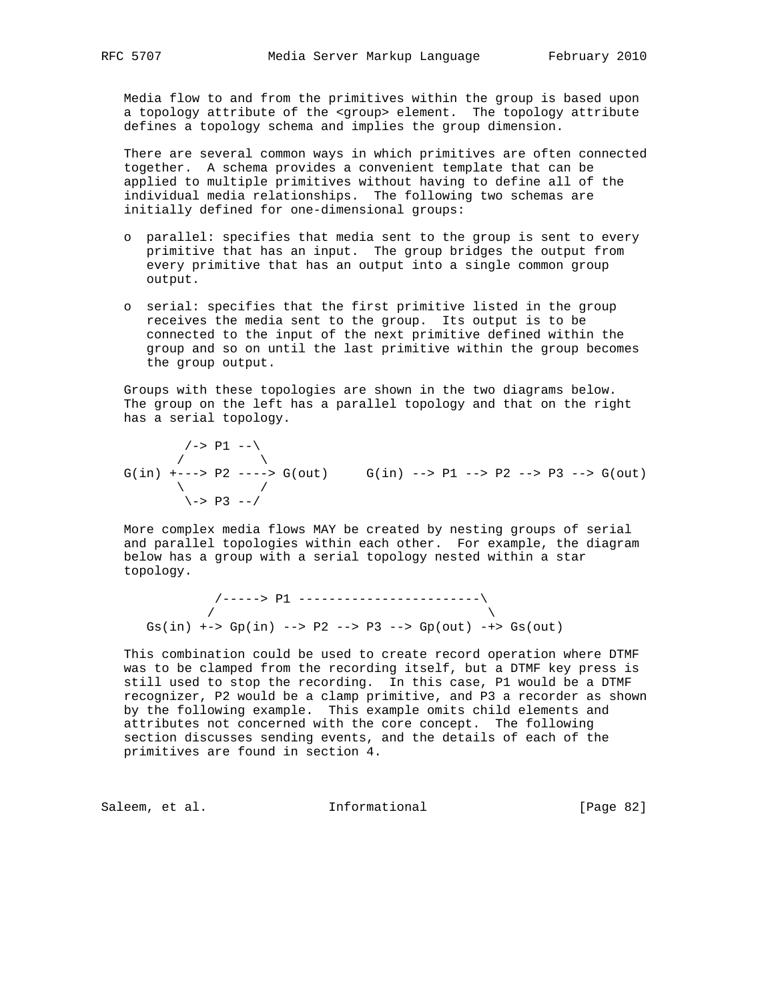Media flow to and from the primitives within the group is based upon a topology attribute of the <group> element. The topology attribute defines a topology schema and implies the group dimension.

 There are several common ways in which primitives are often connected together. A schema provides a convenient template that can be applied to multiple primitives without having to define all of the individual media relationships. The following two schemas are initially defined for one-dimensional groups:

- o parallel: specifies that media sent to the group is sent to every primitive that has an input. The group bridges the output from every primitive that has an output into a single common group output.
- o serial: specifies that the first primitive listed in the group receives the media sent to the group. Its output is to be connected to the input of the next primitive defined within the group and so on until the last primitive within the group becomes the group output.

 Groups with these topologies are shown in the two diagrams below. The group on the left has a parallel topology and that on the right has a serial topology.

 $\left/->$  P1  $--\right>$  $\overline{\phantom{a}}$  $G(in)$  +--->  $P2$  ---->  $G(out)$   $G(in)$  -->  $P1$  -->  $P2$  -->  $P3$  -->  $G(out)$  $\qquad \qquad \setminus$  $\left\langle -\right\rangle$  P3  $\left\langle -\right\rangle$ 

 More complex media flows MAY be created by nesting groups of serial and parallel topologies within each other. For example, the diagram below has a group with a serial topology nested within a star topology.

 /-----> P1 ------------------------\  $\sqrt{2}$ Gs(in) +-> Gp(in) --> P2 --> P3 --> Gp(out) -+> Gs(out)

 This combination could be used to create record operation where DTMF was to be clamped from the recording itself, but a DTMF key press is still used to stop the recording. In this case, P1 would be a DTMF recognizer, P2 would be a clamp primitive, and P3 a recorder as shown by the following example. This example omits child elements and attributes not concerned with the core concept. The following section discusses sending events, and the details of each of the primitives are found in section 4.

Saleem, et al. 1nformational [Page 82]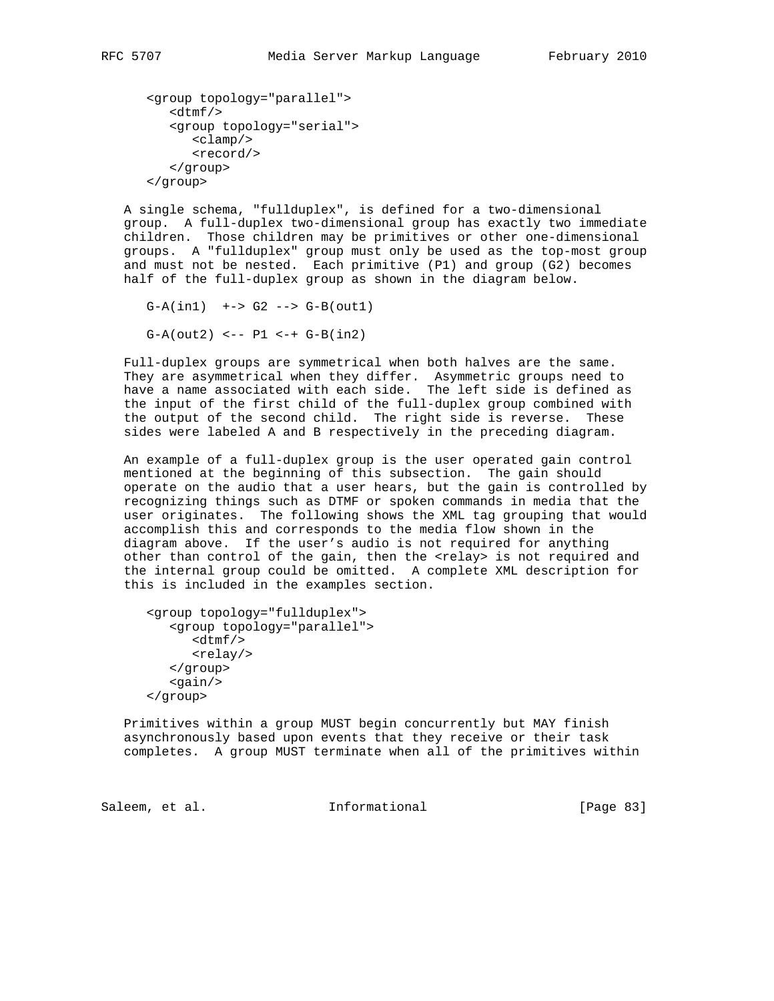```
 <group topology="parallel">
   <dtmf/>
   <group topology="serial">
      <clamp/>
      <record/>
   </group>
</group>
```
 A single schema, "fullduplex", is defined for a two-dimensional group. A full-duplex two-dimensional group has exactly two immediate children. Those children may be primitives or other one-dimensional groups. A "fullduplex" group must only be used as the top-most group and must not be nested. Each primitive (P1) and group (G2) becomes half of the full-duplex group as shown in the diagram below.

 $G-A(in1)$   $\leftarrow$   $\leftarrow$   $G2$   $\leftarrow$   $\leftarrow$   $G-B(out1)$  $G-A(out2)$  <--  $P1$  <-+  $G-B(in2)$ 

 Full-duplex groups are symmetrical when both halves are the same. They are asymmetrical when they differ. Asymmetric groups need to have a name associated with each side. The left side is defined as the input of the first child of the full-duplex group combined with the output of the second child. The right side is reverse. These sides were labeled A and B respectively in the preceding diagram.

 An example of a full-duplex group is the user operated gain control mentioned at the beginning of this subsection. The gain should operate on the audio that a user hears, but the gain is controlled by recognizing things such as DTMF or spoken commands in media that the user originates. The following shows the XML tag grouping that would accomplish this and corresponds to the media flow shown in the diagram above. If the user's audio is not required for anything other than control of the gain, then the <relay> is not required and the internal group could be omitted. A complete XML description for this is included in the examples section.

```
 <group topology="fullduplex">
   <group topology="parallel">
      <dtmf/>
      <relay/>
   </group>
   <gain/>
</group>
```
 Primitives within a group MUST begin concurrently but MAY finish asynchronously based upon events that they receive or their task completes. A group MUST terminate when all of the primitives within

Saleem, et al. 1nformational [Page 83]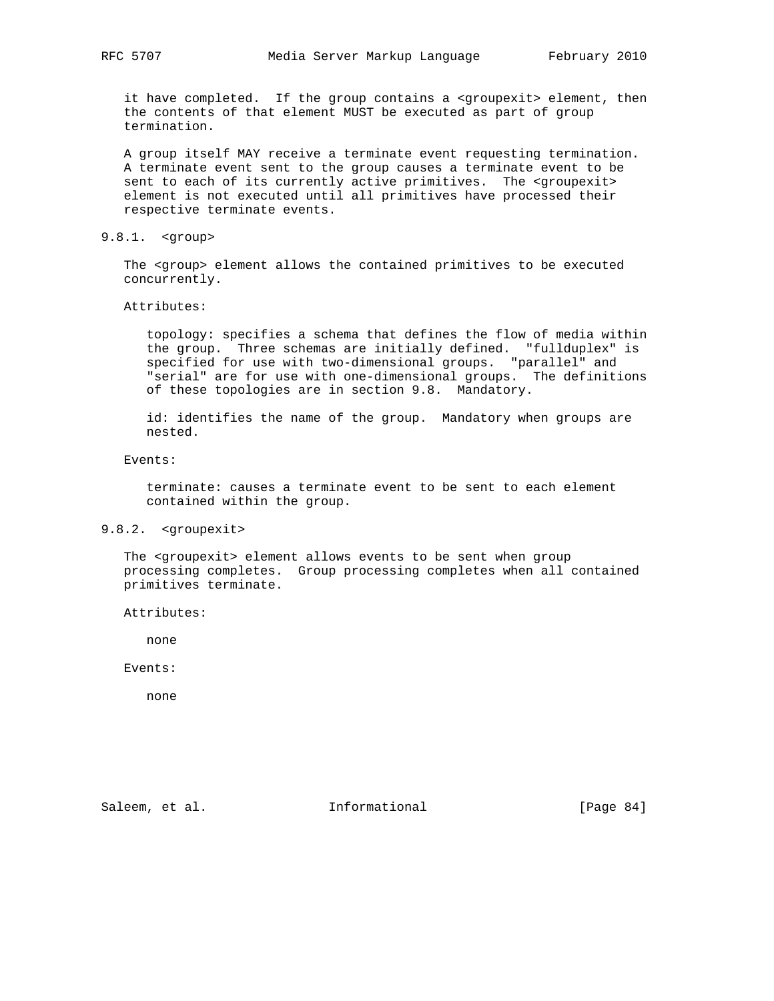it have completed. If the group contains a <groupexit> element, then the contents of that element MUST be executed as part of group termination.

 A group itself MAY receive a terminate event requesting termination. A terminate event sent to the group causes a terminate event to be sent to each of its currently active primitives. The <groupexit> element is not executed until all primitives have processed their respective terminate events.

# 9.8.1. <group>

The <group> element allows the contained primitives to be executed concurrently.

Attributes:

 topology: specifies a schema that defines the flow of media within the group. Three schemas are initially defined. "fullduplex" is specified for use with two-dimensional groups. "parallel" and "serial" are for use with one-dimensional groups. The definitions of these topologies are in section 9.8. Mandatory.

 id: identifies the name of the group. Mandatory when groups are nested.

Events:

 terminate: causes a terminate event to be sent to each element contained within the group.

# 9.8.2. <groupexit>

 The <groupexit> element allows events to be sent when group processing completes. Group processing completes when all contained primitives terminate.

Attributes:

none

Events:

none

Saleem, et al. 100 mm informational [Page 84]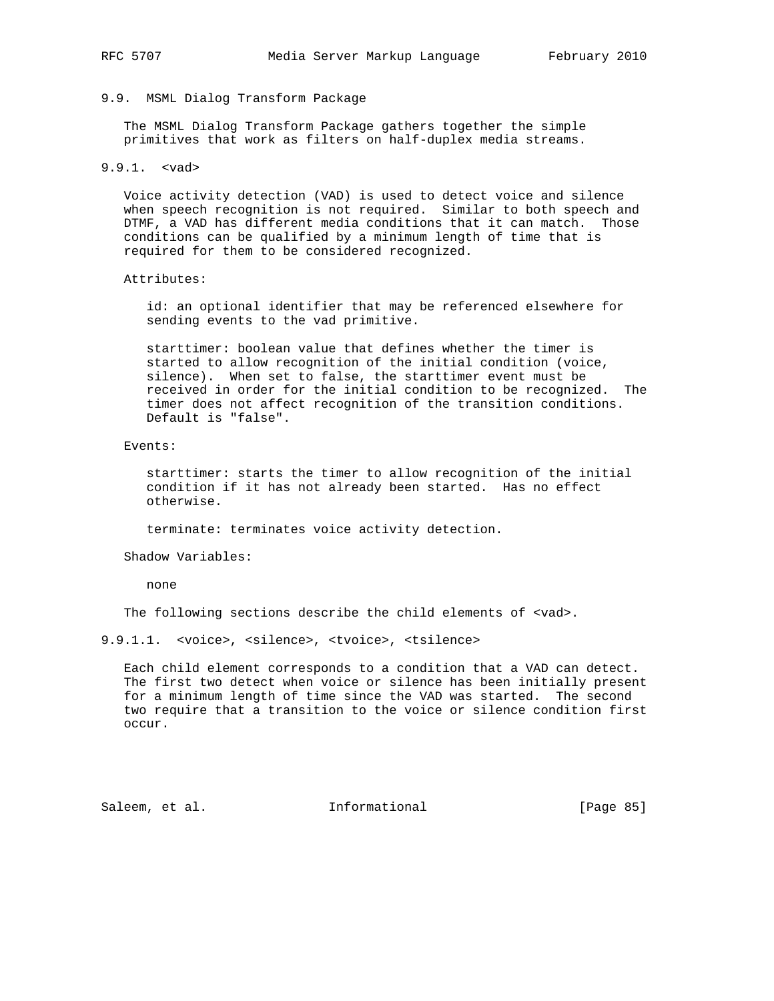# 9.9. MSML Dialog Transform Package

 The MSML Dialog Transform Package gathers together the simple primitives that work as filters on half-duplex media streams.

9.9.1. <vad>

 Voice activity detection (VAD) is used to detect voice and silence when speech recognition is not required. Similar to both speech and DTMF, a VAD has different media conditions that it can match. Those conditions can be qualified by a minimum length of time that is required for them to be considered recognized.

#### Attributes:

 id: an optional identifier that may be referenced elsewhere for sending events to the vad primitive.

 starttimer: boolean value that defines whether the timer is started to allow recognition of the initial condition (voice, silence). When set to false, the starttimer event must be received in order for the initial condition to be recognized. The timer does not affect recognition of the transition conditions. Default is "false".

#### Events:

 starttimer: starts the timer to allow recognition of the initial condition if it has not already been started. Has no effect otherwise.

terminate: terminates voice activity detection.

Shadow Variables:

none

The following sections describe the child elements of <vad>.

# 9.9.1.1. <voice>, <silence>, <tvoice>, <tsilence>

 Each child element corresponds to a condition that a VAD can detect. The first two detect when voice or silence has been initially present for a minimum length of time since the VAD was started. The second two require that a transition to the voice or silence condition first occur.

Saleem, et al. 1nformational [Page 85]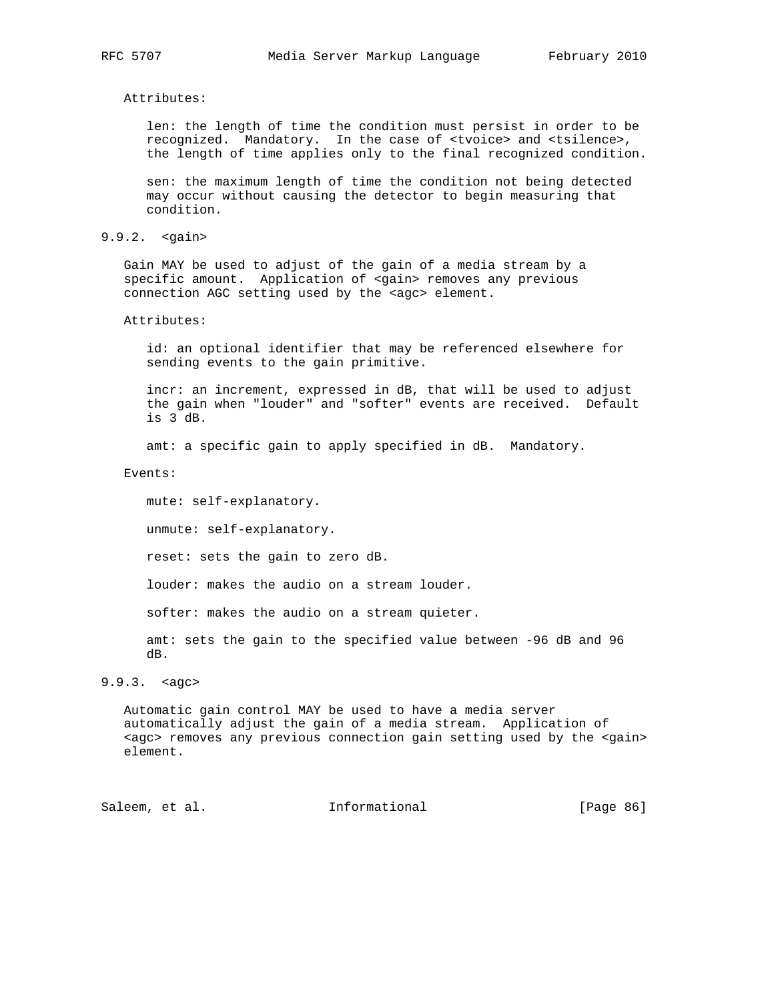# Attributes:

 len: the length of time the condition must persist in order to be recognized. Mandatory. In the case of <tvoice> and <tsilence>, the length of time applies only to the final recognized condition.

 sen: the maximum length of time the condition not being detected may occur without causing the detector to begin measuring that condition.

# 9.9.2. <gain>

 Gain MAY be used to adjust of the gain of a media stream by a specific amount. Application of <gain> removes any previous connection AGC setting used by the <agc> element.

## Attributes:

 id: an optional identifier that may be referenced elsewhere for sending events to the gain primitive.

 incr: an increment, expressed in dB, that will be used to adjust the gain when "louder" and "softer" events are received. Default is 3 dB.

amt: a specific gain to apply specified in dB. Mandatory.

Events:

 mute: self-explanatory. unmute: self-explanatory. reset: sets the gain to zero dB.

louder: makes the audio on a stream louder.

softer: makes the audio on a stream quieter.

 amt: sets the gain to the specified value between -96 dB and 96 dB.

# 9.9.3. <agc>

 Automatic gain control MAY be used to have a media server automatically adjust the gain of a media stream. Application of <agc> removes any previous connection gain setting used by the <gain> element.

Saleem, et al. Informational [Page 86]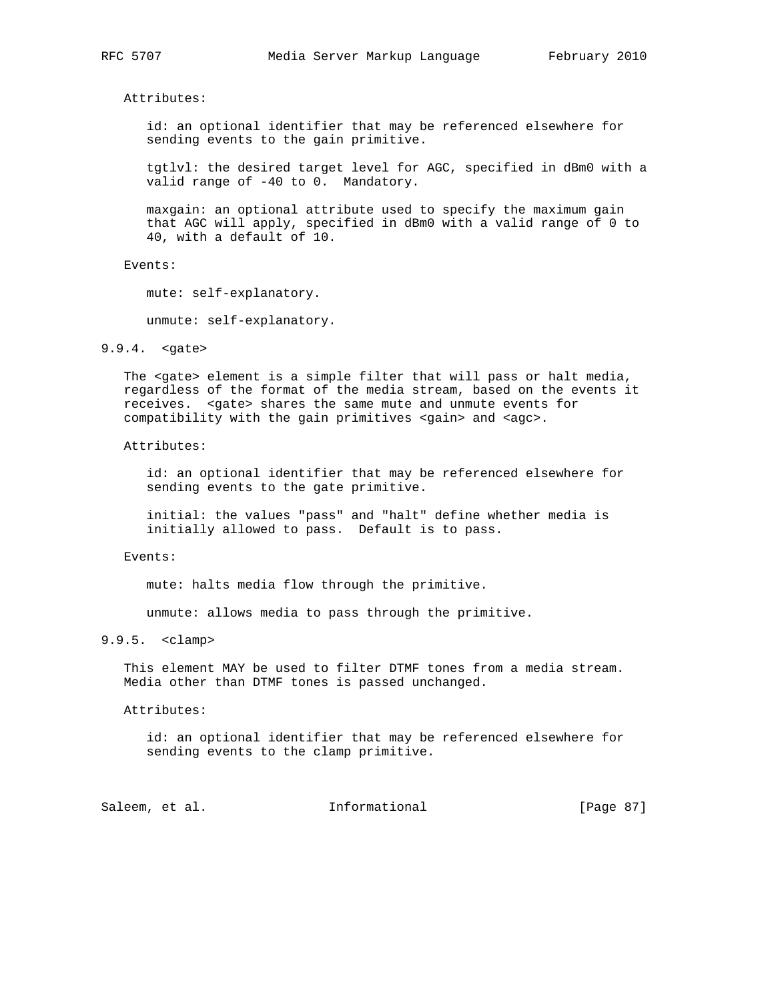Attributes:

 id: an optional identifier that may be referenced elsewhere for sending events to the gain primitive.

 tgtlvl: the desired target level for AGC, specified in dBm0 with a valid range of -40 to 0. Mandatory.

 maxgain: an optional attribute used to specify the maximum gain that AGC will apply, specified in dBm0 with a valid range of 0 to 40, with a default of 10.

Events:

mute: self-explanatory.

unmute: self-explanatory.

## 9.9.4. <gate>

 The <gate> element is a simple filter that will pass or halt media, regardless of the format of the media stream, based on the events it receives. <gate> shares the same mute and unmute events for compatibility with the gain primitives <gain> and <agc>.

Attributes:

 id: an optional identifier that may be referenced elsewhere for sending events to the gate primitive.

 initial: the values "pass" and "halt" define whether media is initially allowed to pass. Default is to pass.

# Events:

mute: halts media flow through the primitive.

unmute: allows media to pass through the primitive.

9.9.5. <clamp>

 This element MAY be used to filter DTMF tones from a media stream. Media other than DTMF tones is passed unchanged.

Attributes:

 id: an optional identifier that may be referenced elsewhere for sending events to the clamp primitive.

Saleem, et al. 1nformational [Page 87]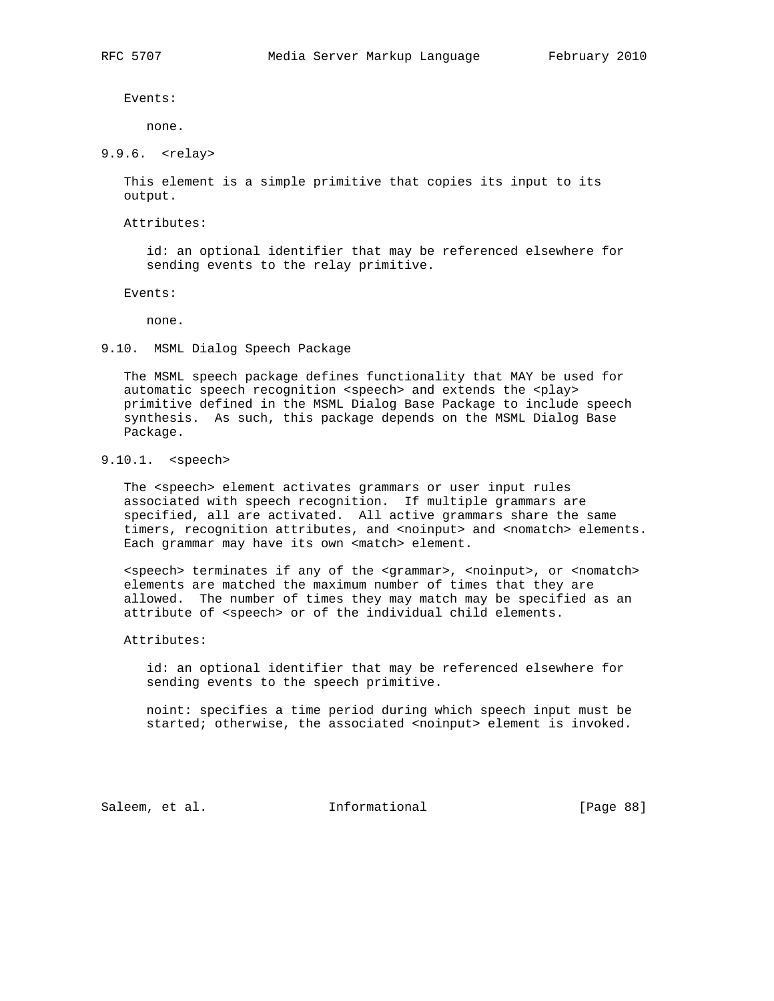Events:

none.

9.9.6. <relay>

 This element is a simple primitive that copies its input to its output.

Attributes:

 id: an optional identifier that may be referenced elsewhere for sending events to the relay primitive.

Events:

none.

9.10. MSML Dialog Speech Package

 The MSML speech package defines functionality that MAY be used for automatic speech recognition <speech> and extends the <play> primitive defined in the MSML Dialog Base Package to include speech synthesis. As such, this package depends on the MSML Dialog Base Package.

# 9.10.1. <speech>

 The <speech> element activates grammars or user input rules associated with speech recognition. If multiple grammars are specified, all are activated. All active grammars share the same timers, recognition attributes, and <noinput> and <nomatch> elements. Each grammar may have its own <match> element.

 <speech> terminates if any of the <grammar>, <noinput>, or <nomatch> elements are matched the maximum number of times that they are allowed. The number of times they may match may be specified as an attribute of <speech> or of the individual child elements.

Attributes:

 id: an optional identifier that may be referenced elsewhere for sending events to the speech primitive.

 noint: specifies a time period during which speech input must be started; otherwise, the associated <noinput> element is invoked.

Saleem, et al. Informational [Page 88]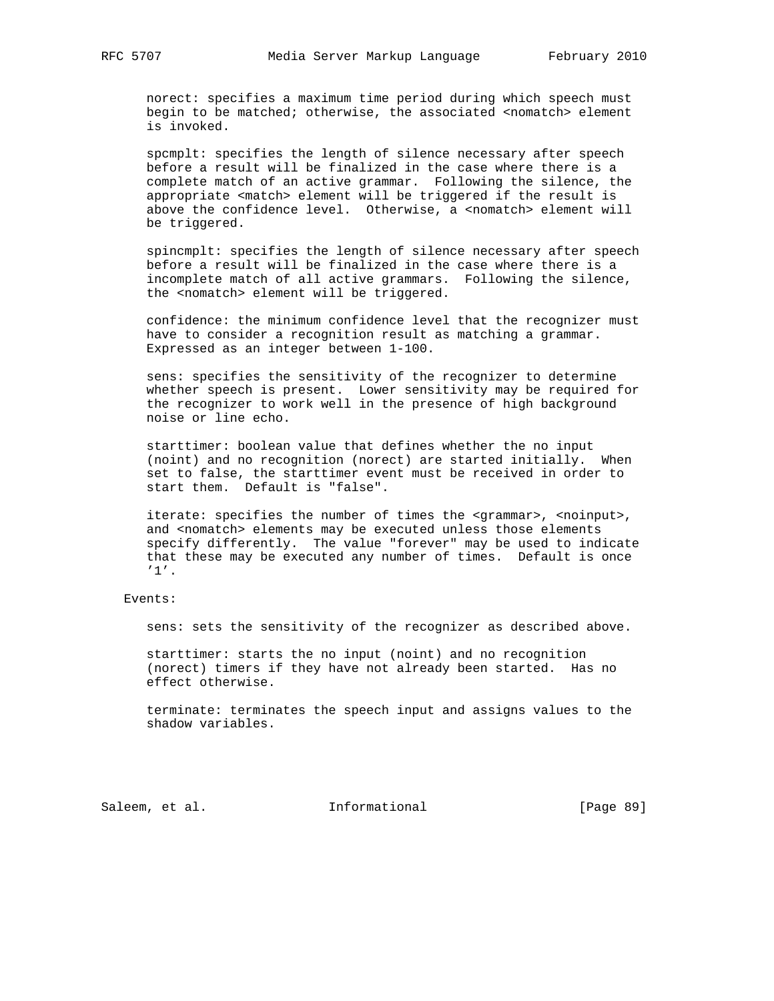norect: specifies a maximum time period during which speech must begin to be matched; otherwise, the associated <nomatch> element is invoked.

 spcmplt: specifies the length of silence necessary after speech before a result will be finalized in the case where there is a complete match of an active grammar. Following the silence, the appropriate <match> element will be triggered if the result is above the confidence level. Otherwise, a <nomatch> element will be triggered.

 spincmplt: specifies the length of silence necessary after speech before a result will be finalized in the case where there is a incomplete match of all active grammars. Following the silence, the <nomatch> element will be triggered.

 confidence: the minimum confidence level that the recognizer must have to consider a recognition result as matching a grammar. Expressed as an integer between 1-100.

 sens: specifies the sensitivity of the recognizer to determine whether speech is present. Lower sensitivity may be required for the recognizer to work well in the presence of high background noise or line echo.

 starttimer: boolean value that defines whether the no input (noint) and no recognition (norect) are started initially. When set to false, the starttimer event must be received in order to start them. Default is "false".

iterate: specifies the number of times the <grammar>, <noinput>, and <nomatch> elements may be executed unless those elements specify differently. The value "forever" may be used to indicate that these may be executed any number of times. Default is once '1'.

# Events:

sens: sets the sensitivity of the recognizer as described above.

 starttimer: starts the no input (noint) and no recognition (norect) timers if they have not already been started. Has no effect otherwise.

 terminate: terminates the speech input and assigns values to the shadow variables.

Saleem, et al. 10 mm = Informational [Page 89]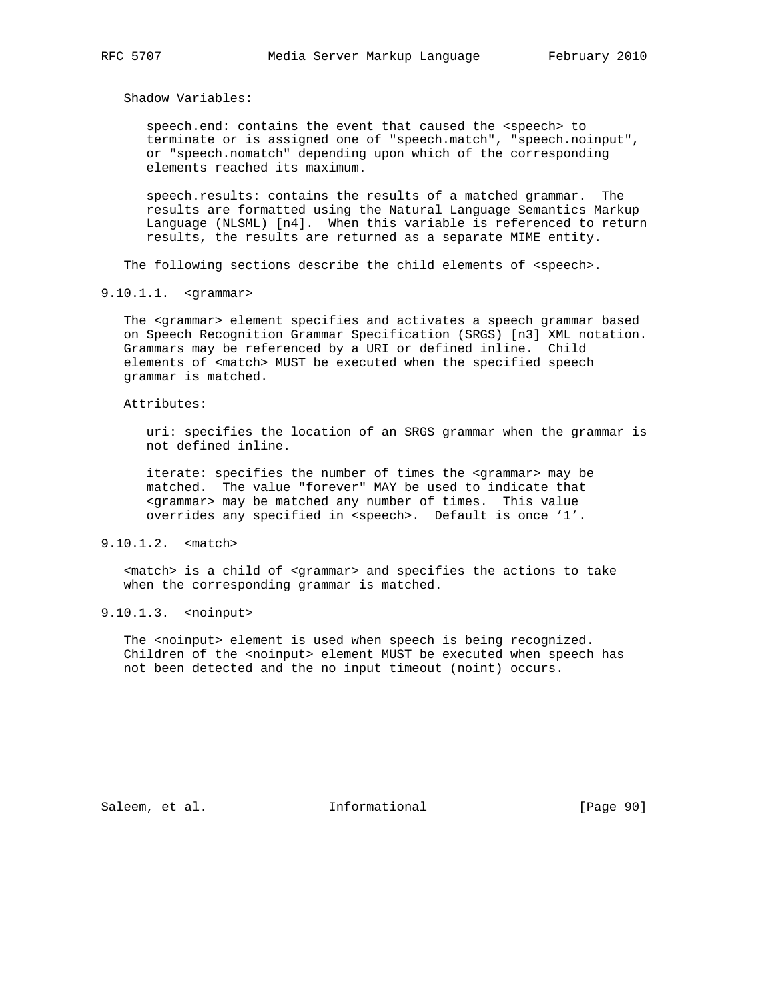Shadow Variables:

 speech.end: contains the event that caused the <speech> to terminate or is assigned one of "speech.match", "speech.noinput", or "speech.nomatch" depending upon which of the corresponding elements reached its maximum.

 speech.results: contains the results of a matched grammar. The results are formatted using the Natural Language Semantics Markup Language (NLSML) [n4]. When this variable is referenced to return results, the results are returned as a separate MIME entity.

The following sections describe the child elements of <speech>.

9.10.1.1. <grammar>

The <grammar> element specifies and activates a speech grammar based on Speech Recognition Grammar Specification (SRGS) [n3] XML notation. Grammars may be referenced by a URI or defined inline. Child elements of <match> MUST be executed when the specified speech grammar is matched.

### Attributes:

 uri: specifies the location of an SRGS grammar when the grammar is not defined inline.

 iterate: specifies the number of times the <grammar> may be matched. The value "forever" MAY be used to indicate that <grammar> may be matched any number of times. This value overrides any specified in <speech>. Default is once '1'.

# 9.10.1.2. <match>

 <match> is a child of <grammar> and specifies the actions to take when the corresponding grammar is matched.

# 9.10.1.3. <noinput>

 The <noinput> element is used when speech is being recognized. Children of the <noinput> element MUST be executed when speech has not been detected and the no input timeout (noint) occurs.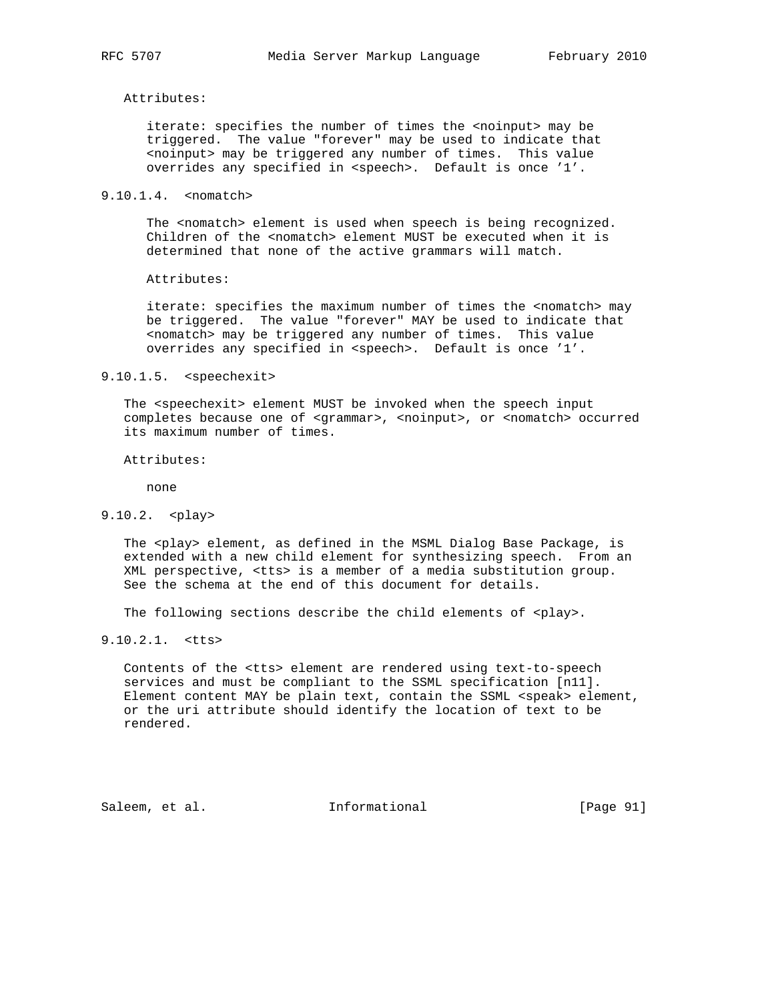# Attributes:

 iterate: specifies the number of times the <noinput> may be triggered. The value "forever" may be used to indicate that <noinput> may be triggered any number of times. This value overrides any specified in <speech>. Default is once '1'.

# 9.10.1.4. <nomatch>

 The <nomatch> element is used when speech is being recognized. Children of the <nomatch> element MUST be executed when it is determined that none of the active grammars will match.

## Attributes:

iterate: specifies the maximum number of times the <nomatch> may be triggered. The value "forever" MAY be used to indicate that <nomatch> may be triggered any number of times. This value overrides any specified in <speech>. Default is once '1'.

# 9.10.1.5. <speechexit>

 The <speechexit> element MUST be invoked when the speech input completes because one of <grammar>, <noinput>, or <nomatch> occurred its maximum number of times.

Attributes:

none

# 9.10.2. <play>

The <play> element, as defined in the MSML Dialog Base Package, is extended with a new child element for synthesizing speech. From an XML perspective, <tts> is a member of a media substitution group. See the schema at the end of this document for details.

The following sections describe the child elements of <play>.

9.10.2.1. <tts>

 Contents of the <tts> element are rendered using text-to-speech services and must be compliant to the SSML specification [n11]. Element content MAY be plain text, contain the SSML <speak> element, or the uri attribute should identify the location of text to be rendered.

Saleem, et al. 1nformational [Page 91]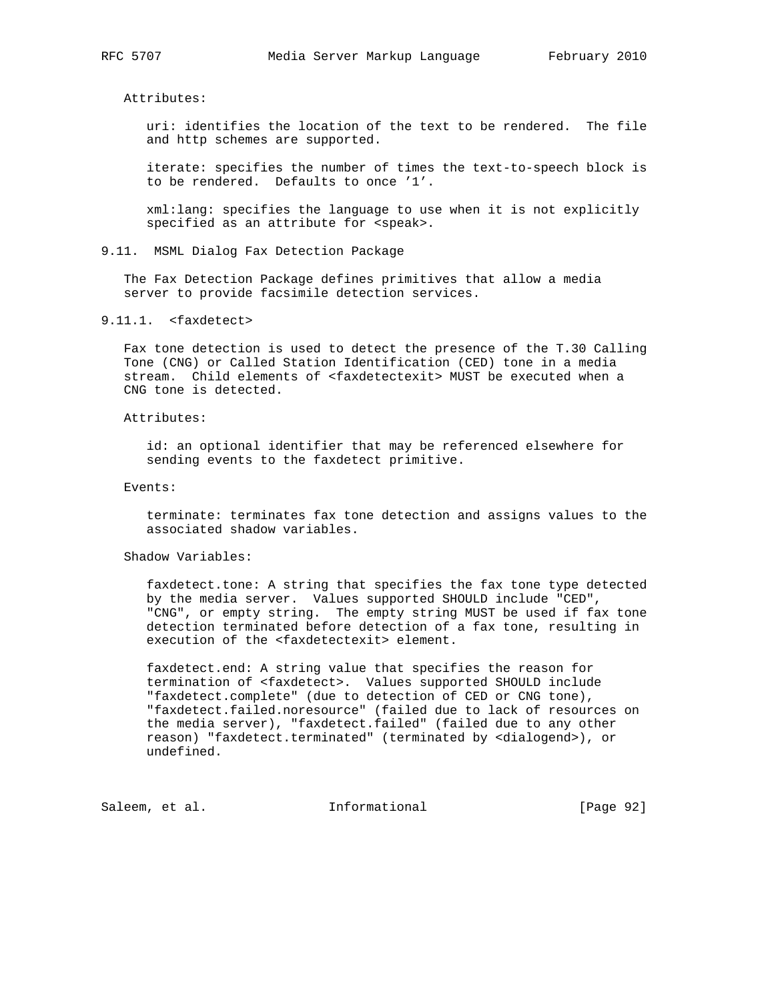Attributes:

 uri: identifies the location of the text to be rendered. The file and http schemes are supported.

 iterate: specifies the number of times the text-to-speech block is to be rendered. Defaults to once '1'.

 xml:lang: specifies the language to use when it is not explicitly specified as an attribute for <speak>.

9.11. MSML Dialog Fax Detection Package

 The Fax Detection Package defines primitives that allow a media server to provide facsimile detection services.

9.11.1. <faxdetect>

 Fax tone detection is used to detect the presence of the T.30 Calling Tone (CNG) or Called Station Identification (CED) tone in a media stream. Child elements of <faxdetectexit> MUST be executed when a CNG tone is detected.

## Attributes:

 id: an optional identifier that may be referenced elsewhere for sending events to the faxdetect primitive.

## Events:

 terminate: terminates fax tone detection and assigns values to the associated shadow variables.

## Shadow Variables:

 faxdetect.tone: A string that specifies the fax tone type detected by the media server. Values supported SHOULD include "CED", "CNG", or empty string. The empty string MUST be used if fax tone detection terminated before detection of a fax tone, resulting in execution of the <faxdetectexit> element.

 faxdetect.end: A string value that specifies the reason for termination of <faxdetect>. Values supported SHOULD include "faxdetect.complete" (due to detection of CED or CNG tone), "faxdetect.failed.noresource" (failed due to lack of resources on the media server), "faxdetect.failed" (failed due to any other reason) "faxdetect.terminated" (terminated by <dialogend>), or undefined.

Saleem, et al. 1nformational [Page 92]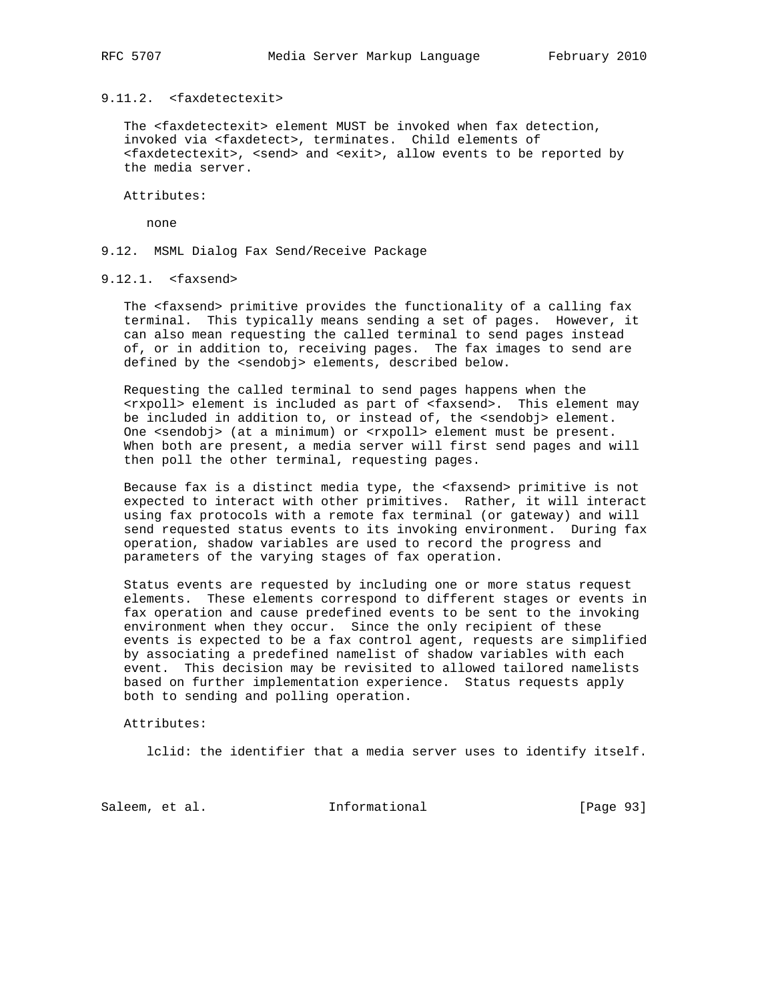# 9.11.2. <faxdetectexit>

The <faxdetectexit> element MUST be invoked when fax detection, invoked via <faxdetect>, terminates. Child elements of <faxdetectexit>, <send> and <exit>, allow events to be reported by the media server.

Attributes:

none

9.12. MSML Dialog Fax Send/Receive Package

# 9.12.1. <faxsend>

 The <faxsend> primitive provides the functionality of a calling fax terminal. This typically means sending a set of pages. However, it can also mean requesting the called terminal to send pages instead of, or in addition to, receiving pages. The fax images to send are defined by the <sendobj> elements, described below.

 Requesting the called terminal to send pages happens when the <rxpoll> element is included as part of <faxsend>. This element may be included in addition to, or instead of, the <sendobj> element. One <sendobj> (at a minimum) or <rxpoll> element must be present. When both are present, a media server will first send pages and will then poll the other terminal, requesting pages.

 Because fax is a distinct media type, the <faxsend> primitive is not expected to interact with other primitives. Rather, it will interact using fax protocols with a remote fax terminal (or gateway) and will send requested status events to its invoking environment. During fax operation, shadow variables are used to record the progress and parameters of the varying stages of fax operation.

 Status events are requested by including one or more status request elements. These elements correspond to different stages or events in fax operation and cause predefined events to be sent to the invoking environment when they occur. Since the only recipient of these events is expected to be a fax control agent, requests are simplified by associating a predefined namelist of shadow variables with each event. This decision may be revisited to allowed tailored namelists based on further implementation experience. Status requests apply both to sending and polling operation.

# Attributes:

lclid: the identifier that a media server uses to identify itself.

Saleem, et al. 1nformational [Page 93]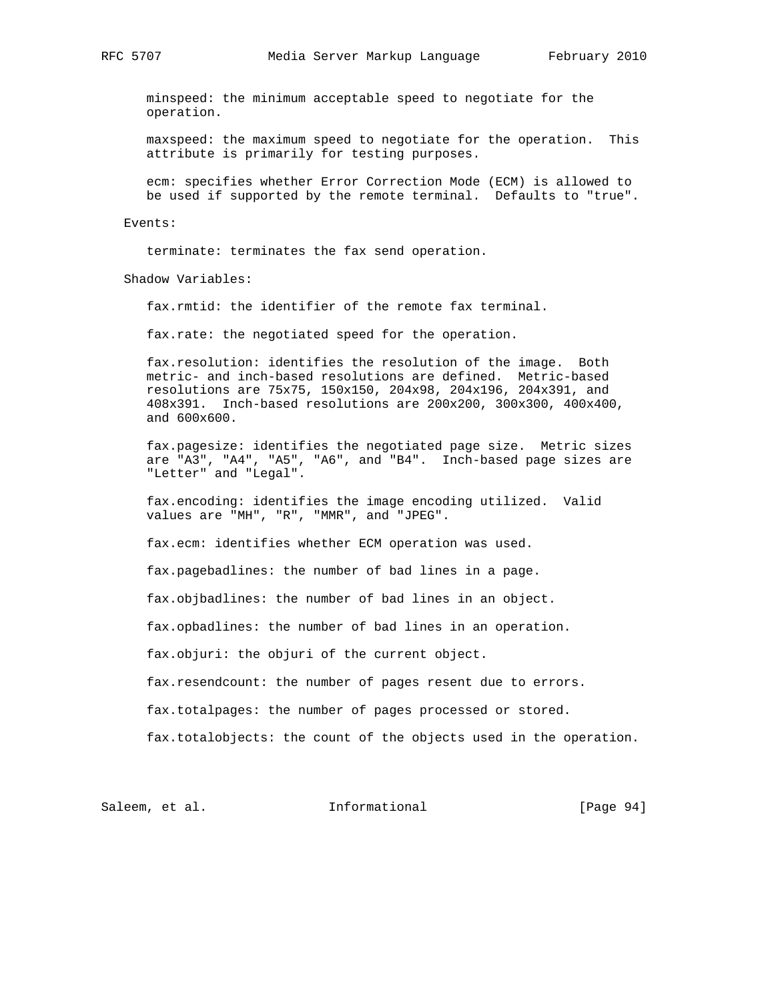minspeed: the minimum acceptable speed to negotiate for the operation.

 maxspeed: the maximum speed to negotiate for the operation. This attribute is primarily for testing purposes.

 ecm: specifies whether Error Correction Mode (ECM) is allowed to be used if supported by the remote terminal. Defaults to "true".

# Events:

terminate: terminates the fax send operation.

Shadow Variables:

fax.rmtid: the identifier of the remote fax terminal.

fax.rate: the negotiated speed for the operation.

 fax.resolution: identifies the resolution of the image. Both metric- and inch-based resolutions are defined. Metric-based resolutions are 75x75, 150x150, 204x98, 204x196, 204x391, and 408x391. Inch-based resolutions are 200x200, 300x300, 400x400, and 600x600.

 fax.pagesize: identifies the negotiated page size. Metric sizes are "A3", "A4", "A5", "A6", and "B4". Inch-based page sizes are "Letter" and "Legal".

 fax.encoding: identifies the image encoding utilized. Valid values are "MH", "R", "MMR", and "JPEG".

fax.ecm: identifies whether ECM operation was used.

fax.pagebadlines: the number of bad lines in a page.

fax.objbadlines: the number of bad lines in an object.

fax.opbadlines: the number of bad lines in an operation.

fax.objuri: the objuri of the current object.

fax.resendcount: the number of pages resent due to errors.

fax.totalpages: the number of pages processed or stored.

fax.totalobjects: the count of the objects used in the operation.

Saleem, et al. 10 Informational [Page 94]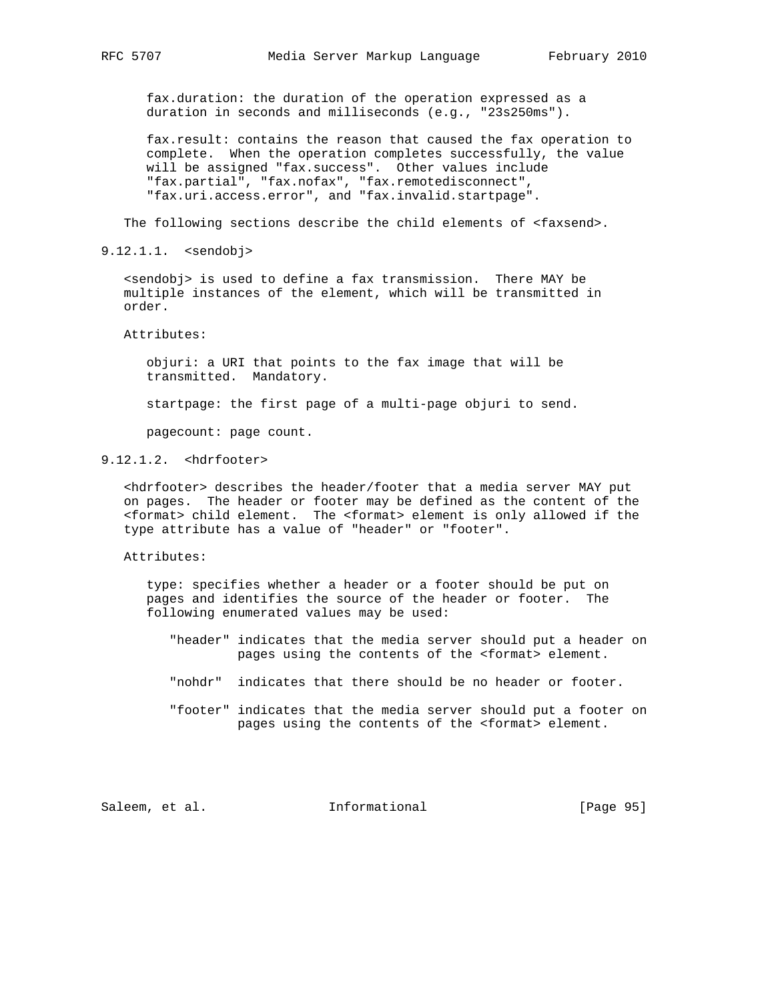fax.duration: the duration of the operation expressed as a duration in seconds and milliseconds (e.g., "23s250ms").

 fax.result: contains the reason that caused the fax operation to complete. When the operation completes successfully, the value will be assigned "fax.success". Other values include "fax.partial", "fax.nofax", "fax.remotedisconnect", "fax.uri.access.error", and "fax.invalid.startpage".

The following sections describe the child elements of <faxsend>.

9.12.1.1. <sendobj>

 <sendobj> is used to define a fax transmission. There MAY be multiple instances of the element, which will be transmitted in order.

Attributes:

 objuri: a URI that points to the fax image that will be transmitted. Mandatory.

startpage: the first page of a multi-page objuri to send.

pagecount: page count.

# 9.12.1.2. <hdrfooter>

 <hdrfooter> describes the header/footer that a media server MAY put on pages. The header or footer may be defined as the content of the <format> child element. The <format> element is only allowed if the type attribute has a value of "header" or "footer".

## Attributes:

 type: specifies whether a header or a footer should be put on pages and identifies the source of the header or footer. The following enumerated values may be used:

- "header" indicates that the media server should put a header on pages using the contents of the <format> element.
- "nohdr" indicates that there should be no header or footer.
- "footer" indicates that the media server should put a footer on pages using the contents of the <format> element.

Saleem, et al. 1nformational [Page 95]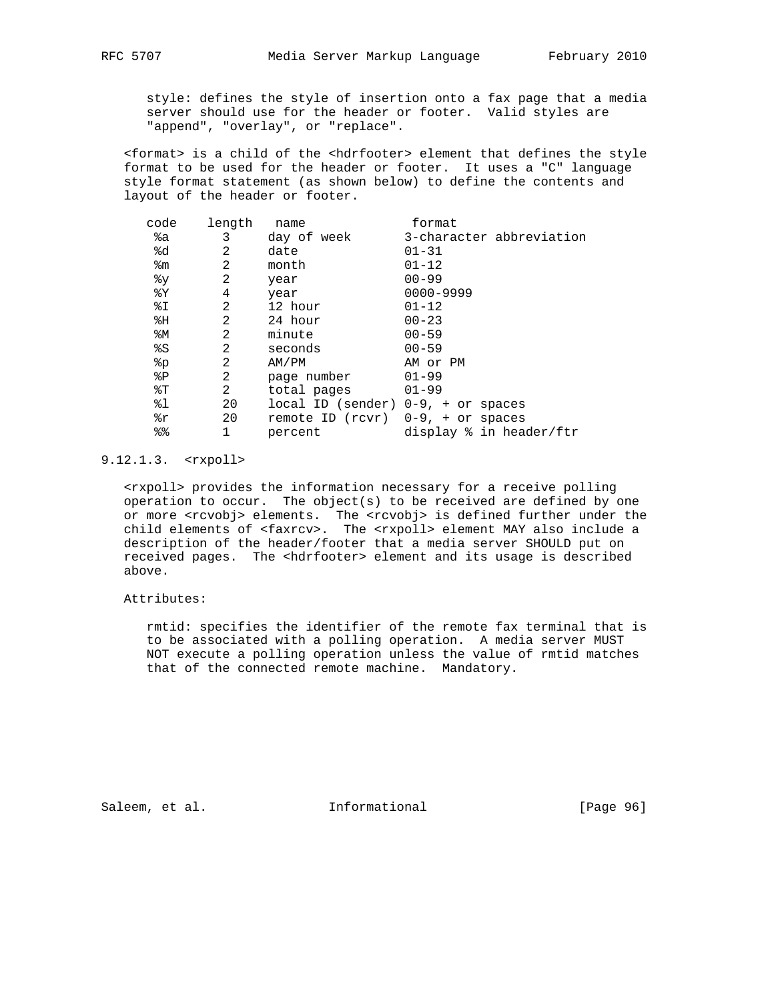style: defines the style of insertion onto a fax page that a media server should use for the header or footer. Valid styles are "append", "overlay", or "replace".

 <format> is a child of the <hdrfooter> element that defines the style format to be used for the header or footer. It uses a "C" language style format statement (as shown below) to define the contents and layout of the header or footer.

| 3-character abbreviation |
|--------------------------|
|                          |
|                          |
|                          |
|                          |
|                          |
|                          |
|                          |
|                          |
|                          |
|                          |
|                          |
|                          |
|                          |
|                          |
| display % in header/ftr  |
|                          |

# 9.12.1.3. <rxpoll>

 <rxpoll> provides the information necessary for a receive polling operation to occur. The object(s) to be received are defined by one or more <rcvobj> elements. The <rcvobj> is defined further under the child elements of <faxrcv>. The <rxpoll> element MAY also include a description of the header/footer that a media server SHOULD put on received pages. The <hdrfooter> element and its usage is described above.

# Attributes:

 rmtid: specifies the identifier of the remote fax terminal that is to be associated with a polling operation. A media server MUST NOT execute a polling operation unless the value of rmtid matches that of the connected remote machine. Mandatory.

Saleem, et al. 1nformational [Page 96]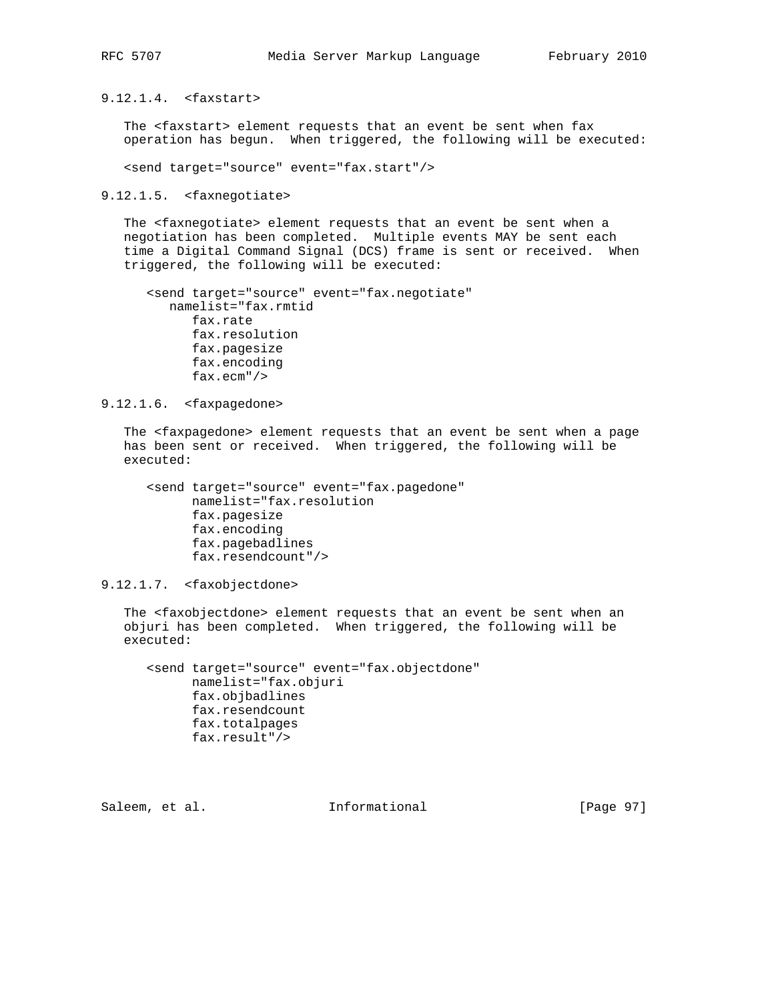9.12.1.4. <faxstart>

The <faxstart> element requests that an event be sent when fax operation has begun. When triggered, the following will be executed:

<send target="source" event="fax.start"/>

9.12.1.5. <faxnegotiate>

 The <faxnegotiate> element requests that an event be sent when a negotiation has been completed. Multiple events MAY be sent each time a Digital Command Signal (DCS) frame is sent or received. When triggered, the following will be executed:

```
 <send target="source" event="fax.negotiate"
  namelist="fax.rmtid
      fax.rate
      fax.resolution
      fax.pagesize
      fax.encoding
      fax.ecm"/>
```
9.12.1.6. <faxpagedone>

 The <faxpagedone> element requests that an event be sent when a page has been sent or received. When triggered, the following will be executed:

```
 <send target="source" event="fax.pagedone"
     namelist="fax.resolution
     fax.pagesize
     fax.encoding
     fax.pagebadlines
     fax.resendcount"/>
```
9.12.1.7. <faxobjectdone>

 The <faxobjectdone> element requests that an event be sent when an objuri has been completed. When triggered, the following will be executed:

 <send target="source" event="fax.objectdone" namelist="fax.objuri fax.objbadlines fax.resendcount fax.totalpages fax.result"/>

Saleem, et al. Informational [Page 97]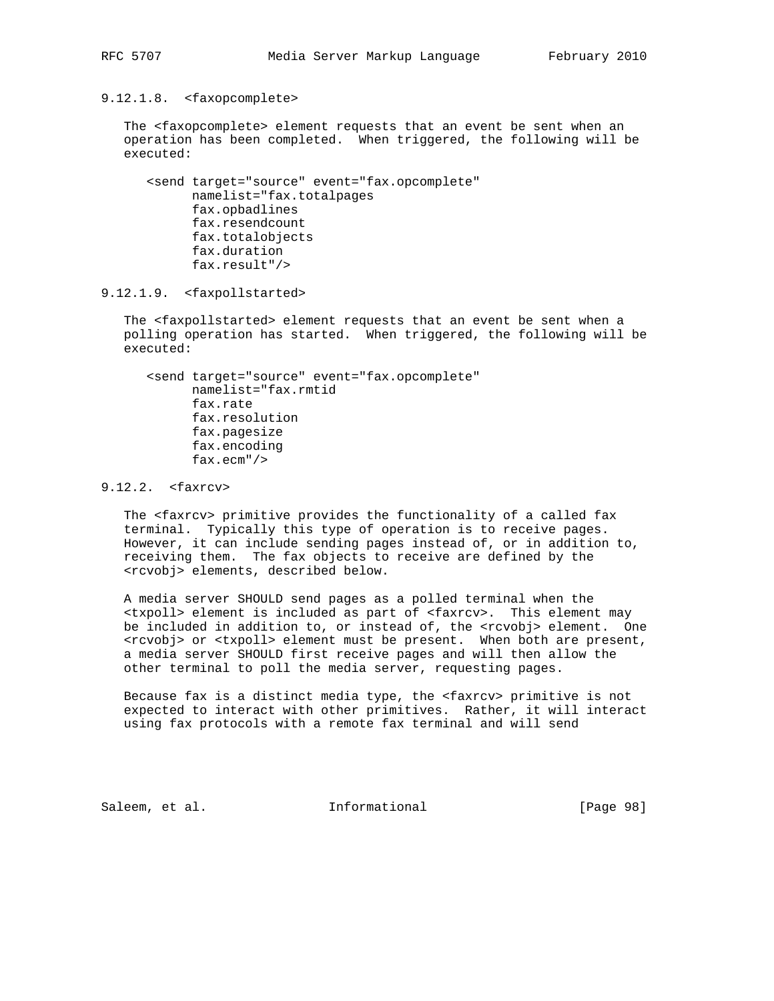9.12.1.8. <faxopcomplete>

 The <faxopcomplete> element requests that an event be sent when an operation has been completed. When triggered, the following will be executed:

 <send target="source" event="fax.opcomplete" namelist="fax.totalpages fax.opbadlines fax.resendcount fax.totalobjects fax.duration fax.result"/>

9.12.1.9. <faxpollstarted>

 The <faxpollstarted> element requests that an event be sent when a polling operation has started. When triggered, the following will be executed:

 <send target="source" event="fax.opcomplete" namelist="fax.rmtid fax.rate fax.resolution fax.pagesize fax.encoding fax.ecm"/>

# 9.12.2. <faxrcv>

 The <faxrcv> primitive provides the functionality of a called fax terminal. Typically this type of operation is to receive pages. However, it can include sending pages instead of, or in addition to, receiving them. The fax objects to receive are defined by the <rcvobj> elements, described below.

 A media server SHOULD send pages as a polled terminal when the <txpoll> element is included as part of <faxrcv>. This element may be included in addition to, or instead of, the <rcvobj> element. One <rcvobj> or <txpoll> element must be present. When both are present, a media server SHOULD first receive pages and will then allow the other terminal to poll the media server, requesting pages.

 Because fax is a distinct media type, the <faxrcv> primitive is not expected to interact with other primitives. Rather, it will interact using fax protocols with a remote fax terminal and will send

Saleem, et al. Informational [Page 98]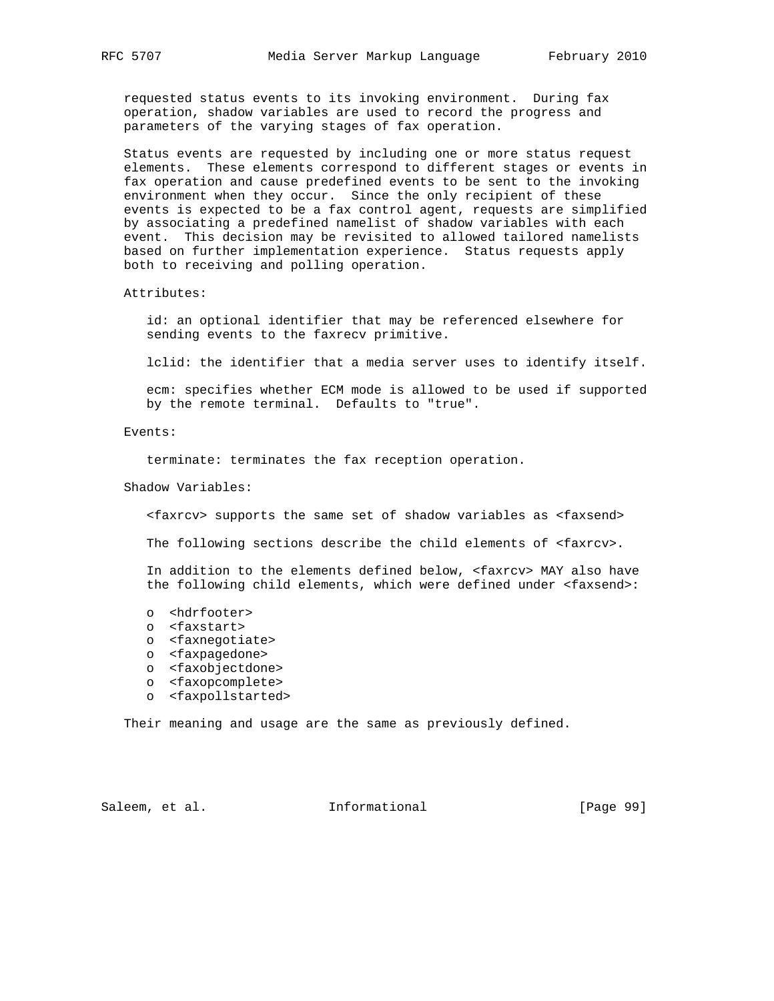requested status events to its invoking environment. During fax operation, shadow variables are used to record the progress and parameters of the varying stages of fax operation.

 Status events are requested by including one or more status request elements. These elements correspond to different stages or events in fax operation and cause predefined events to be sent to the invoking environment when they occur. Since the only recipient of these events is expected to be a fax control agent, requests are simplified by associating a predefined namelist of shadow variables with each event. This decision may be revisited to allowed tailored namelists based on further implementation experience. Status requests apply both to receiving and polling operation.

#### Attributes:

 id: an optional identifier that may be referenced elsewhere for sending events to the faxrecv primitive.

lclid: the identifier that a media server uses to identify itself.

 ecm: specifies whether ECM mode is allowed to be used if supported by the remote terminal. Defaults to "true".

## Events:

terminate: terminates the fax reception operation.

Shadow Variables:

<faxrcv> supports the same set of shadow variables as <faxsend>

The following sections describe the child elements of <faxrcv>.

 In addition to the elements defined below, <faxrcv> MAY also have the following child elements, which were defined under <faxsend>:

- o <hdrfooter>
- o <faxstart>
- o <faxnegotiate>
- o <faxpagedone>
- o <faxobjectdone>
- o <faxopcomplete>
- o <faxpollstarted>

Their meaning and usage are the same as previously defined.

Saleem, et al. 10 mm informational [Page 99]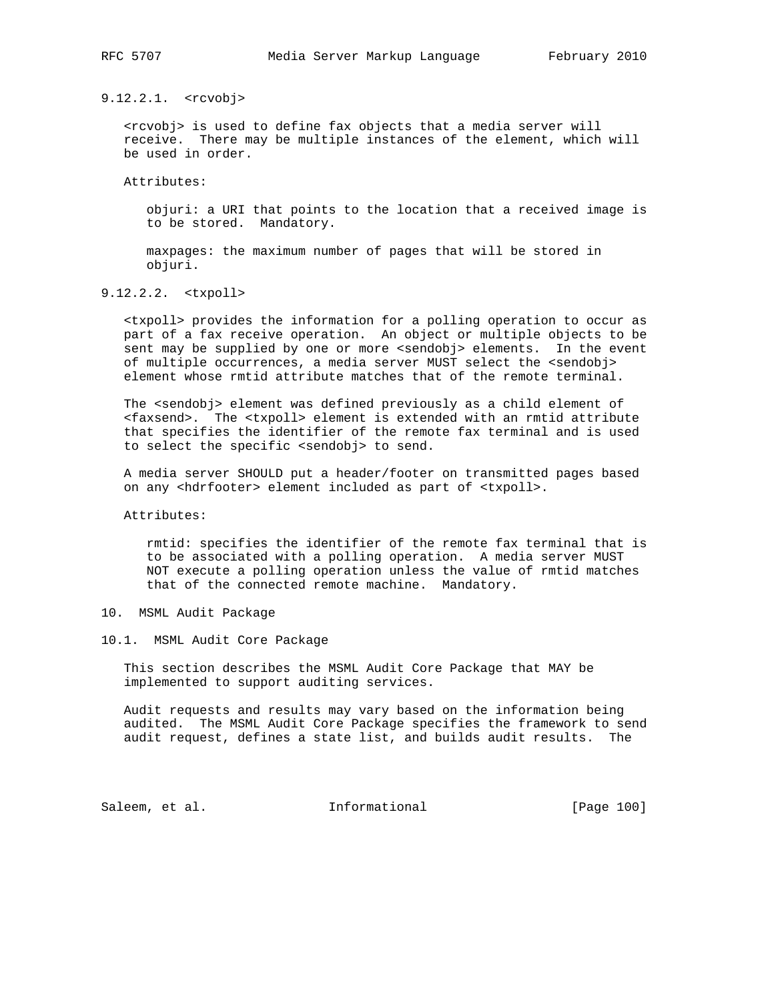9.12.2.1. <rcvobj>

 <rcvobj> is used to define fax objects that a media server will receive. There may be multiple instances of the element, which will be used in order.

Attributes:

 objuri: a URI that points to the location that a received image is to be stored. Mandatory.

 maxpages: the maximum number of pages that will be stored in objuri.

9.12.2.2. <txpoll>

 <txpoll> provides the information for a polling operation to occur as part of a fax receive operation. An object or multiple objects to be sent may be supplied by one or more <sendobj> elements. In the event of multiple occurrences, a media server MUST select the <sendobj> element whose rmtid attribute matches that of the remote terminal.

 The <sendobj> element was defined previously as a child element of <faxsend>. The <txpoll> element is extended with an rmtid attribute that specifies the identifier of the remote fax terminal and is used to select the specific <sendobj> to send.

 A media server SHOULD put a header/footer on transmitted pages based on any <hdrfooter> element included as part of <txpoll>.

Attributes:

 rmtid: specifies the identifier of the remote fax terminal that is to be associated with a polling operation. A media server MUST NOT execute a polling operation unless the value of rmtid matches that of the connected remote machine. Mandatory.

- 10. MSML Audit Package
- 10.1. MSML Audit Core Package

 This section describes the MSML Audit Core Package that MAY be implemented to support auditing services.

 Audit requests and results may vary based on the information being audited. The MSML Audit Core Package specifies the framework to send audit request, defines a state list, and builds audit results. The

Saleem, et al. 100 mm = Informational [Page 100]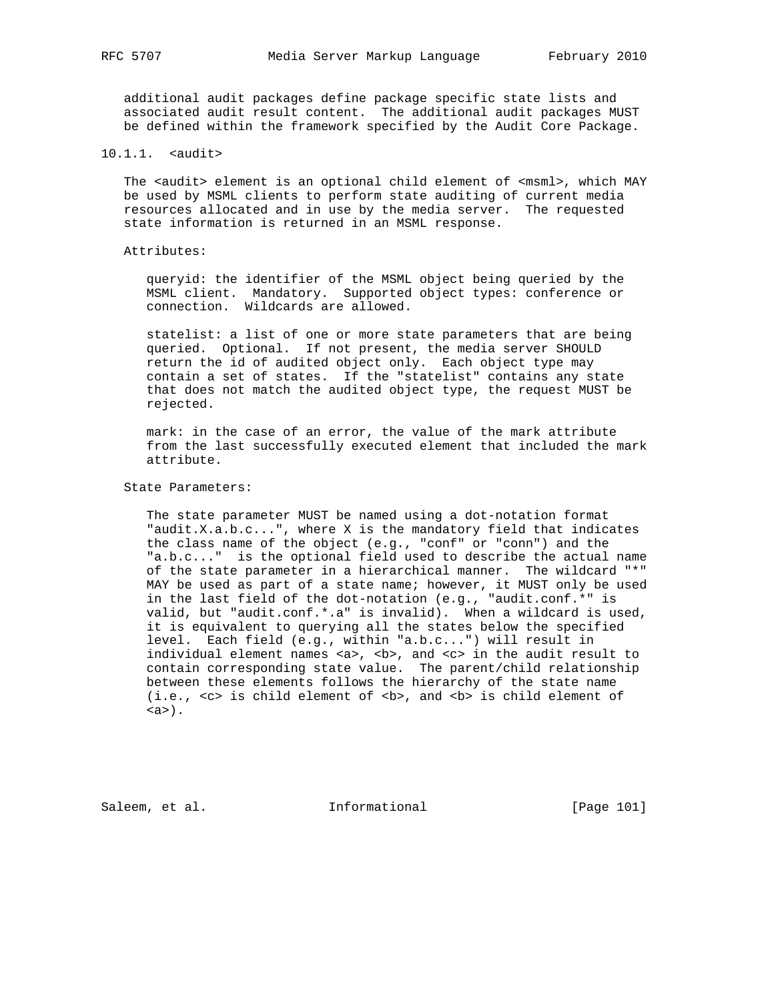additional audit packages define package specific state lists and associated audit result content. The additional audit packages MUST be defined within the framework specified by the Audit Core Package.

10.1.1. <audit>

The <audit> element is an optional child element of <msml>, which MAY be used by MSML clients to perform state auditing of current media resources allocated and in use by the media server. The requested state information is returned in an MSML response.

Attributes:

 queryid: the identifier of the MSML object being queried by the MSML client. Mandatory. Supported object types: conference or connection. Wildcards are allowed.

 statelist: a list of one or more state parameters that are being queried. Optional. If not present, the media server SHOULD return the id of audited object only. Each object type may contain a set of states. If the "statelist" contains any state that does not match the audited object type, the request MUST be rejected.

 mark: in the case of an error, the value of the mark attribute from the last successfully executed element that included the mark attribute.

State Parameters:

 The state parameter MUST be named using a dot-notation format "audit.X.a.b.c...", where X is the mandatory field that indicates the class name of the object (e.g., "conf" or "conn") and the "a.b.c..." is the optional field used to describe the actual name of the state parameter in a hierarchical manner. The wildcard "\*" MAY be used as part of a state name; however, it MUST only be used in the last field of the dot-notation (e.g., "audit.conf.\*" is valid, but "audit.conf.\*.a" is invalid). When a wildcard is used, it is equivalent to querying all the states below the specified level. Each field (e.g., within "a.b.c...") will result in individual element names <a>, <br />b>, and <c> in the audit result to contain corresponding state value. The parent/child relationship between these elements follows the hierarchy of the state name  $(i.e., **cc**)$  is child element of **, and**  $**cb**$  **is child element of**  $(a)$ .

Saleem, et al. 1nformational [Page 101]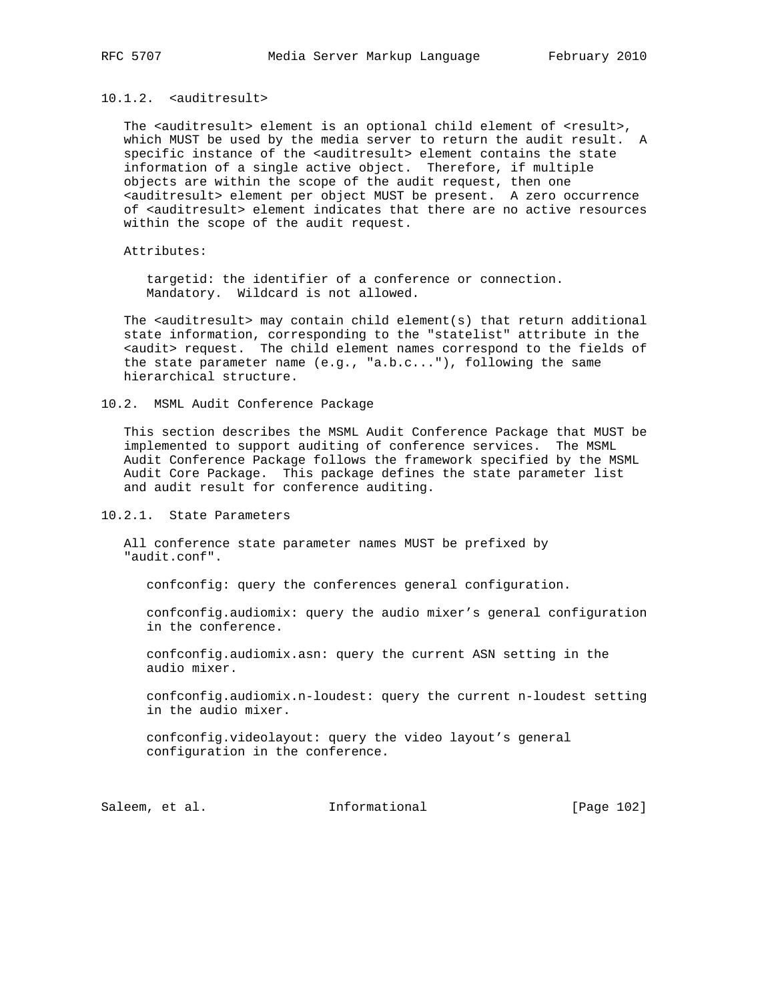# 10.1.2. <auditresult>

The <auditresult> element is an optional child element of <result>, which MUST be used by the media server to return the audit result. A specific instance of the <auditresult> element contains the state information of a single active object. Therefore, if multiple objects are within the scope of the audit request, then one <auditresult> element per object MUST be present. A zero occurrence of <auditresult> element indicates that there are no active resources within the scope of the audit request.

Attributes:

 targetid: the identifier of a conference or connection. Mandatory. Wildcard is not allowed.

The <auditresult> may contain child element(s) that return additional state information, corresponding to the "statelist" attribute in the <audit> request. The child element names correspond to the fields of the state parameter name (e.g., "a.b.c..."), following the same hierarchical structure.

10.2. MSML Audit Conference Package

 This section describes the MSML Audit Conference Package that MUST be implemented to support auditing of conference services. The MSML Audit Conference Package follows the framework specified by the MSML Audit Core Package. This package defines the state parameter list and audit result for conference auditing.

10.2.1. State Parameters

 All conference state parameter names MUST be prefixed by "audit.conf".

confconfig: query the conferences general configuration.

 confconfig.audiomix: query the audio mixer's general configuration in the conference.

 confconfig.audiomix.asn: query the current ASN setting in the audio mixer.

 confconfig.audiomix.n-loudest: query the current n-loudest setting in the audio mixer.

 confconfig.videolayout: query the video layout's general configuration in the conference.

Saleem, et al. 100 mm = Informational [Page 102]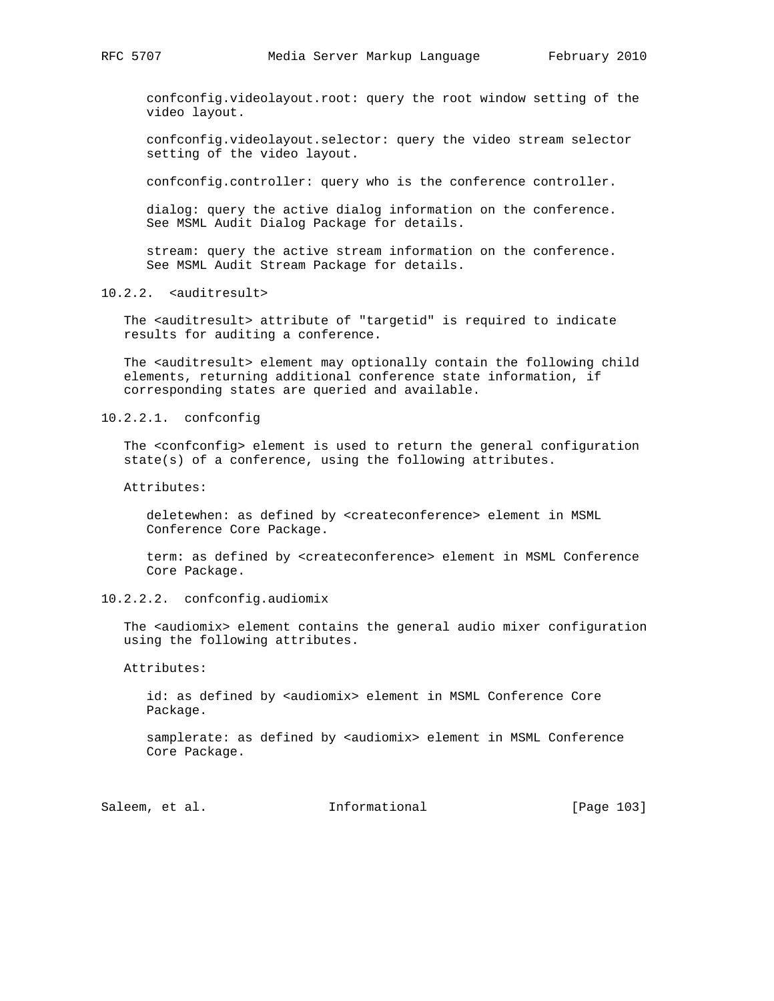confconfig.videolayout.root: query the root window setting of the video layout.

 confconfig.videolayout.selector: query the video stream selector setting of the video layout.

confconfig.controller: query who is the conference controller.

 dialog: query the active dialog information on the conference. See MSML Audit Dialog Package for details.

 stream: query the active stream information on the conference. See MSML Audit Stream Package for details.

10.2.2. <auditresult>

The <auditresult> attribute of "targetid" is required to indicate results for auditing a conference.

The <auditresult> element may optionally contain the following child elements, returning additional conference state information, if corresponding states are queried and available.

10.2.2.1. confconfig

 The <confconfig> element is used to return the general configuration state(s) of a conference, using the following attributes.

Attributes:

 deletewhen: as defined by <createconference> element in MSML Conference Core Package.

 term: as defined by <createconference> element in MSML Conference Core Package.

10.2.2.2. confconfig.audiomix

The <audiomix> element contains the general audio mixer configuration using the following attributes.

Attributes:

 id: as defined by <audiomix> element in MSML Conference Core Package.

samplerate: as defined by <audiomix> element in MSML Conference Core Package.

Saleem, et al. 100 mm informational [Page 103]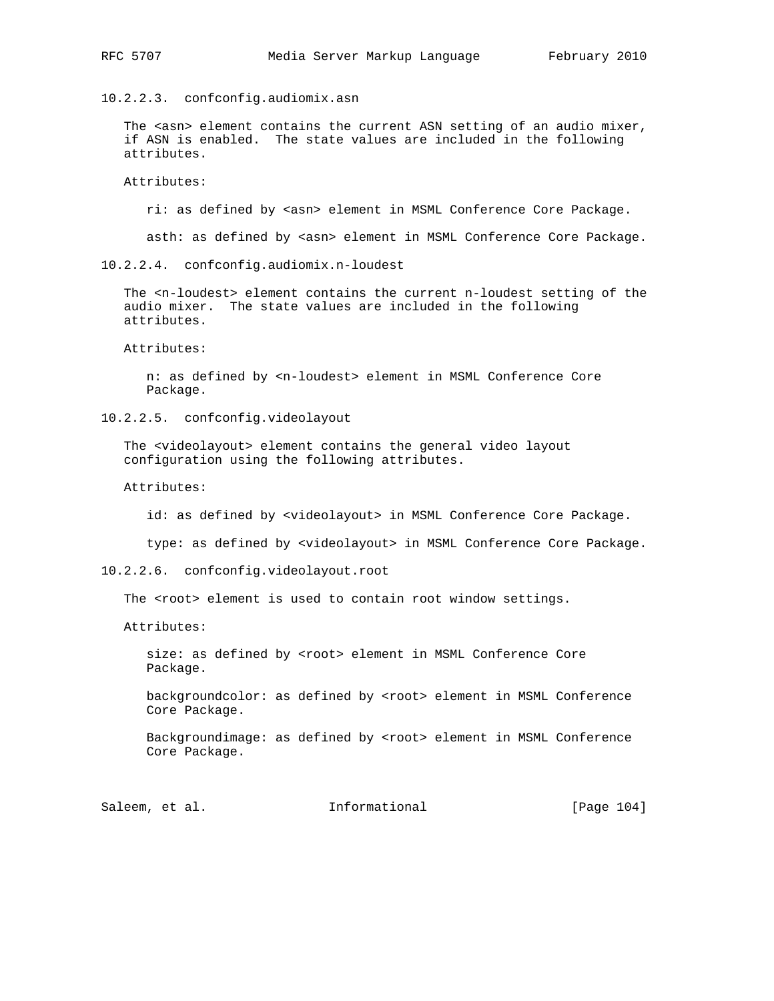10.2.2.3. confconfig.audiomix.asn

The <asn> element contains the current ASN setting of an audio mixer, if ASN is enabled. The state values are included in the following attributes.

Attributes:

ri: as defined by <asn> element in MSML Conference Core Package.

asth: as defined by <asn> element in MSML Conference Core Package.

10.2.2.4. confconfig.audiomix.n-loudest

 The <n-loudest> element contains the current n-loudest setting of the audio mixer. The state values are included in the following attributes.

Attributes:

 n: as defined by <n-loudest> element in MSML Conference Core Package.

10.2.2.5. confconfig.videolayout

 The <videolayout> element contains the general video layout configuration using the following attributes.

Attributes:

id: as defined by <videolayout> in MSML Conference Core Package.

type: as defined by <videolayout> in MSML Conference Core Package.

10.2.2.6. confconfig.videolayout.root

The <root> element is used to contain root window settings.

Attributes:

size: as defined by <root> element in MSML Conference Core Package.

 backgroundcolor: as defined by <root> element in MSML Conference Core Package.

 Backgroundimage: as defined by <root> element in MSML Conference Core Package.

Saleem, et al. 100 mm informational [Page 104]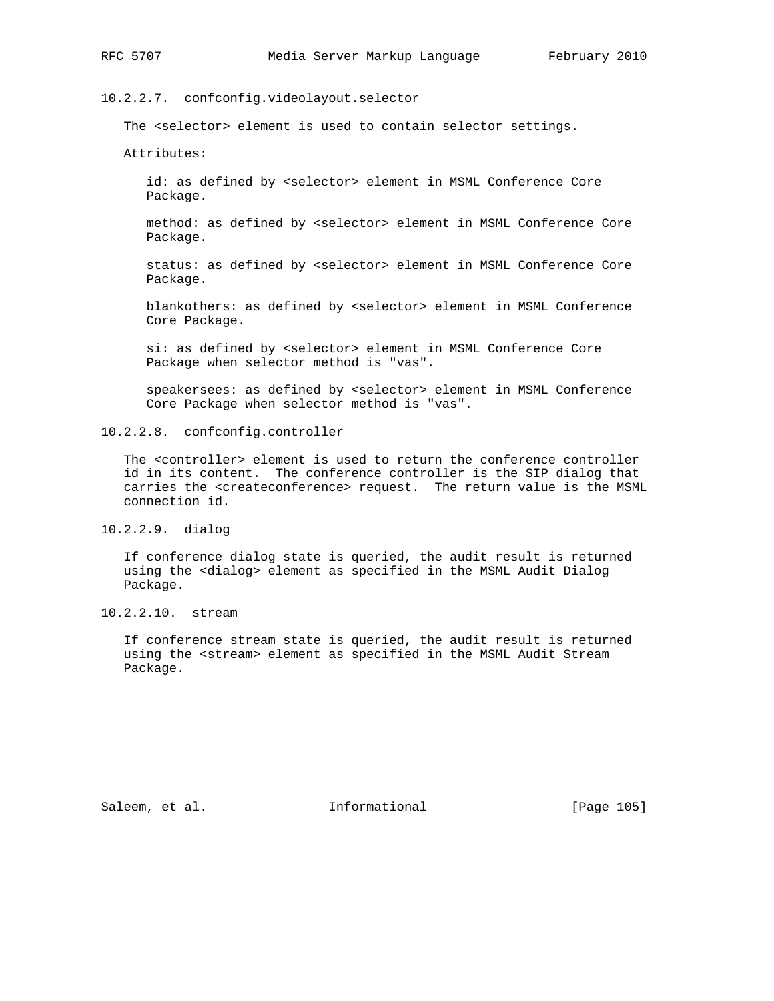10.2.2.7. confconfig.videolayout.selector

The <selector> element is used to contain selector settings.

Attributes:

 id: as defined by <selector> element in MSML Conference Core Package.

 method: as defined by <selector> element in MSML Conference Core Package.

 status: as defined by <selector> element in MSML Conference Core Package.

 blankothers: as defined by <selector> element in MSML Conference Core Package.

 si: as defined by <selector> element in MSML Conference Core Package when selector method is "vas".

 speakersees: as defined by <selector> element in MSML Conference Core Package when selector method is "vas".

10.2.2.8. confconfig.controller

 The <controller> element is used to return the conference controller id in its content. The conference controller is the SIP dialog that carries the <createconference> request. The return value is the MSML connection id.

10.2.2.9. dialog

 If conference dialog state is queried, the audit result is returned using the <dialog> element as specified in the MSML Audit Dialog Package.

10.2.2.10. stream

 If conference stream state is queried, the audit result is returned using the <stream> element as specified in the MSML Audit Stream Package.

Saleem, et al. 100 mm = Informational [Page 105]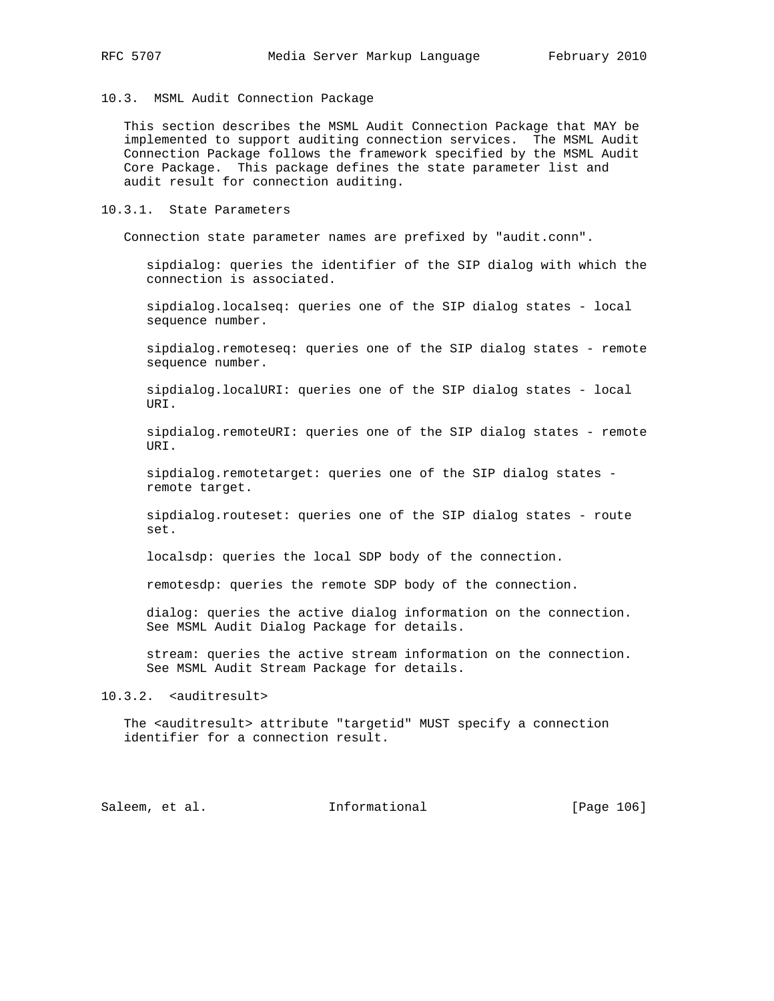# 10.3. MSML Audit Connection Package

 This section describes the MSML Audit Connection Package that MAY be implemented to support auditing connection services. The MSML Audit Connection Package follows the framework specified by the MSML Audit Core Package. This package defines the state parameter list and audit result for connection auditing.

# 10.3.1. State Parameters

Connection state parameter names are prefixed by "audit.conn".

 sipdialog: queries the identifier of the SIP dialog with which the connection is associated.

 sipdialog.localseq: queries one of the SIP dialog states - local sequence number.

 sipdialog.remoteseq: queries one of the SIP dialog states - remote sequence number.

 sipdialog.localURI: queries one of the SIP dialog states - local URI.

 sipdialog.remoteURI: queries one of the SIP dialog states - remote URI.

 sipdialog.remotetarget: queries one of the SIP dialog states remote target.

 sipdialog.routeset: queries one of the SIP dialog states - route set.

localsdp: queries the local SDP body of the connection.

remotesdp: queries the remote SDP body of the connection.

 dialog: queries the active dialog information on the connection. See MSML Audit Dialog Package for details.

 stream: queries the active stream information on the connection. See MSML Audit Stream Package for details.

# 10.3.2. <auditresult>

The <auditresult> attribute "targetid" MUST specify a connection identifier for a connection result.

Saleem, et al. 100 mm informational [Page 106]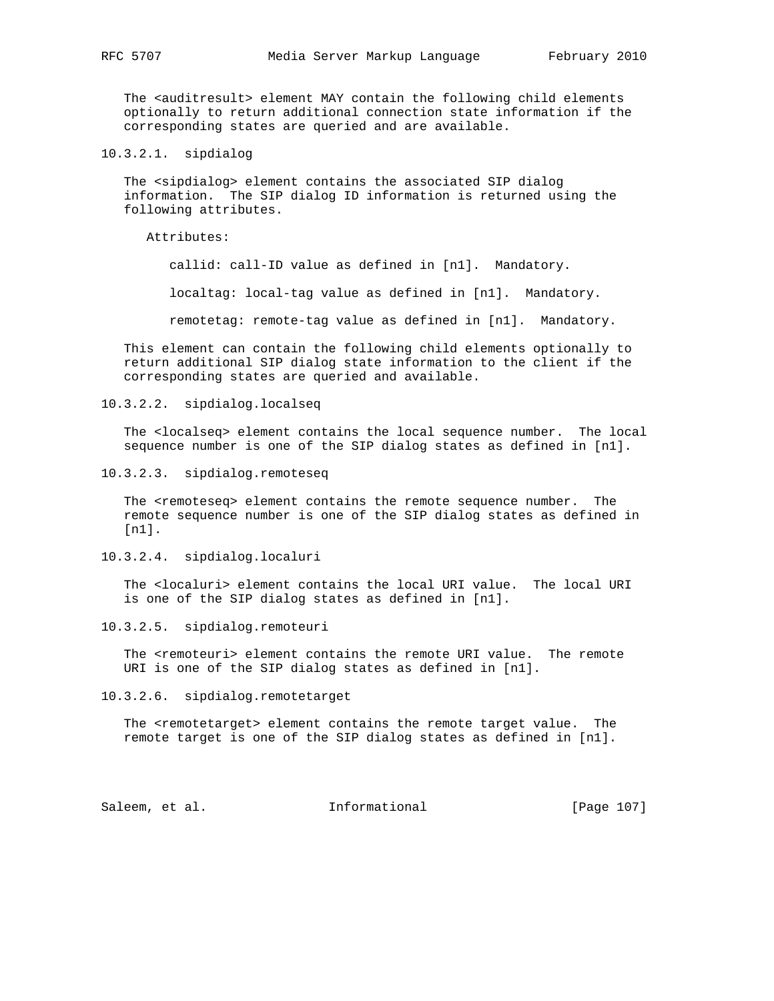The <auditresult> element MAY contain the following child elements optionally to return additional connection state information if the corresponding states are queried and are available.

10.3.2.1. sipdialog

 The <sipdialog> element contains the associated SIP dialog information. The SIP dialog ID information is returned using the following attributes.

Attributes:

callid: call-ID value as defined in [n1]. Mandatory.

localtag: local-tag value as defined in [n1]. Mandatory.

remotetag: remote-tag value as defined in [n1]. Mandatory.

 This element can contain the following child elements optionally to return additional SIP dialog state information to the client if the corresponding states are queried and available.

10.3.2.2. sipdialog.localseq

 The <localseq> element contains the local sequence number. The local sequence number is one of the SIP dialog states as defined in [n1].

10.3.2.3. sipdialog.remoteseq

 The <remoteseq> element contains the remote sequence number. The remote sequence number is one of the SIP dialog states as defined in [n1].

10.3.2.4. sipdialog.localuri

 The <localuri> element contains the local URI value. The local URI is one of the SIP dialog states as defined in [n1].

10.3.2.5. sipdialog.remoteuri

The <remoteuri> element contains the remote URI value. The remote URI is one of the SIP dialog states as defined in [n1].

10.3.2.6. sipdialog.remotetarget

 The <remotetarget> element contains the remote target value. The remote target is one of the SIP dialog states as defined in [n1].

Saleem, et al. 100 mm = Informational [Page 107]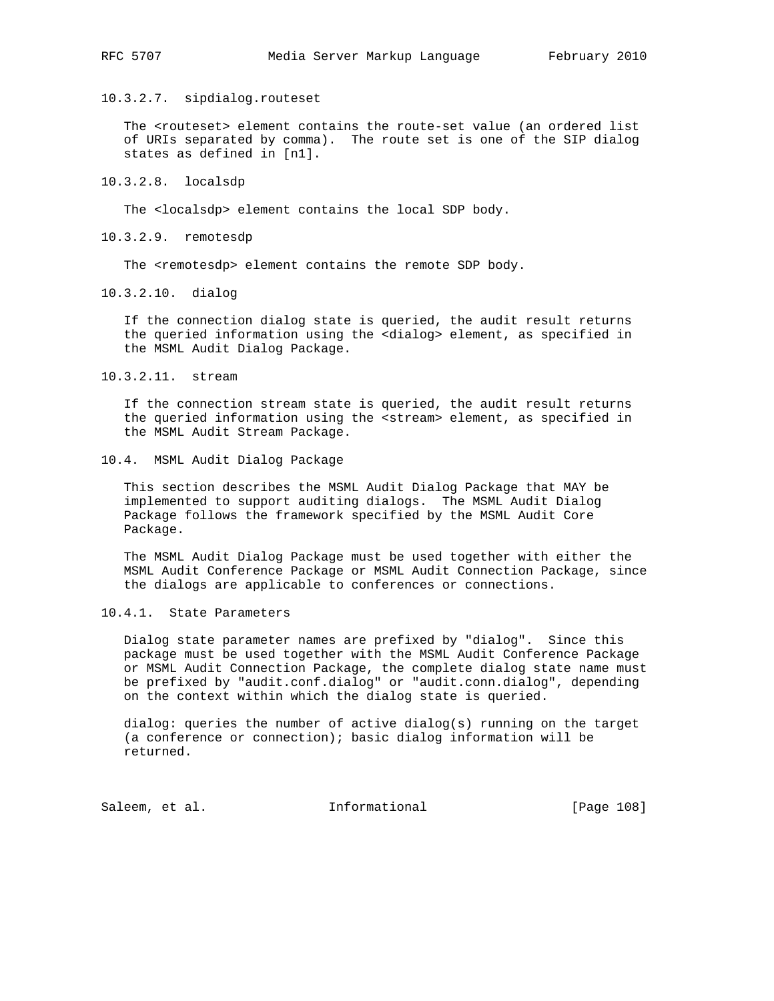10.3.2.7. sipdialog.routeset

 The <routeset> element contains the route-set value (an ordered list of URIs separated by comma). The route set is one of the SIP dialog states as defined in [n1].

10.3.2.8. localsdp

The <localsdp> element contains the local SDP body.

10.3.2.9. remotesdp

The <remotesdp> element contains the remote SDP body.

10.3.2.10. dialog

 If the connection dialog state is queried, the audit result returns the queried information using the <dialog> element, as specified in the MSML Audit Dialog Package.

10.3.2.11. stream

 If the connection stream state is queried, the audit result returns the queried information using the <stream> element, as specified in the MSML Audit Stream Package.

10.4. MSML Audit Dialog Package

 This section describes the MSML Audit Dialog Package that MAY be implemented to support auditing dialogs. The MSML Audit Dialog Package follows the framework specified by the MSML Audit Core Package.

 The MSML Audit Dialog Package must be used together with either the MSML Audit Conference Package or MSML Audit Connection Package, since the dialogs are applicable to conferences or connections.

10.4.1. State Parameters

 Dialog state parameter names are prefixed by "dialog". Since this package must be used together with the MSML Audit Conference Package or MSML Audit Connection Package, the complete dialog state name must be prefixed by "audit.conf.dialog" or "audit.conn.dialog", depending on the context within which the dialog state is queried.

 dialog: queries the number of active dialog(s) running on the target (a conference or connection); basic dialog information will be returned.

Saleem, et al. 100 mm = Informational [Page 108]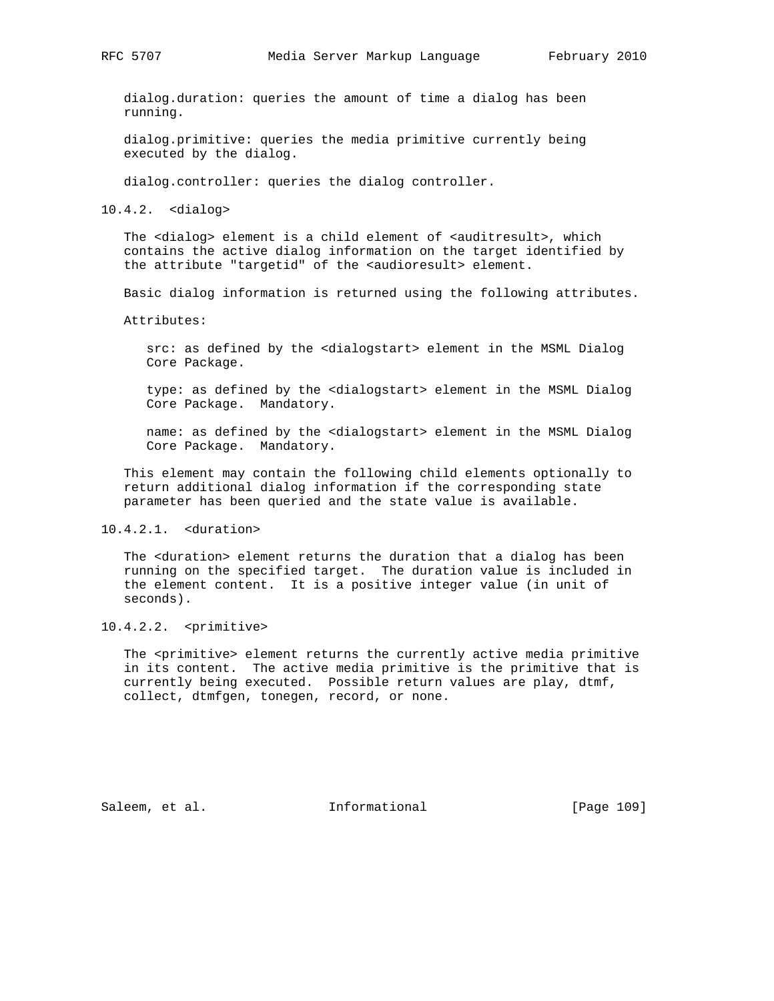dialog.duration: queries the amount of time a dialog has been running.

 dialog.primitive: queries the media primitive currently being executed by the dialog.

dialog.controller: queries the dialog controller.

10.4.2. <dialog>

The <dialog> element is a child element of <auditresult>, which contains the active dialog information on the target identified by the attribute "targetid" of the <audioresult> element.

Basic dialog information is returned using the following attributes.

Attributes:

 src: as defined by the <dialogstart> element in the MSML Dialog Core Package.

 type: as defined by the <dialogstart> element in the MSML Dialog Core Package. Mandatory.

 name: as defined by the <dialogstart> element in the MSML Dialog Core Package. Mandatory.

 This element may contain the following child elements optionally to return additional dialog information if the corresponding state parameter has been queried and the state value is available.

10.4.2.1. <duration>

 The <duration> element returns the duration that a dialog has been running on the specified target. The duration value is included in the element content. It is a positive integer value (in unit of seconds).

10.4.2.2. <primitive>

The <primitive> element returns the currently active media primitive in its content. The active media primitive is the primitive that is currently being executed. Possible return values are play, dtmf, collect, dtmfgen, tonegen, record, or none.

Saleem, et al. 100 mm = Informational [Page 109]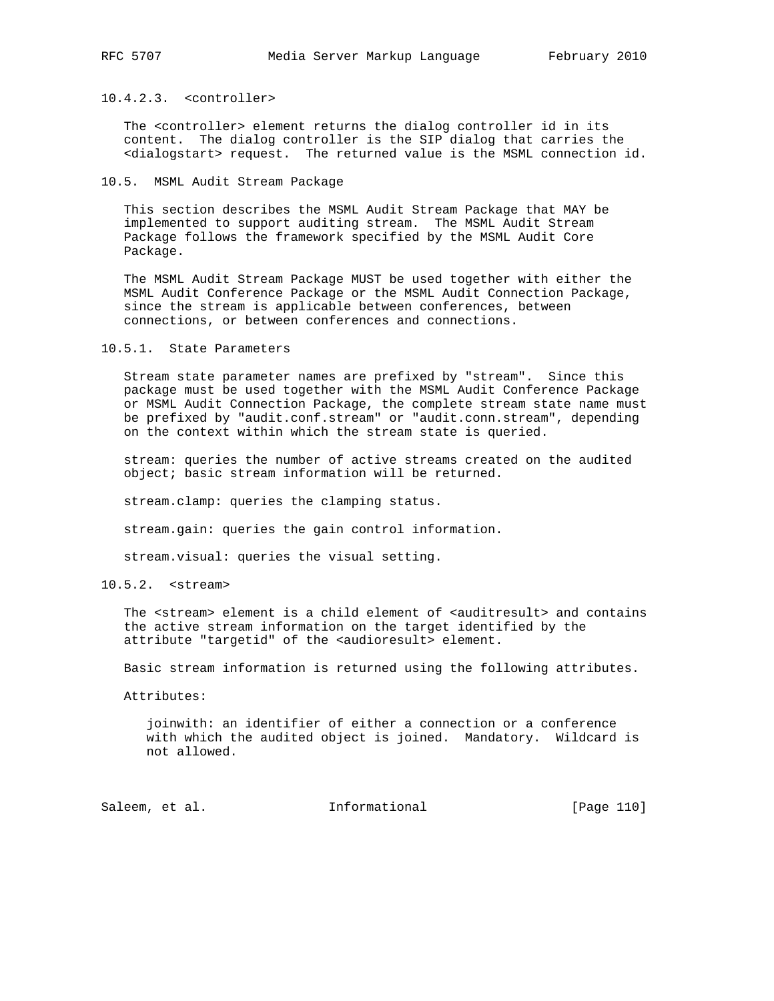## 10.4.2.3. <controller>

 The <controller> element returns the dialog controller id in its content. The dialog controller is the SIP dialog that carries the <dialogstart> request. The returned value is the MSML connection id.

10.5. MSML Audit Stream Package

 This section describes the MSML Audit Stream Package that MAY be implemented to support auditing stream. The MSML Audit Stream Package follows the framework specified by the MSML Audit Core Package.

 The MSML Audit Stream Package MUST be used together with either the MSML Audit Conference Package or the MSML Audit Connection Package, since the stream is applicable between conferences, between connections, or between conferences and connections.

10.5.1. State Parameters

 Stream state parameter names are prefixed by "stream". Since this package must be used together with the MSML Audit Conference Package or MSML Audit Connection Package, the complete stream state name must be prefixed by "audit.conf.stream" or "audit.conn.stream", depending on the context within which the stream state is queried.

 stream: queries the number of active streams created on the audited object; basic stream information will be returned.

stream.clamp: queries the clamping status.

stream.gain: queries the gain control information.

stream.visual: queries the visual setting.

10.5.2. <stream>

The <stream> element is a child element of <auditresult> and contains the active stream information on the target identified by the attribute "targetid" of the <audioresult> element.

Basic stream information is returned using the following attributes.

Attributes:

 joinwith: an identifier of either a connection or a conference with which the audited object is joined. Mandatory. Wildcard is not allowed.

Saleem, et al. 10 Informational [Page 110]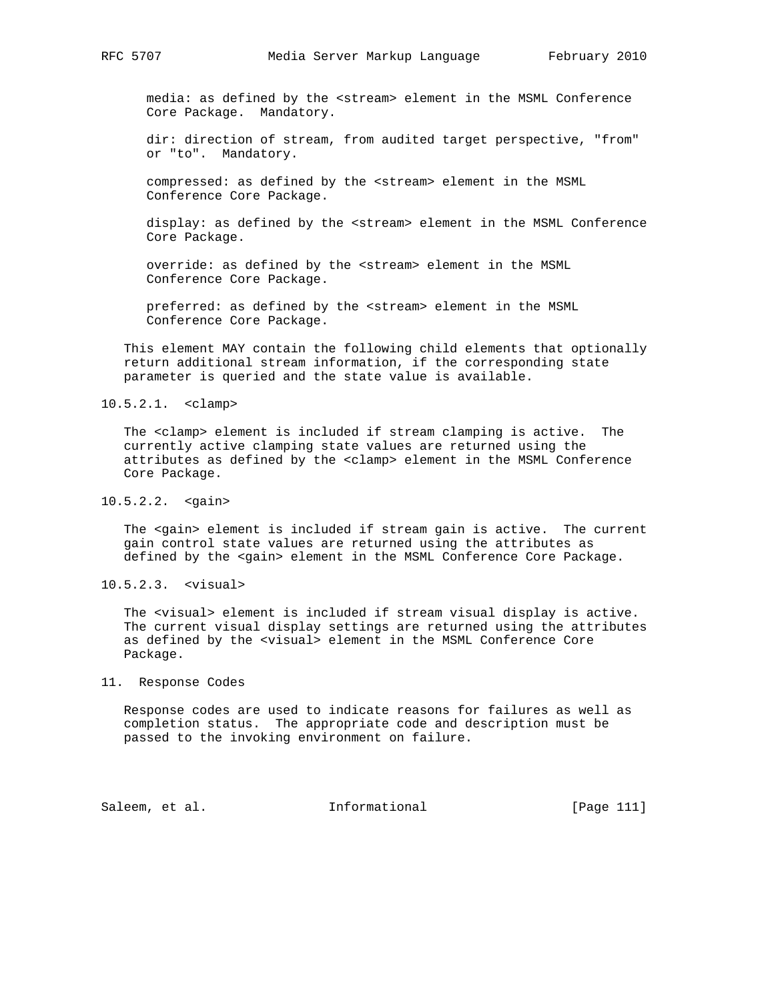media: as defined by the <stream> element in the MSML Conference Core Package. Mandatory.

 dir: direction of stream, from audited target perspective, "from" or "to". Mandatory.

 compressed: as defined by the <stream> element in the MSML Conference Core Package.

 display: as defined by the <stream> element in the MSML Conference Core Package.

 override: as defined by the <stream> element in the MSML Conference Core Package.

 preferred: as defined by the <stream> element in the MSML Conference Core Package.

 This element MAY contain the following child elements that optionally return additional stream information, if the corresponding state parameter is queried and the state value is available.

## 10.5.2.1. <clamp>

 The <clamp> element is included if stream clamping is active. The currently active clamping state values are returned using the attributes as defined by the <clamp> element in the MSML Conference Core Package.

## 10.5.2.2. <gain>

 The <gain> element is included if stream gain is active. The current gain control state values are returned using the attributes as defined by the <gain> element in the MSML Conference Core Package.

10.5.2.3. <visual>

 The <visual> element is included if stream visual display is active. The current visual display settings are returned using the attributes as defined by the <visual> element in the MSML Conference Core Package.

## 11. Response Codes

 Response codes are used to indicate reasons for failures as well as completion status. The appropriate code and description must be passed to the invoking environment on failure.

Saleem, et al. 10. Informational 1. [Page 111]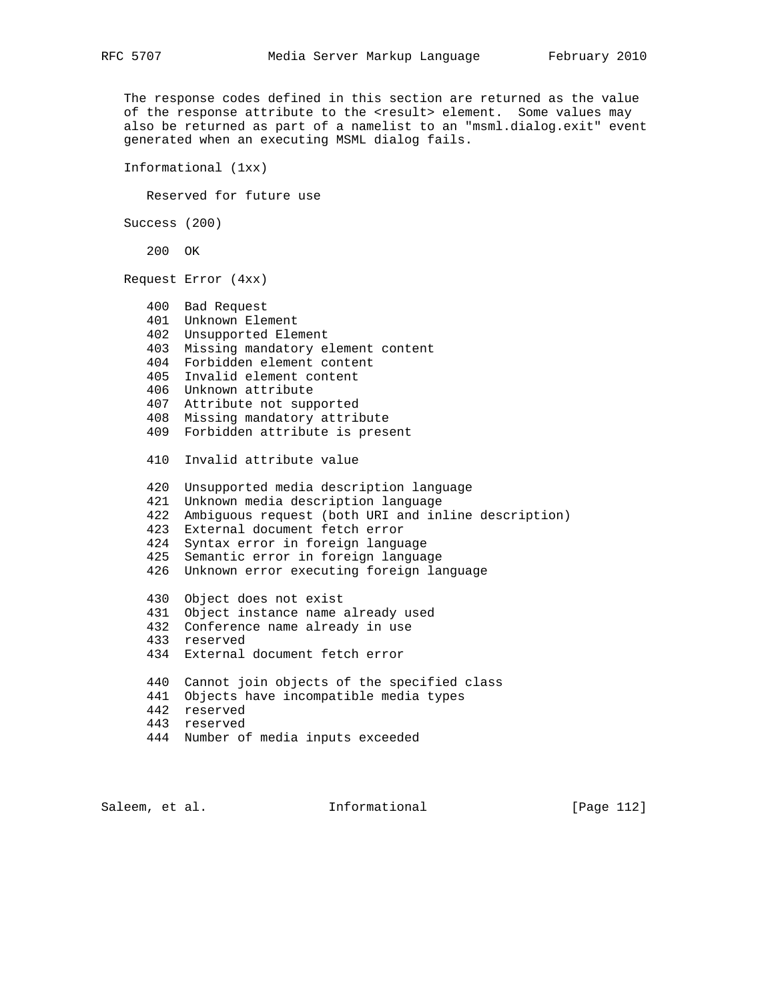The response codes defined in this section are returned as the value of the response attribute to the <result> element. Some values may also be returned as part of a namelist to an "msml.dialog.exit" event generated when an executing MSML dialog fails.

Informational (1xx)

Reserved for future use

Success (200)

200 OK

Request Error (4xx)

```
 400 Bad Request
 401 Unknown Element
 402 Unsupported Element
 403 Missing mandatory element content
 404 Forbidden element content
 405 Invalid element content
 406 Unknown attribute
 407 Attribute not supported
 408 Missing mandatory attribute
 409 Forbidden attribute is present
 410 Invalid attribute value
 420 Unsupported media description language
 421 Unknown media description language
 422 Ambiguous request (both URI and inline description)
 423 External document fetch error
 424 Syntax error in foreign language
 425 Semantic error in foreign language
 426 Unknown error executing foreign language
 430 Object does not exist
 431 Object instance name already used
 432 Conference name already in use
 433 reserved
 434 External document fetch error
 440 Cannot join objects of the specified class
 441 Objects have incompatible media types
 442 reserved
 443 reserved
 444 Number of media inputs exceeded
```
Saleem, et al. 10. Informational 1.12 [Page 112]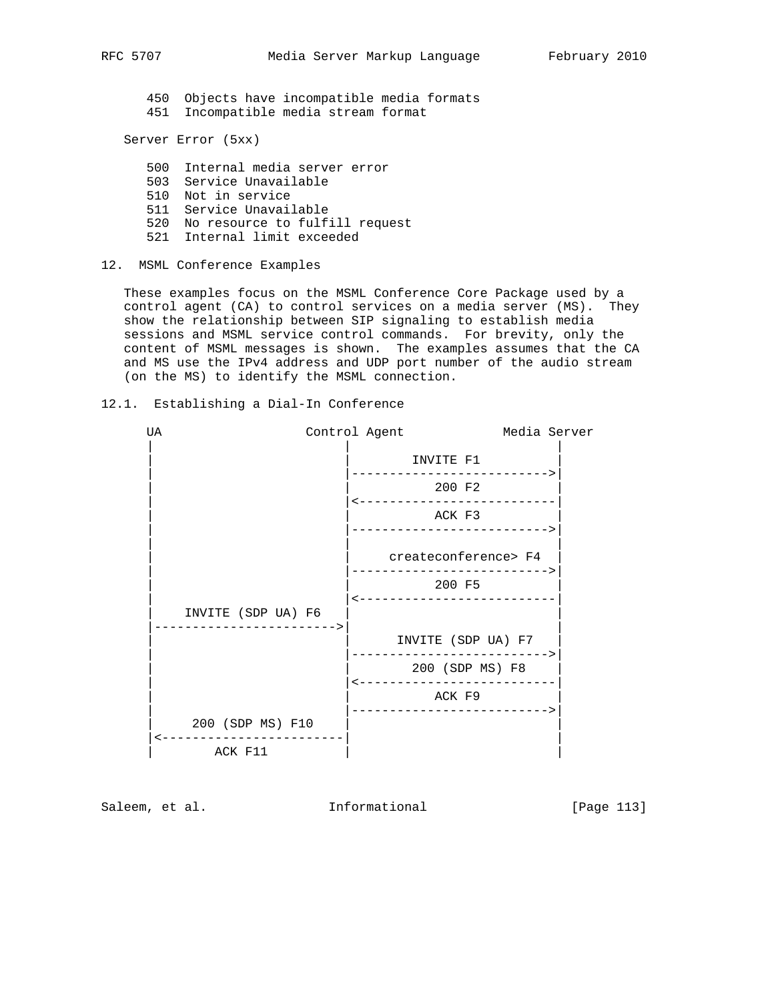450 Objects have incompatible media formats 451 Incompatible media stream format

Server Error (5xx)

 500 Internal media server error 503 Service Unavailable 510 Not in service 511 Service Unavailable 520 No resource to fulfill request 521 Internal limit exceeded

## 12. MSML Conference Examples

 These examples focus on the MSML Conference Core Package used by a control agent (CA) to control services on a media server (MS). They show the relationship between SIP signaling to establish media sessions and MSML service control commands. For brevity, only the content of MSML messages is shown. The examples assumes that the CA and MS use the IPv4 address and UDP port number of the audio stream (on the MS) to identify the MSML connection.

## 12.1. Establishing a Dial-In Conference



Saleem, et al. 10. Informational [Page 113]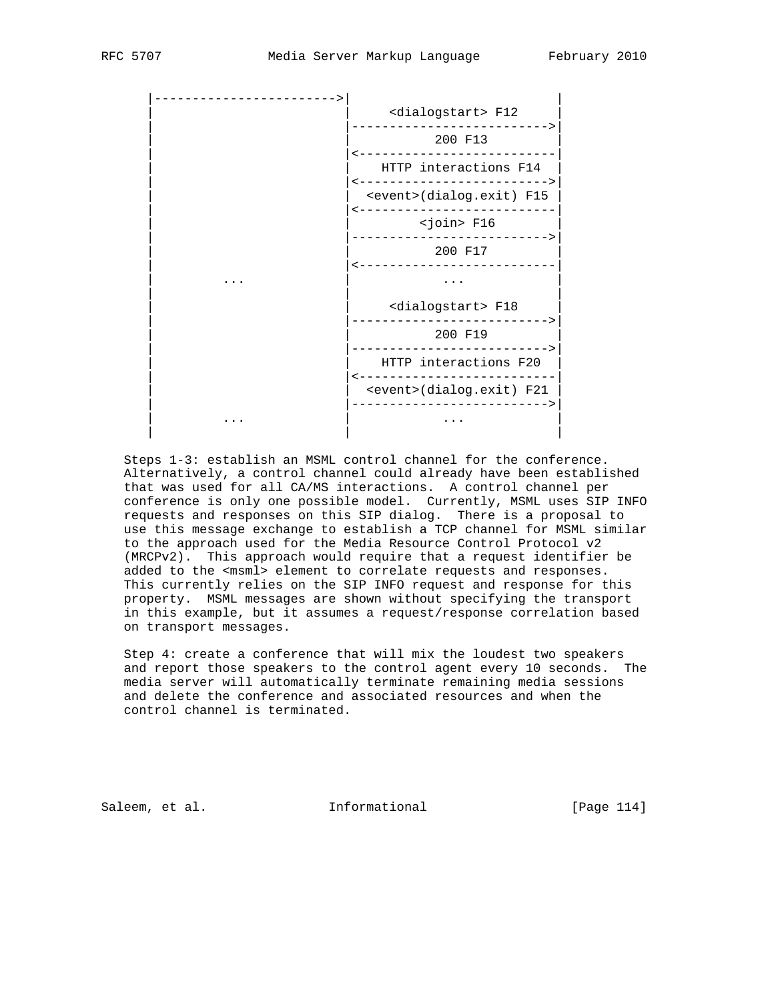|  | <dialogstart> F12</dialogstart>  |
|--|----------------------------------|
|  | 200 F13                          |
|  | HTTP interactions F14            |
|  | <event>(dialog.exit) F15</event> |
|  | <join> F16</join>                |
|  | 200 F17                          |
|  |                                  |
|  | <dialogstart> F18</dialogstart>  |
|  | 200 F19                          |
|  | HTTP interactions F20            |
|  | <event>(dialog.exit) F21</event> |
|  |                                  |
|  |                                  |

 Steps 1-3: establish an MSML control channel for the conference. Alternatively, a control channel could already have been established that was used for all CA/MS interactions. A control channel per conference is only one possible model. Currently, MSML uses SIP INFO requests and responses on this SIP dialog. There is a proposal to use this message exchange to establish a TCP channel for MSML similar to the approach used for the Media Resource Control Protocol v2 (MRCPv2). This approach would require that a request identifier be added to the <msml> element to correlate requests and responses. This currently relies on the SIP INFO request and response for this property. MSML messages are shown without specifying the transport in this example, but it assumes a request/response correlation based on transport messages.

 Step 4: create a conference that will mix the loudest two speakers and report those speakers to the control agent every 10 seconds. The media server will automatically terminate remaining media sessions and delete the conference and associated resources and when the control channel is terminated.

Saleem, et al. 10 mm = Informational 1999 [Page 114]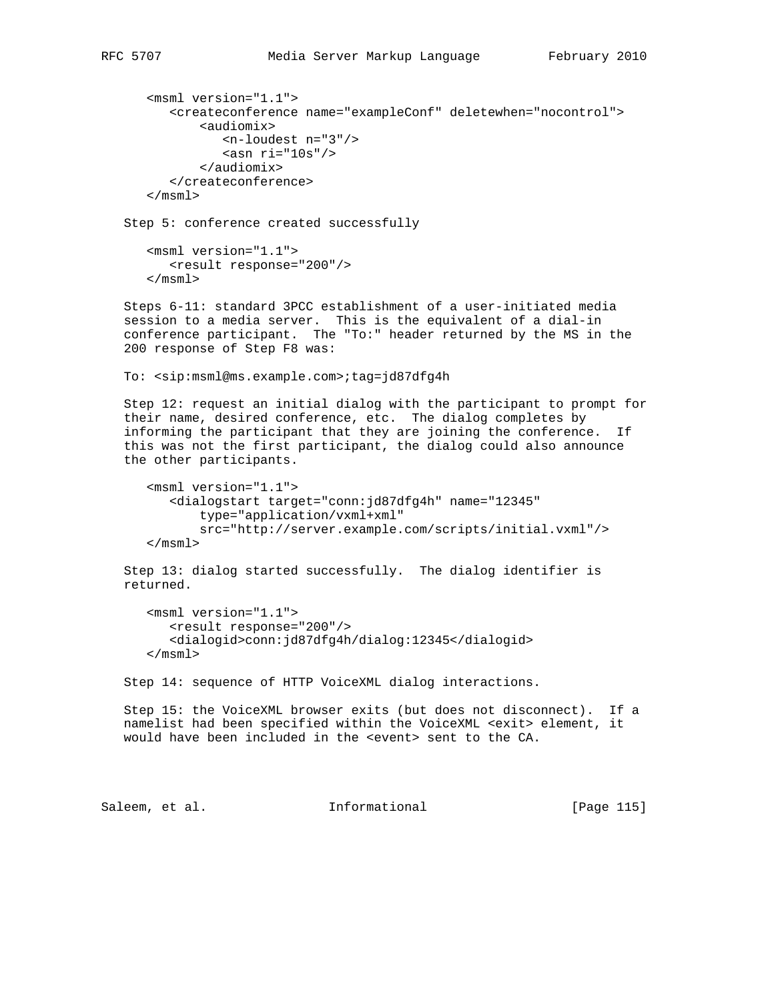```
 <msml version="1.1">
   <createconference name="exampleConf" deletewhen="nocontrol">
        <audiomix>
           <n-loudest n="3"/>
          <asn ri="10s"/>
        </audiomix>
    </createconference>
 </msml>
```
Step 5: conference created successfully

```
 <msml version="1.1">
    <result response="200"/>
 </msml>
```
 Steps 6-11: standard 3PCC establishment of a user-initiated media session to a media server. This is the equivalent of a dial-in conference participant. The "To:" header returned by the MS in the 200 response of Step F8 was:

To: <sip:msml@ms.example.com>;tag=jd87dfg4h

 Step 12: request an initial dialog with the participant to prompt for their name, desired conference, etc. The dialog completes by informing the participant that they are joining the conference. If this was not the first participant, the dialog could also announce the other participants.

```
 <msml version="1.1">
    <dialogstart target="conn:jd87dfg4h" name="12345"
        type="application/vxml+xml"
       src="http://server.example.com/scripts/initial.vxml"/>
 </msml>
```
 Step 13: dialog started successfully. The dialog identifier is returned.

```
 <msml version="1.1">
    <result response="200"/>
    <dialogid>conn:jd87dfg4h/dialog:12345</dialogid>
 </msml>
```
Step 14: sequence of HTTP VoiceXML dialog interactions.

 Step 15: the VoiceXML browser exits (but does not disconnect). If a namelist had been specified within the VoiceXML <exit> element, it would have been included in the <event> sent to the CA.

Saleem, et al. 10. Informational 1999 [Page 115]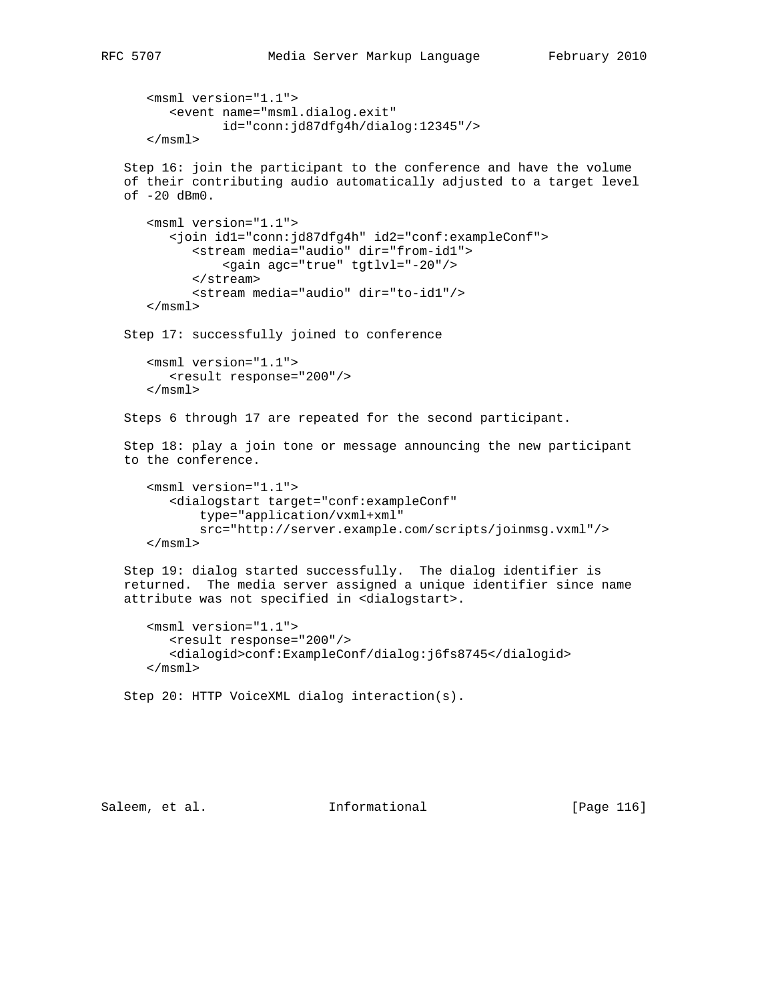```
 <msml version="1.1">
       <event name="msml.dialog.exit"
              id="conn:jd87dfg4h/dialog:12345"/>
    </msml>
 Step 16: join the participant to the conference and have the volume
 of their contributing audio automatically adjusted to a target level
 of -20 dBm0.
    <msml version="1.1">
       <join id1="conn:jd87dfg4h" id2="conf:exampleConf">
          <stream media="audio" dir="from-id1">
              <gain agc="true" tgtlvl="-20"/>
          </stream>
          <stream media="audio" dir="to-id1"/>
    </msml>
 Step 17: successfully joined to conference
    <msml version="1.1">
       <result response="200"/>
    </msml>
 Steps 6 through 17 are repeated for the second participant.
 Step 18: play a join tone or message announcing the new participant
 to the conference.
    <msml version="1.1">
       <dialogstart target="conf:exampleConf"
           type="application/vxml+xml"
          src="http://server.example.com/scripts/joinmsg.vxml"/>
    </msml>
 Step 19: dialog started successfully. The dialog identifier is
 returned. The media server assigned a unique identifier since name
 attribute was not specified in <dialogstart>.
    <msml version="1.1">
       <result response="200"/>
       <dialogid>conf:ExampleConf/dialog:j6fs8745</dialogid>
    </msml>
 Step 20: HTTP VoiceXML dialog interaction(s).
```
Saleem, et al. Informational [Page 116]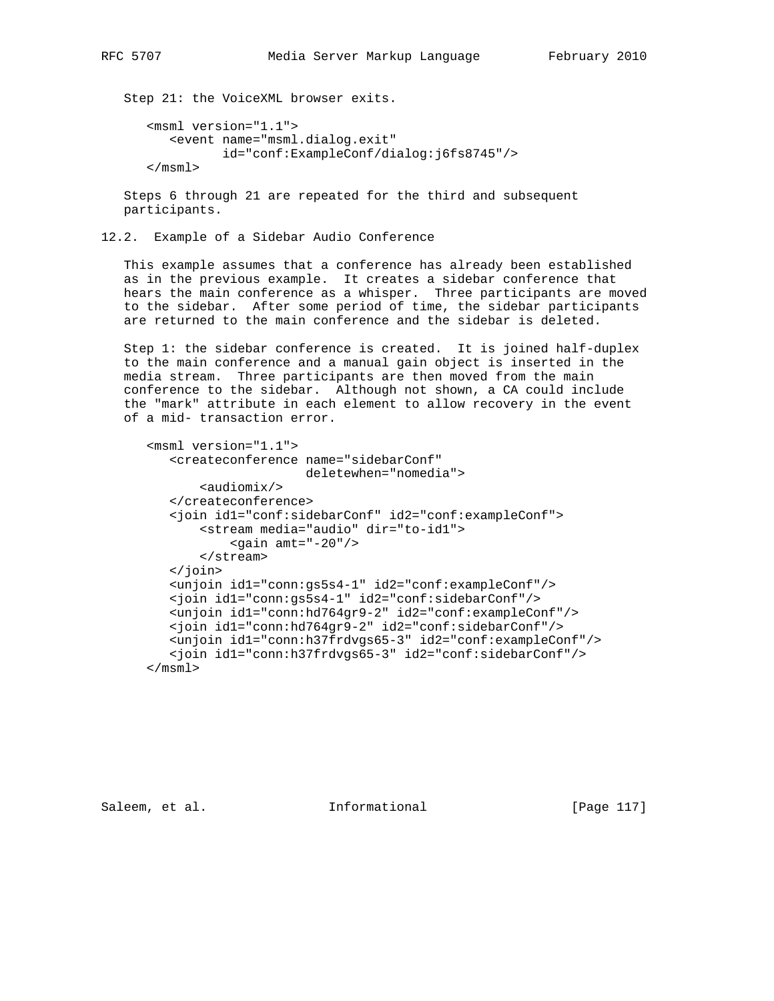Step 21: the VoiceXML browser exits.

```
 <msml version="1.1">
    <event name="msml.dialog.exit"
          id="conf:ExampleConf/dialog:j6fs8745"/>
 </msml>
```
 Steps 6 through 21 are repeated for the third and subsequent participants.

12.2. Example of a Sidebar Audio Conference

 This example assumes that a conference has already been established as in the previous example. It creates a sidebar conference that hears the main conference as a whisper. Three participants are moved to the sidebar. After some period of time, the sidebar participants are returned to the main conference and the sidebar is deleted.

 Step 1: the sidebar conference is created. It is joined half-duplex to the main conference and a manual gain object is inserted in the media stream. Three participants are then moved from the main conference to the sidebar. Although not shown, a CA could include the "mark" attribute in each element to allow recovery in the event of a mid- transaction error.

```
 <msml version="1.1">
    <createconference name="sidebarConf"
                      deletewhen="nomedia">
        <audiomix/>
    </createconference>
    <join id1="conf:sidebarConf" id2="conf:exampleConf">
        <stream media="audio" dir="to-id1">
           \epsilongain amt="-20"/>
        </stream>
    </join>
    <unjoin id1="conn:gs5s4-1" id2="conf:exampleConf"/>
    <join id1="conn:gs5s4-1" id2="conf:sidebarConf"/>
    <unjoin id1="conn:hd764gr9-2" id2="conf:exampleConf"/>
    <join id1="conn:hd764gr9-2" id2="conf:sidebarConf"/>
    <unjoin id1="conn:h37frdvgs65-3" id2="conf:exampleConf"/>
    <join id1="conn:h37frdvgs65-3" id2="conf:sidebarConf"/>
 </msml>
```
Saleem, et al. Informational [Page 117]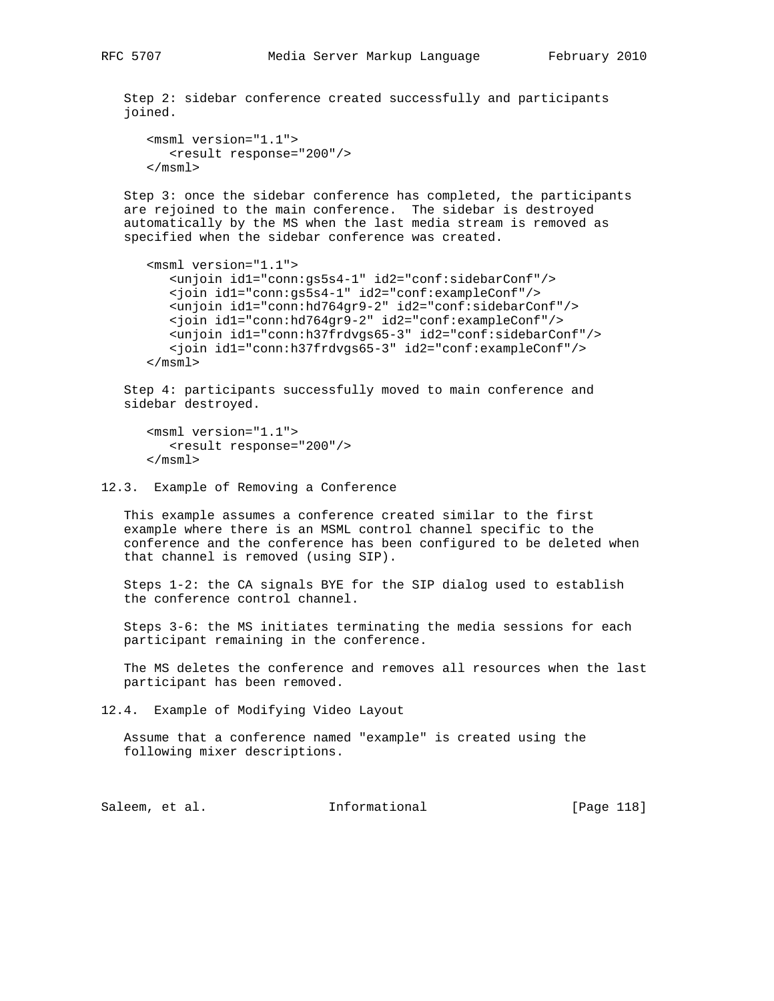Step 2: sidebar conference created successfully and participants joined.

```
 <msml version="1.1">
    <result response="200"/>
 </msml>
```
 Step 3: once the sidebar conference has completed, the participants are rejoined to the main conference. The sidebar is destroyed automatically by the MS when the last media stream is removed as specified when the sidebar conference was created.

```
 <msml version="1.1">
    <unjoin id1="conn:gs5s4-1" id2="conf:sidebarConf"/>
    <join id1="conn:gs5s4-1" id2="conf:exampleConf"/>
   <unjoin id1="conn:hd764gr9-2" id2="conf:sidebarConf"/>
   <join id1="conn:hd764gr9-2" id2="conf:exampleConf"/>
   <unjoin id1="conn:h37frdvgs65-3" id2="conf:sidebarConf"/>
   <join id1="conn:h37frdvgs65-3" id2="conf:exampleConf"/>
 </msml>
```
 Step 4: participants successfully moved to main conference and sidebar destroyed.

```
 <msml version="1.1">
    <result response="200"/>
 </msml>
```
12.3. Example of Removing a Conference

 This example assumes a conference created similar to the first example where there is an MSML control channel specific to the conference and the conference has been configured to be deleted when that channel is removed (using SIP).

 Steps 1-2: the CA signals BYE for the SIP dialog used to establish the conference control channel.

 Steps 3-6: the MS initiates terminating the media sessions for each participant remaining in the conference.

 The MS deletes the conference and removes all resources when the last participant has been removed.

12.4. Example of Modifying Video Layout

 Assume that a conference named "example" is created using the following mixer descriptions.

Saleem, et al. 10. Informational [Page 118]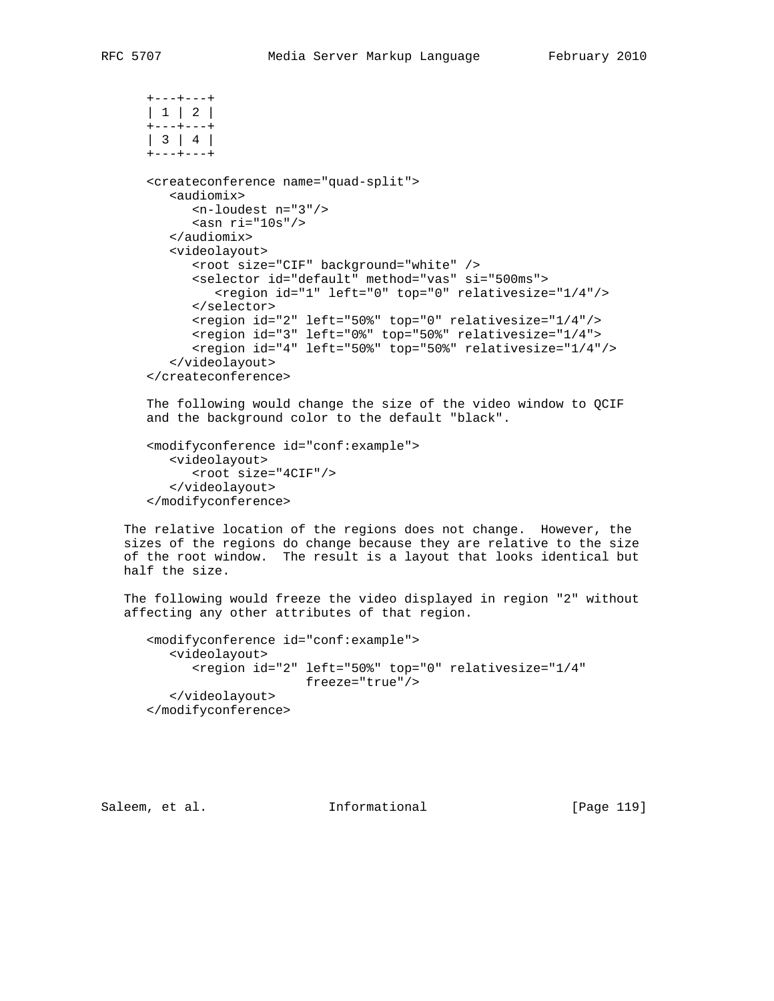```
 +---+---+
 | 1 | 2 |
  +---+---+
 | 3 | 4 |
 +---+---+
 <createconference name="quad-split">
    <audiomix>
       <n-loudest n="3"/>
      \sin ri="10s"/>
    </audiomix>
    <videolayout>
       <root size="CIF" background="white" />
       <selector id="default" method="vas" si="500ms">
          <region id="1" left="0" top="0" relativesize="1/4"/>
       </selector>
       <region id="2" left="50%" top="0" relativesize="1/4"/>
       <region id="3" left="0%" top="50%" relativesize="1/4">
       <region id="4" left="50%" top="50%" relativesize="1/4"/>
    </videolayout>
 </createconference>
 The following would change the size of the video window to QCIF
 and the background color to the default "black".
```

```
 <modifyconference id="conf:example">
   <videolayout>
       <root size="4CIF"/>
    </videolayout>
 </modifyconference>
```
 The relative location of the regions does not change. However, the sizes of the regions do change because they are relative to the size of the root window. The result is a layout that looks identical but half the size.

 The following would freeze the video displayed in region "2" without affecting any other attributes of that region.

```
 <modifyconference id="conf:example">
    <videolayout>
       <region id="2" left="50%" top="0" relativesize="1/4"
                     freeze="true"/>
    </videolayout>
 </modifyconference>
```
Saleem, et al. 10. Informational 19 [Page 119]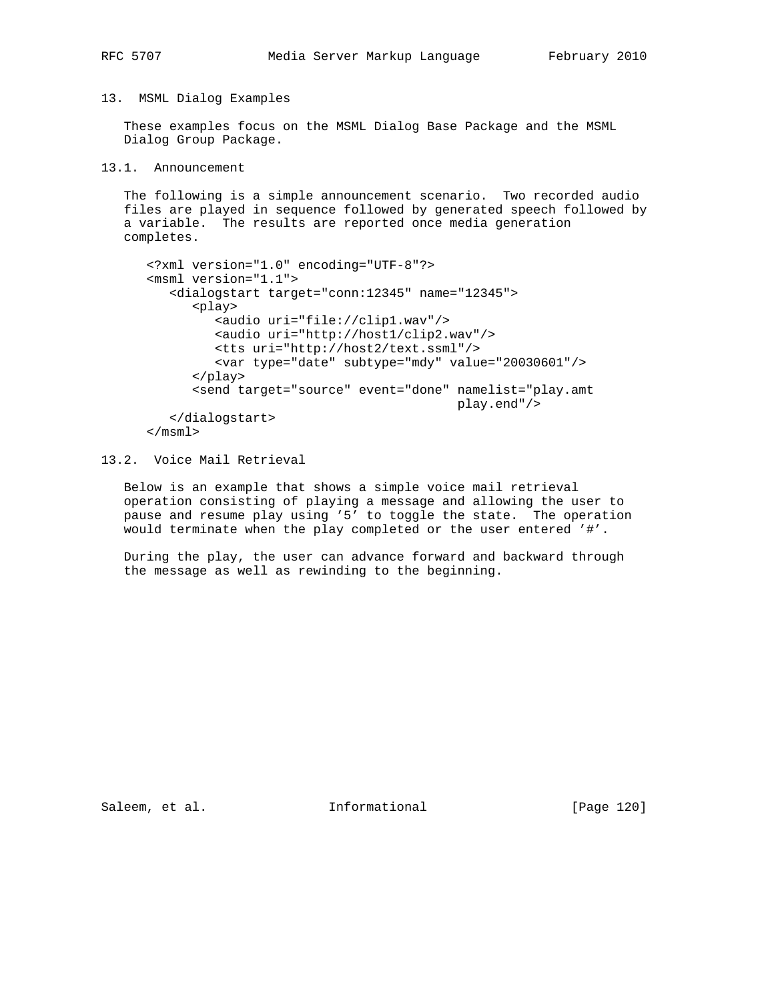## 13. MSML Dialog Examples

 These examples focus on the MSML Dialog Base Package and the MSML Dialog Group Package.

## 13.1. Announcement

 The following is a simple announcement scenario. Two recorded audio files are played in sequence followed by generated speech followed by a variable. The results are reported once media generation completes.

```
 <?xml version="1.0" encoding="UTF-8"?>
 <msml version="1.1">
    <dialogstart target="conn:12345" name="12345">
       <play>
          <audio uri="file://clip1.wav"/>
          <audio uri="http://host1/clip2.wav"/>
          <tts uri="http://host2/text.ssml"/>
          <var type="date" subtype="mdy" value="20030601"/>
       </play>
       <send target="source" event="done" namelist="play.amt
                                           play.end"/>
    </dialogstart>
 </msml>
```
# 13.2. Voice Mail Retrieval

 Below is an example that shows a simple voice mail retrieval operation consisting of playing a message and allowing the user to pause and resume play using '5' to toggle the state. The operation would terminate when the play completed or the user entered '#'.

 During the play, the user can advance forward and backward through the message as well as rewinding to the beginning.

Saleem, et al. 1nformational [Page 120]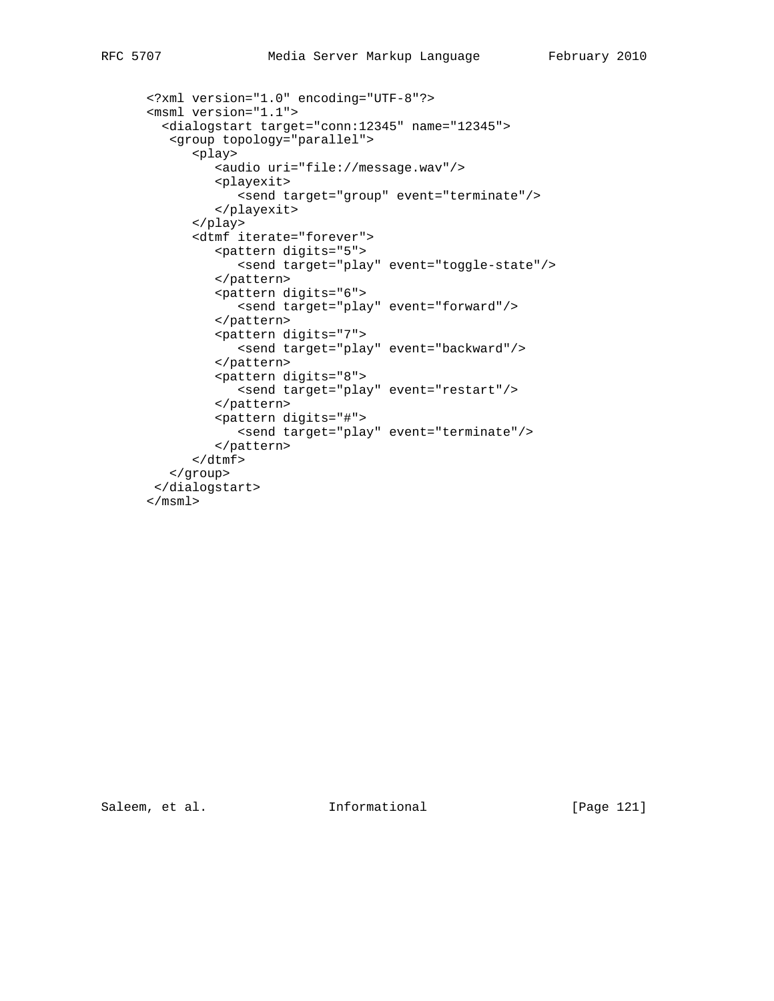```
 <?xml version="1.0" encoding="UTF-8"?>
 <msml version="1.1">
   <dialogstart target="conn:12345" name="12345">
    <group topology="parallel">
       <play>
          <audio uri="file://message.wav"/>
          <playexit>
            <send target="group" event="terminate"/>
          </playexit>
       </play>
       <dtmf iterate="forever">
         <pattern digits="5">
             <send target="play" event="toggle-state"/>
          </pattern>
          <pattern digits="6">
             <send target="play" event="forward"/>
          </pattern>
          <pattern digits="7">
             <send target="play" event="backward"/>
          </pattern>
          <pattern digits="8">
             <send target="play" event="restart"/>
          </pattern>
          <pattern digits="#">
            <send target="play" event="terminate"/>
          </pattern>
      \langle dtmf>
    </group>
 </dialogstart>
 </msml>
```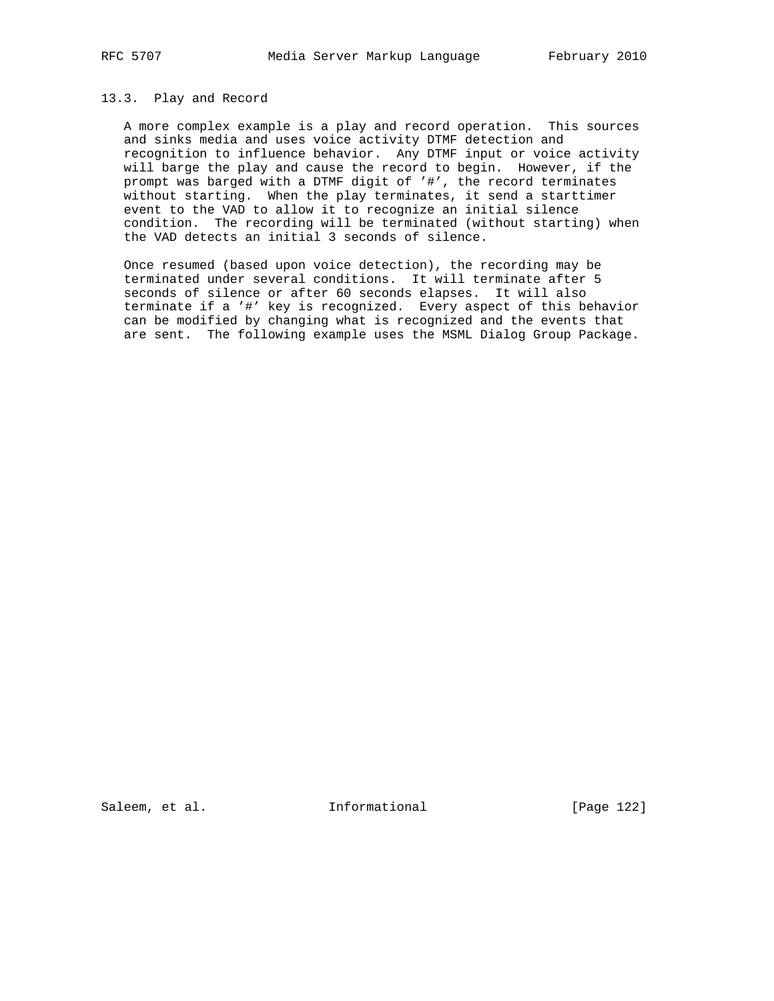## 13.3. Play and Record

 A more complex example is a play and record operation. This sources and sinks media and uses voice activity DTMF detection and recognition to influence behavior. Any DTMF input or voice activity will barge the play and cause the record to begin. However, if the prompt was barged with a DTMF digit of '#', the record terminates without starting. When the play terminates, it send a starttimer event to the VAD to allow it to recognize an initial silence condition. The recording will be terminated (without starting) when the VAD detects an initial 3 seconds of silence.

 Once resumed (based upon voice detection), the recording may be terminated under several conditions. It will terminate after 5 seconds of silence or after 60 seconds elapses. It will also terminate if a '#' key is recognized. Every aspect of this behavior can be modified by changing what is recognized and the events that are sent. The following example uses the MSML Dialog Group Package.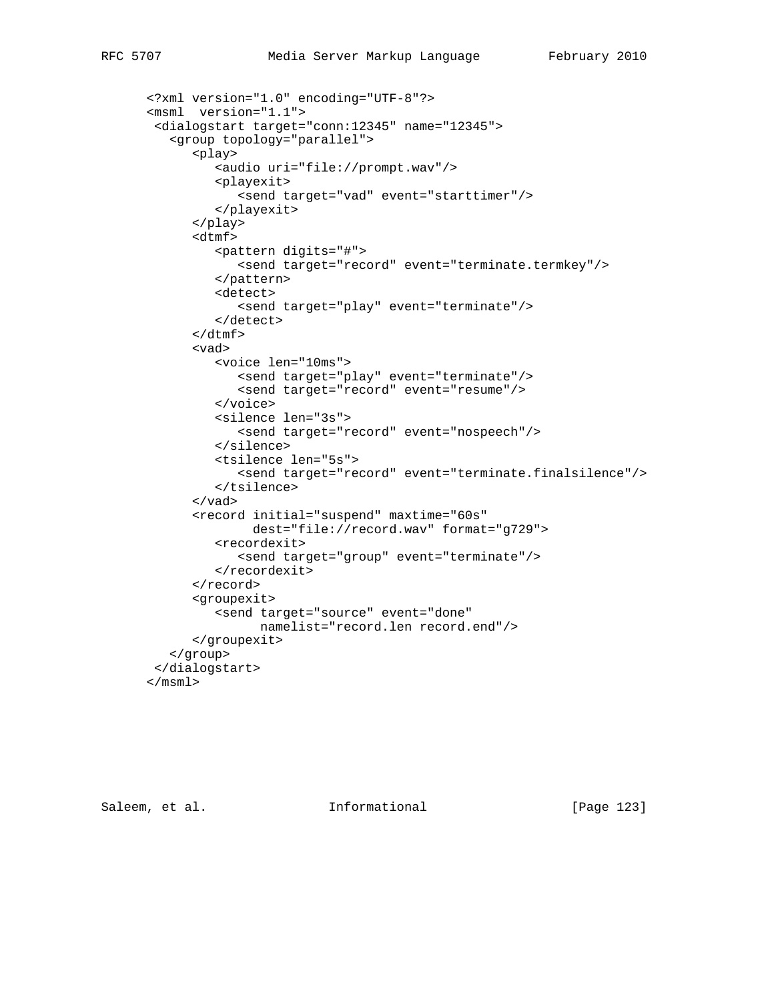```
 <?xml version="1.0" encoding="UTF-8"?>
 <msml version="1.1">
  <dialogstart target="conn:12345" name="12345">
    <group topology="parallel">
       <play>
          <audio uri="file://prompt.wav"/>
          <playexit>
             <send target="vad" event="starttimer"/>
          </playexit>
       </play>
       <dtmf>
          <pattern digits="#">
             <send target="record" event="terminate.termkey"/>
          </pattern>
          <detect>
             <send target="play" event="terminate"/>
          </detect>
       </dtmf>
       <vad>
          <voice len="10ms">
             <send target="play" event="terminate"/>
             <send target="record" event="resume"/>
          </voice>
          <silence len="3s">
             <send target="record" event="nospeech"/>
          </silence>
          <tsilence len="5s">
             <send target="record" event="terminate.finalsilence"/>
          </tsilence>
       </vad>
       <record initial="suspend" maxtime="60s"
               dest="file://record.wav" format="g729">
          <recordexit>
             <send target="group" event="terminate"/>
          </recordexit>
       </record>
       <groupexit>
          <send target="source" event="done"
                namelist="record.len record.end"/>
       </groupexit>
    </group>
  </dialogstart>
 </msml>
```
Saleem, et al. 10 Informational [Page 123]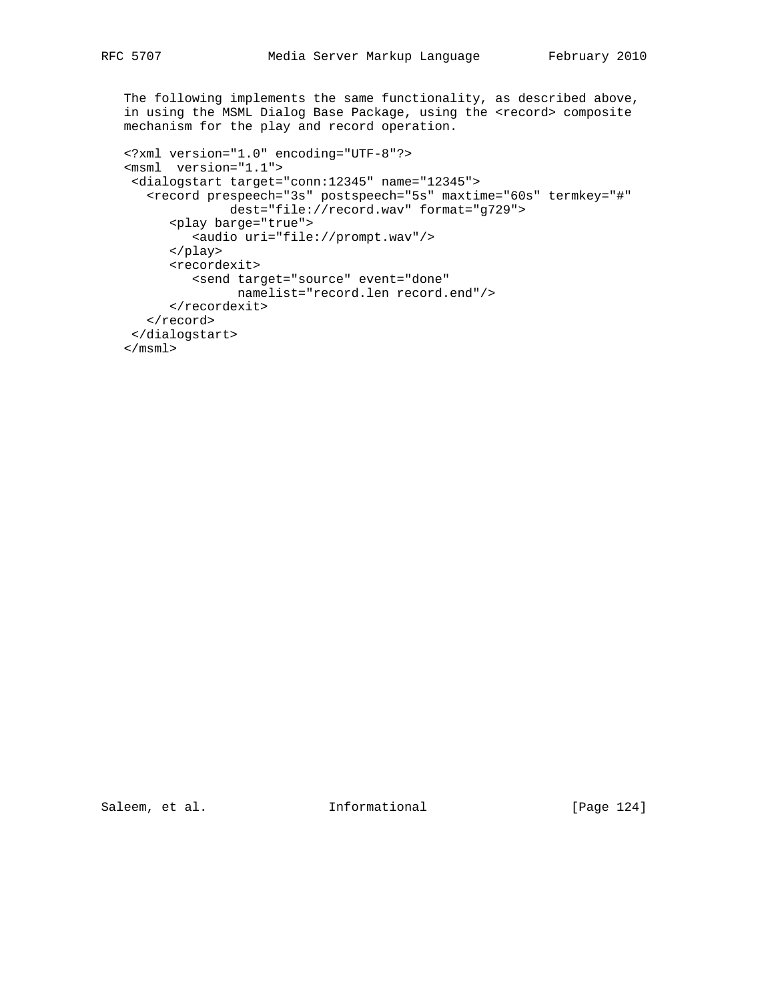The following implements the same functionality, as described above, in using the MSML Dialog Base Package, using the <record> composite mechanism for the play and record operation.

```
 <?xml version="1.0" encoding="UTF-8"?>
 <msml version="1.1">
 <dialogstart target="conn:12345" name="12345">
    <record prespeech="3s" postspeech="5s" maxtime="60s" termkey="#"
               dest="file://record.wav" format="g729">
       <play barge="true">
          <audio uri="file://prompt.wav"/>
       </play>
       <recordexit>
         <send target="source" event="done"
                namelist="record.len record.end"/>
       </recordexit>
    </record>
 </dialogstart>
\langle / \text{msml} \rangle
```
Saleem, et al. 1nformational [Page 124]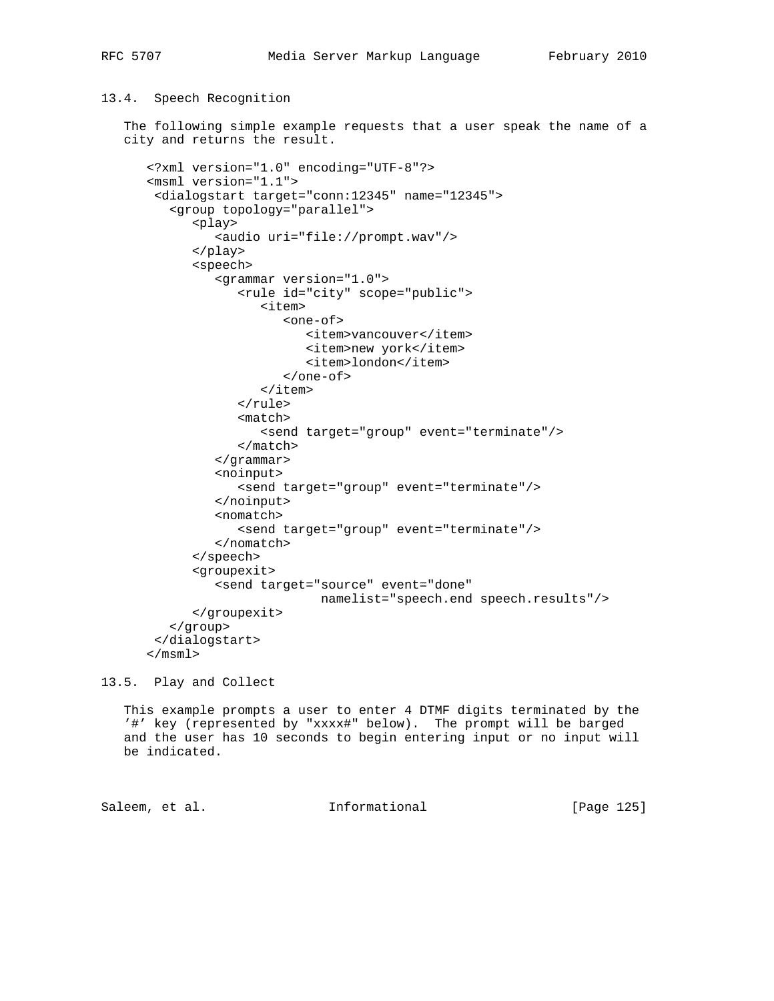## 13.4. Speech Recognition

 The following simple example requests that a user speak the name of a city and returns the result.

```
 <?xml version="1.0" encoding="UTF-8"?>
 <msml version="1.1">
  <dialogstart target="conn:12345" name="12345">
    <group topology="parallel">
       <play>
          <audio uri="file://prompt.wav"/>
       </play>
       <speech>
          <grammar version="1.0">
              <rule id="city" scope="public">
                 <item>
                    <one-of>
                       <item>vancouver</item>
                       <item>new york</item>
                       <item>london</item>
                    </one-of>
                \langleitem\rangle </rule>
              <match>
                 <send target="group" event="terminate"/>
              </match>
          </grammar>
          <noinput>
              <send target="group" event="terminate"/>
          </noinput>
          <nomatch>
              <send target="group" event="terminate"/>
          </nomatch>
       </speech>
       <groupexit>
          <send target="source" event="done"
                        namelist="speech.end speech.results"/>
       </groupexit>
    </group>
  </dialogstart>
 </msml>
```
13.5. Play and Collect

 This example prompts a user to enter 4 DTMF digits terminated by the '#' key (represented by "xxxx#" below). The prompt will be barged and the user has 10 seconds to begin entering input or no input will be indicated.

Saleem, et al. Informational [Page 125]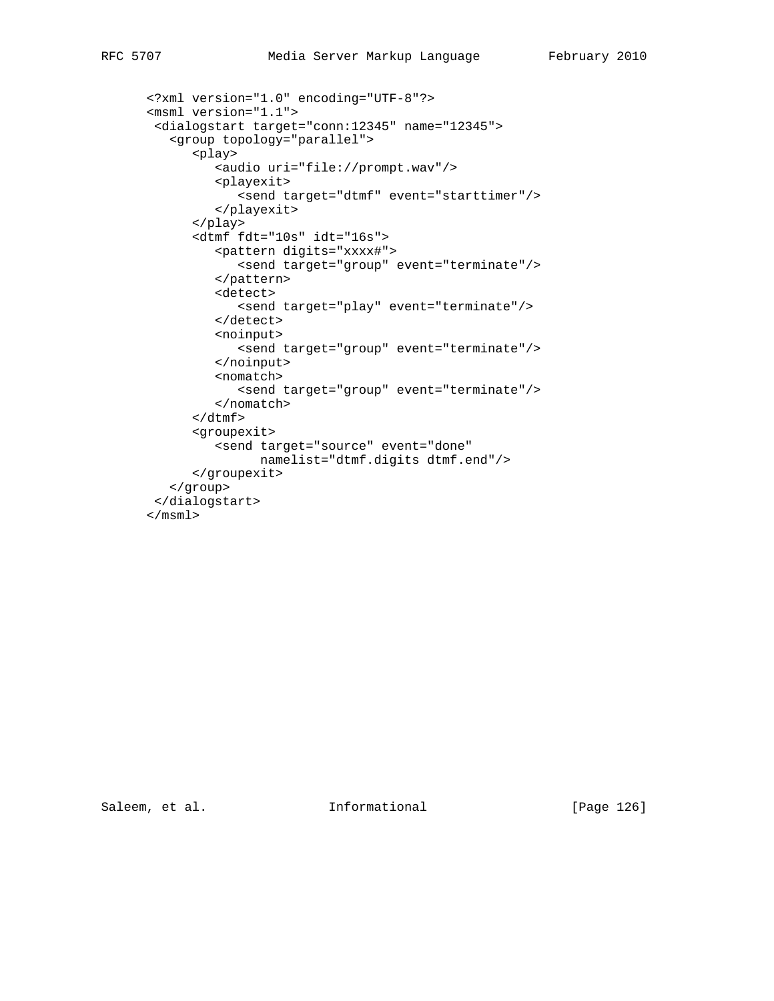```
 <?xml version="1.0" encoding="UTF-8"?>
 <msml version="1.1">
  <dialogstart target="conn:12345" name="12345">
    <group topology="parallel">
       <play>
          <audio uri="file://prompt.wav"/>
          <playexit>
             <send target="dtmf" event="starttimer"/>
          </playexit>
       </play>
       <dtmf fdt="10s" idt="16s">
          <pattern digits="xxxx#">
             <send target="group" event="terminate"/>
          </pattern>
          <detect>
             <send target="play" event="terminate"/>
          </detect>
          <noinput>
             <send target="group" event="terminate"/>
          </noinput>
          <nomatch>
             <send target="group" event="terminate"/>
          </nomatch>
      \langle dtmf>
       <groupexit>
          <send target="source" event="done"
                namelist="dtmf.digits dtmf.end"/>
       </groupexit>
    </group>
 </dialogstart>
 </msml>
```
Saleem, et al. 1nformational [Page 126]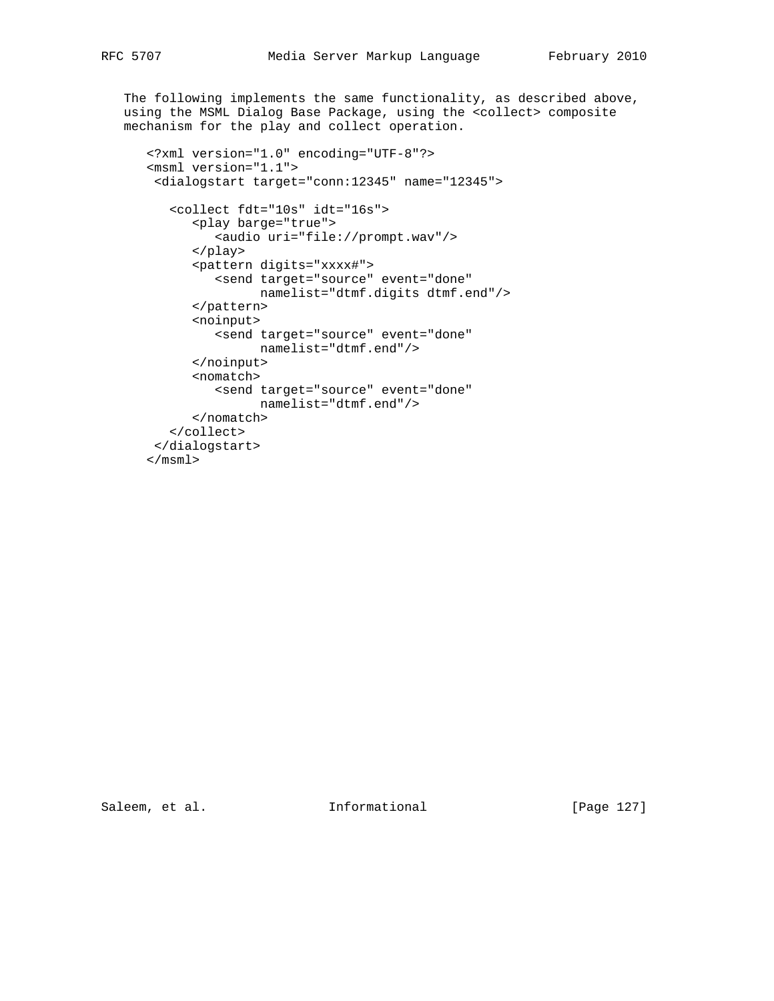The following implements the same functionality, as described above, using the MSML Dialog Base Package, using the <collect> composite mechanism for the play and collect operation.

```
 <?xml version="1.0" encoding="UTF-8"?>
 <msml version="1.1">
 <dialogstart target="conn:12345" name="12345">
    <collect fdt="10s" idt="16s">
       <play barge="true">
          <audio uri="file://prompt.wav"/>
       </play>
       <pattern digits="xxxx#">
         <send target="source" event="done"
                namelist="dtmf.digits dtmf.end"/>
       </pattern>
       <noinput>
         <send target="source" event="done"
               namelist="dtmf.end"/>
       </noinput>
       <nomatch>
          <send target="source" event="done"
               namelist="dtmf.end"/>
       </nomatch>
    </collect>
 </dialogstart>
 </msml>
```
Saleem, et al. 1nformational [Page 127]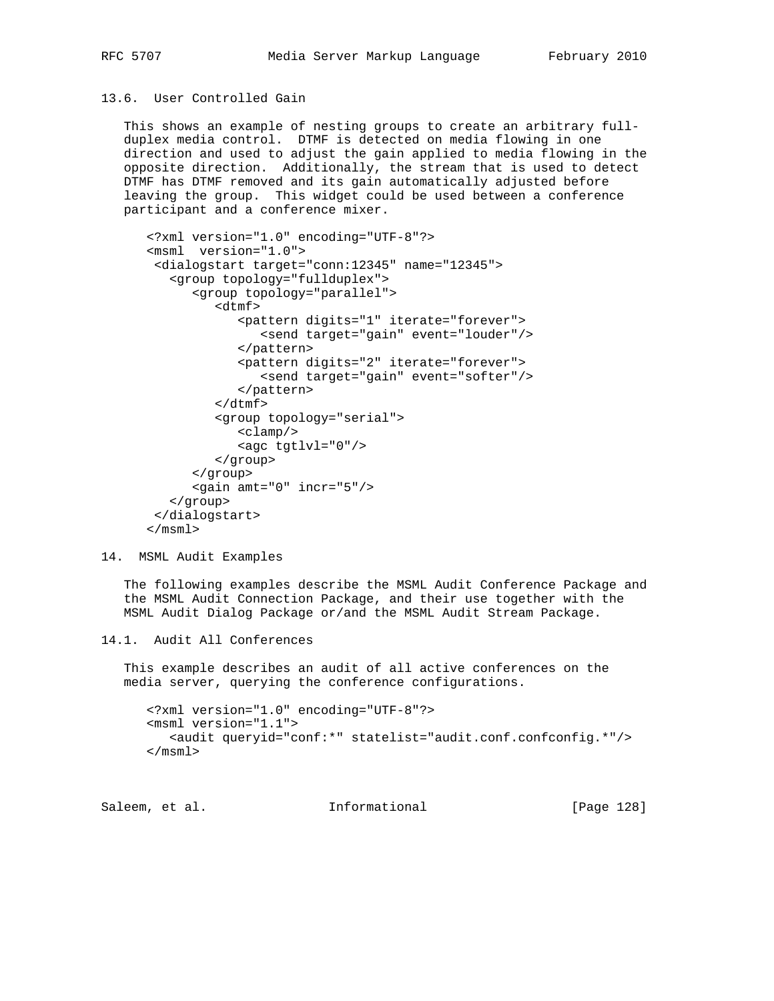## 13.6. User Controlled Gain

 This shows an example of nesting groups to create an arbitrary full duplex media control. DTMF is detected on media flowing in one direction and used to adjust the gain applied to media flowing in the opposite direction. Additionally, the stream that is used to detect DTMF has DTMF removed and its gain automatically adjusted before leaving the group. This widget could be used between a conference participant and a conference mixer.

```
 <?xml version="1.0" encoding="UTF-8"?>
 <msml version="1.0">
  <dialogstart target="conn:12345" name="12345">
    <group topology="fullduplex">
       <group topology="parallel">
          <dtmf>
             <pattern digits="1" iterate="forever">
                 <send target="gain" event="louder"/>
             </pattern>
             <pattern digits="2" iterate="forever">
                 <send target="gain" event="softer"/>
             </pattern>
         \langledtmf>
          <group topology="serial">
             <clamp/>
             <agc tgtlvl="0"/>
          </group>
       </group>
       <gain amt="0" incr="5"/>
    </group>
  </dialogstart>
 </msml>
```

```
14. MSML Audit Examples
```
 The following examples describe the MSML Audit Conference Package and the MSML Audit Connection Package, and their use together with the MSML Audit Dialog Package or/and the MSML Audit Stream Package.

```
14.1. Audit All Conferences
```
 This example describes an audit of all active conferences on the media server, querying the conference configurations.

```
 <?xml version="1.0" encoding="UTF-8"?>
 <msml version="1.1">
    <audit queryid="conf:*" statelist="audit.conf.confconfig.*"/>
 </msml>
```

| [Page 128]<br>Informational<br>Saleem, et al. |  |
|-----------------------------------------------|--|
|-----------------------------------------------|--|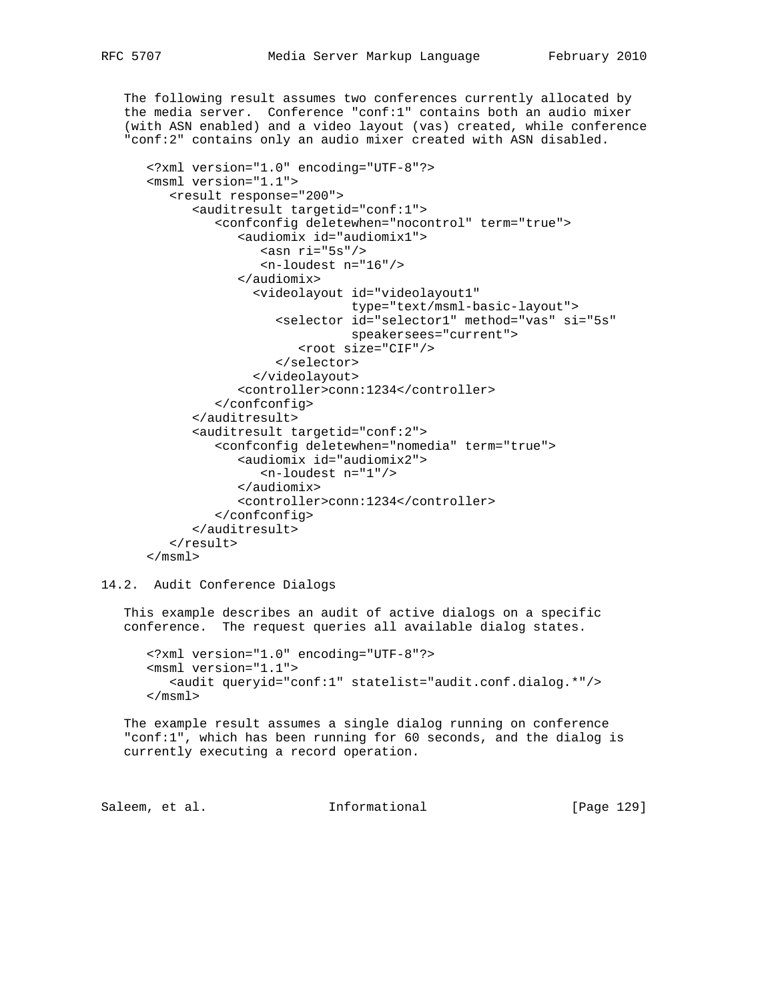The following result assumes two conferences currently allocated by the media server. Conference "conf:1" contains both an audio mixer (with ASN enabled) and a video layout (vas) created, while conference "conf:2" contains only an audio mixer created with ASN disabled.

```
 <?xml version="1.0" encoding="UTF-8"?>
 <msml version="1.1">
    <result response="200">
       <auditresult targetid="conf:1">
          <confconfig deletewhen="nocontrol" term="true">
             <audiomix id="audiomix1">
               \arcsin ri="5s"/>
                 <n-loudest n="16"/>
             </audiomix>
               <videolayout id="videolayout1"
                             type="text/msml-basic-layout">
                   <selector id="selector1" method="vas" si="5s"
                             speakersees="current">
                     <root size="CIF"/>
                   </selector>
               </videolayout>
             <controller>conn:1234</controller>
          </confconfig>
       </auditresult>
       <auditresult targetid="conf:2">
          <confconfig deletewhen="nomedia" term="true">
             <audiomix id="audiomix2">
                 <n-loudest n="1"/>
             </audiomix>
             <controller>conn:1234</controller>
          </confconfig>
       </auditresult>
    </result>
 </msml>
```
14.2. Audit Conference Dialogs

 This example describes an audit of active dialogs on a specific conference. The request queries all available dialog states.

 <?xml version="1.0" encoding="UTF-8"?> <msml version="1.1"> <audit queryid="conf:1" statelist="audit.conf.dialog.\*"/> </msml>

 The example result assumes a single dialog running on conference "conf:1", which has been running for 60 seconds, and the dialog is currently executing a record operation.

Saleem, et al. 10. Informational 1. [Page 129]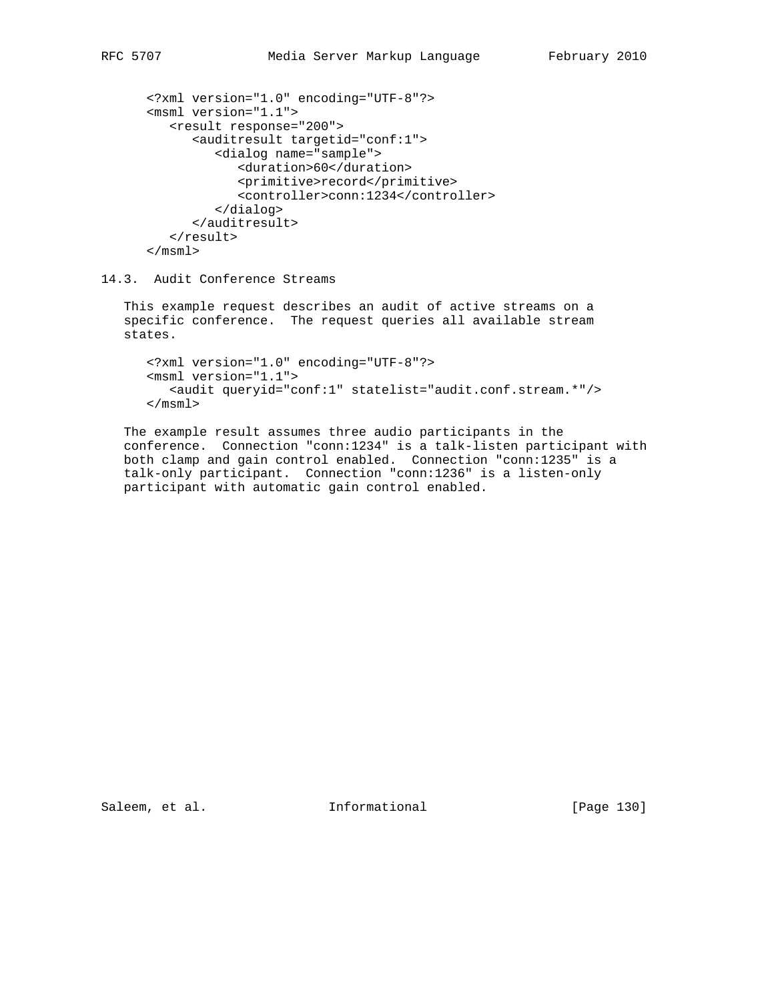```
 <?xml version="1.0" encoding="UTF-8"?>
 <msml version="1.1">
    <result response="200">
       <auditresult targetid="conf:1">
          <dialog name="sample">
             <duration>60</duration>
             <primitive>record</primitive>
             <controller>conn:1234</controller>
          </dialog>
       </auditresult>
    </result>
 </msml>
```
## 14.3. Audit Conference Streams

 This example request describes an audit of active streams on a specific conference. The request queries all available stream states.

```
 <?xml version="1.0" encoding="UTF-8"?>
 <msml version="1.1">
    <audit queryid="conf:1" statelist="audit.conf.stream.*"/>
 </msml>
```
 The example result assumes three audio participants in the conference. Connection "conn:1234" is a talk-listen participant with both clamp and gain control enabled. Connection "conn:1235" is a talk-only participant. Connection "conn:1236" is a listen-only participant with automatic gain control enabled.

Saleem, et al. 1nformational [Page 130]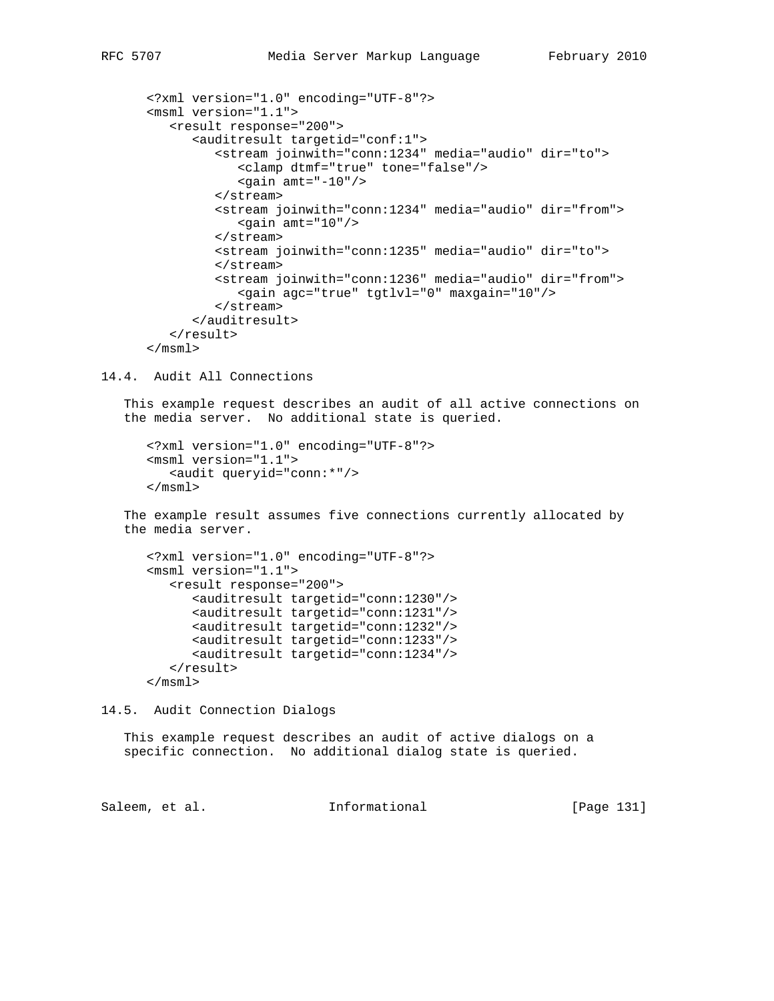```
 <?xml version="1.0" encoding="UTF-8"?>
 <msml version="1.1">
    <result response="200">
       <auditresult targetid="conf:1">
          <stream joinwith="conn:1234" media="audio" dir="to">
              <clamp dtmf="true" tone="false"/>
             \epsilongain amt="-10"/>
          </stream>
          <stream joinwith="conn:1234" media="audio" dir="from">
             \alpha <gain amt="10"/>
          </stream>
```

```
 <stream joinwith="conn:1235" media="audio" dir="to">
       </stream>
       <stream joinwith="conn:1236" media="audio" dir="from">
          <gain agc="true" tgtlvl="0" maxgain="10"/>
       </stream>
    </auditresult>
 </result>
```

```
 </msml>
```
14.4. Audit All Connections

 This example request describes an audit of all active connections on the media server. No additional state is queried.

```
 <?xml version="1.0" encoding="UTF-8"?>
 <msml version="1.1">
    <audit queryid="conn:*"/>
 </msml>
```
 The example result assumes five connections currently allocated by the media server.

```
 <?xml version="1.0" encoding="UTF-8"?>
 <msml version="1.1">
    <result response="200">
       <auditresult targetid="conn:1230"/>
       <auditresult targetid="conn:1231"/>
       <auditresult targetid="conn:1232"/>
       <auditresult targetid="conn:1233"/>
       <auditresult targetid="conn:1234"/>
    </result>
```
</msml>

14.5. Audit Connection Dialogs

 This example request describes an audit of active dialogs on a specific connection. No additional dialog state is queried.

Saleem, et al. Informational [Page 131]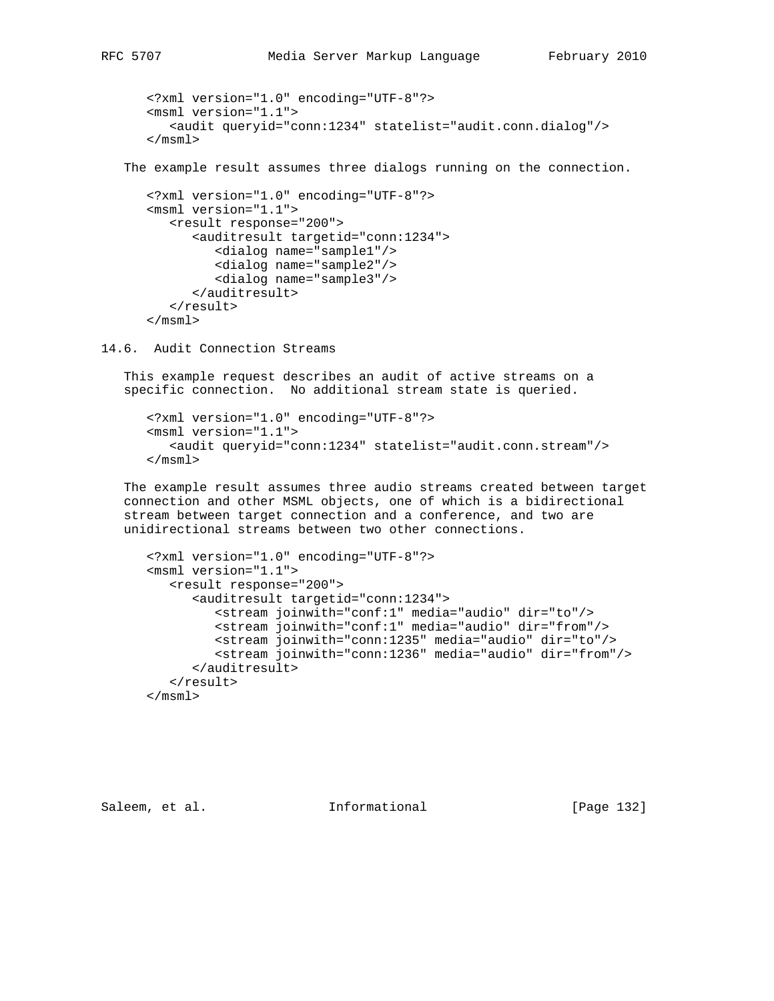```
 <?xml version="1.0" encoding="UTF-8"?>
    <msml version="1.1">
       <audit queryid="conn:1234" statelist="audit.conn.dialog"/>
    </msml>
 The example result assumes three dialogs running on the connection.
    <?xml version="1.0" encoding="UTF-8"?>
    <msml version="1.1">
       <result response="200">
          <auditresult targetid="conn:1234">
             <dialog name="sample1"/>
             <dialog name="sample2"/>
             <dialog name="sample3"/>
          </auditresult>
```
14.6. Audit Connection Streams

</result>

</msml>

 This example request describes an audit of active streams on a specific connection. No additional stream state is queried.

```
 <?xml version="1.0" encoding="UTF-8"?>
 <msml version="1.1">
    <audit queryid="conn:1234" statelist="audit.conn.stream"/>
 </msml>
```
 The example result assumes three audio streams created between target connection and other MSML objects, one of which is a bidirectional stream between target connection and a conference, and two are unidirectional streams between two other connections.

```
 <?xml version="1.0" encoding="UTF-8"?>
 <msml version="1.1">
    <result response="200">
       <auditresult targetid="conn:1234">
          <stream joinwith="conf:1" media="audio" dir="to"/>
          <stream joinwith="conf:1" media="audio" dir="from"/>
          <stream joinwith="conn:1235" media="audio" dir="to"/>
          <stream joinwith="conn:1236" media="audio" dir="from"/>
       </auditresult>
    </result>
 </msml>
```
Saleem, et al. Informational [Page 132]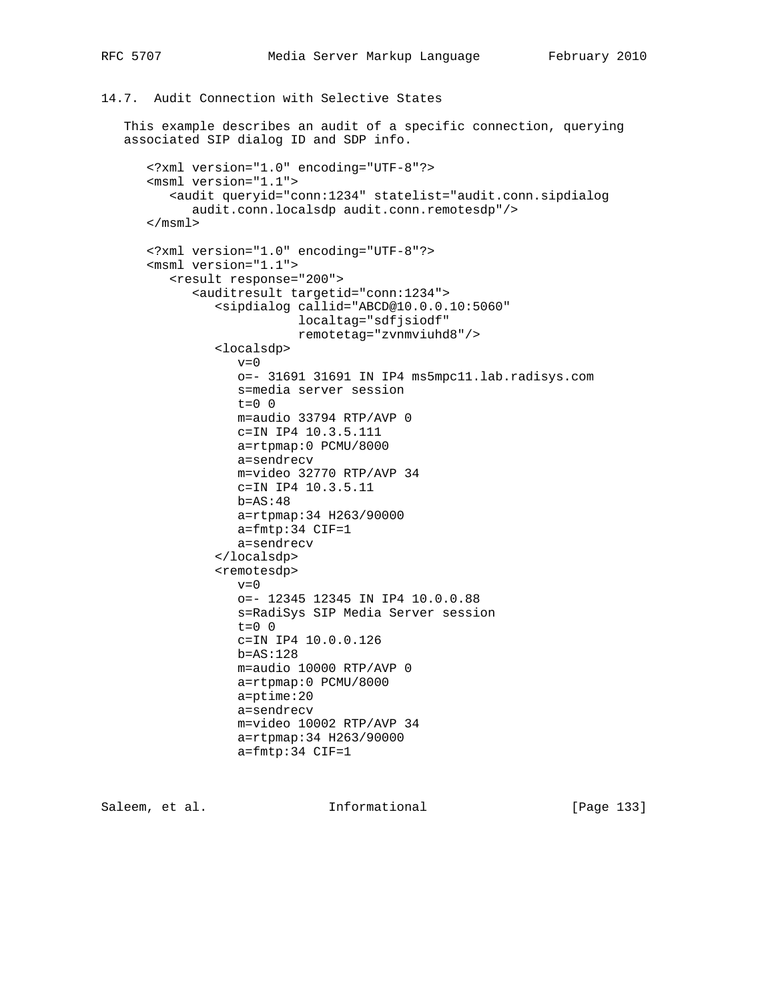## 14.7. Audit Connection with Selective States

 This example describes an audit of a specific connection, querying associated SIP dialog ID and SDP info.

```
 <?xml version="1.0" encoding="UTF-8"?>
 <msml version="1.1">
    <audit queryid="conn:1234" statelist="audit.conn.sipdialog
       audit.conn.localsdp audit.conn.remotesdp"/>
 </msml>
 <?xml version="1.0" encoding="UTF-8"?>
 <msml version="1.1">
    <result response="200">
       <auditresult targetid="conn:1234">
          <sipdialog callid="ABCD@10.0.0.10:5060"
                     localtag="sdfjsiodf"
                     remotetag="zvnmviuhd8"/>
          <localsdp>
            v=0 o=- 31691 31691 IN IP4 ms5mpc11.lab.radisys.com
             s=media server session
             t=0 0
             m=audio 33794 RTP/AVP 0
            c=IN IP4 10.3.5.111
             a=rtpmap:0 PCMU/8000
             a=sendrecv
             m=video 32770 RTP/AVP 34
             c=IN IP4 10.3.5.11
            b=AS:48 a=rtpmap:34 H263/90000
            a=fmtp:34 CIF=1
             a=sendrecv
          </localsdp>
          <remotesdp>
            v=0 o=- 12345 12345 IN IP4 10.0.0.88
             s=RadiSys SIP Media Server session
            t=0 0
             c=IN IP4 10.0.0.126
             b=AS:128
             m=audio 10000 RTP/AVP 0
             a=rtpmap:0 PCMU/8000
             a=ptime:20
             a=sendrecv
             m=video 10002 RTP/AVP 34
             a=rtpmap:34 H263/90000
             a=fmtp:34 CIF=1
```
Saleem, et al. Informational [Page 133]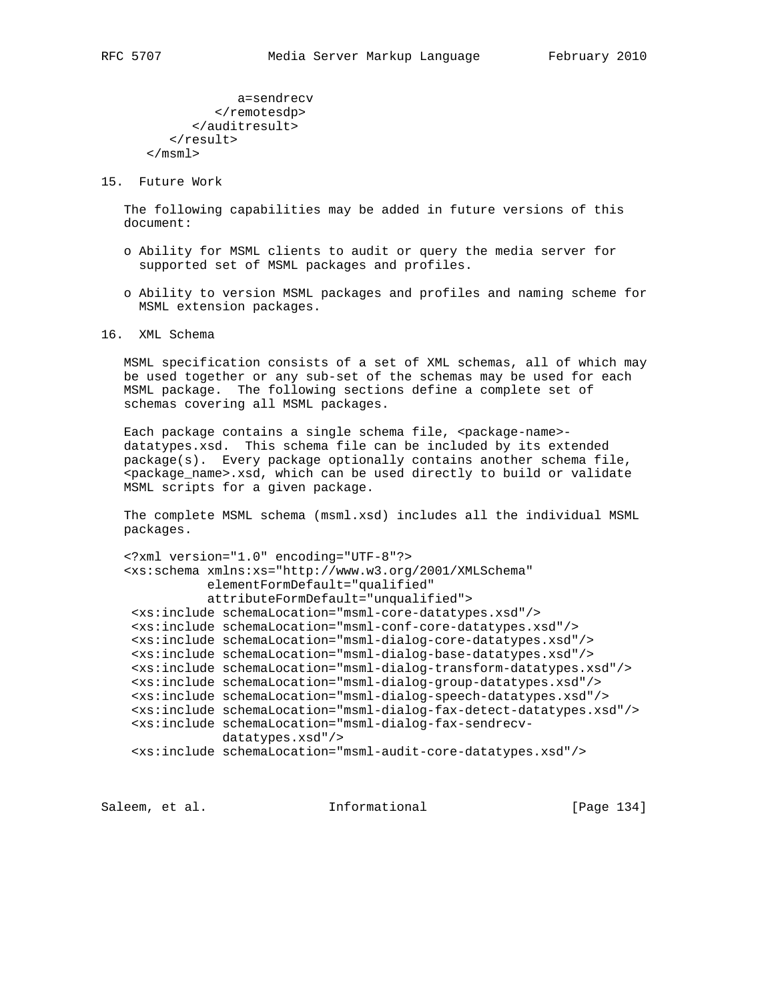a=sendrecv </remotesdp> </auditresult> </result> </msml>

15. Future Work

 The following capabilities may be added in future versions of this document:

- o Ability for MSML clients to audit or query the media server for supported set of MSML packages and profiles.
- o Ability to version MSML packages and profiles and naming scheme for MSML extension packages.

## 16. XML Schema

 MSML specification consists of a set of XML schemas, all of which may be used together or any sub-set of the schemas may be used for each MSML package. The following sections define a complete set of schemas covering all MSML packages.

Each package contains a single schema file, <package-name> datatypes.xsd. This schema file can be included by its extended package(s). Every package optionally contains another schema file, <package\_name>.xsd, which can be used directly to build or validate MSML scripts for a given package.

 The complete MSML schema (msml.xsd) includes all the individual MSML packages.

```
 <?xml version="1.0" encoding="UTF-8"?>
 <xs:schema xmlns:xs="http://www.w3.org/2001/XMLSchema"
            elementFormDefault="qualified"
            attributeFormDefault="unqualified">
  <xs:include schemaLocation="msml-core-datatypes.xsd"/>
  <xs:include schemaLocation="msml-conf-core-datatypes.xsd"/>
  <xs:include schemaLocation="msml-dialog-core-datatypes.xsd"/>
  <xs:include schemaLocation="msml-dialog-base-datatypes.xsd"/>
  <xs:include schemaLocation="msml-dialog-transform-datatypes.xsd"/>
  <xs:include schemaLocation="msml-dialog-group-datatypes.xsd"/>
  <xs:include schemaLocation="msml-dialog-speech-datatypes.xsd"/>
  <xs:include schemaLocation="msml-dialog-fax-detect-datatypes.xsd"/>
  <xs:include schemaLocation="msml-dialog-fax-sendrecv-
              datatypes.xsd"/>
  <xs:include schemaLocation="msml-audit-core-datatypes.xsd"/>
```
Saleem, et al. 10. Informational [Page 134]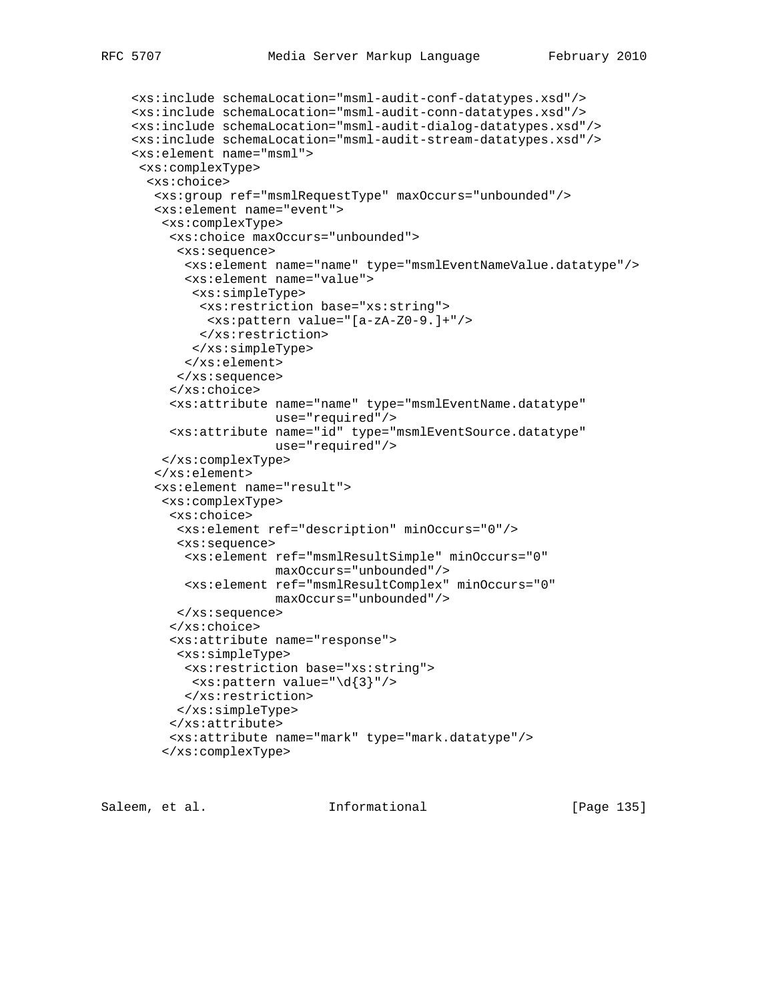```
 <xs:include schemaLocation="msml-audit-conf-datatypes.xsd"/>
 <xs:include schemaLocation="msml-audit-conn-datatypes.xsd"/>
 <xs:include schemaLocation="msml-audit-dialog-datatypes.xsd"/>
 <xs:include schemaLocation="msml-audit-stream-datatypes.xsd"/>
 <xs:element name="msml">
 <xs:complexType>
  <xs:choice>
   <xs:group ref="msmlRequestType" maxOccurs="unbounded"/>
   <xs:element name="event">
    <xs:complexType>
     <xs:choice maxOccurs="unbounded">
       <xs:sequence>
        <xs:element name="name" type="msmlEventNameValue.datatype"/>
        <xs:element name="value">
         <xs:simpleType>
         <xs:restriction base="xs:string">
          <xs:pattern value="[a-zA-Z0-9.]+"/>
         </xs:restriction>
         </xs:simpleType>
       </xs:element>
       </xs:sequence>
      </xs:choice>
      <xs:attribute name="name" type="msmlEventName.datatype"
                    use="required"/>
      <xs:attribute name="id" type="msmlEventSource.datatype"
                    use="required"/>
    </xs:complexType>
    </xs:element>
    <xs:element name="result">
    <xs:complexType>
     <xs:choice>
      <xs:element ref="description" minOccurs="0"/>
       <xs:sequence>
       <xs:element ref="msmlResultSimple" minOccurs="0"
                   maxOccurs="unbounded"/>
       <xs:element ref="msmlResultComplex" minOccurs="0"
                   maxOccurs="unbounded"/>
      </xs:sequence>
      </xs:choice>
      <xs:attribute name="response">
      <xs:simpleType>
       <xs:restriction base="xs:string">
        <xs:pattern value="\d{3}"/>
       </xs:restriction>
       </xs:simpleType>
      </xs:attribute>
      <xs:attribute name="mark" type="mark.datatype"/>
     </xs:complexType>
```
Saleem, et al. Informational [Page 135]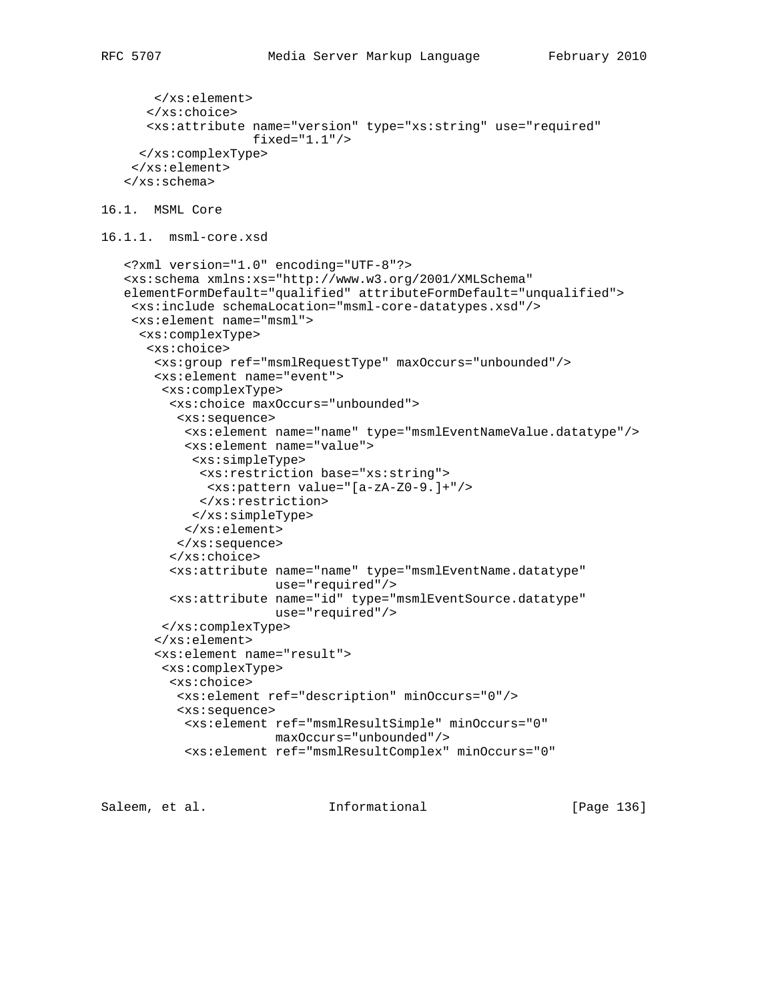```
 </xs:element>
       </xs:choice>
       <xs:attribute name="version" type="xs:string" use="required"
                     fixed="1.1"/>
     </xs:complexType>
     </xs:element>
    </xs:schema>
16.1. MSML Core
16.1.1. msml-core.xsd
    <?xml version="1.0" encoding="UTF-8"?>
    <xs:schema xmlns:xs="http://www.w3.org/2001/XMLSchema"
    elementFormDefault="qualified" attributeFormDefault="unqualified">
     <xs:include schemaLocation="msml-core-datatypes.xsd"/>
     <xs:element name="msml">
      <xs:complexType>
      <xs:choice>
        <xs:group ref="msmlRequestType" maxOccurs="unbounded"/>
        <xs:element name="event">
         <xs:complexType>
          <xs:choice maxOccurs="unbounded">
           <xs:sequence>
            <xs:element name="name" type="msmlEventNameValue.datatype"/>
            <xs:element name="value">
             <xs:simpleType>
              <xs:restriction base="xs:string">
              <xs:pattern value="[a-zA-Z0-9.]+"/>
              </xs:restriction>
             </xs:simpleType>
            </xs:element>
           </xs:sequence>
          </xs:choice>
          <xs:attribute name="name" type="msmlEventName.datatype"
                        use="required"/>
          <xs:attribute name="id" type="msmlEventSource.datatype"
                        use="required"/>
         </xs:complexType>
        </xs:element>
        <xs:element name="result">
         <xs:complexType>
          <xs:choice>
           <xs:element ref="description" minOccurs="0"/>
           <xs:sequence>
            <xs:element ref="msmlResultSimple" minOccurs="0"
                        maxOccurs="unbounded"/>
            <xs:element ref="msmlResultComplex" minOccurs="0"
```
Saleem, et al. Informational [Page 136]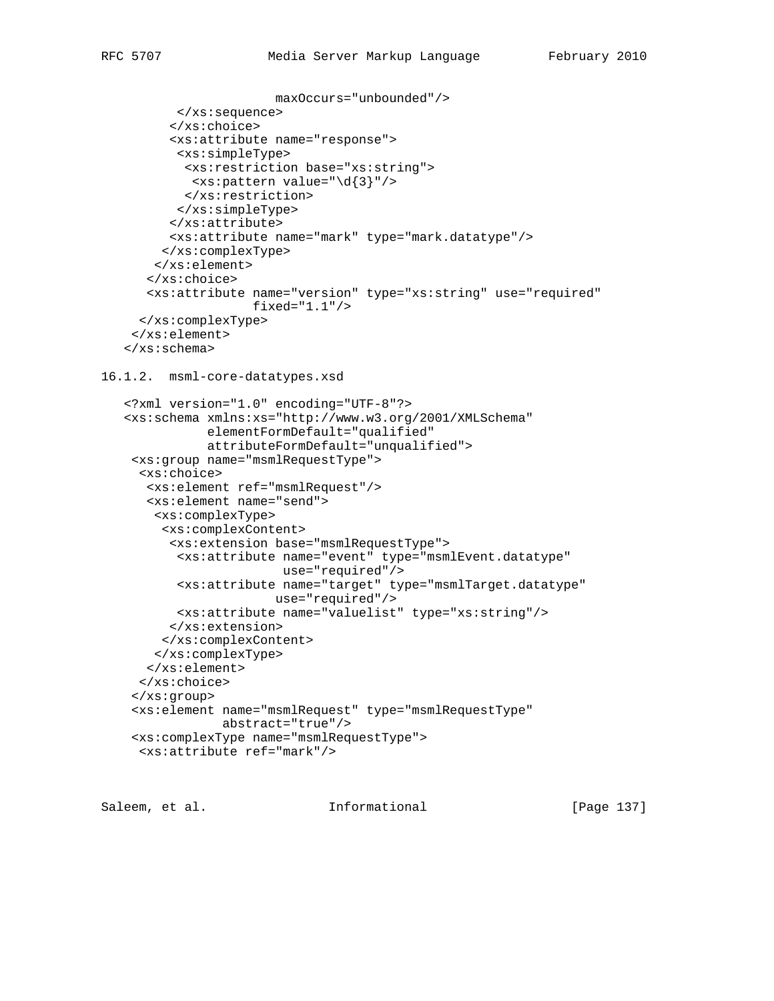```
 maxOccurs="unbounded"/>
           </xs:sequence>
          </xs:choice>
          <xs:attribute name="response">
           <xs:simpleType>
           <xs:restriction base="xs:string">
             <xs:pattern value="\d{3}"/>
            </xs:restriction>
           </xs:simpleType>
          </xs:attribute>
          <xs:attribute name="mark" type="mark.datatype"/>
         </xs:complexType>
        </xs:element>
       </xs:choice>
       <xs:attribute name="version" type="xs:string" use="required"
                     fixed="1.1"/>
      </xs:complexType>
     </xs:element>
    </xs:schema>
16.1.2. msml-core-datatypes.xsd
    <?xml version="1.0" encoding="UTF-8"?>
    <xs:schema xmlns:xs="http://www.w3.org/2001/XMLSchema"
               elementFormDefault="qualified"
               attributeFormDefault="unqualified">
     <xs:group name="msmlRequestType">
      <xs:choice>
       <xs:element ref="msmlRequest"/>
       <xs:element name="send">
       <xs:complexType>
         <xs:complexContent>
          <xs:extension base="msmlRequestType">
           <xs:attribute name="event" type="msmlEvent.datatype"
                         use="required"/>
           <xs:attribute name="target" type="msmlTarget.datatype"
                        use="required"/>
           <xs:attribute name="valuelist" type="xs:string"/>
          </xs:extension>
         </xs:complexContent>
        </xs:complexType>
       </xs:element>
      </xs:choice>
     </xs:group>
     <xs:element name="msmlRequest" type="msmlRequestType"
                 abstract="true"/>
     <xs:complexType name="msmlRequestType">
      <xs:attribute ref="mark"/>
```
Saleem, et al. Informational [Page 137]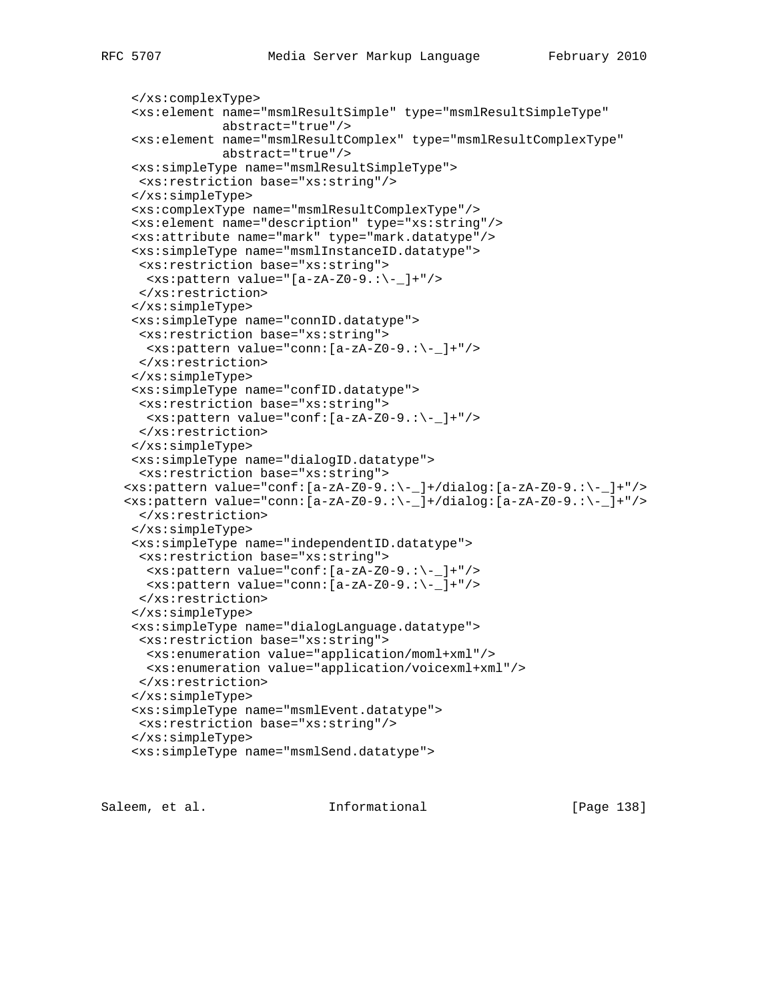```
 </xs:complexType>
  <xs:element name="msmlResultSimple" type="msmlResultSimpleType"
              abstract="true"/>
  <xs:element name="msmlResultComplex" type="msmlResultComplexType"
             abstract="true"/>
  <xs:simpleType name="msmlResultSimpleType">
  <xs:restriction base="xs:string"/>
  </xs:simpleType>
  <xs:complexType name="msmlResultComplexType"/>
  <xs:element name="description" type="xs:string"/>
  <xs:attribute name="mark" type="mark.datatype"/>
  <xs:simpleType name="msmlInstanceID.datatype">
  <xs:restriction base="xs:string">
   <xs:pattern value="[a-zA-Z0-9.:\-_]+"/>
  </xs:restriction>
  </xs:simpleType>
  <xs:simpleType name="connID.datatype">
  <xs:restriction base="xs:string">
   <xs:pattern value="conn:[a-zA-Z0-9.:\-_]+"/>
  </xs:restriction>
  </xs:simpleType>
  <xs:simpleType name="confID.datatype">
  <xs:restriction base="xs:string">
   <xs:pattern value="conf:[a-zA-Z0-9.:\-_]+"/>
   </xs:restriction>
  </xs:simpleType>
  <xs:simpleType name="dialogID.datatype">
   <xs:restriction base="xs:string">
 <xs:pattern value="conf:[a-zA-Z0-9.:\-_]+/dialog:[a-zA-Z0-9.:\-_]+"/>
\langle x, x \rangle:pattern value="conn: [a-zA-Z0-9.:\-_]+/dialog: [a-zA-Z0-9.:\-_]+"/>
  </xs:restriction>
  </xs:simpleType>
  <xs:simpleType name="independentID.datatype">
  <xs:restriction base="xs:string">
   <xs:pattern value="conf:[a-zA-Z0-9.:\-_]+"/>
   <xs:pattern value="conn:[a-zA-Z0-9.:\-_]+"/>
  </xs:restriction>
  </xs:simpleType>
  <xs:simpleType name="dialogLanguage.datatype">
  <xs:restriction base="xs:string">
   <xs:enumeration value="application/moml+xml"/>
   <xs:enumeration value="application/voicexml+xml"/>
  </xs:restriction>
  </xs:simpleType>
  <xs:simpleType name="msmlEvent.datatype">
  <xs:restriction base="xs:string"/>
  </xs:simpleType>
  <xs:simpleType name="msmlSend.datatype">
```
Saleem, et al. Informational [Page 138]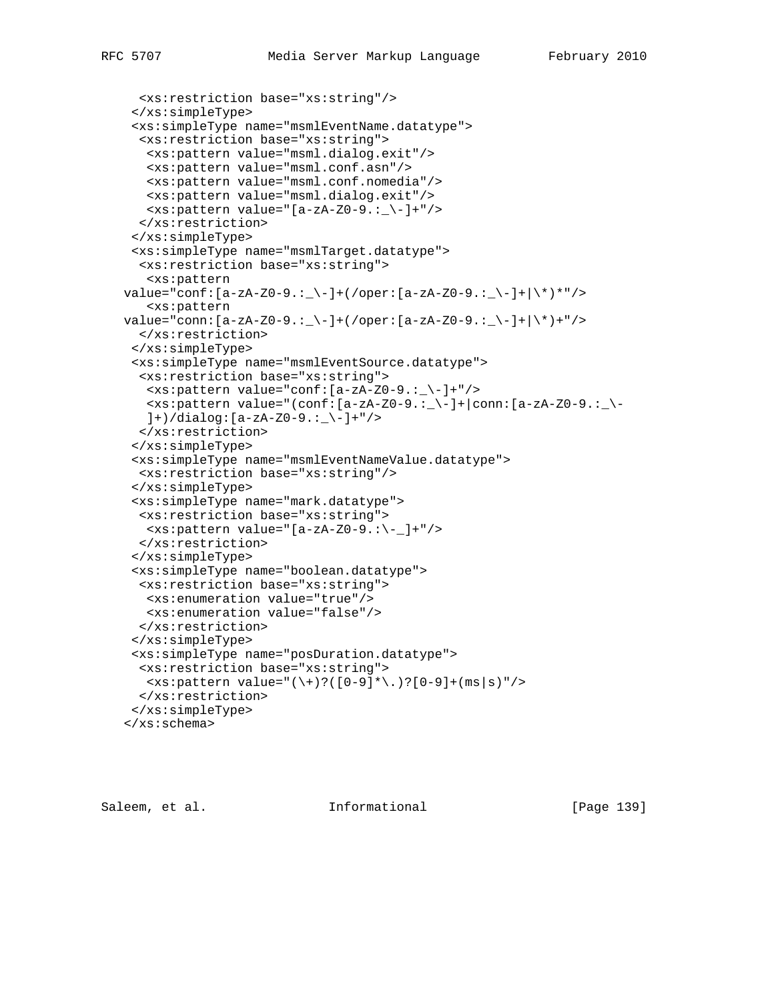```
 <xs:restriction base="xs:string"/>
  </xs:simpleType>
  <xs:simpleType name="msmlEventName.datatype">
   <xs:restriction base="xs:string">
    <xs:pattern value="msml.dialog.exit"/>
   <xs:pattern value="msml.conf.asn"/>
   <xs:pattern value="msml.conf.nomedia"/>
   <xs:pattern value="msml.dialog.exit"/>
   <xs:pattern value="[a-zA-Z0-9.:_\-]+"/>
   </xs:restriction>
  </xs:simpleType>
  <xs:simpleType name="msmlTarget.datatype">
   <xs:restriction base="xs:string">
    <xs:pattern
value="conf:[a-zA-Z0-9.:_\-]+(/oper:[a-zA-Z0-9.:_\-]+|\rangle*)*"/>
    <xs:pattern
value="conn:[a-zA-Z0-9.:_\-]+(/oper:[a-zA-Z0-9.:_\-]+|\rangle*)+"/>
   </xs:restriction>
  </xs:simpleType>
  <xs:simpleType name="msmlEventSource.datatype">
   <xs:restriction base="xs:string">
  \langle x s :pattern value="conf: [a-zA-Z0-9 : \{-] + " \rangle\langle x, x \rangle:pattern value="(conf:[a-zA-Z0-9.:_\-]+|conn:[a-zA-Z0-9.:_\-
   ]+)/dialog:[a-zA-Z0-9.:_\-]+"/>
   </xs:restriction>
  </xs:simpleType>
  <xs:simpleType name="msmlEventNameValue.datatype">
   <xs:restriction base="xs:string"/>
  </xs:simpleType>
  <xs:simpleType name="mark.datatype">
  <xs:restriction base="xs:string">
  \langle x s :pattern value="[a-zA-Z0-9.:\-_]+"/>
   </xs:restriction>
  </xs:simpleType>
  <xs:simpleType name="boolean.datatype">
   <xs:restriction base="xs:string">
    <xs:enumeration value="true"/>
   <xs:enumeration value="false"/>
   </xs:restriction>
  </xs:simpleType>
  <xs:simpleType name="posDuration.datatype">
  <xs:restriction base="xs:string">
   <xs:pattern value="(\+)?([0-9]*\.)?[0-9]+(ms|s)"/>
   </xs:restriction>
  </xs:simpleType>
 </xs:schema>
```
Saleem, et al. Informational [Page 139]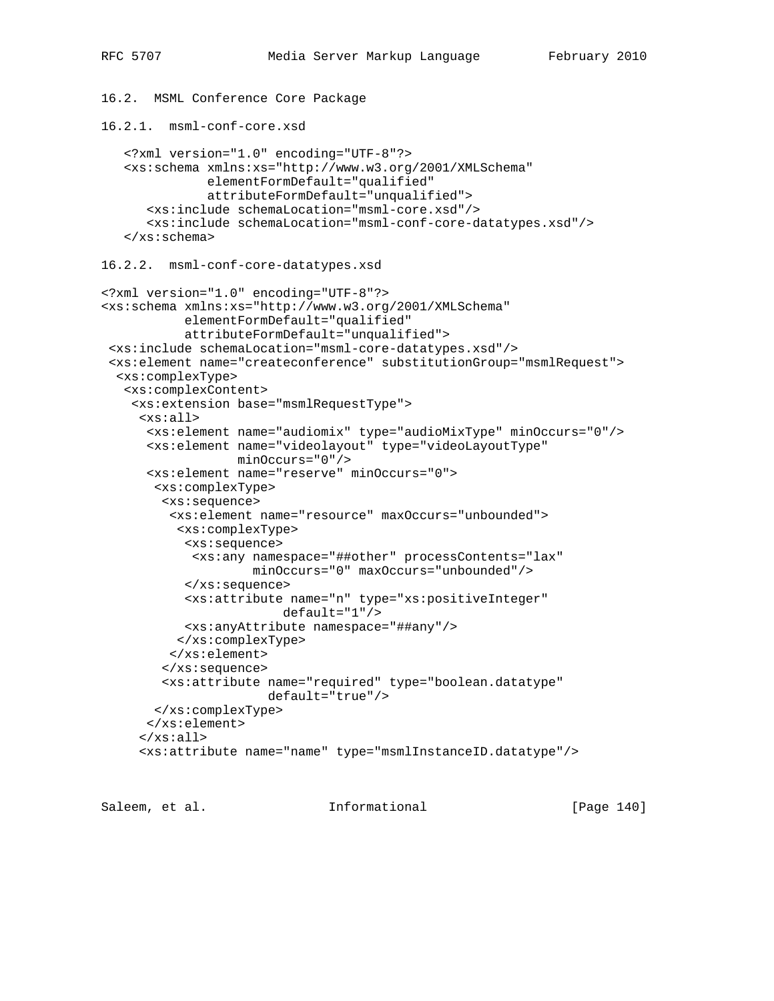```
16.2. MSML Conference Core Package
16.2.1. msml-conf-core.xsd
    <?xml version="1.0" encoding="UTF-8"?>
    <xs:schema xmlns:xs="http://www.w3.org/2001/XMLSchema"
               elementFormDefault="qualified"
               attributeFormDefault="unqualified">
       <xs:include schemaLocation="msml-core.xsd"/>
       <xs:include schemaLocation="msml-conf-core-datatypes.xsd"/>
    </xs:schema>
16.2.2. msml-conf-core-datatypes.xsd
<?xml version="1.0" encoding="UTF-8"?>
<xs:schema xmlns:xs="http://www.w3.org/2001/XMLSchema"
            elementFormDefault="qualified"
            attributeFormDefault="unqualified">
 <xs:include schemaLocation="msml-core-datatypes.xsd"/>
  <xs:element name="createconference" substitutionGroup="msmlRequest">
  <xs:complexType>
   <xs:complexContent>
     <xs:extension base="msmlRequestType">
      <xs:all>
       <xs:element name="audiomix" type="audioMixType" minOccurs="0"/>
       <xs:element name="videolayout" type="videoLayoutType"
                   minOccurs="0"/>
       <xs:element name="reserve" minOccurs="0">
        <xs:complexType>
         <xs:sequence>
          <xs:element name="resource" maxOccurs="unbounded">
           <xs:complexType>
            <xs:sequence>
             <xs:any namespace="##other" processContents="lax"
                     minOccurs="0" maxOccurs="unbounded"/>
            </xs:sequence>
            <xs:attribute name="n" type="xs:positiveInteger"
                         default="1"/>
            <xs:anyAttribute namespace="##any"/>
           </xs:complexType>
          </xs:element>
         </xs:sequence>
         <xs:attribute name="required" type="boolean.datatype"
                       default="true"/>
        </xs:complexType>
       </xs:element>
     \langle x s : \text{all} \rangle <xs:attribute name="name" type="msmlInstanceID.datatype"/>
```
Saleem, et al. Informational [Page 140]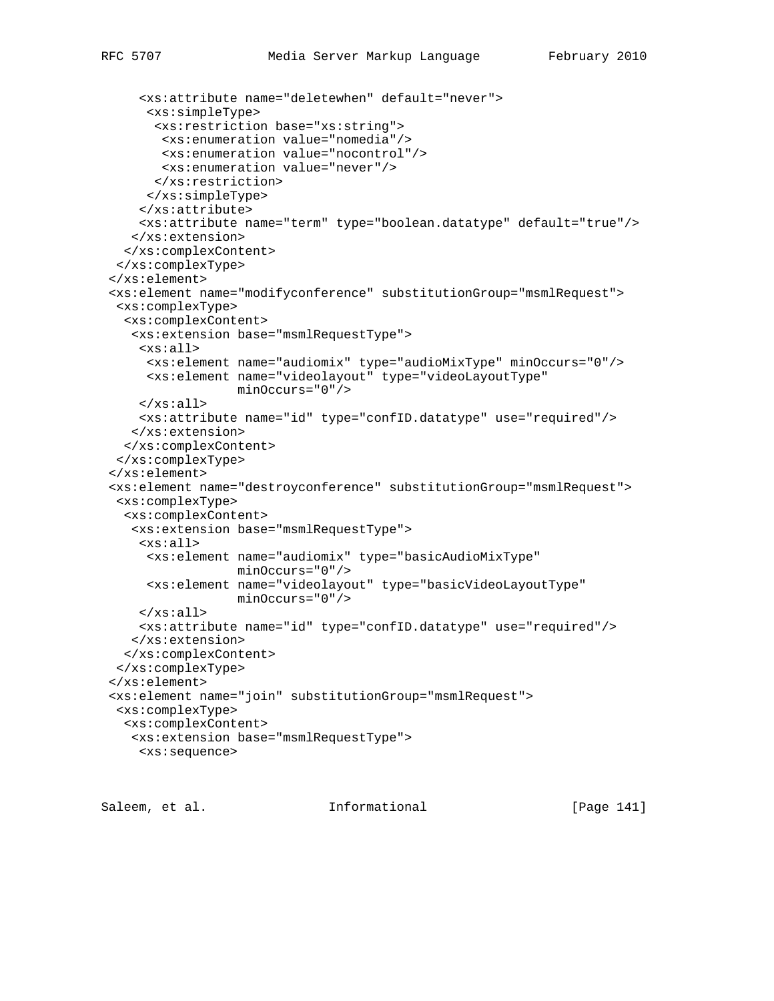```
 <xs:attribute name="deletewhen" default="never">
      <xs:simpleType>
      <xs:restriction base="xs:string">
       <xs:enumeration value="nomedia"/>
       <xs:enumeration value="nocontrol"/>
        <xs:enumeration value="never"/>
      </xs:restriction>
     </xs:simpleType>
     </xs:attribute>
     <xs:attribute name="term" type="boolean.datatype" default="true"/>
    </xs:extension>
   </xs:complexContent>
  </xs:complexType>
 </xs:element>
 <xs:element name="modifyconference" substitutionGroup="msmlRequest">
  <xs:complexType>
   <xs:complexContent>
    <xs:extension base="msmlRequestType">
    <xs:all>
     <xs:element name="audiomix" type="audioMixType" minOccurs="0"/>
     <xs:element name="videolayout" type="videoLayoutType"
                  minOccurs="0"/>
    </xs:all>
    <xs:attribute name="id" type="confID.datatype" use="required"/>
    </xs:extension>
   </xs:complexContent>
  </xs:complexType>
 </xs:element>
 <xs:element name="destroyconference" substitutionGroup="msmlRequest">
  <xs:complexType>
  <xs:complexContent>
    <xs:extension base="msmlRequestType">
     <xs:all>
      <xs:element name="audiomix" type="basicAudioMixType"
                  minOccurs="0"/>
      <xs:element name="videolayout" type="basicVideoLayoutType"
                  minOccurs="0"/>
    \langle x s : \text{all} \rangle <xs:attribute name="id" type="confID.datatype" use="required"/>
    </xs:extension>
  </xs:complexContent>
 </xs:complexType>
 </xs:element>
 <xs:element name="join" substitutionGroup="msmlRequest">
  <xs:complexType>
  <xs:complexContent>
   <xs:extension base="msmlRequestType">
    <xs:sequence>
```
Saleem, et al. Informational [Page 141]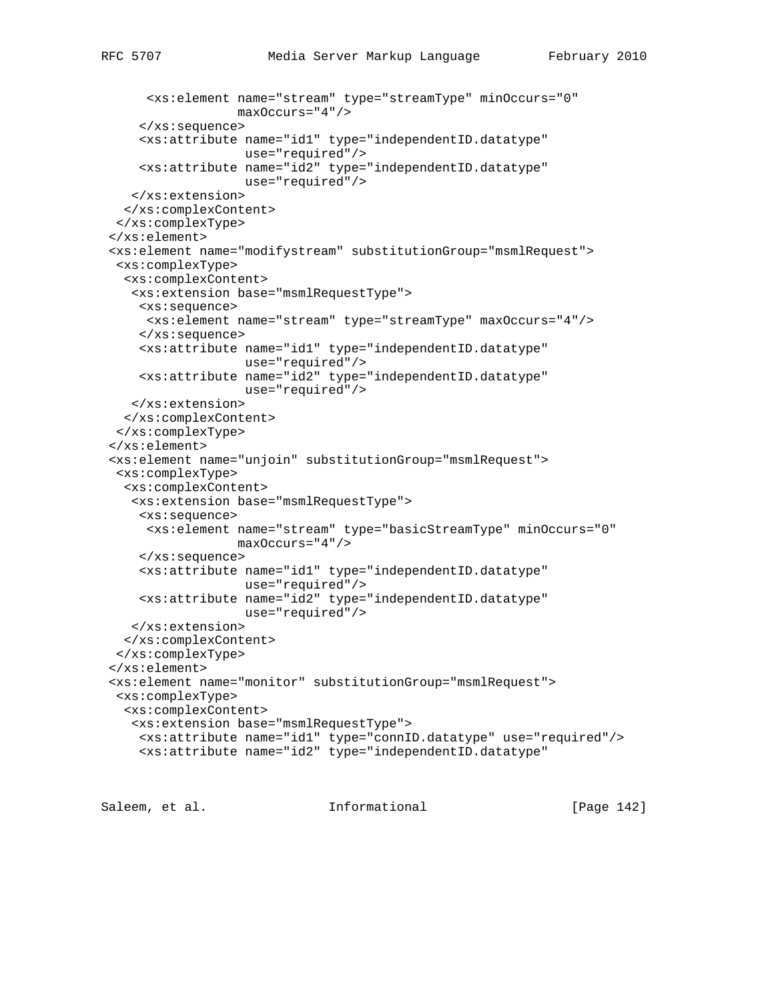```
 <xs:element name="stream" type="streamType" minOccurs="0"
                  maxOccurs="4"/>
     </xs:sequence>
     <xs:attribute name="id1" type="independentID.datatype"
                   use="required"/>
     <xs:attribute name="id2" type="independentID.datatype"
                   use="required"/>
    </xs:extension>
   </xs:complexContent>
 </xs:complexType>
 </xs:element>
 <xs:element name="modifystream" substitutionGroup="msmlRequest">
  <xs:complexType>
   <xs:complexContent>
    <xs:extension base="msmlRequestType">
     <xs:sequence>
     <xs:element name="stream" type="streamType" maxOccurs="4"/>
     </xs:sequence>
     <xs:attribute name="id1" type="independentID.datatype"
                  use="required"/>
     <xs:attribute name="id2" type="independentID.datatype"
                   use="required"/>
   </xs:extension>
  </xs:complexContent>
  </xs:complexType>
 </xs:element>
 <xs:element name="unjoin" substitutionGroup="msmlRequest">
  <xs:complexType>
  <xs:complexContent>
    <xs:extension base="msmlRequestType">
    <xs:sequence>
     <xs:element name="stream" type="basicStreamType" minOccurs="0"
                 maxOccurs="4"/>
     </xs:sequence>
     <xs:attribute name="id1" type="independentID.datatype"
                   use="required"/>
     <xs:attribute name="id2" type="independentID.datatype"
                   use="required"/>
   </xs:extension>
  </xs:complexContent>
 </xs:complexType>
 </xs:element>
 <xs:element name="monitor" substitutionGroup="msmlRequest">
 <xs:complexType>
  <xs:complexContent>
   <xs:extension base="msmlRequestType">
     <xs:attribute name="id1" type="connID.datatype" use="required"/>
     <xs:attribute name="id2" type="independentID.datatype"
```
Saleem, et al. Informational [Page 142]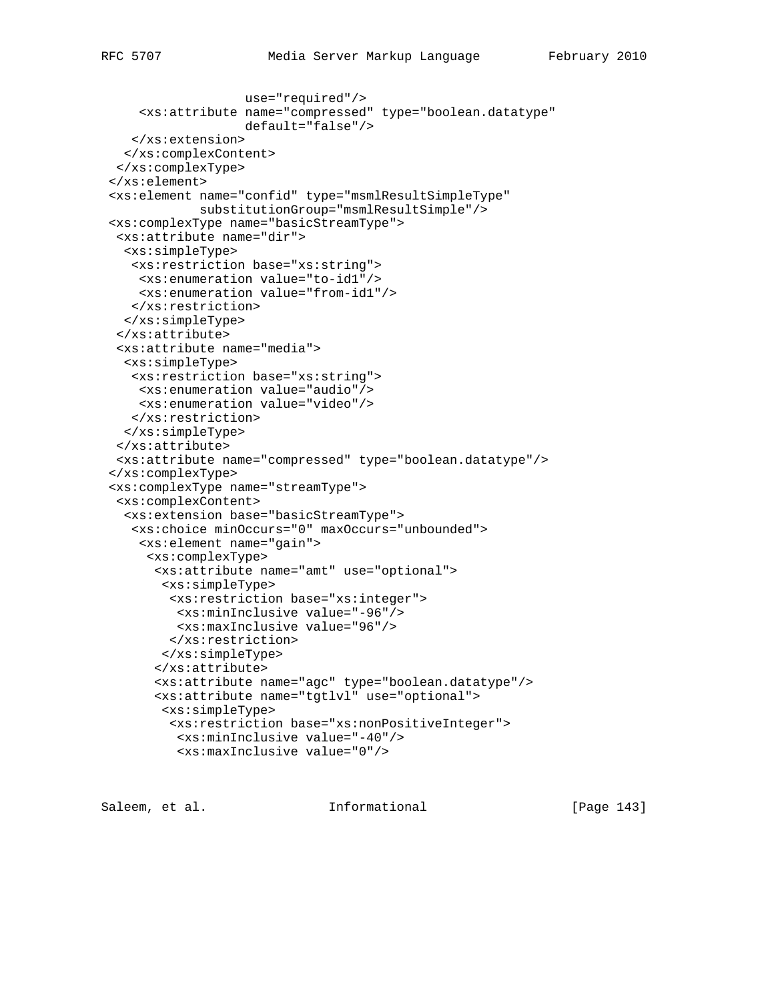```
 use="required"/>
     <xs:attribute name="compressed" type="boolean.datatype"
                   default="false"/>
    </xs:extension>
  </xs:complexContent>
 </xs:complexType>
 </xs:element>
 <xs:element name="confid" type="msmlResultSimpleType"
            substitutionGroup="msmlResultSimple"/>
 <xs:complexType name="basicStreamType">
  <xs:attribute name="dir">
  <xs:simpleType>
    <xs:restriction base="xs:string">
     <xs:enumeration value="to-id1"/>
    <xs:enumeration value="from-id1"/>
   </xs:restriction>
  </xs:simpleType>
  </xs:attribute>
  <xs:attribute name="media">
  <xs:simpleType>
   <xs:restriction base="xs:string">
    <xs:enumeration value="audio"/>
    <xs:enumeration value="video"/>
   </xs:restriction>
  </xs:simpleType>
  </xs:attribute>
 <xs:attribute name="compressed" type="boolean.datatype"/>
 </xs:complexType>
 <xs:complexType name="streamType">
 <xs:complexContent>
  <xs:extension base="basicStreamType">
    <xs:choice minOccurs="0" maxOccurs="unbounded">
     <xs:element name="gain">
      <xs:complexType>
       <xs:attribute name="amt" use="optional">
        <xs:simpleType>
         <xs:restriction base="xs:integer">
          <xs:minInclusive value="-96"/>
          <xs:maxInclusive value="96"/>
         </xs:restriction>
        </xs:simpleType>
       </xs:attribute>
       <xs:attribute name="agc" type="boolean.datatype"/>
       <xs:attribute name="tgtlvl" use="optional">
        <xs:simpleType>
         <xs:restriction base="xs:nonPositiveInteger">
          <xs:minInclusive value="-40"/>
          <xs:maxInclusive value="0"/>
```
Saleem, et al. Informational [Page 143]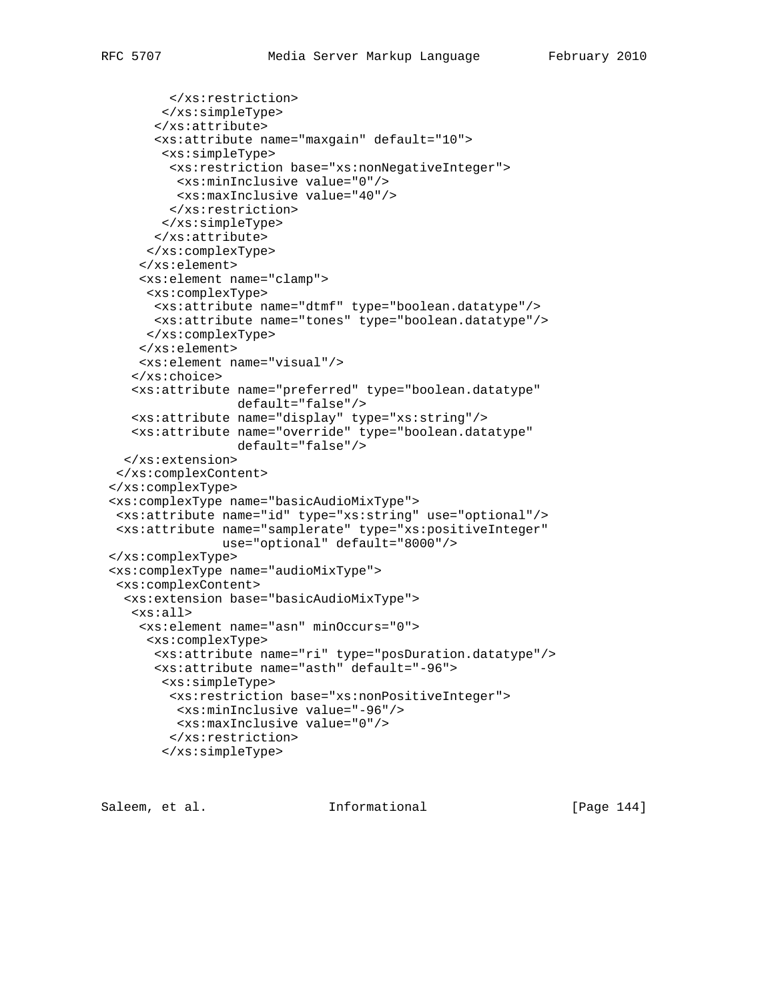```
 </xs:restriction>
        </xs:simpleType>
       </xs:attribute>
       <xs:attribute name="maxgain" default="10">
        <xs:simpleType>
         <xs:restriction base="xs:nonNegativeInteger">
         <xs:minInclusive value="0"/>
          <xs:maxInclusive value="40"/>
         </xs:restriction>
        </xs:simpleType>
       </xs:attribute>
      </xs:complexType>
     </xs:element>
     <xs:element name="clamp">
      <xs:complexType>
       <xs:attribute name="dtmf" type="boolean.datatype"/>
       <xs:attribute name="tones" type="boolean.datatype"/>
      </xs:complexType>
     </xs:element>
     <xs:element name="visual"/>
    </xs:choice>
    <xs:attribute name="preferred" type="boolean.datatype"
                  default="false"/>
    <xs:attribute name="display" type="xs:string"/>
    <xs:attribute name="override" type="boolean.datatype"
                  default="false"/>
   </xs:extension>
  </xs:complexContent>
 </xs:complexType>
 <xs:complexType name="basicAudioMixType">
 <xs:attribute name="id" type="xs:string" use="optional"/>
 <xs:attribute name="samplerate" type="xs:positiveInteger"
                use="optional" default="8000"/>
 </xs:complexType>
 <xs:complexType name="audioMixType">
  <xs:complexContent>
   <xs:extension base="basicAudioMixType">
    <xs:all>
     <xs:element name="asn" minOccurs="0">
      <xs:complexType>
       <xs:attribute name="ri" type="posDuration.datatype"/>
       <xs:attribute name="asth" default="-96">
        <xs:simpleType>
         <xs:restriction base="xs:nonPositiveInteger">
         <xs:minInclusive value="-96"/>
          <xs:maxInclusive value="0"/>
```
Saleem, et al. Informational [Page 144]

 </xs:restriction> </xs:simpleType>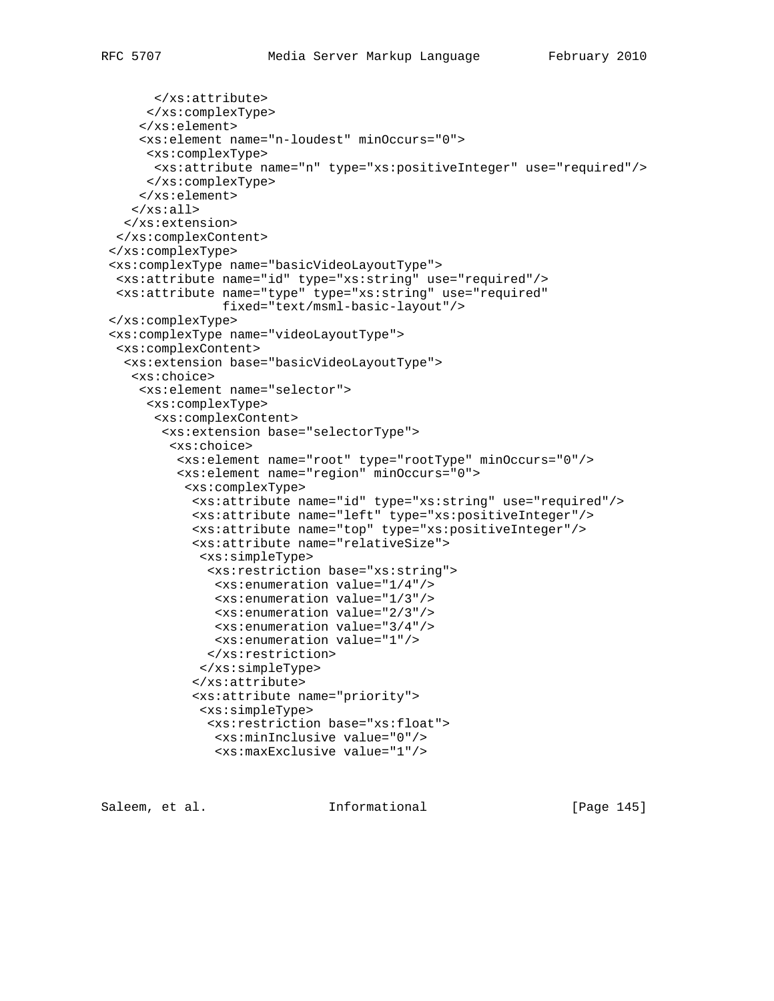```
 </xs:attribute>
      </xs:complexType>
     </xs:element>
     <xs:element name="n-loudest" minOccurs="0">
      <xs:complexType>
      <xs:attribute name="n" type="xs:positiveInteger" use="required"/>
      </xs:complexType>
     </xs:element>
   \langle x s : \text{all} \rangle </xs:extension>
  </xs:complexContent>
 </xs:complexType>
 <xs:complexType name="basicVideoLayoutType">
  <xs:attribute name="id" type="xs:string" use="required"/>
  <xs:attribute name="type" type="xs:string" use="required"
                fixed="text/msml-basic-layout"/>
 </xs:complexType>
 <xs:complexType name="videoLayoutType">
  <xs:complexContent>
   <xs:extension base="basicVideoLayoutType">
    <xs:choice>
     <xs:element name="selector">
      <xs:complexType>
       <xs:complexContent>
        <xs:extension base="selectorType">
         <xs:choice>
          <xs:element name="root" type="rootType" minOccurs="0"/>
          <xs:element name="region" minOccurs="0">
           <xs:complexType>
            <xs:attribute name="id" type="xs:string" use="required"/>
            <xs:attribute name="left" type="xs:positiveInteger"/>
            <xs:attribute name="top" type="xs:positiveInteger"/>
            <xs:attribute name="relativeSize">
             <xs:simpleType>
              <xs:restriction base="xs:string">
               <xs:enumeration value="1/4"/>
               <xs:enumeration value="1/3"/>
               <xs:enumeration value="2/3"/>
               <xs:enumeration value="3/4"/>
               <xs:enumeration value="1"/>
              </xs:restriction>
             </xs:simpleType>
            </xs:attribute>
            <xs:attribute name="priority">
             <xs:simpleType>
              <xs:restriction base="xs:float">
               <xs:minInclusive value="0"/>
               <xs:maxExclusive value="1"/>
```
Saleem, et al. Informational [Page 145]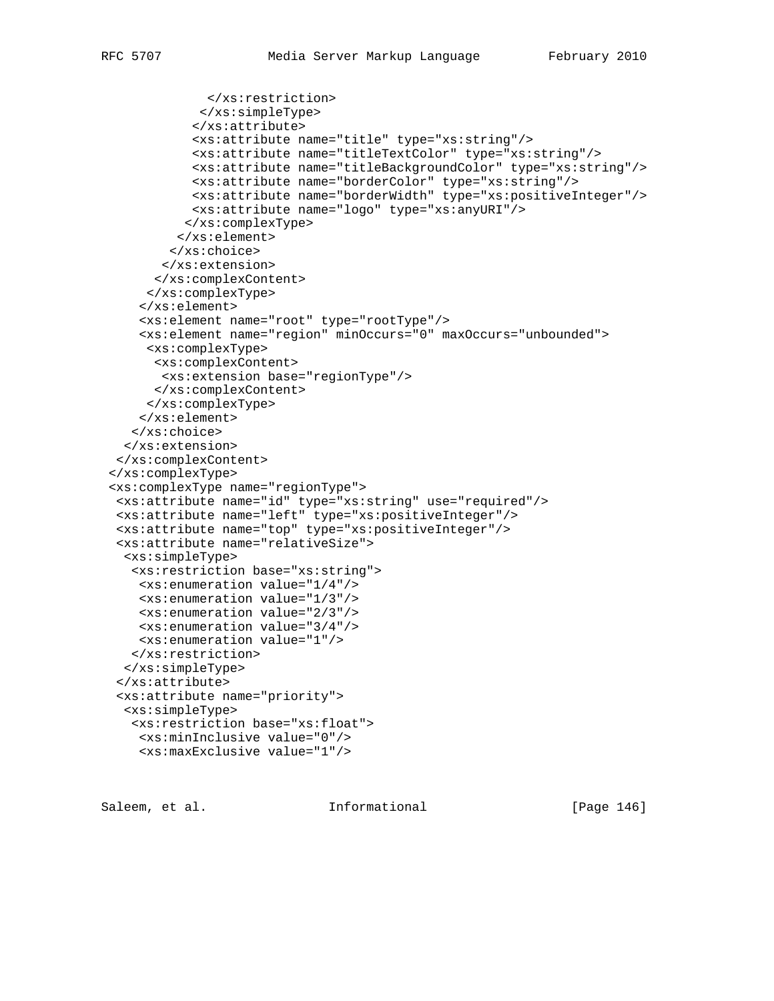```
 </xs:restriction>
             </xs:simpleType>
            </xs:attribute>
            <xs:attribute name="title" type="xs:string"/>
            <xs:attribute name="titleTextColor" type="xs:string"/>
            <xs:attribute name="titleBackgroundColor" type="xs:string"/>
            <xs:attribute name="borderColor" type="xs:string"/>
            <xs:attribute name="borderWidth" type="xs:positiveInteger"/>
            <xs:attribute name="logo" type="xs:anyURI"/>
           </xs:complexType>
          </xs:element>
         </xs:choice>
        </xs:extension>
       </xs:complexContent>
      </xs:complexType>
     </xs:element>
     <xs:element name="root" type="rootType"/>
     <xs:element name="region" minOccurs="0" maxOccurs="unbounded">
     <xs:complexType>
      <xs:complexContent>
       <xs:extension base="regionType"/>
      </xs:complexContent>
     </xs:complexType>
     </xs:element>
    </xs:choice>
   </xs:extension>
 </xs:complexContent>
 </xs:complexType>
 <xs:complexType name="regionType">
 <xs:attribute name="id" type="xs:string" use="required"/>
 <xs:attribute name="left" type="xs:positiveInteger"/>
 <xs:attribute name="top" type="xs:positiveInteger"/>
  <xs:attribute name="relativeSize">
  <xs:simpleType>
    <xs:restriction base="xs:string">
     <xs:enumeration value="1/4"/>
     <xs:enumeration value="1/3"/>
     <xs:enumeration value="2/3"/>
     <xs:enumeration value="3/4"/>
    <xs:enumeration value="1"/>
   </xs:restriction>
  </xs:simpleType>
  </xs:attribute>
  <xs:attribute name="priority">
  <xs:simpleType>
   <xs:restriction base="xs:float">
    <xs:minInclusive value="0"/>
    <xs:maxExclusive value="1"/>
```
Saleem, et al. Informational [Page 146]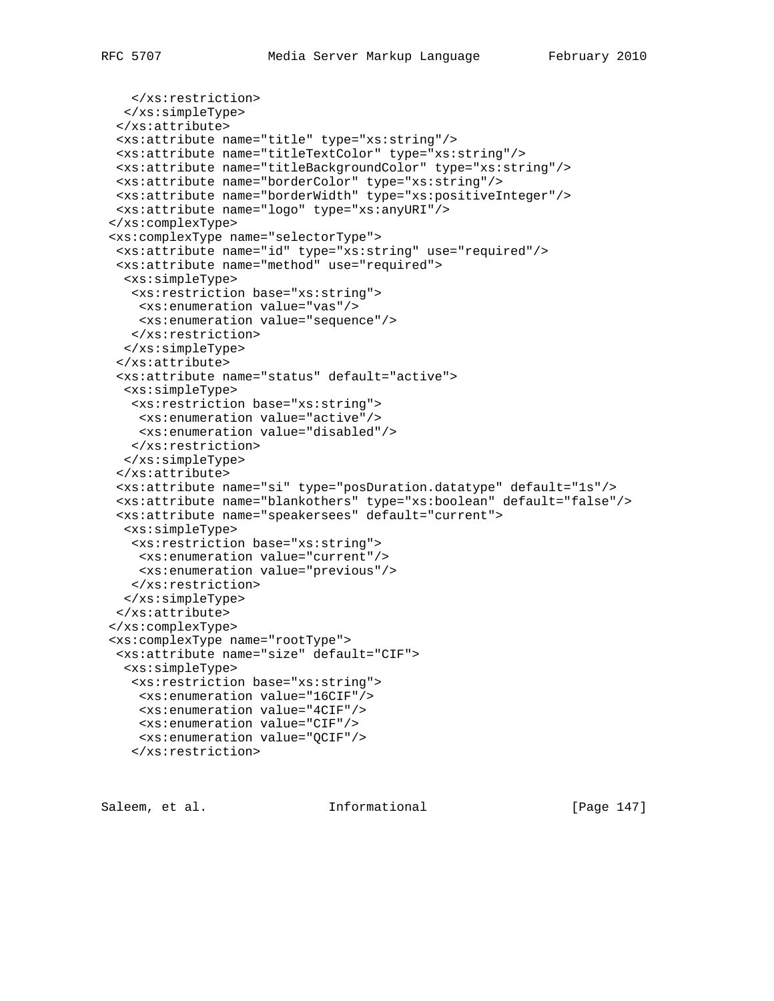```
 </xs:restriction>
  </xs:simpleType>
  </xs:attribute>
  <xs:attribute name="title" type="xs:string"/>
  <xs:attribute name="titleTextColor" type="xs:string"/>
 <xs:attribute name="titleBackgroundColor" type="xs:string"/>
 <xs:attribute name="borderColor" type="xs:string"/>
 <xs:attribute name="borderWidth" type="xs:positiveInteger"/>
 <xs:attribute name="logo" type="xs:anyURI"/>
 </xs:complexType>
 <xs:complexType name="selectorType">
  <xs:attribute name="id" type="xs:string" use="required"/>
  <xs:attribute name="method" use="required">
   <xs:simpleType>
   <xs:restriction base="xs:string">
    <xs:enumeration value="vas"/>
    <xs:enumeration value="sequence"/>
   </xs:restriction>
  </xs:simpleType>
  </xs:attribute>
  <xs:attribute name="status" default="active">
  <xs:simpleType>
   <xs:restriction base="xs:string">
    <xs:enumeration value="active"/>
    <xs:enumeration value="disabled"/>
   </xs:restriction>
  </xs:simpleType>
  </xs:attribute>
  <xs:attribute name="si" type="posDuration.datatype" default="1s"/>
  <xs:attribute name="blankothers" type="xs:boolean" default="false"/>
  <xs:attribute name="speakersees" default="current">
  <xs:simpleType>
   <xs:restriction base="xs:string">
    <xs:enumeration value="current"/>
    <xs:enumeration value="previous"/>
   </xs:restriction>
  </xs:simpleType>
 </xs:attribute>
 </xs:complexType>
 <xs:complexType name="rootType">
  <xs:attribute name="size" default="CIF">
  <xs:simpleType>
   <xs:restriction base="xs:string">
    <xs:enumeration value="16CIF"/>
    <xs:enumeration value="4CIF"/>
    <xs:enumeration value="CIF"/>
    <xs:enumeration value="QCIF"/>
    </xs:restriction>
```
Saleem, et al. Informational [Page 147]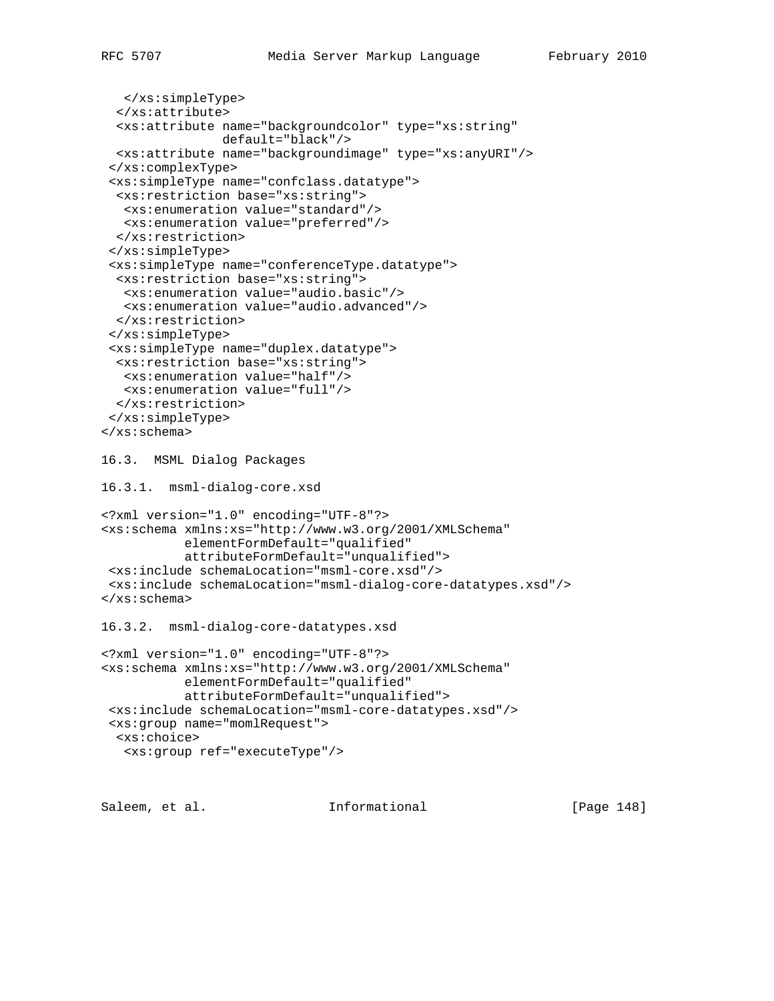```
 </xs:simpleType>
   </xs:attribute>
   <xs:attribute name="backgroundcolor" type="xs:string"
                 default="black"/>
  <xs:attribute name="backgroundimage" type="xs:anyURI"/>
  </xs:complexType>
  <xs:simpleType name="confclass.datatype">
  <xs:restriction base="xs:string">
   <xs:enumeration value="standard"/>
   <xs:enumeration value="preferred"/>
  </xs:restriction>
  </xs:simpleType>
  <xs:simpleType name="conferenceType.datatype">
   <xs:restriction base="xs:string">
   <xs:enumeration value="audio.basic"/>
   <xs:enumeration value="audio.advanced"/>
  </xs:restriction>
  </xs:simpleType>
  <xs:simpleType name="duplex.datatype">
  <xs:restriction base="xs:string">
   <xs:enumeration value="half"/>
   <xs:enumeration value="full"/>
  </xs:restriction>
 </xs:simpleType>
</xs:schema>
16.3. MSML Dialog Packages
16.3.1. msml-dialog-core.xsd
<?xml version="1.0" encoding="UTF-8"?>
<xs:schema xmlns:xs="http://www.w3.org/2001/XMLSchema"
           elementFormDefault="qualified"
           attributeFormDefault="unqualified">
 <xs:include schemaLocation="msml-core.xsd"/>
 <xs:include schemaLocation="msml-dialog-core-datatypes.xsd"/>
</xs:schema>
16.3.2. msml-dialog-core-datatypes.xsd
<?xml version="1.0" encoding="UTF-8"?>
<xs:schema xmlns:xs="http://www.w3.org/2001/XMLSchema"
           elementFormDefault="qualified"
            attributeFormDefault="unqualified">
 <xs:include schemaLocation="msml-core-datatypes.xsd"/>
 <xs:group name="momlRequest">
  <xs:choice>
   <xs:group ref="executeType"/>
```
Saleem, et al. 10 mm informational [Page 148]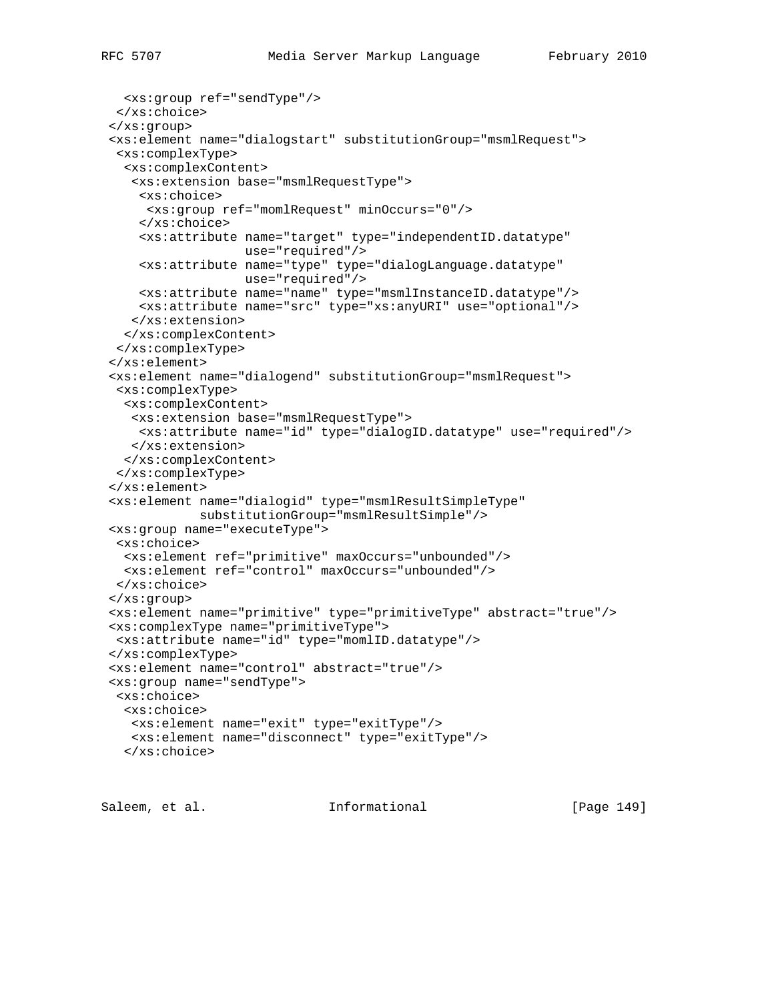```
 <xs:group ref="sendType"/>
  </xs:choice>
 </xs:group>
 <xs:element name="dialogstart" substitutionGroup="msmlRequest">
 <xs:complexType>
  <xs:complexContent>
   <xs:extension base="msmlRequestType">
    <xs:choice>
     <xs:group ref="momlRequest" minOccurs="0"/>
     </xs:choice>
     <xs:attribute name="target" type="independentID.datatype"
                   use="required"/>
     <xs:attribute name="type" type="dialogLanguage.datatype"
                   use="required"/>
     <xs:attribute name="name" type="msmlInstanceID.datatype"/>
    <xs:attribute name="src" type="xs:anyURI" use="optional"/>
   </xs:extension>
  </xs:complexContent>
  </xs:complexType>
 </xs:element>
 <xs:element name="dialogend" substitutionGroup="msmlRequest">
 <xs:complexType>
  <xs:complexContent>
   <xs:extension base="msmlRequestType">
    <xs:attribute name="id" type="dialogID.datatype" use="required"/>
   </xs:extension>
  </xs:complexContent>
 </xs:complexType>
 </xs:element>
 <xs:element name="dialogid" type="msmlResultSimpleType"
            substitutionGroup="msmlResultSimple"/>
 <xs:group name="executeType">
 <xs:choice>
  <xs:element ref="primitive" maxOccurs="unbounded"/>
  <xs:element ref="control" maxOccurs="unbounded"/>
 </xs:choice>
 </xs:group>
 <xs:element name="primitive" type="primitiveType" abstract="true"/>
 <xs:complexType name="primitiveType">
 <xs:attribute name="id" type="momlID.datatype"/>
 </xs:complexType>
 <xs:element name="control" abstract="true"/>
 <xs:group name="sendType">
 <xs:choice>
  <xs:choice>
   <xs:element name="exit" type="exitType"/>
   <xs:element name="disconnect" type="exitType"/>
   </xs:choice>
```
Saleem, et al. Informational [Page 149]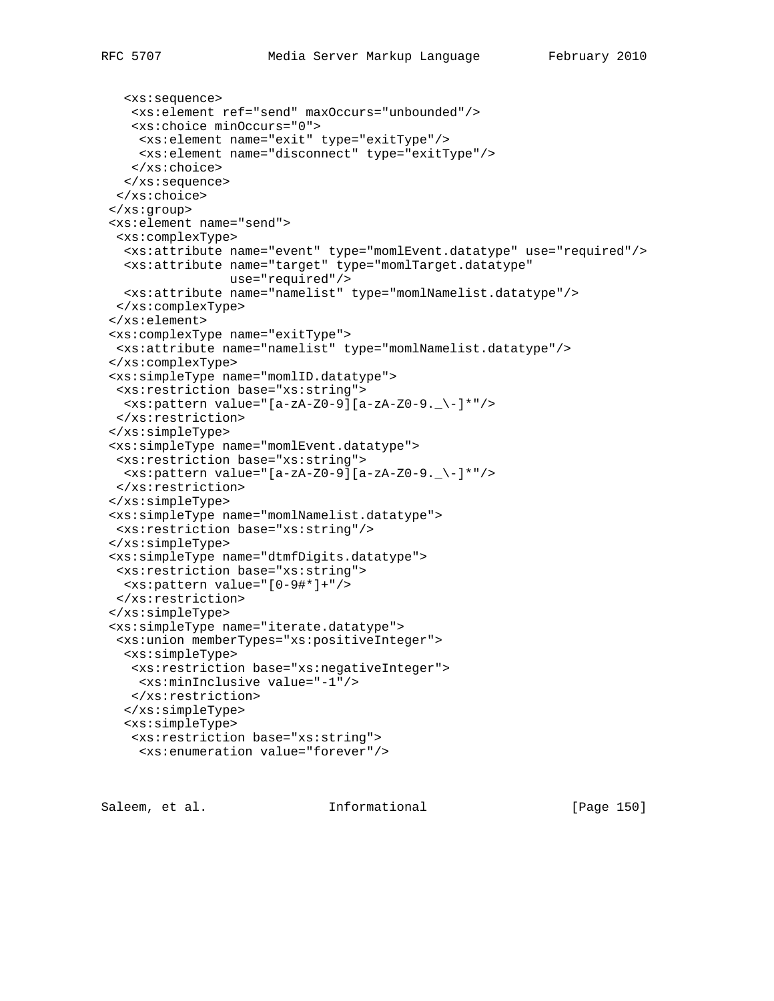```
 <xs:sequence>
    <xs:element ref="send" maxOccurs="unbounded"/>
    <xs:choice minOccurs="0">
    <xs:element name="exit" type="exitType"/>
    <xs:element name="disconnect" type="exitType"/>
   </xs:choice>
  </xs:sequence>
 </xs:choice>
 </xs:group>
 <xs:element name="send">
  <xs:complexType>
   <xs:attribute name="event" type="momlEvent.datatype" use="required"/>
  <xs:attribute name="target" type="momlTarget.datatype"
                 use="required"/>
  <xs:attribute name="namelist" type="momlNamelist.datatype"/>
 </xs:complexType>
 </xs:element>
 <xs:complexType name="exitType">
 <xs:attribute name="namelist" type="momlNamelist.datatype"/>
 </xs:complexType>
 <xs:simpleType name="momlID.datatype">
 <xs:restriction base="xs:string">
  <xs:pattern value="[a-zA-Z0-9][a-zA-Z0-9._\-]*"/>
 </xs:restriction>
 </xs:simpleType>
 <xs:simpleType name="momlEvent.datatype">
  <xs:restriction base="xs:string">
 \langle x s :pattern value="[a-zA-Z0-9][a-zA-Z0-9. \-]*"/>
 </xs:restriction>
 </xs:simpleType>
 <xs:simpleType name="momlNamelist.datatype">
 <xs:restriction base="xs:string"/>
 </xs:simpleType>
 <xs:simpleType name="dtmfDigits.datatype">
 <xs:restriction base="xs:string">
  <xs:pattern value="[0-9#*]+"/>
 </xs:restriction>
 </xs:simpleType>
 <xs:simpleType name="iterate.datatype">
  <xs:union memberTypes="xs:positiveInteger">
  <xs:simpleType>
   <xs:restriction base="xs:negativeInteger">
    <xs:minInclusive value="-1"/>
   </xs:restriction>
   </xs:simpleType>
   <xs:simpleType>
    <xs:restriction base="xs:string">
     <xs:enumeration value="forever"/>
```
Saleem, et al. Informational [Page 150]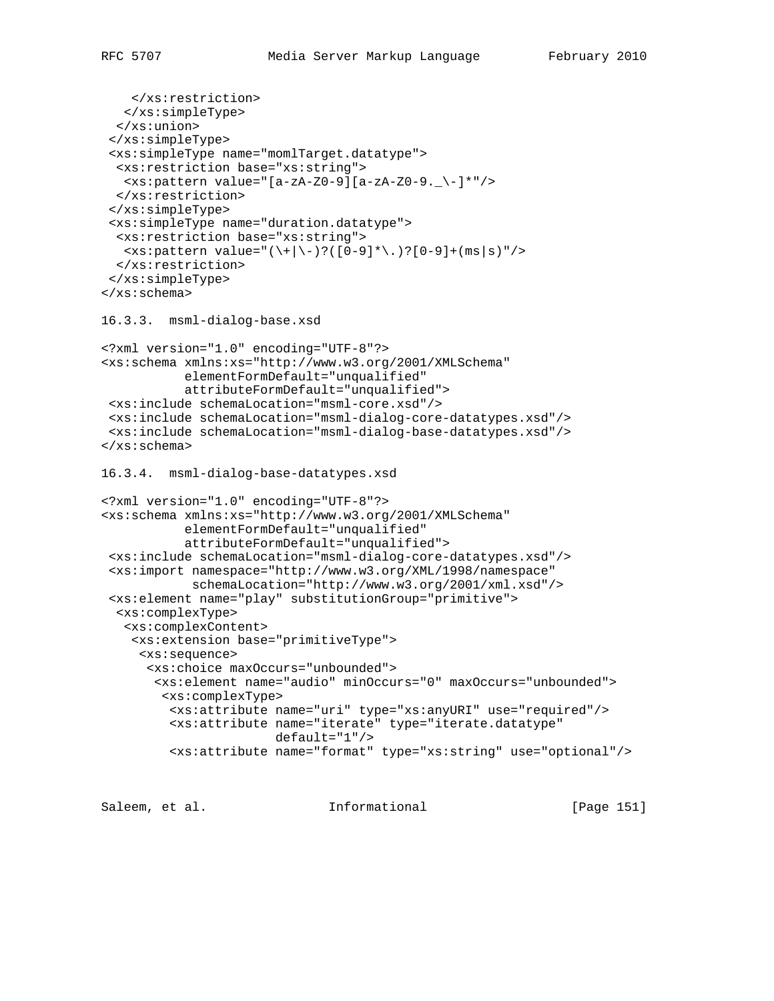```
 </xs:restriction>
    </xs:simpleType>
   </xs:union>
  </xs:simpleType>
  <xs:simpleType name="momlTarget.datatype">
  <xs:restriction base="xs:string">
   <xs:pattern value="[a-zA-Z0-9][a-zA-Z0-9._\-]*"/>
  </xs:restriction>
  </xs:simpleType>
  <xs:simpleType name="duration.datatype">
   <xs:restriction base="xs:string">
  \langle x s :pattern value="(\+|\-)?([0-9]*\.)?[0-9]+(ms|s)"/>
  </xs:restriction>
  </xs:simpleType>
</xs:schema>
16.3.3. msml-dialog-base.xsd
<?xml version="1.0" encoding="UTF-8"?>
<xs:schema xmlns:xs="http://www.w3.org/2001/XMLSchema"
            elementFormDefault="unqualified"
            attributeFormDefault="unqualified">
  <xs:include schemaLocation="msml-core.xsd"/>
  <xs:include schemaLocation="msml-dialog-core-datatypes.xsd"/>
  <xs:include schemaLocation="msml-dialog-base-datatypes.xsd"/>
</xs:schema>
16.3.4. msml-dialog-base-datatypes.xsd
<?xml version="1.0" encoding="UTF-8"?>
<xs:schema xmlns:xs="http://www.w3.org/2001/XMLSchema"
            elementFormDefault="unqualified"
            attributeFormDefault="unqualified">
  <xs:include schemaLocation="msml-dialog-core-datatypes.xsd"/>
  <xs:import namespace="http://www.w3.org/XML/1998/namespace"
             schemaLocation="http://www.w3.org/2001/xml.xsd"/>
  <xs:element name="play" substitutionGroup="primitive">
   <xs:complexType>
    <xs:complexContent>
     <xs:extension base="primitiveType">
      <xs:sequence>
       <xs:choice maxOccurs="unbounded">
        <xs:element name="audio" minOccurs="0" maxOccurs="unbounded">
         <xs:complexType>
          <xs:attribute name="uri" type="xs:anyURI" use="required"/>
          <xs:attribute name="iterate" type="iterate.datatype"
                        default="1"/>
          <xs:attribute name="format" type="xs:string" use="optional"/>
```
Saleem, et al. Informational [Page 151]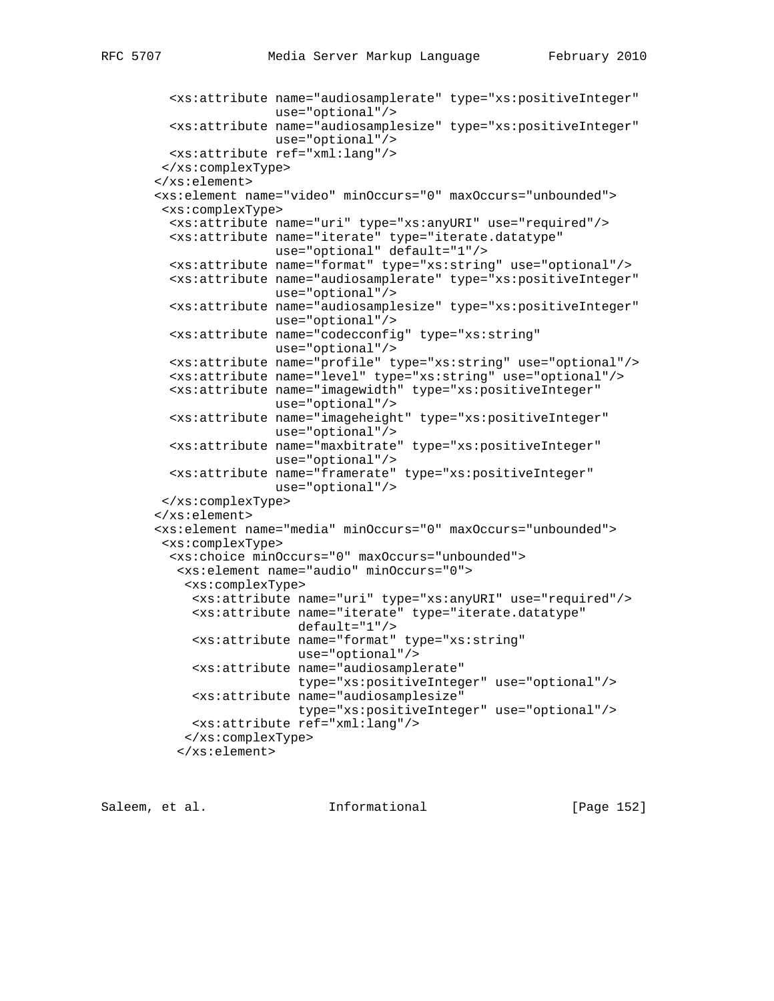```
 <xs:attribute name="audiosamplerate" type="xs:positiveInteger"
                use="optional"/>
   <xs:attribute name="audiosamplesize" type="xs:positiveInteger"
                 use="optional"/>
  <xs:attribute ref="xml:lang"/>
 </xs:complexType>
 </xs:element>
 <xs:element name="video" minOccurs="0" maxOccurs="unbounded">
  <xs:complexType>
  <xs:attribute name="uri" type="xs:anyURI" use="required"/>
  <xs:attribute name="iterate" type="iterate.datatype"
                 use="optional" default="1"/>
  <xs:attribute name="format" type="xs:string" use="optional"/>
   <xs:attribute name="audiosamplerate" type="xs:positiveInteger"
                use="optional"/>
  <xs:attribute name="audiosamplesize" type="xs:positiveInteger"
                use="optional"/>
  <xs:attribute name="codecconfig" type="xs:string"
                use="optional"/>
  <xs:attribute name="profile" type="xs:string" use="optional"/>
   <xs:attribute name="level" type="xs:string" use="optional"/>
  <xs:attribute name="imagewidth" type="xs:positiveInteger"
                use="optional"/>
  <xs:attribute name="imageheight" type="xs:positiveInteger"
                use="optional"/>
   <xs:attribute name="maxbitrate" type="xs:positiveInteger"
                use="optional"/>
  <xs:attribute name="framerate" type="xs:positiveInteger"
                 use="optional"/>
 </xs:complexType>
 </xs:element>
 <xs:element name="media" minOccurs="0" maxOccurs="unbounded">
  <xs:complexType>
  <xs:choice minOccurs="0" maxOccurs="unbounded">
   <xs:element name="audio" minOccurs="0">
     <xs:complexType>
     <xs:attribute name="uri" type="xs:anyURI" use="required"/>
      <xs:attribute name="iterate" type="iterate.datatype"
                    default="1"/>
      <xs:attribute name="format" type="xs:string"
                   use="optional"/>
      <xs:attribute name="audiosamplerate"
                   type="xs:positiveInteger" use="optional"/>
      <xs:attribute name="audiosamplesize"
                   type="xs:positiveInteger" use="optional"/>
     <xs:attribute ref="xml:lang"/>
    </xs:complexType>
   </xs:element>
```
Saleem, et al. Informational [Page 152]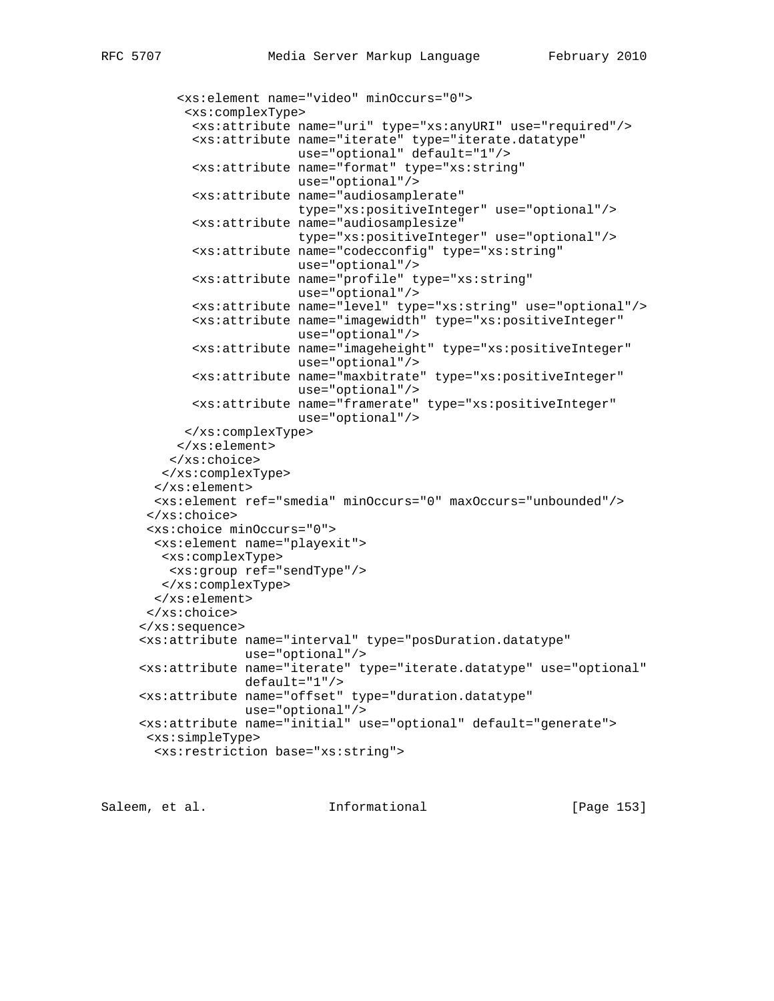```
 <xs:element name="video" minOccurs="0">
       <xs:complexType>
        <xs:attribute name="uri" type="xs:anyURI" use="required"/>
        <xs:attribute name="iterate" type="iterate.datatype"
                      use="optional" default="1"/>
        <xs:attribute name="format" type="xs:string"
                      use="optional"/>
        <xs:attribute name="audiosamplerate"
                      type="xs:positiveInteger" use="optional"/>
        <xs:attribute name="audiosamplesize"
                      type="xs:positiveInteger" use="optional"/>
        <xs:attribute name="codecconfig" type="xs:string"
                      use="optional"/>
        <xs:attribute name="profile" type="xs:string"
                      use="optional"/>
        <xs:attribute name="level" type="xs:string" use="optional"/>
        <xs:attribute name="imagewidth" type="xs:positiveInteger"
                      use="optional"/>
        <xs:attribute name="imageheight" type="xs:positiveInteger"
                     use="optional"/>
        <xs:attribute name="maxbitrate" type="xs:positiveInteger"
                      use="optional"/>
        <xs:attribute name="framerate" type="xs:positiveInteger"
                      use="optional"/>
       </xs:complexType>
     </xs:element>
    </xs:choice>
   </xs:complexType>
  </xs:element>
  <xs:element ref="smedia" minOccurs="0" maxOccurs="unbounded"/>
 </xs:choice>
 <xs:choice minOccurs="0">
  <xs:element name="playexit">
   <xs:complexType>
    <xs:group ref="sendType"/>
   </xs:complexType>
  </xs:element>
 </xs:choice>
 </xs:sequence>
 <xs:attribute name="interval" type="posDuration.datatype"
              use="optional"/>
 <xs:attribute name="iterate" type="iterate.datatype" use="optional"
              default="1"/>
 <xs:attribute name="offset" type="duration.datatype"
              use="optional"/>
 <xs:attribute name="initial" use="optional" default="generate">
 <xs:simpleType>
  <xs:restriction base="xs:string">
```
Saleem, et al. 10. Informational 1999 [Page 153]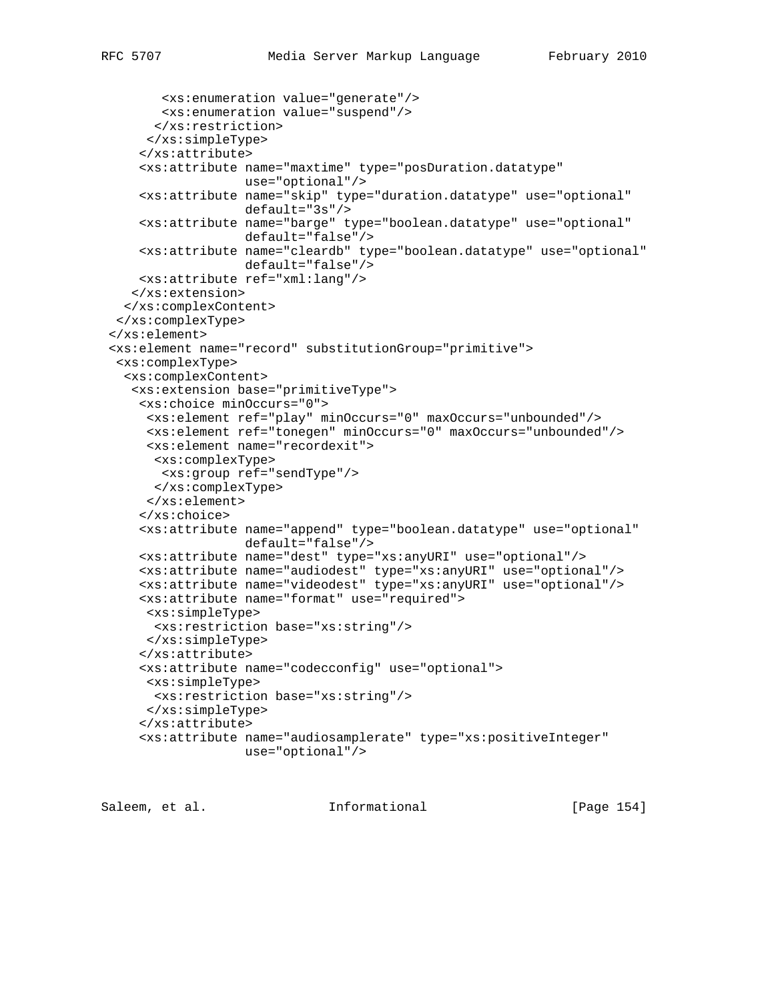```
 <xs:enumeration value="generate"/>
       <xs:enumeration value="suspend"/>
      </xs:restriction>
     </xs:simpleType>
     </xs:attribute>
     <xs:attribute name="maxtime" type="posDuration.datatype"
                   use="optional"/>
     <xs:attribute name="skip" type="duration.datatype" use="optional"
                   default="3s"/>
     <xs:attribute name="barge" type="boolean.datatype" use="optional"
                   default="false"/>
     <xs:attribute name="cleardb" type="boolean.datatype" use="optional"
                   default="false"/>
     <xs:attribute ref="xml:lang"/>
    </xs:extension>
  </xs:complexContent>
  </xs:complexType>
 </xs:element>
 <xs:element name="record" substitutionGroup="primitive">
  <xs:complexType>
   <xs:complexContent>
    <xs:extension base="primitiveType">
     <xs:choice minOccurs="0">
      <xs:element ref="play" minOccurs="0" maxOccurs="unbounded"/>
      <xs:element ref="tonegen" minOccurs="0" maxOccurs="unbounded"/>
      <xs:element name="recordexit">
      <xs:complexType>
       <xs:group ref="sendType"/>
      </xs:complexType>
      </xs:element>
     </xs:choice>
     <xs:attribute name="append" type="boolean.datatype" use="optional"
                   default="false"/>
     <xs:attribute name="dest" type="xs:anyURI" use="optional"/>
     <xs:attribute name="audiodest" type="xs:anyURI" use="optional"/>
     <xs:attribute name="videodest" type="xs:anyURI" use="optional"/>
     <xs:attribute name="format" use="required">
      <xs:simpleType>
       <xs:restriction base="xs:string"/>
     </xs:simpleType>
     </xs:attribute>
     <xs:attribute name="codecconfig" use="optional">
     <xs:simpleType>
       <xs:restriction base="xs:string"/>
      </xs:simpleType>
     </xs:attribute>
     <xs:attribute name="audiosamplerate" type="xs:positiveInteger"
                   use="optional"/>
```
Saleem, et al. 10. Informational 1999 [Page 154]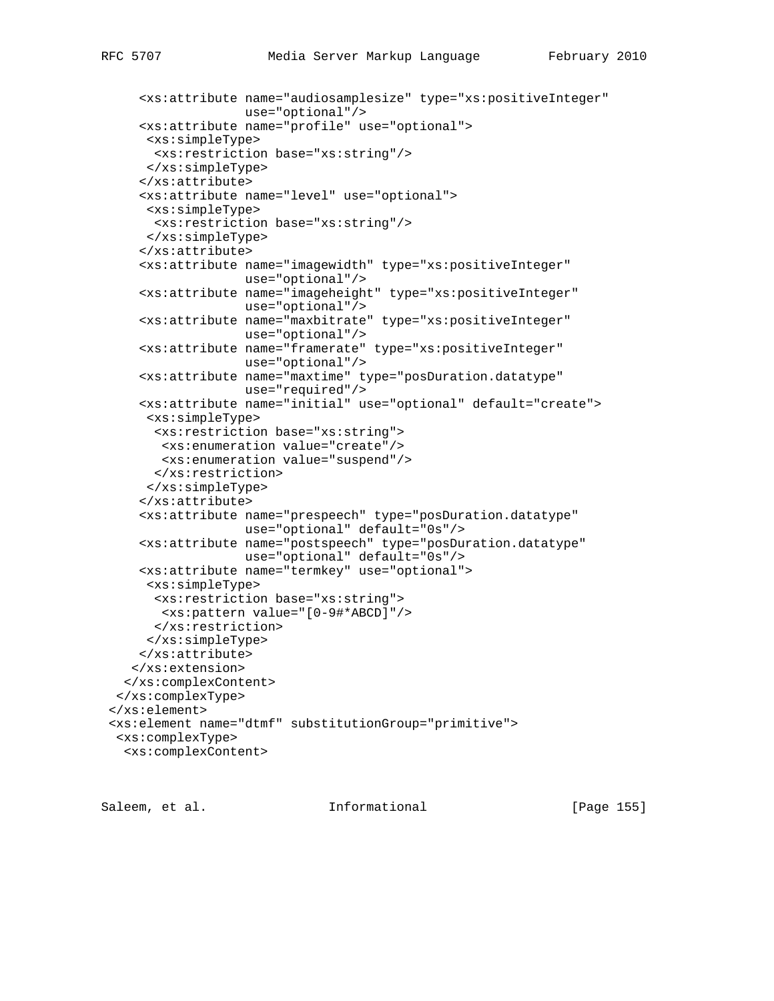```
 <xs:attribute name="audiosamplesize" type="xs:positiveInteger"
                   use="optional"/>
     <xs:attribute name="profile" use="optional">
      <xs:simpleType>
      <xs:restriction base="xs:string"/>
      </xs:simpleType>
     </xs:attribute>
     <xs:attribute name="level" use="optional">
     <xs:simpleType>
      <xs:restriction base="xs:string"/>
     </xs:simpleType>
     </xs:attribute>
     <xs:attribute name="imagewidth" type="xs:positiveInteger"
                   use="optional"/>
     <xs:attribute name="imageheight" type="xs:positiveInteger"
                   use="optional"/>
     <xs:attribute name="maxbitrate" type="xs:positiveInteger"
                   use="optional"/>
     <xs:attribute name="framerate" type="xs:positiveInteger"
                  use="optional"/>
     <xs:attribute name="maxtime" type="posDuration.datatype"
                   use="required"/>
     <xs:attribute name="initial" use="optional" default="create">
      <xs:simpleType>
       <xs:restriction base="xs:string">
       <xs:enumeration value="create"/>
       <xs:enumeration value="suspend"/>
       </xs:restriction>
     </xs:simpleType>
     </xs:attribute>
     <xs:attribute name="prespeech" type="posDuration.datatype"
                   use="optional" default="0s"/>
     <xs:attribute name="postspeech" type="posDuration.datatype"
                   use="optional" default="0s"/>
     <xs:attribute name="termkey" use="optional">
      <xs:simpleType>
       <xs:restriction base="xs:string">
        <xs:pattern value="[0-9#*ABCD]"/>
       </xs:restriction>
     </xs:simpleType>
     </xs:attribute>
    </xs:extension>
   </xs:complexContent>
  </xs:complexType>
 </xs:element>
 <xs:element name="dtmf" substitutionGroup="primitive">
  <xs:complexType>
  <xs:complexContent>
```

```
Saleem, et al.               Informational             [Page 155]
```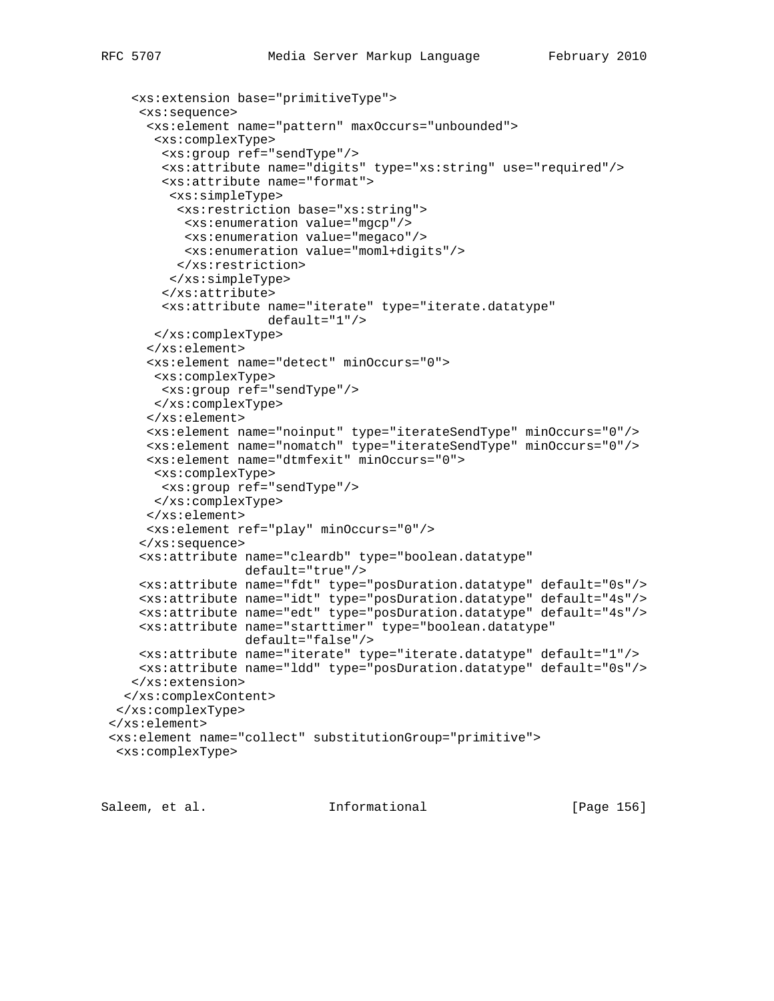```
 <xs:extension base="primitiveType">
     <xs:sequence>
      <xs:element name="pattern" maxOccurs="unbounded">
       <xs:complexType>
        <xs:group ref="sendType"/>
        <xs:attribute name="digits" type="xs:string" use="required"/>
        <xs:attribute name="format">
         <xs:simpleType>
          <xs:restriction base="xs:string">
          <xs:enumeration value="mgcp"/>
          <xs:enumeration value="megaco"/>
           <xs:enumeration value="moml+digits"/>
          </xs:restriction>
         </xs:simpleType>
        </xs:attribute>
        <xs:attribute name="iterate" type="iterate.datatype"
                      default="1"/>
      </xs:complexType>
      </xs:element>
      <xs:element name="detect" minOccurs="0">
      <xs:complexType>
       <xs:group ref="sendType"/>
      </xs:complexType>
      </xs:element>
      <xs:element name="noinput" type="iterateSendType" minOccurs="0"/>
      <xs:element name="nomatch" type="iterateSendType" minOccurs="0"/>
      <xs:element name="dtmfexit" minOccurs="0">
      <xs:complexType>
       <xs:group ref="sendType"/>
       </xs:complexType>
      </xs:element>
      <xs:element ref="play" minOccurs="0"/>
     </xs:sequence>
     <xs:attribute name="cleardb" type="boolean.datatype"
                   default="true"/>
     <xs:attribute name="fdt" type="posDuration.datatype" default="0s"/>
     <xs:attribute name="idt" type="posDuration.datatype" default="4s"/>
     <xs:attribute name="edt" type="posDuration.datatype" default="4s"/>
     <xs:attribute name="starttimer" type="boolean.datatype"
                   default="false"/>
     <xs:attribute name="iterate" type="iterate.datatype" default="1"/>
     <xs:attribute name="ldd" type="posDuration.datatype" default="0s"/>
    </xs:extension>
  </xs:complexContent>
  </xs:complexType>
 </xs:element>
 <xs:element name="collect" substitutionGroup="primitive">
  <xs:complexType>
```
Saleem, et al. Informational [Page 156]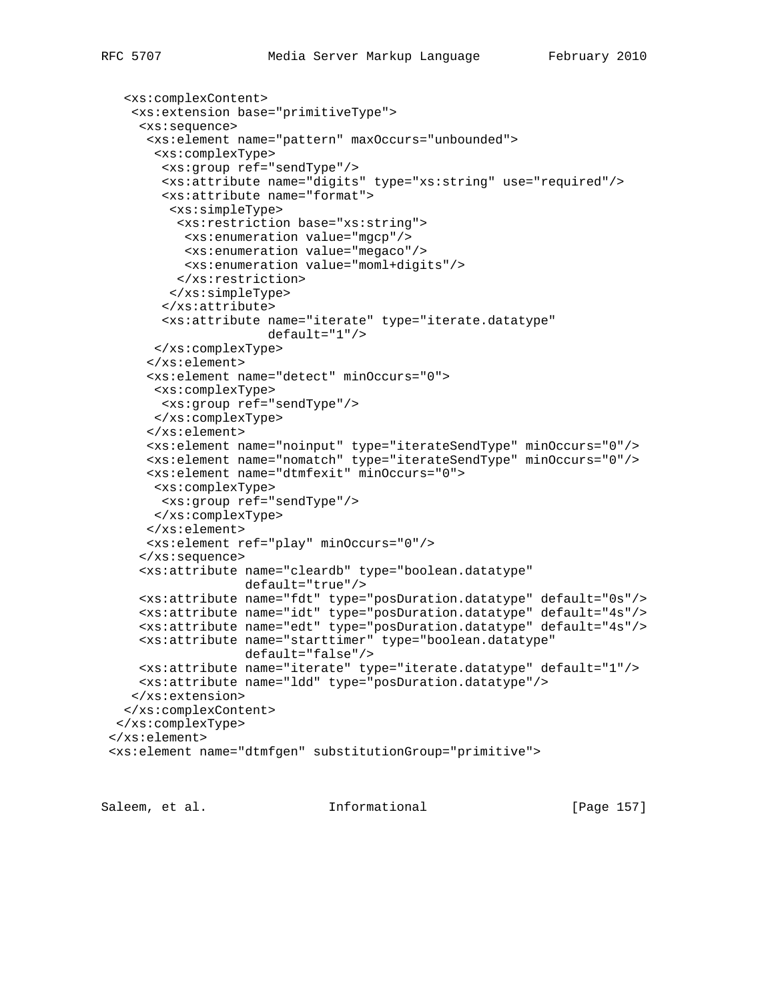```
 <xs:complexContent>
    <xs:extension base="primitiveType">
     <xs:sequence>
      <xs:element name="pattern" maxOccurs="unbounded">
       <xs:complexType>
        <xs:group ref="sendType"/>
        <xs:attribute name="digits" type="xs:string" use="required"/>
        <xs:attribute name="format">
         <xs:simpleType>
          <xs:restriction base="xs:string">
           <xs:enumeration value="mgcp"/>
          <xs:enumeration value="megaco"/>
           <xs:enumeration value="moml+digits"/>
          </xs:restriction>
         </xs:simpleType>
        </xs:attribute>
        <xs:attribute name="iterate" type="iterate.datatype"
                      default="1"/>
       </xs:complexType>
      </xs:element>
      <xs:element name="detect" minOccurs="0">
      <xs:complexType>
       <xs:group ref="sendType"/>
      </xs:complexType>
      </xs:element>
      <xs:element name="noinput" type="iterateSendType" minOccurs="0"/>
      <xs:element name="nomatch" type="iterateSendType" minOccurs="0"/>
      <xs:element name="dtmfexit" minOccurs="0">
      <xs:complexType>
       <xs:group ref="sendType"/>
       </xs:complexType>
      </xs:element>
      <xs:element ref="play" minOccurs="0"/>
     </xs:sequence>
     <xs:attribute name="cleardb" type="boolean.datatype"
                   default="true"/>
     <xs:attribute name="fdt" type="posDuration.datatype" default="0s"/>
     <xs:attribute name="idt" type="posDuration.datatype" default="4s"/>
     <xs:attribute name="edt" type="posDuration.datatype" default="4s"/>
     <xs:attribute name="starttimer" type="boolean.datatype"
                   default="false"/>
     <xs:attribute name="iterate" type="iterate.datatype" default="1"/>
     <xs:attribute name="ldd" type="posDuration.datatype"/>
    </xs:extension>
   </xs:complexContent>
 </xs:complexType>
 </xs:element>
 <xs:element name="dtmfgen" substitutionGroup="primitive">
```
Saleem, et al. Informational [Page 157]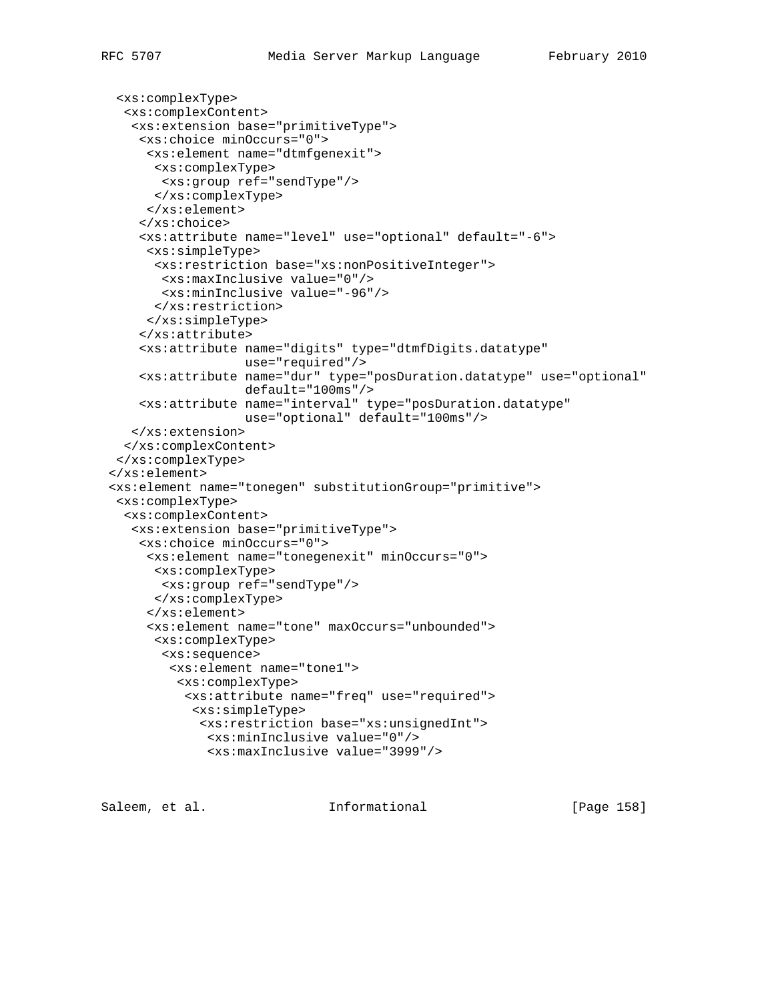```
 <xs:complexType>
   <xs:complexContent>
    <xs:extension base="primitiveType">
     <xs:choice minOccurs="0">
      <xs:element name="dtmfgenexit">
      <xs:complexType>
       <xs:group ref="sendType"/>
       </xs:complexType>
      </xs:element>
     </xs:choice>
     <xs:attribute name="level" use="optional" default="-6">
      <xs:simpleType>
       <xs:restriction base="xs:nonPositiveInteger">
        <xs:maxInclusive value="0"/>
        <xs:minInclusive value="-96"/>
      </xs:restriction>
      </xs:simpleType>
     </xs:attribute>
     <xs:attribute name="digits" type="dtmfDigits.datatype"
                   use="required"/>
     <xs:attribute name="dur" type="posDuration.datatype" use="optional"
                   default="100ms"/>
     <xs:attribute name="interval" type="posDuration.datatype"
                   use="optional" default="100ms"/>
    </xs:extension>
   </xs:complexContent>
  </xs:complexType>
 </xs:element>
 <xs:element name="tonegen" substitutionGroup="primitive">
  <xs:complexType>
  <xs:complexContent>
    <xs:extension base="primitiveType">
     <xs:choice minOccurs="0">
      <xs:element name="tonegenexit" minOccurs="0">
       <xs:complexType>
        <xs:group ref="sendType"/>
       </xs:complexType>
      </xs:element>
      <xs:element name="tone" maxOccurs="unbounded">
       <xs:complexType>
        <xs:sequence>
         <xs:element name="tone1">
          <xs:complexType>
           <xs:attribute name="freq" use="required">
            <xs:simpleType>
             <xs:restriction base="xs:unsignedInt">
              <xs:minInclusive value="0"/>
              <xs:maxInclusive value="3999"/>
```
Saleem, et al. Informational [Page 158]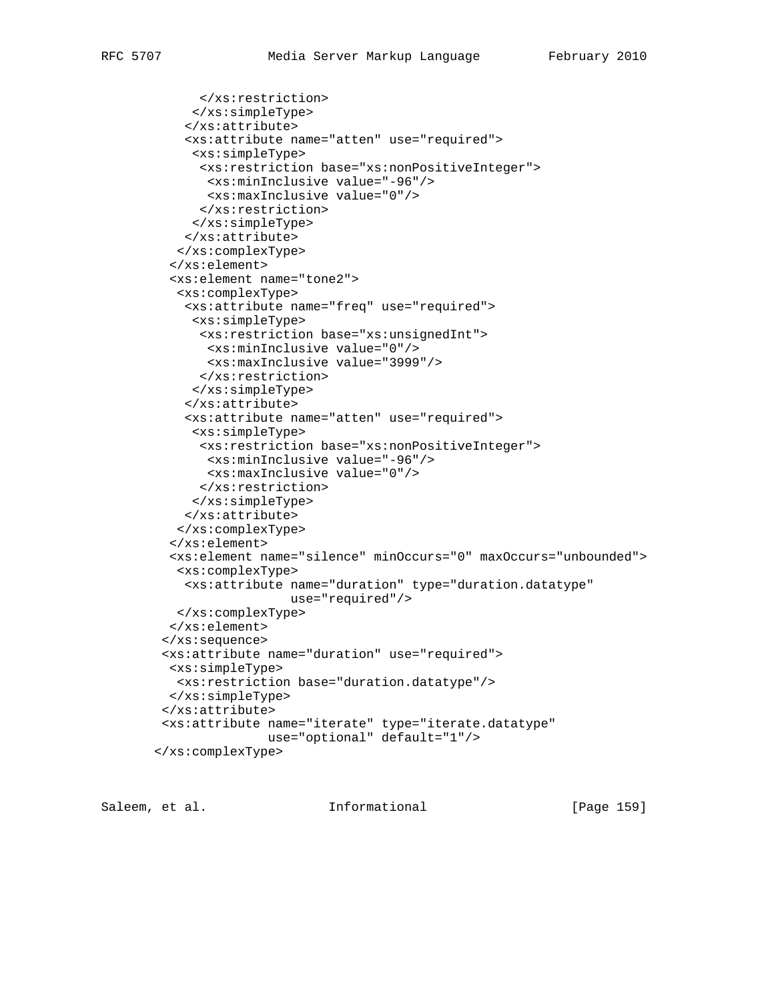```
 </xs:restriction>
      </xs:simpleType>
     </xs:attribute>
     <xs:attribute name="atten" use="required">
      <xs:simpleType>
      <xs:restriction base="xs:nonPositiveInteger">
       <xs:minInclusive value="-96"/>
       <xs:maxInclusive value="0"/>
       </xs:restriction>
      </xs:simpleType>
     </xs:attribute>
    </xs:complexType>
   </xs:element>
   <xs:element name="tone2">
    <xs:complexType>
     <xs:attribute name="freq" use="required">
      <xs:simpleType>
      <xs:restriction base="xs:unsignedInt">
       <xs:minInclusive value="0"/>
       <xs:maxInclusive value="3999"/>
      </xs:restriction>
      </xs:simpleType>
     </xs:attribute>
     <xs:attribute name="atten" use="required">
      <xs:simpleType>
       <xs:restriction base="xs:nonPositiveInteger">
       <xs:minInclusive value="-96"/>
       <xs:maxInclusive value="0"/>
      </xs:restriction>
      </xs:simpleType>
     </xs:attribute>
    </xs:complexType>
   </xs:element>
   <xs:element name="silence" minOccurs="0" maxOccurs="unbounded">
   <xs:complexType>
    <xs:attribute name="duration" type="duration.datatype"
                   use="required"/>
   </xs:complexType>
   </xs:element>
  </xs:sequence>
  <xs:attribute name="duration" use="required">
  <xs:simpleType>
   <xs:restriction base="duration.datatype"/>
  </xs:simpleType>
  </xs:attribute>
  <xs:attribute name="iterate" type="iterate.datatype"
                use="optional" default="1"/>
 </xs:complexType>
```
Saleem, et al. 10. Informational 1999 [Page 159]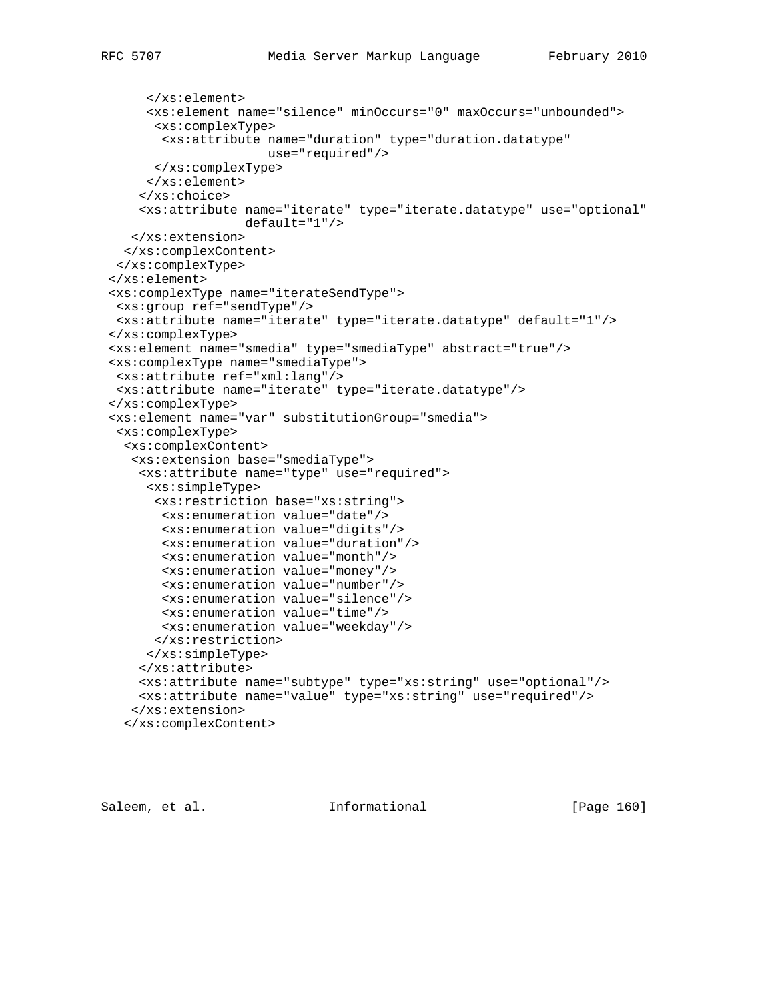```
 </xs:element>
      <xs:element name="silence" minOccurs="0" maxOccurs="unbounded">
       <xs:complexType>
       <xs:attribute name="duration" type="duration.datatype"
                      use="required"/>
      </xs:complexType>
      </xs:element>
     </xs:choice>
     <xs:attribute name="iterate" type="iterate.datatype" use="optional"
                  default="1"/>
   </xs:extension>
  </xs:complexContent>
 </xs:complexType>
 </xs:element>
 <xs:complexType name="iterateSendType">
 <xs:group ref="sendType"/>
 <xs:attribute name="iterate" type="iterate.datatype" default="1"/>
 </xs:complexType>
 <xs:element name="smedia" type="smediaType" abstract="true"/>
 <xs:complexType name="smediaType">
 <xs:attribute ref="xml:lang"/>
 <xs:attribute name="iterate" type="iterate.datatype"/>
 </xs:complexType>
 <xs:element name="var" substitutionGroup="smedia">
  <xs:complexType>
   <xs:complexContent>
    <xs:extension base="smediaType">
     <xs:attribute name="type" use="required">
     <xs:simpleType>
      <xs:restriction base="xs:string">
       <xs:enumeration value="date"/>
       <xs:enumeration value="digits"/>
        <xs:enumeration value="duration"/>
        <xs:enumeration value="month"/>
        <xs:enumeration value="money"/>
        <xs:enumeration value="number"/>
        <xs:enumeration value="silence"/>
        <xs:enumeration value="time"/>
        <xs:enumeration value="weekday"/>
      </xs:restriction>
     </xs:simpleType>
     </xs:attribute>
     <xs:attribute name="subtype" type="xs:string" use="optional"/>
     <xs:attribute name="value" type="xs:string" use="required"/>
    </xs:extension>
   </xs:complexContent>
```
Saleem, et al. Informational [Page 160]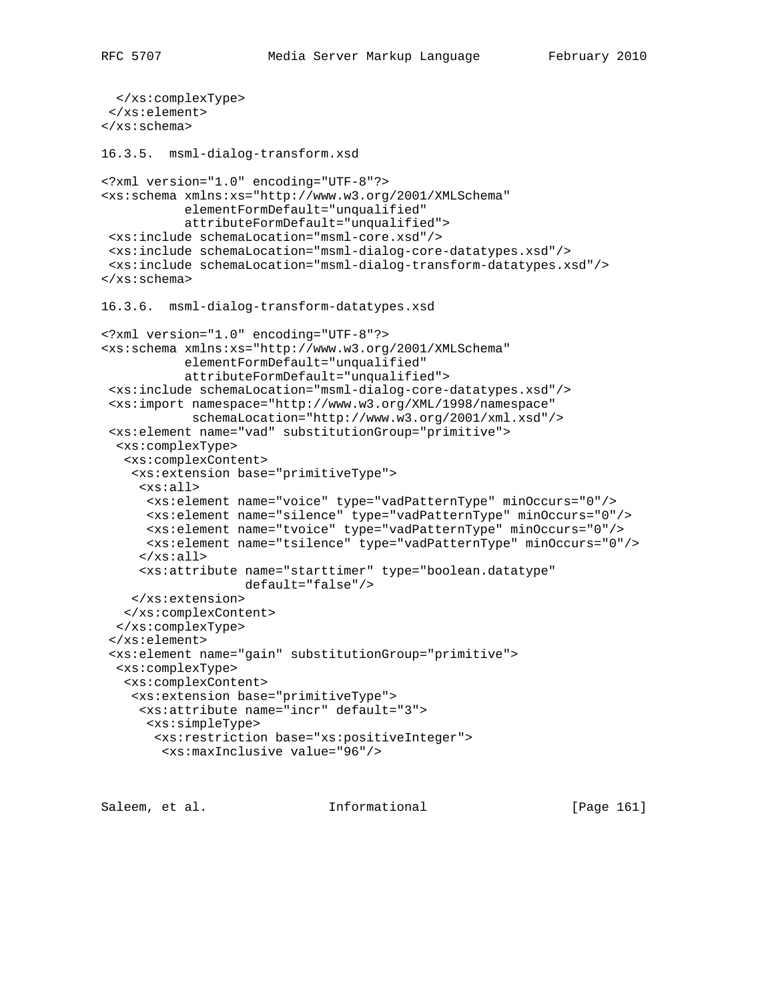```
 </xs:complexType>
  </xs:element>
</xs:schema>
16.3.5. msml-dialog-transform.xsd
<?xml version="1.0" encoding="UTF-8"?>
<xs:schema xmlns:xs="http://www.w3.org/2001/XMLSchema"
            elementFormDefault="unqualified"
            attributeFormDefault="unqualified">
 <xs:include schemaLocation="msml-core.xsd"/>
 <xs:include schemaLocation="msml-dialog-core-datatypes.xsd"/>
  <xs:include schemaLocation="msml-dialog-transform-datatypes.xsd"/>
</xs:schema>
16.3.6. msml-dialog-transform-datatypes.xsd
<?xml version="1.0" encoding="UTF-8"?>
<xs:schema xmlns:xs="http://www.w3.org/2001/XMLSchema"
            elementFormDefault="unqualified"
            attributeFormDefault="unqualified">
  <xs:include schemaLocation="msml-dialog-core-datatypes.xsd"/>
  <xs:import namespace="http://www.w3.org/XML/1998/namespace"
             schemaLocation="http://www.w3.org/2001/xml.xsd"/>
  <xs:element name="vad" substitutionGroup="primitive">
   <xs:complexType>
    <xs:complexContent>
     <xs:extension base="primitiveType">
      <xs:all>
       <xs:element name="voice" type="vadPatternType" minOccurs="0"/>
      <xs:element name="silence" type="vadPatternType" minOccurs="0"/>
      <xs:element name="tvoice" type="vadPatternType" minOccurs="0"/>
       <xs:element name="tsilence" type="vadPatternType" minOccurs="0"/>
     \langle x s : \text{all} \rangle <xs:attribute name="starttimer" type="boolean.datatype"
                    default="false"/>
    </xs:extension>
    </xs:complexContent>
   </xs:complexType>
  </xs:element>
  <xs:element name="gain" substitutionGroup="primitive">
   <xs:complexType>
   <xs:complexContent>
     <xs:extension base="primitiveType">
      <xs:attribute name="incr" default="3">
      <xs:simpleType>
       <xs:restriction base="xs:positiveInteger">
         <xs:maxInclusive value="96"/>
```
Saleem, et al. 10. Informational 1. [Page 161]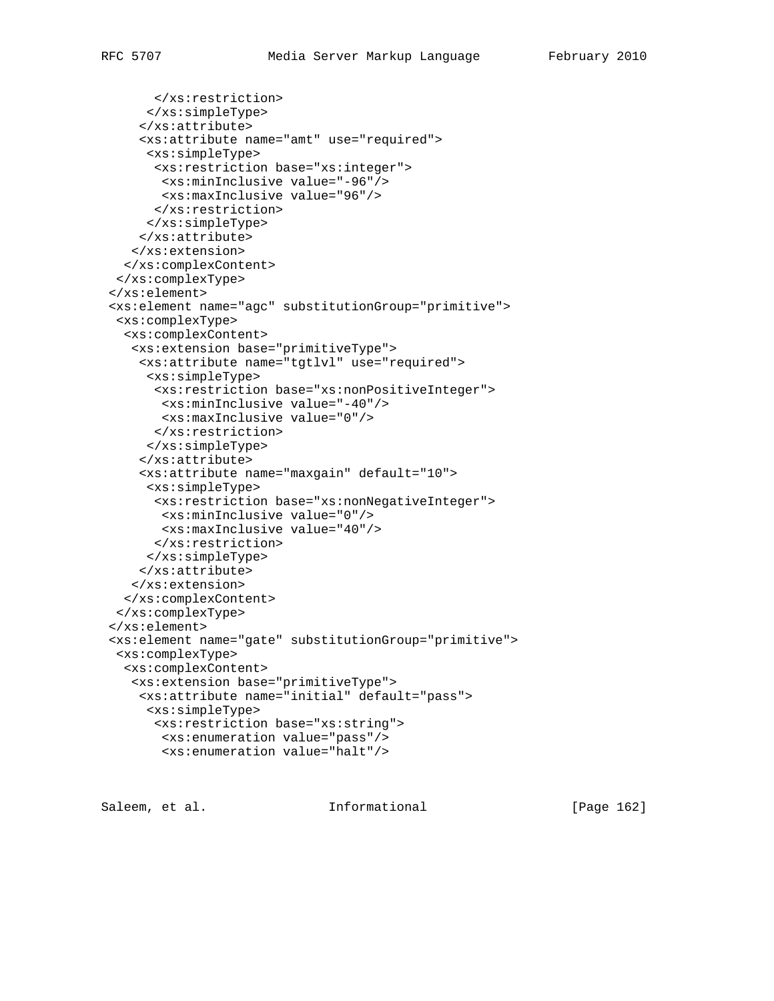```
 </xs:restriction>
      </xs:simpleType>
     </xs:attribute>
     <xs:attribute name="amt" use="required">
      <xs:simpleType>
      <xs:restriction base="xs:integer">
       <xs:minInclusive value="-96"/>
       <xs:maxInclusive value="96"/>
      </xs:restriction>
     </xs:simpleType>
     </xs:attribute>
    </xs:extension>
  </xs:complexContent>
 </xs:complexType>
 </xs:element>
 <xs:element name="agc" substitutionGroup="primitive">
  <xs:complexType>
  <xs:complexContent>
   <xs:extension base="primitiveType">
    <xs:attribute name="tgtlvl" use="required">
     <xs:simpleType>
      <xs:restriction base="xs:nonPositiveInteger">
       <xs:minInclusive value="-40"/>
       <xs:maxInclusive value="0"/>
      </xs:restriction>
      </xs:simpleType>
     </xs:attribute>
     <xs:attribute name="maxgain" default="10">
      <xs:simpleType>
      <xs:restriction base="xs:nonNegativeInteger">
       <xs:minInclusive value="0"/>
       <xs:maxInclusive value="40"/>
      </xs:restriction>
     </xs:simpleType>
     </xs:attribute>
    </xs:extension>
  </xs:complexContent>
  </xs:complexType>
 </xs:element>
 <xs:element name="gate" substitutionGroup="primitive">
 <xs:complexType>
  <xs:complexContent>
   <xs:extension base="primitiveType">
     <xs:attribute name="initial" default="pass">
     <xs:simpleType>
      <xs:restriction base="xs:string">
       <xs:enumeration value="pass"/>
```

```
Saleem, et al.               Informational             [Page 162]
```
<xs:enumeration value="halt"/>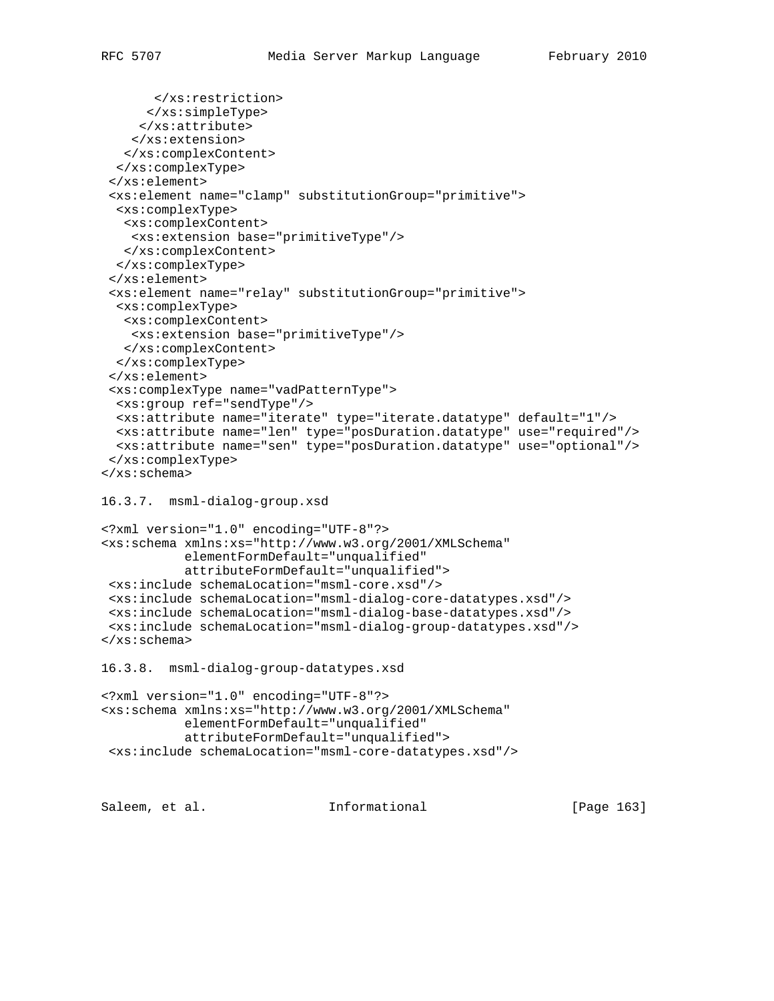```
 </xs:restriction>
      </xs:simpleType>
      </xs:attribute>
     </xs:extension>
    </xs:complexContent>
   </xs:complexType>
  </xs:element>
  <xs:element name="clamp" substitutionGroup="primitive">
   <xs:complexType>
   <xs:complexContent>
     <xs:extension base="primitiveType"/>
   </xs:complexContent>
  </xs:complexType>
  </xs:element>
  <xs:element name="relay" substitutionGroup="primitive">
   <xs:complexType>
   <xs:complexContent>
    <xs:extension base="primitiveType"/>
   </xs:complexContent>
  </xs:complexType>
  </xs:element>
  <xs:complexType name="vadPatternType">
  <xs:group ref="sendType"/>
  <xs:attribute name="iterate" type="iterate.datatype" default="1"/>
  <xs:attribute name="len" type="posDuration.datatype" use="required"/>
  <xs:attribute name="sen" type="posDuration.datatype" use="optional"/>
  </xs:complexType>
</xs:schema>
16.3.7. msml-dialog-group.xsd
<?xml version="1.0" encoding="UTF-8"?>
<xs:schema xmlns:xs="http://www.w3.org/2001/XMLSchema"
            elementFormDefault="unqualified"
            attributeFormDefault="unqualified">
  <xs:include schemaLocation="msml-core.xsd"/>
  <xs:include schemaLocation="msml-dialog-core-datatypes.xsd"/>
  <xs:include schemaLocation="msml-dialog-base-datatypes.xsd"/>
  <xs:include schemaLocation="msml-dialog-group-datatypes.xsd"/>
```

```
</xs:schema>
```

```
16.3.8. msml-dialog-group-datatypes.xsd
```

```
<?xml version="1.0" encoding="UTF-8"?>
<xs:schema xmlns:xs="http://www.w3.org/2001/XMLSchema"
           elementFormDefault="unqualified"
            attributeFormDefault="unqualified">
 <xs:include schemaLocation="msml-core-datatypes.xsd"/>
```
Saleem, et al. Informational [Page 163]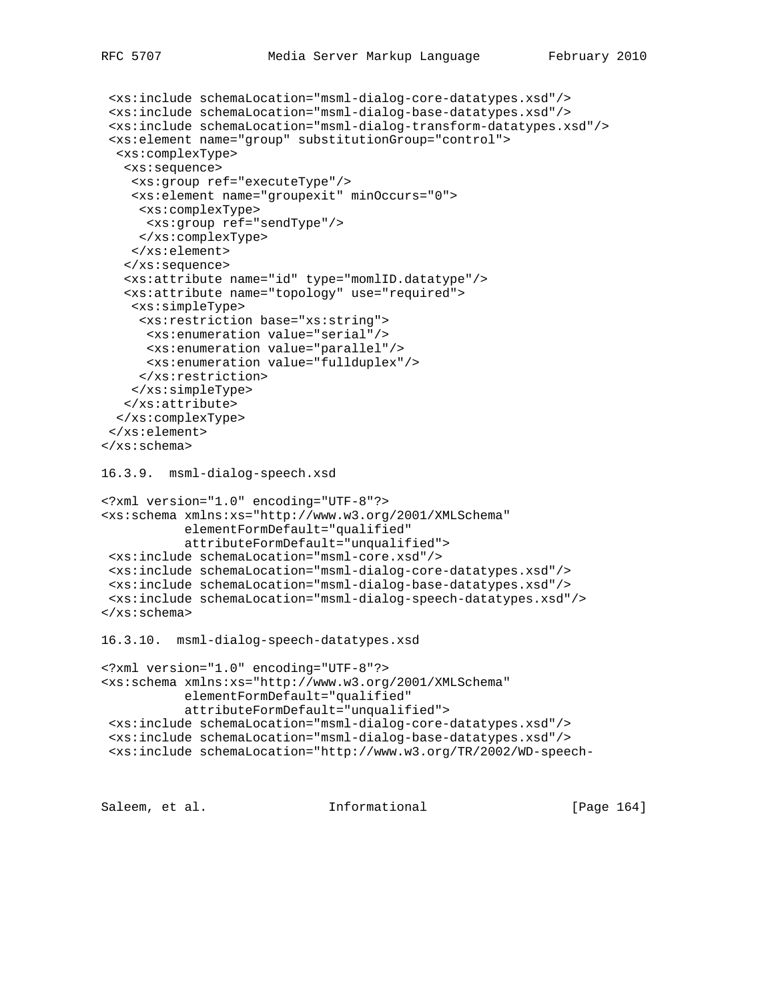```
 <xs:include schemaLocation="msml-dialog-core-datatypes.xsd"/>
  <xs:include schemaLocation="msml-dialog-base-datatypes.xsd"/>
  <xs:include schemaLocation="msml-dialog-transform-datatypes.xsd"/>
  <xs:element name="group" substitutionGroup="control">
  <xs:complexType>
   <xs:sequence>
    <xs:group ref="executeType"/>
    <xs:element name="groupexit" minOccurs="0">
     <xs:complexType>
      <xs:group ref="sendType"/>
     </xs:complexType>
     </xs:element>
    </xs:sequence>
    <xs:attribute name="id" type="momlID.datatype"/>
    <xs:attribute name="topology" use="required">
     <xs:simpleType>
      <xs:restriction base="xs:string">
      <xs:enumeration value="serial"/>
      <xs:enumeration value="parallel"/>
      <xs:enumeration value="fullduplex"/>
     </xs:restriction>
    </xs:simpleType>
   </xs:attribute>
   </xs:complexType>
  </xs:element>
</xs:schema>
16.3.9. msml-dialog-speech.xsd
<?xml version="1.0" encoding="UTF-8"?>
<xs:schema xmlns:xs="http://www.w3.org/2001/XMLSchema"
            elementFormDefault="qualified"
            attributeFormDefault="unqualified">
 <xs:include schemaLocation="msml-core.xsd"/>
 <xs:include schemaLocation="msml-dialog-core-datatypes.xsd"/>
 <xs:include schemaLocation="msml-dialog-base-datatypes.xsd"/>
 <xs:include schemaLocation="msml-dialog-speech-datatypes.xsd"/>
</xs:schema>
16.3.10. msml-dialog-speech-datatypes.xsd
<?xml version="1.0" encoding="UTF-8"?>
<xs:schema xmlns:xs="http://www.w3.org/2001/XMLSchema"
           elementFormDefault="qualified"
            attributeFormDefault="unqualified">
 <xs:include schemaLocation="msml-dialog-core-datatypes.xsd"/>
  <xs:include schemaLocation="msml-dialog-base-datatypes.xsd"/>
  <xs:include schemaLocation="http://www.w3.org/TR/2002/WD-speech-
```
Saleem, et al. Informational [Page 164]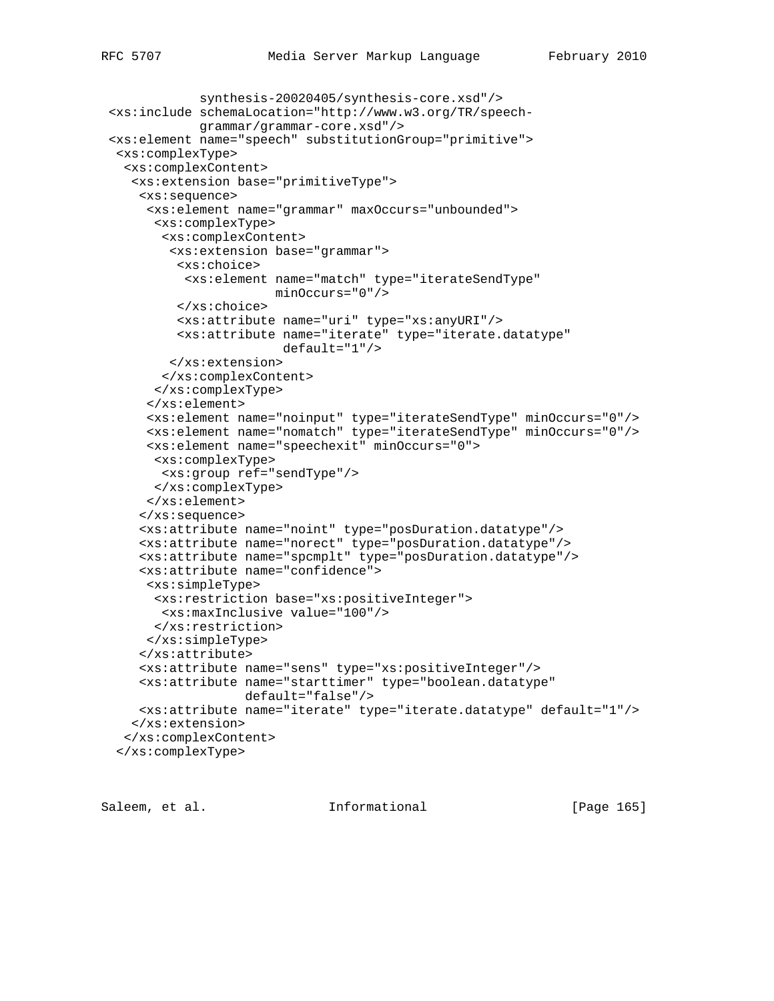```
 synthesis-20020405/synthesis-core.xsd"/>
 <xs:include schemaLocation="http://www.w3.org/TR/speech-
             grammar/grammar-core.xsd"/>
 <xs:element name="speech" substitutionGroup="primitive">
 <xs:complexType>
  <xs:complexContent>
   <xs:extension base="primitiveType">
     <xs:sequence>
      <xs:element name="grammar" maxOccurs="unbounded">
      <xs:complexType>
        <xs:complexContent>
         <xs:extension base="grammar">
          <xs:choice>
           <xs:element name="match" type="iterateSendType"
                       minOccurs="0"/>
          </xs:choice>
          <xs:attribute name="uri" type="xs:anyURI"/>
          <xs:attribute name="iterate" type="iterate.datatype"
                        default="1"/>
        </xs:extension>
       </xs:complexContent>
      </xs:complexType>
      </xs:element>
      <xs:element name="noinput" type="iterateSendType" minOccurs="0"/>
      <xs:element name="nomatch" type="iterateSendType" minOccurs="0"/>
      <xs:element name="speechexit" minOccurs="0">
      <xs:complexType>
       <xs:group ref="sendType"/>
      </xs:complexType>
      </xs:element>
     </xs:sequence>
     <xs:attribute name="noint" type="posDuration.datatype"/>
     <xs:attribute name="norect" type="posDuration.datatype"/>
     <xs:attribute name="spcmplt" type="posDuration.datatype"/>
     <xs:attribute name="confidence">
      <xs:simpleType>
      <xs:restriction base="xs:positiveInteger">
       <xs:maxInclusive value="100"/>
      </xs:restriction>
     </xs:simpleType>
     </xs:attribute>
     <xs:attribute name="sens" type="xs:positiveInteger"/>
     <xs:attribute name="starttimer" type="boolean.datatype"
                   default="false"/>
```

```
 </xs:complexContent>
 </xs:complexType>
```
</xs:extension>

Saleem, et al. Informational [Page 165]

<xs:attribute name="iterate" type="iterate.datatype" default="1"/>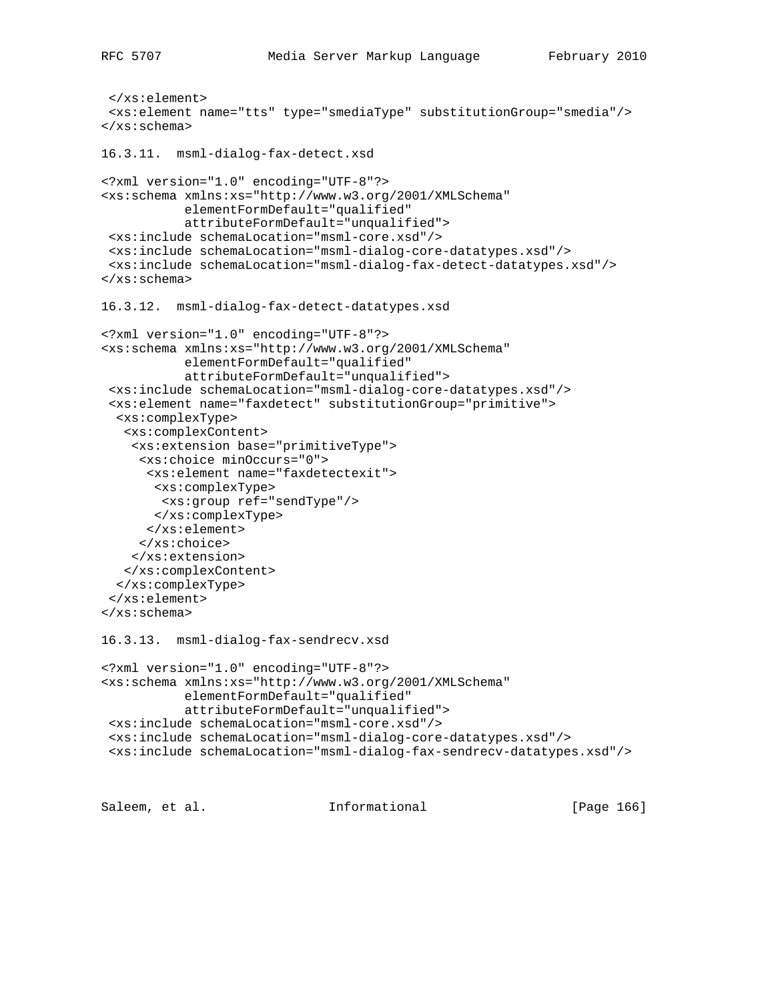```
 </xs:element>
  <xs:element name="tts" type="smediaType" substitutionGroup="smedia"/>
</xs:schema>
16.3.11. msml-dialog-fax-detect.xsd
<?xml version="1.0" encoding="UTF-8"?>
<xs:schema xmlns:xs="http://www.w3.org/2001/XMLSchema"
            elementFormDefault="qualified"
            attributeFormDefault="unqualified">
  <xs:include schemaLocation="msml-core.xsd"/>
  <xs:include schemaLocation="msml-dialog-core-datatypes.xsd"/>
  <xs:include schemaLocation="msml-dialog-fax-detect-datatypes.xsd"/>
</xs:schema>
16.3.12. msml-dialog-fax-detect-datatypes.xsd
<?xml version="1.0" encoding="UTF-8"?>
<xs:schema xmlns:xs="http://www.w3.org/2001/XMLSchema"
           elementFormDefault="qualified"
            attributeFormDefault="unqualified">
  <xs:include schemaLocation="msml-dialog-core-datatypes.xsd"/>
  <xs:element name="faxdetect" substitutionGroup="primitive">
   <xs:complexType>
    <xs:complexContent>
     <xs:extension base="primitiveType">
      <xs:choice minOccurs="0">
       <xs:element name="faxdetectexit">
       <xs:complexType>
        <xs:group ref="sendType"/>
       </xs:complexType>
       </xs:element>
      </xs:choice>
     </xs:extension>
    </xs:complexContent>
   </xs:complexType>
  </xs:element>
</xs:schema>
16.3.13. msml-dialog-fax-sendrecv.xsd
<?xml version="1.0" encoding="UTF-8"?>
<xs:schema xmlns:xs="http://www.w3.org/2001/XMLSchema"
            elementFormDefault="qualified"
            attributeFormDefault="unqualified">
  <xs:include schemaLocation="msml-core.xsd"/>
  <xs:include schemaLocation="msml-dialog-core-datatypes.xsd"/>
  <xs:include schemaLocation="msml-dialog-fax-sendrecv-datatypes.xsd"/>
```
Saleem, et al. Informational [Page 166]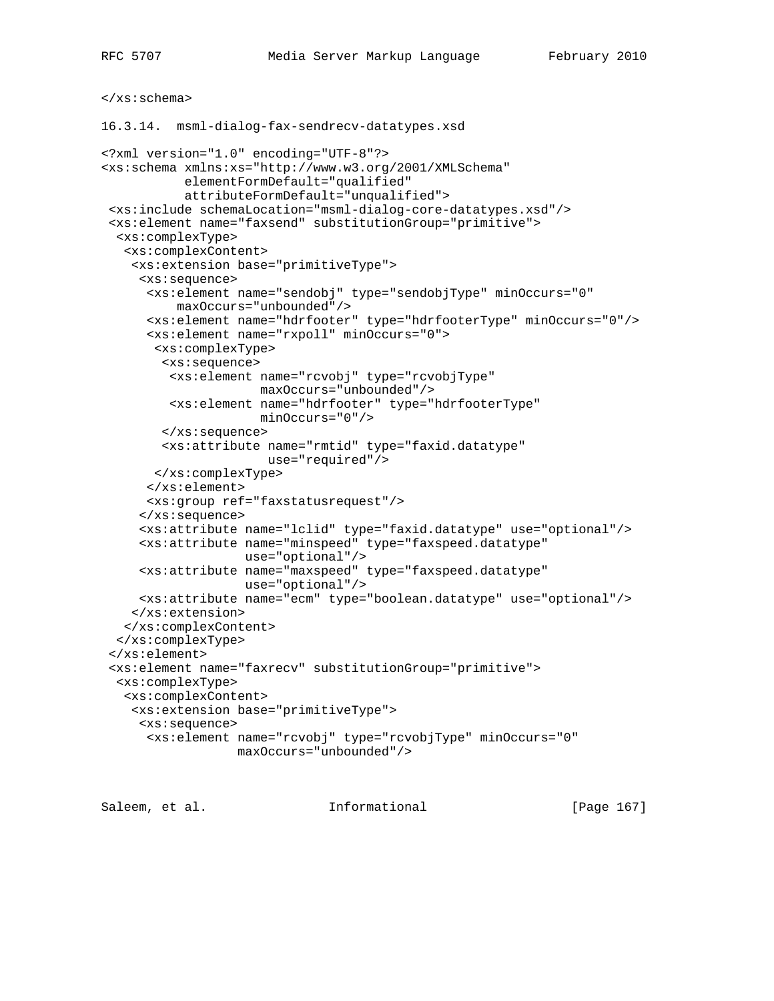## </xs:schema>

16.3.14. msml-dialog-fax-sendrecv-datatypes.xsd

```
<?xml version="1.0" encoding="UTF-8"?>
<xs:schema xmlns:xs="http://www.w3.org/2001/XMLSchema"
            elementFormDefault="qualified"
            attributeFormDefault="unqualified">
  <xs:include schemaLocation="msml-dialog-core-datatypes.xsd"/>
  <xs:element name="faxsend" substitutionGroup="primitive">
   <xs:complexType>
    <xs:complexContent>
     <xs:extension base="primitiveType">
      <xs:sequence>
       <xs:element name="sendobj" type="sendobjType" minOccurs="0"
           maxOccurs="unbounded"/>
       <xs:element name="hdrfooter" type="hdrfooterType" minOccurs="0"/>
       <xs:element name="rxpoll" minOccurs="0">
        <xs:complexType>
         <xs:sequence>
          <xs:element name="rcvobj" type="rcvobjType"
                      maxOccurs="unbounded"/>
          <xs:element name="hdrfooter" type="hdrfooterType"
                      minOccurs="0"/>
         </xs:sequence>
         <xs:attribute name="rmtid" type="faxid.datatype"
                       use="required"/>
       </xs:complexType>
       </xs:element>
       <xs:group ref="faxstatusrequest"/>
      </xs:sequence>
      <xs:attribute name="lclid" type="faxid.datatype" use="optional"/>
      <xs:attribute name="minspeed" type="faxspeed.datatype"
                    use="optional"/>
      <xs:attribute name="maxspeed" type="faxspeed.datatype"
                    use="optional"/>
      <xs:attribute name="ecm" type="boolean.datatype" use="optional"/>
     </xs:extension>
    </xs:complexContent>
   </xs:complexType>
  </xs:element>
  <xs:element name="faxrecv" substitutionGroup="primitive">
   <xs:complexType>
    <xs:complexContent>
     <xs:extension base="primitiveType">
     <xs:sequence>
       <xs:element name="rcvobj" type="rcvobjType" minOccurs="0"
                   maxOccurs="unbounded"/>
```
Saleem, et al. 10. Informational [Page 167]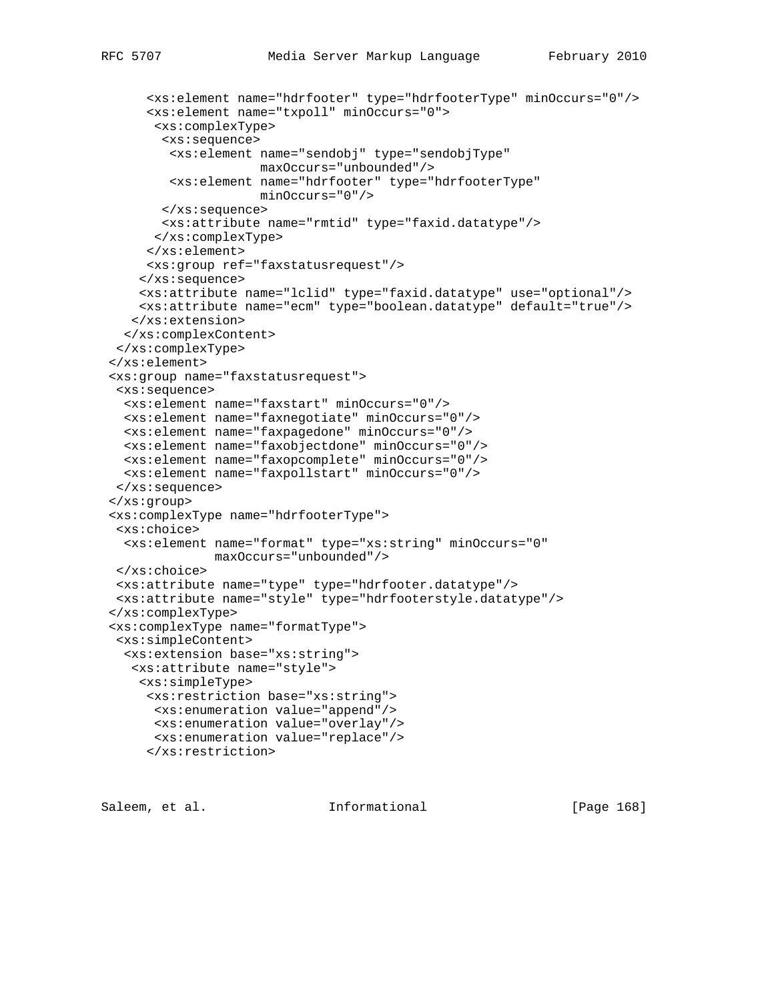```
 <xs:element name="hdrfooter" type="hdrfooterType" minOccurs="0"/>
      <xs:element name="txpoll" minOccurs="0">
       <xs:complexType>
        <xs:sequence>
         <xs:element name="sendobj" type="sendobjType"
                    maxOccurs="unbounded"/>
        <xs:element name="hdrfooter" type="hdrfooterType"
                    minOccurs="0"/>
        </xs:sequence>
        <xs:attribute name="rmtid" type="faxid.datatype"/>
       </xs:complexType>
      </xs:element>
      <xs:group ref="faxstatusrequest"/>
     </xs:sequence>
     <xs:attribute name="lclid" type="faxid.datatype" use="optional"/>
     <xs:attribute name="ecm" type="boolean.datatype" default="true"/>
    </xs:extension>
  </xs:complexContent>
 </xs:complexType>
 </xs:element>
 <xs:group name="faxstatusrequest">
  <xs:sequence>
   <xs:element name="faxstart" minOccurs="0"/>
  <xs:element name="faxnegotiate" minOccurs="0"/>
  <xs:element name="faxpagedone" minOccurs="0"/>
  <xs:element name="faxobjectdone" minOccurs="0"/>
  <xs:element name="faxopcomplete" minOccurs="0"/>
  <xs:element name="faxpollstart" minOccurs="0"/>
 </xs:sequence>
 </xs:group>
 <xs:complexType name="hdrfooterType">
  <xs:choice>
  <xs:element name="format" type="xs:string" minOccurs="0"
              maxOccurs="unbounded"/>
 </xs:choice>
  <xs:attribute name="type" type="hdrfooter.datatype"/>
 <xs:attribute name="style" type="hdrfooterstyle.datatype"/>
 </xs:complexType>
 <xs:complexType name="formatType">
  <xs:simpleContent>
   <xs:extension base="xs:string">
    <xs:attribute name="style">
    <xs:simpleType>
     <xs:restriction base="xs:string">
      <xs:enumeration value="append"/>
      <xs:enumeration value="overlay"/>
      <xs:enumeration value="replace"/>
      </xs:restriction>
```
Saleem, et al. Informational [Page 168]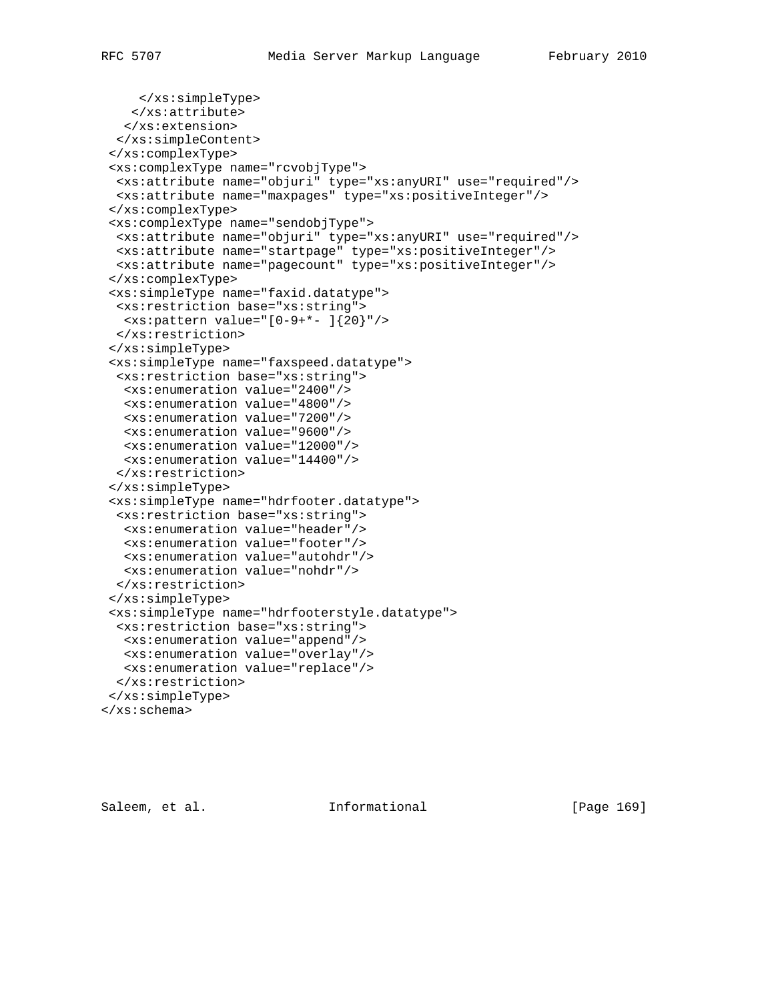```
 </xs:simpleType>
    </xs:attribute>
   </xs:extension>
  </xs:simpleContent>
 </xs:complexType>
 <xs:complexType name="rcvobjType">
  <xs:attribute name="objuri" type="xs:anyURI" use="required"/>
  <xs:attribute name="maxpages" type="xs:positiveInteger"/>
 </xs:complexType>
 <xs:complexType name="sendobjType">
  <xs:attribute name="objuri" type="xs:anyURI" use="required"/>
  <xs:attribute name="startpage" type="xs:positiveInteger"/>
  <xs:attribute name="pagecount" type="xs:positiveInteger"/>
 </xs:complexType>
 <xs:simpleType name="faxid.datatype">
  <xs:restriction base="xs:string">
   <xs:pattern value="[0-9+*- ]{20}"/>
  </xs:restriction>
 </xs:simpleType>
 <xs:simpleType name="faxspeed.datatype">
  <xs:restriction base="xs:string">
   <xs:enumeration value="2400"/>
   <xs:enumeration value="4800"/>
   <xs:enumeration value="7200"/>
   <xs:enumeration value="9600"/>
   <xs:enumeration value="12000"/>
   <xs:enumeration value="14400"/>
  </xs:restriction>
 </xs:simpleType>
 <xs:simpleType name="hdrfooter.datatype">
  <xs:restriction base="xs:string">
   <xs:enumeration value="header"/>
   <xs:enumeration value="footer"/>
   <xs:enumeration value="autohdr"/>
   <xs:enumeration value="nohdr"/>
  </xs:restriction>
 </xs:simpleType>
 <xs:simpleType name="hdrfooterstyle.datatype">
  <xs:restriction base="xs:string">
   <xs:enumeration value="append"/>
   <xs:enumeration value="overlay"/>
   <xs:enumeration value="replace"/>
  </xs:restriction>
 </xs:simpleType>
</xs:schema>
```
Saleem, et al. Informational [Page 169]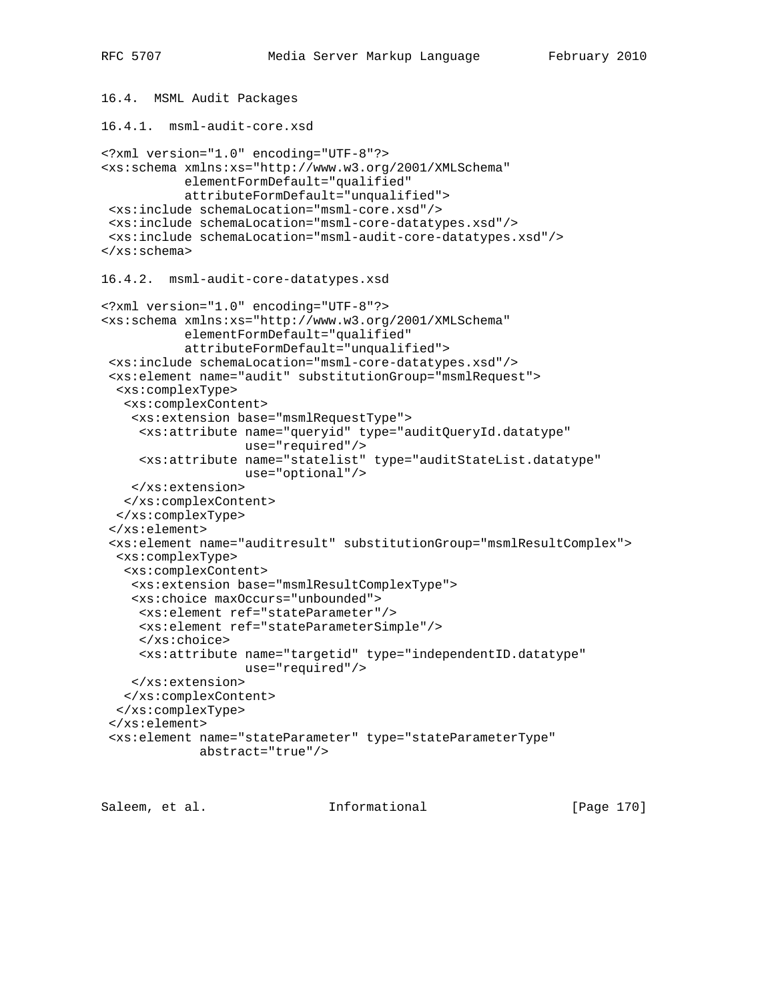```
16.4. MSML Audit Packages
16.4.1. msml-audit-core.xsd
<?xml version="1.0" encoding="UTF-8"?>
<xs:schema xmlns:xs="http://www.w3.org/2001/XMLSchema"
            elementFormDefault="qualified"
            attributeFormDefault="unqualified">
 <xs:include schemaLocation="msml-core.xsd"/>
 <xs:include schemaLocation="msml-core-datatypes.xsd"/>
  <xs:include schemaLocation="msml-audit-core-datatypes.xsd"/>
</xs:schema>
16.4.2. msml-audit-core-datatypes.xsd
<?xml version="1.0" encoding="UTF-8"?>
<xs:schema xmlns:xs="http://www.w3.org/2001/XMLSchema"
           elementFormDefault="qualified"
            attributeFormDefault="unqualified">
  <xs:include schemaLocation="msml-core-datatypes.xsd"/>
  <xs:element name="audit" substitutionGroup="msmlRequest">
  <xs:complexType>
   <xs:complexContent>
     <xs:extension base="msmlRequestType">
      <xs:attribute name="queryid" type="auditQueryId.datatype"
                    use="required"/>
     <xs:attribute name="statelist" type="auditStateList.datatype"
                    use="optional"/>
    </xs:extension>
   </xs:complexContent>
   </xs:complexType>
  </xs:element>
  <xs:element name="auditresult" substitutionGroup="msmlResultComplex">
  <xs:complexType>
   <xs:complexContent>
     <xs:extension base="msmlResultComplexType">
     <xs:choice maxOccurs="unbounded">
      <xs:element ref="stateParameter"/>
      <xs:element ref="stateParameterSimple"/>
      </xs:choice>
     <xs:attribute name="targetid" type="independentID.datatype"
                    use="required"/>
    </xs:extension>
   </xs:complexContent>
   </xs:complexType>
  </xs:element>
  <xs:element name="stateParameter" type="stateParameterType"
              abstract="true"/>
```
Saleem, et al. 10 mm = Informational [Page 170]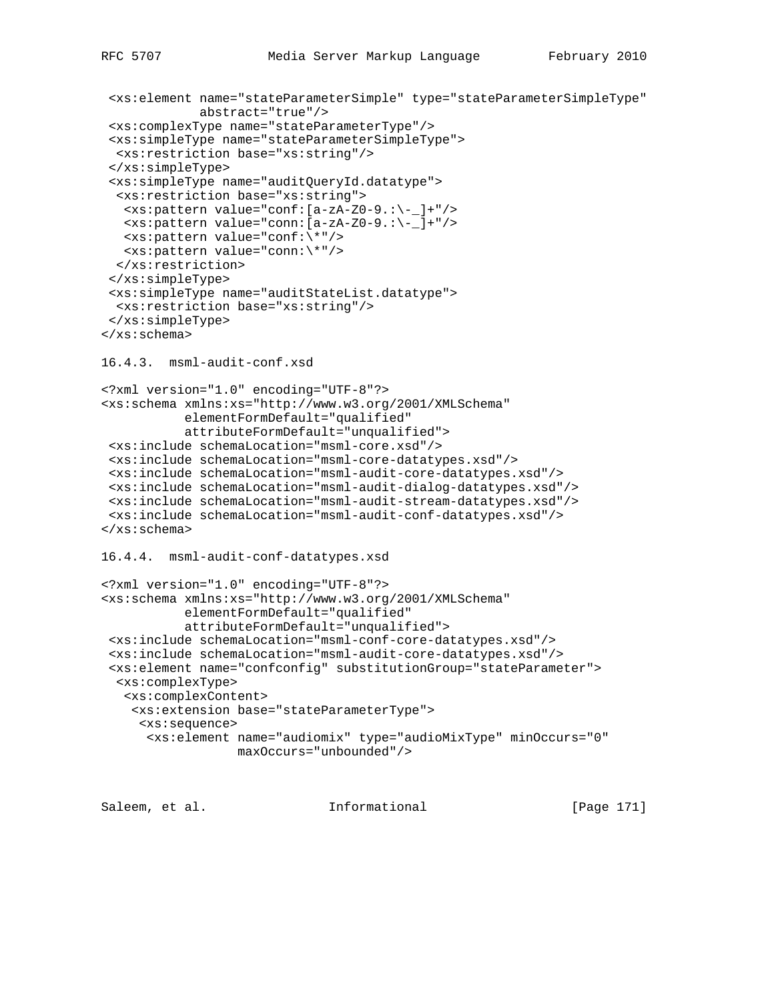```
 <xs:element name="stateParameterSimple" type="stateParameterSimpleType"
              abstract="true"/>
  <xs:complexType name="stateParameterType"/>
  <xs:simpleType name="stateParameterSimpleType">
  <xs:restriction base="xs:string"/>
  </xs:simpleType>
  <xs:simpleType name="auditQueryId.datatype">
   <xs:restriction base="xs:string">
   <xs:pattern value="conf:[a-zA-Z0-9.:\-_]+"/>
   <xs:pattern value="conn:[a-zA-Z0-9.:\-_]+"/>
   <xs:pattern value="conf:\*"/>
   <xs:pattern value="conn:\*"/>
  </xs:restriction>
  </xs:simpleType>
  <xs:simpleType name="auditStateList.datatype">
   <xs:restriction base="xs:string"/>
 </xs:simpleType>
</xs:schema>
16.4.3. msml-audit-conf.xsd
<?xml version="1.0" encoding="UTF-8"?>
<xs:schema xmlns:xs="http://www.w3.org/2001/XMLSchema"
           elementFormDefault="qualified"
           attributeFormDefault="unqualified">
  <xs:include schemaLocation="msml-core.xsd"/>
  <xs:include schemaLocation="msml-core-datatypes.xsd"/>
  <xs:include schemaLocation="msml-audit-core-datatypes.xsd"/>
  <xs:include schemaLocation="msml-audit-dialog-datatypes.xsd"/>
  <xs:include schemaLocation="msml-audit-stream-datatypes.xsd"/>
  <xs:include schemaLocation="msml-audit-conf-datatypes.xsd"/>
</xs:schema>
16.4.4. msml-audit-conf-datatypes.xsd
<?xml version="1.0" encoding="UTF-8"?>
<xs:schema xmlns:xs="http://www.w3.org/2001/XMLSchema"
           elementFormDefault="qualified"
            attributeFormDefault="unqualified">
  <xs:include schemaLocation="msml-conf-core-datatypes.xsd"/>
  <xs:include schemaLocation="msml-audit-core-datatypes.xsd"/>
  <xs:element name="confconfig" substitutionGroup="stateParameter">
  <xs:complexType>
   <xs:complexContent>
    <xs:extension base="stateParameterType">
     <xs:sequence>
      <xs:element name="audiomix" type="audioMixType" minOccurs="0"
                  maxOccurs="unbounded"/>
Saleem, et al. 10. Informational 1. [Page 171]
```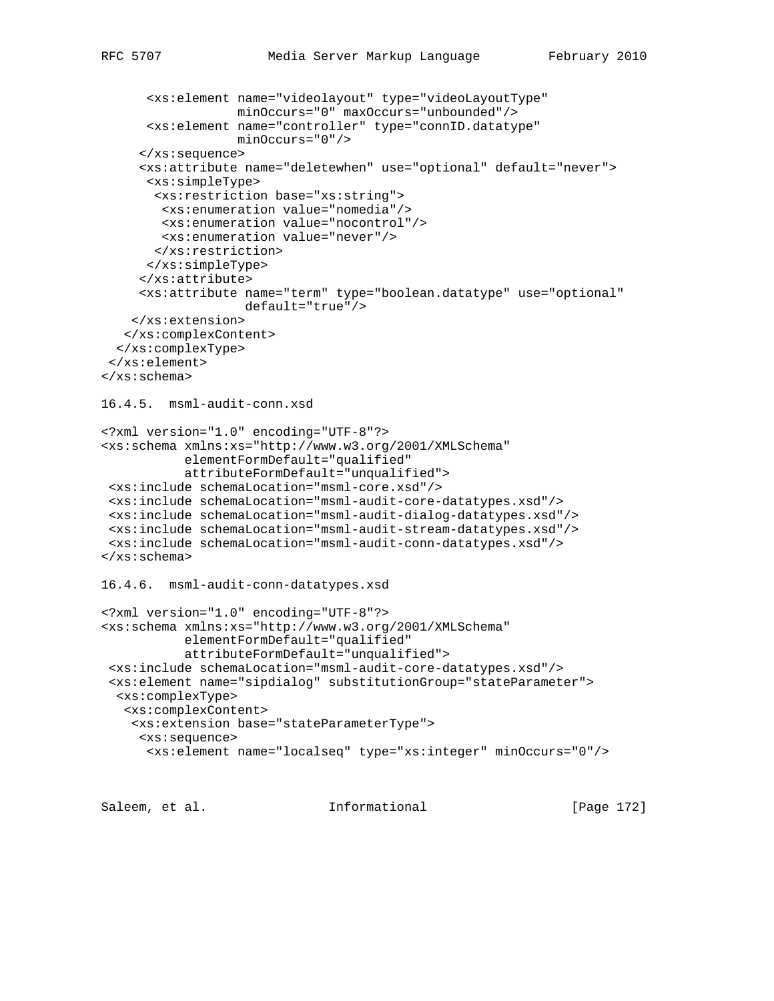```
 <xs:element name="videolayout" type="videoLayoutType"
                   minOccurs="0" maxOccurs="unbounded"/>
       <xs:element name="controller" type="connID.datatype"
                   minOccurs="0"/>
      </xs:sequence>
      <xs:attribute name="deletewhen" use="optional" default="never">
       <xs:simpleType>
       <xs:restriction base="xs:string">
        <xs:enumeration value="nomedia"/>
        <xs:enumeration value="nocontrol"/>
         <xs:enumeration value="never"/>
        </xs:restriction>
       </xs:simpleType>
      </xs:attribute>
      <xs:attribute name="term" type="boolean.datatype" use="optional"
                    default="true"/>
    </xs:extension>
   </xs:complexContent>
   </xs:complexType>
  </xs:element>
</xs:schema>
16.4.5. msml-audit-conn.xsd
<?xml version="1.0" encoding="UTF-8"?>
<xs:schema xmlns:xs="http://www.w3.org/2001/XMLSchema"
            elementFormDefault="qualified"
            attributeFormDefault="unqualified">
  <xs:include schemaLocation="msml-core.xsd"/>
  <xs:include schemaLocation="msml-audit-core-datatypes.xsd"/>
  <xs:include schemaLocation="msml-audit-dialog-datatypes.xsd"/>
  <xs:include schemaLocation="msml-audit-stream-datatypes.xsd"/>
  <xs:include schemaLocation="msml-audit-conn-datatypes.xsd"/>
</xs:schema>
16.4.6. msml-audit-conn-datatypes.xsd
<?xml version="1.0" encoding="UTF-8"?>
<xs:schema xmlns:xs="http://www.w3.org/2001/XMLSchema"
            elementFormDefault="qualified"
            attributeFormDefault="unqualified">
  <xs:include schemaLocation="msml-audit-core-datatypes.xsd"/>
  <xs:element name="sipdialog" substitutionGroup="stateParameter">
  <xs:complexType>
   <xs:complexContent>
     <xs:extension base="stateParameterType">
      <xs:sequence>
       <xs:element name="localseq" type="xs:integer" minOccurs="0"/>
```
Saleem, et al. Informational [Page 172]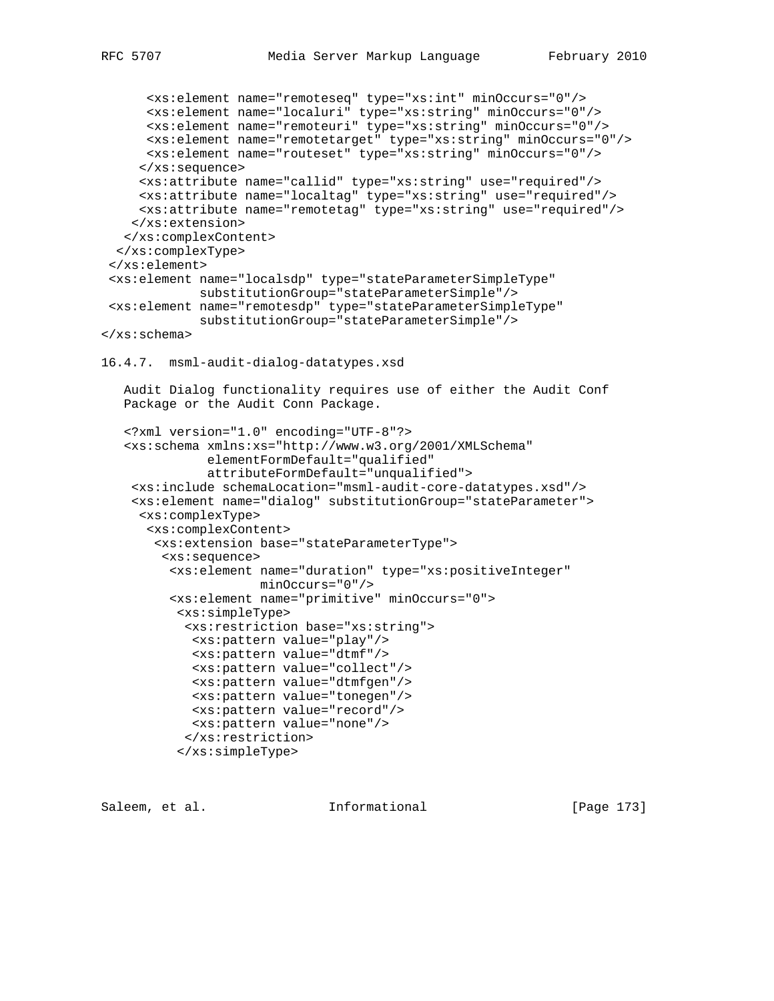```
 <xs:element name="remoteseq" type="xs:int" minOccurs="0"/>
       <xs:element name="localuri" type="xs:string" minOccurs="0"/>
       <xs:element name="remoteuri" type="xs:string" minOccurs="0"/>
      <xs:element name="remotetarget" type="xs:string" minOccurs="0"/>
      <xs:element name="routeset" type="xs:string" minOccurs="0"/>
      </xs:sequence>
      <xs:attribute name="callid" type="xs:string" use="required"/>
      <xs:attribute name="localtag" type="xs:string" use="required"/>
      <xs:attribute name="remotetag" type="xs:string" use="required"/>
     </xs:extension>
   </xs:complexContent>
   </xs:complexType>
  </xs:element>
  <xs:element name="localsdp" type="stateParameterSimpleType"
              substitutionGroup="stateParameterSimple"/>
  <xs:element name="remotesdp" type="stateParameterSimpleType"
             substitutionGroup="stateParameterSimple"/>
</xs:schema>
16.4.7. msml-audit-dialog-datatypes.xsd
    Audit Dialog functionality requires use of either the Audit Conf
    Package or the Audit Conn Package.
    <?xml version="1.0" encoding="UTF-8"?>
    <xs:schema xmlns:xs="http://www.w3.org/2001/XMLSchema"
               elementFormDefault="qualified"
               attributeFormDefault="unqualified">
     <xs:include schemaLocation="msml-audit-core-datatypes.xsd"/>
     <xs:element name="dialog" substitutionGroup="stateParameter">
      <xs:complexType>
      <xs:complexContent>
        <xs:extension base="stateParameterType">
         <xs:sequence>
          <xs:element name="duration" type="xs:positiveInteger"
                     minOccurs="0"/>
          <xs:element name="primitive" minOccurs="0">
           <xs:simpleType>
            <xs:restriction base="xs:string">
             <xs:pattern value="play"/>
             <xs:pattern value="dtmf"/>
             <xs:pattern value="collect"/>
             <xs:pattern value="dtmfgen"/>
             <xs:pattern value="tonegen"/>
             <xs:pattern value="record"/>
             <xs:pattern value="none"/>
            </xs:restriction>
           </xs:simpleType>
```
Saleem, et al. 10. Informational [Page 173]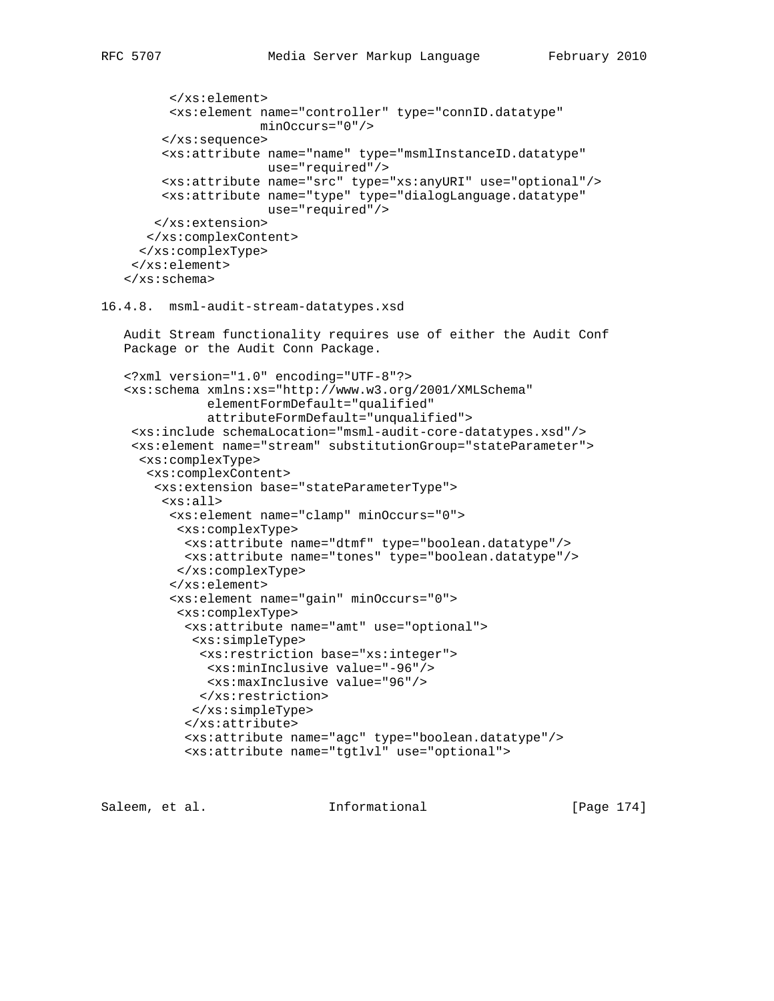```
 </xs:element>
       <xs:element name="controller" type="connID.datatype"
                   minOccurs="0"/>
      </xs:sequence>
      <xs:attribute name="name" type="msmlInstanceID.datatype"
                    use="required"/>
      <xs:attribute name="src" type="xs:anyURI" use="optional"/>
      <xs:attribute name="type" type="dialogLanguage.datatype"
                    use="required"/>
    </xs:extension>
    </xs:complexContent>
  </xs:complexType>
  </xs:element>
 </xs:schema>
```

```
16.4.8. msml-audit-stream-datatypes.xsd
```
 Audit Stream functionality requires use of either the Audit Conf Package or the Audit Conn Package.

```
 <?xml version="1.0" encoding="UTF-8"?>
 <xs:schema xmlns:xs="http://www.w3.org/2001/XMLSchema"
            elementFormDefault="qualified"
            attributeFormDefault="unqualified">
  <xs:include schemaLocation="msml-audit-core-datatypes.xsd"/>
  <xs:element name="stream" substitutionGroup="stateParameter">
   <xs:complexType>
    <xs:complexContent>
     <xs:extension base="stateParameterType">
      <xs:all>
       <xs:element name="clamp" minOccurs="0">
       <xs:complexType>
        <xs:attribute name="dtmf" type="boolean.datatype"/>
         <xs:attribute name="tones" type="boolean.datatype"/>
        </xs:complexType>
       </xs:element>
       <xs:element name="gain" minOccurs="0">
        <xs:complexType>
         <xs:attribute name="amt" use="optional">
          <xs:simpleType>
           <xs:restriction base="xs:integer">
           <xs:minInclusive value="-96"/>
            <xs:maxInclusive value="96"/>
           </xs:restriction>
          </xs:simpleType>
         </xs:attribute>
         <xs:attribute name="agc" type="boolean.datatype"/>
         <xs:attribute name="tgtlvl" use="optional">
```
Saleem, et al. 10. Informational [Page 174]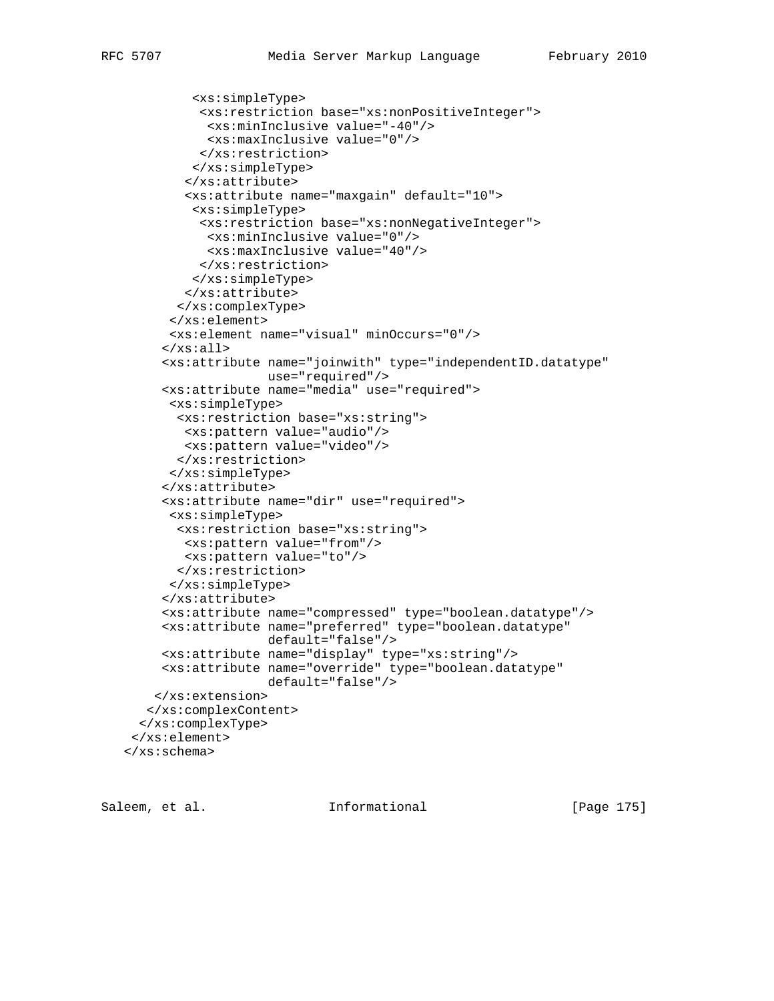```
 <xs:simpleType>
           <xs:restriction base="xs:nonPositiveInteger">
            <xs:minInclusive value="-40"/>
            <xs:maxInclusive value="0"/>
           </xs:restriction>
          </xs:simpleType>
         </xs:attribute>
         <xs:attribute name="maxgain" default="10">
          <xs:simpleType>
           <xs:restriction base="xs:nonNegativeInteger">
            <xs:minInclusive value="0"/>
            <xs:maxInclusive value="40"/>
           </xs:restriction>
          </xs:simpleType>
         </xs:attribute>
        </xs:complexType>
       </xs:element>
       <xs:element name="visual" minOccurs="0"/>
     \langle x s : \text{all} \rangle <xs:attribute name="joinwith" type="independentID.datatype"
                    use="required"/>
      <xs:attribute name="media" use="required">
       <xs:simpleType>
        <xs:restriction base="xs:string">
        <xs:pattern value="audio"/>
         <xs:pattern value="video"/>
        </xs:restriction>
       </xs:simpleType>
      </xs:attribute>
      <xs:attribute name="dir" use="required">
       <xs:simpleType>
       <xs:restriction base="xs:string">
        <xs:pattern value="from"/>
        <xs:pattern value="to"/>
        </xs:restriction>
       </xs:simpleType>
      </xs:attribute>
      <xs:attribute name="compressed" type="boolean.datatype"/>
      <xs:attribute name="preferred" type="boolean.datatype"
                    default="false"/>
      <xs:attribute name="display" type="xs:string"/>
      <xs:attribute name="override" type="boolean.datatype"
                    default="false"/>
     </xs:extension>
    </xs:complexContent>
   </xs:complexType>
  </xs:element>
 </xs:schema>
```
Saleem, et al. Informational [Page 175]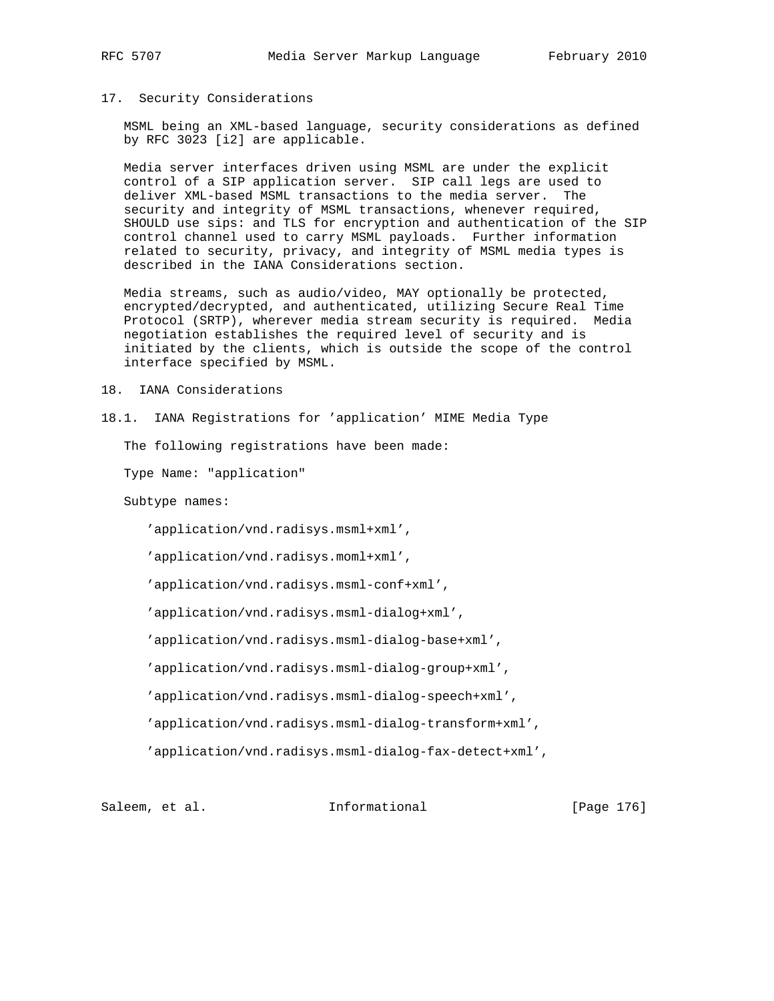## 17. Security Considerations

 MSML being an XML-based language, security considerations as defined by RFC 3023 [i2] are applicable.

 Media server interfaces driven using MSML are under the explicit control of a SIP application server. SIP call legs are used to deliver XML-based MSML transactions to the media server. The security and integrity of MSML transactions, whenever required, SHOULD use sips: and TLS for encryption and authentication of the SIP control channel used to carry MSML payloads. Further information related to security, privacy, and integrity of MSML media types is described in the IANA Considerations section.

 Media streams, such as audio/video, MAY optionally be protected, encrypted/decrypted, and authenticated, utilizing Secure Real Time Protocol (SRTP), wherever media stream security is required. Media negotiation establishes the required level of security and is initiated by the clients, which is outside the scope of the control interface specified by MSML.

18. IANA Considerations

18.1. IANA Registrations for 'application' MIME Media Type

The following registrations have been made:

Type Name: "application"

Subtype names:

'application/vnd.radisys.msml+xml',

'application/vnd.radisys.moml+xml',

'application/vnd.radisys.msml-conf+xml',

'application/vnd.radisys.msml-dialog+xml',

'application/vnd.radisys.msml-dialog-base+xml',

'application/vnd.radisys.msml-dialog-group+xml',

'application/vnd.radisys.msml-dialog-speech+xml',

'application/vnd.radisys.msml-dialog-transform+xml',

'application/vnd.radisys.msml-dialog-fax-detect+xml',

Saleem, et al. Informational [Page 176]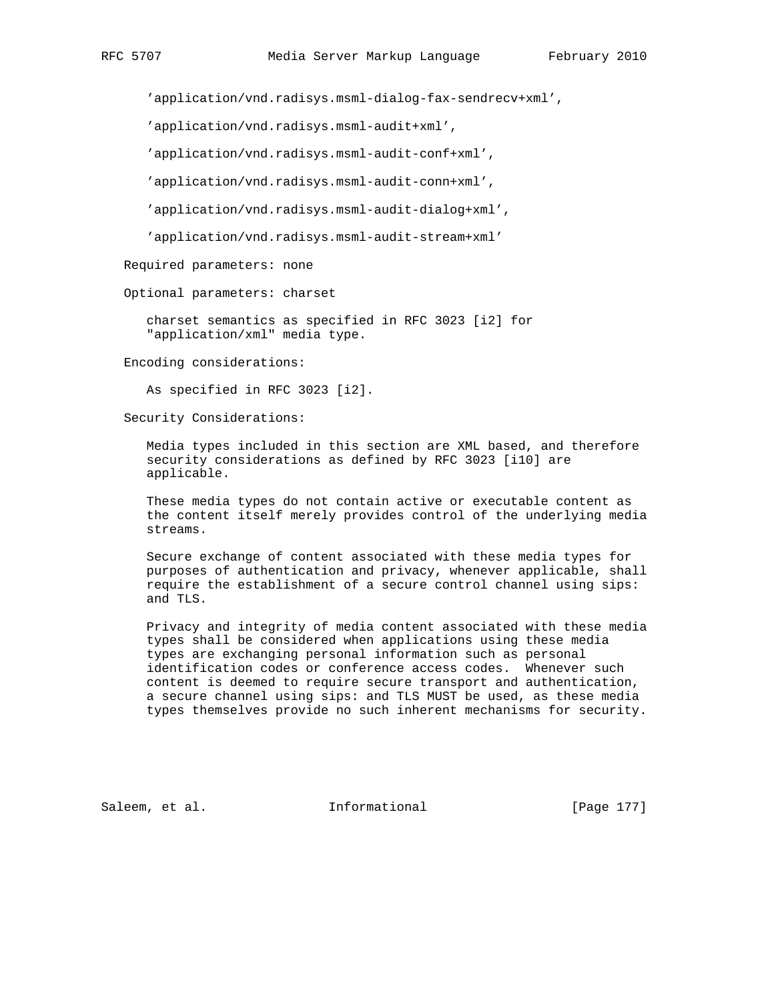'application/vnd.radisys.msml-dialog-fax-sendrecv+xml',

'application/vnd.radisys.msml-audit+xml',

'application/vnd.radisys.msml-audit-conf+xml',

'application/vnd.radisys.msml-audit-conn+xml',

'application/vnd.radisys.msml-audit-dialog+xml',

'application/vnd.radisys.msml-audit-stream+xml'

Required parameters: none

Optional parameters: charset

 charset semantics as specified in RFC 3023 [i2] for "application/xml" media type.

Encoding considerations:

As specified in RFC 3023 [i2].

Security Considerations:

 Media types included in this section are XML based, and therefore security considerations as defined by RFC 3023 [i10] are applicable.

 These media types do not contain active or executable content as the content itself merely provides control of the underlying media streams.

 Secure exchange of content associated with these media types for purposes of authentication and privacy, whenever applicable, shall require the establishment of a secure control channel using sips: and TLS.

 Privacy and integrity of media content associated with these media types shall be considered when applications using these media types are exchanging personal information such as personal identification codes or conference access codes. Whenever such content is deemed to require secure transport and authentication, a secure channel using sips: and TLS MUST be used, as these media types themselves provide no such inherent mechanisms for security.

Saleem, et al. 10. Informational 1999 [Page 177]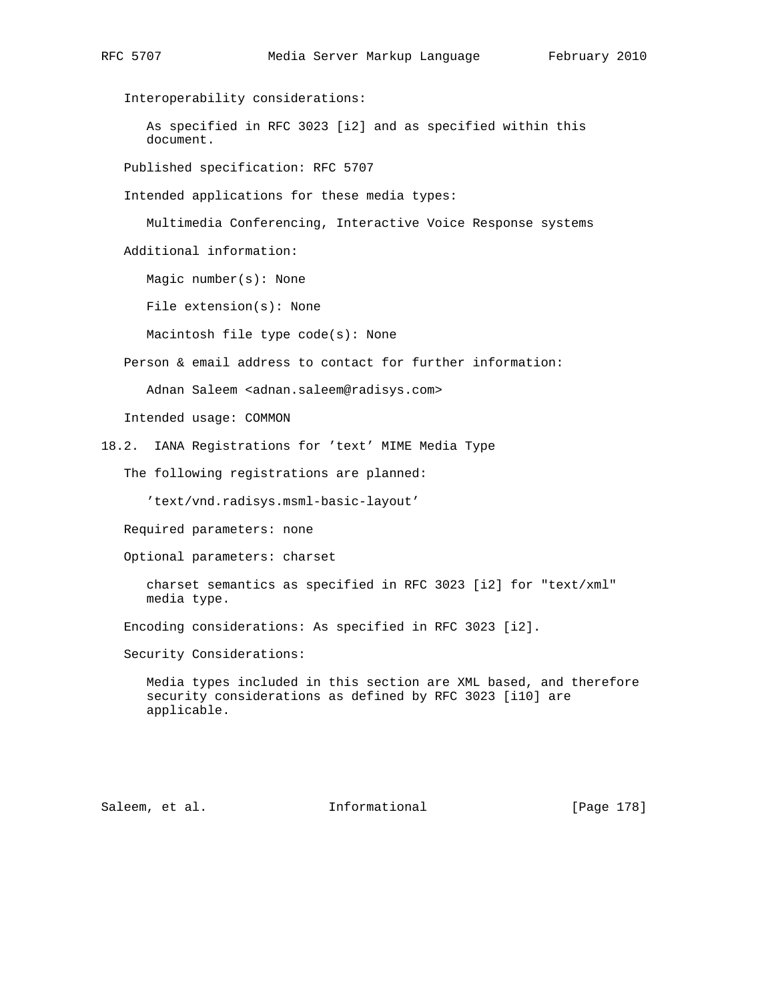Interoperability considerations: As specified in RFC 3023 [i2] and as specified within this document. Published specification: RFC 5707 Intended applications for these media types: Multimedia Conferencing, Interactive Voice Response systems Additional information: Magic number(s): None File extension(s): None Macintosh file type code(s): None Person & email address to contact for further information: Adnan Saleem <adnan.saleem@radisys.com> Intended usage: COMMON 18.2. IANA Registrations for 'text' MIME Media Type The following registrations are planned: 'text/vnd.radisys.msml-basic-layout' Required parameters: none Optional parameters: charset charset semantics as specified in RFC 3023 [i2] for "text/xml" media type. Encoding considerations: As specified in RFC 3023 [i2]. Security Considerations: Media types included in this section are XML based, and therefore security considerations as defined by RFC 3023 [i10] are applicable.

Saleem, et al. 10. Informational 1999 [Page 178]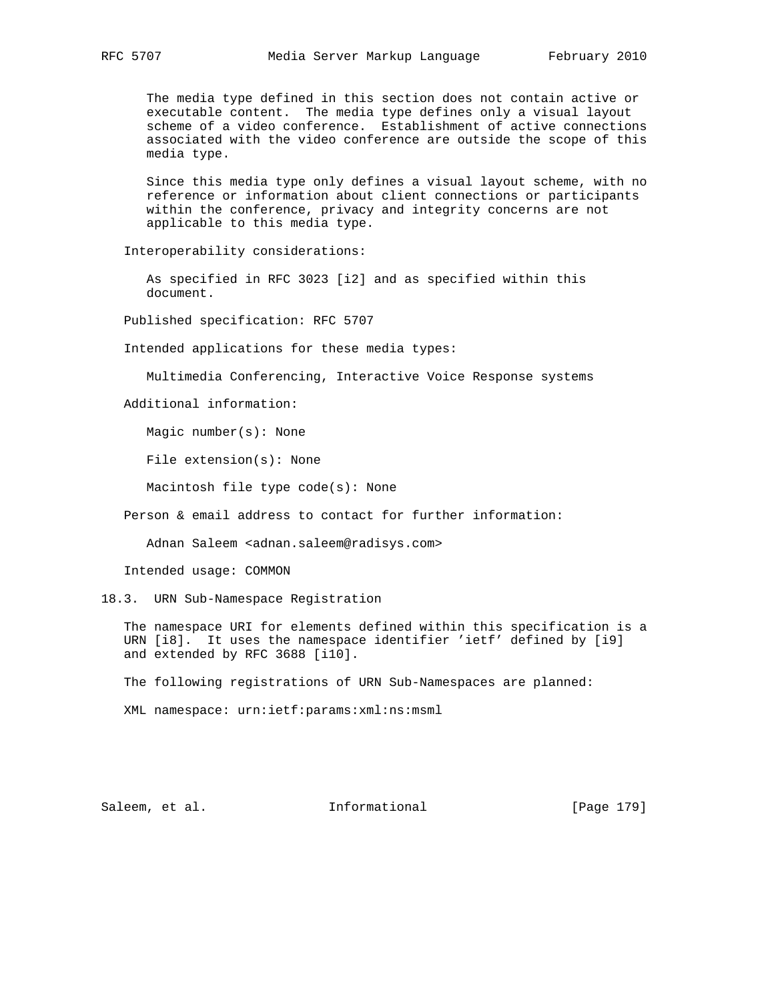The media type defined in this section does not contain active or executable content. The media type defines only a visual layout scheme of a video conference. Establishment of active connections associated with the video conference are outside the scope of this media type.

 Since this media type only defines a visual layout scheme, with no reference or information about client connections or participants within the conference, privacy and integrity concerns are not applicable to this media type.

Interoperability considerations:

 As specified in RFC 3023 [i2] and as specified within this document.

Published specification: RFC 5707

Intended applications for these media types:

Multimedia Conferencing, Interactive Voice Response systems

Additional information:

Magic number(s): None

File extension(s): None

Macintosh file type code(s): None

Person & email address to contact for further information:

Adnan Saleem <adnan.saleem@radisys.com>

Intended usage: COMMON

18.3. URN Sub-Namespace Registration

 The namespace URI for elements defined within this specification is a URN [i8]. It uses the namespace identifier 'ietf' defined by [i9] and extended by RFC 3688 [i10].

The following registrations of URN Sub-Namespaces are planned:

XML namespace: urn:ietf:params:xml:ns:msml

Saleem, et al. 10. Informational 1991 [Page 179]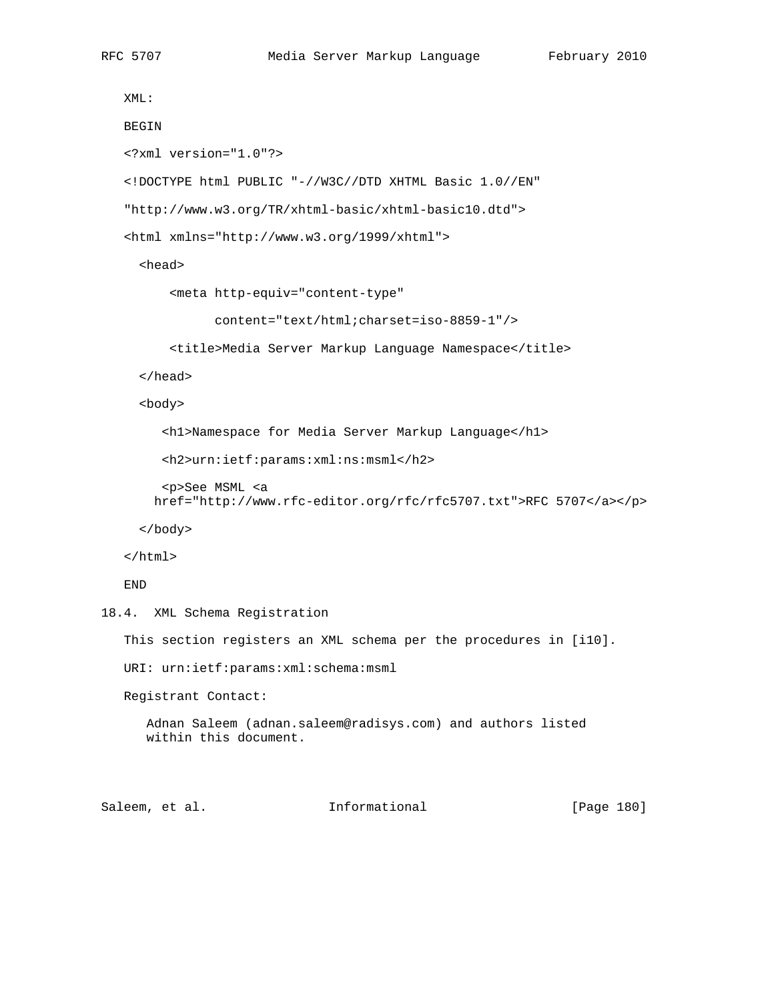```
 XML:
   BEGIN
    <?xml version="1.0"?>
    <!DOCTYPE html PUBLIC "-//W3C//DTD XHTML Basic 1.0//EN"
    "http://www.w3.org/TR/xhtml-basic/xhtml-basic10.dtd">
    <html xmlns="http://www.w3.org/1999/xhtml">
      <head>
          <meta http-equiv="content-type"
                content="text/html;charset=iso-8859-1"/>
          <title>Media Server Markup Language Namespace</title>
      </head>
      <body>
         <h1>Namespace for Media Server Markup Language</h1>
         <h2>urn:ietf:params:xml:ns:msml</h2>
         <p>See MSML <a
        href="http://www.rfc-editor.org/rfc/rfc5707.txt">RFC 5707</a></p>
      </body>
    </html>
    END
18.4. XML Schema Registration
    This section registers an XML schema per the procedures in [i10].
   URI: urn:ietf:params:xml:schema:msml
   Registrant Contact:
       Adnan Saleem (adnan.saleem@radisys.com) and authors listed
       within this document.
```
Saleem, et al. Informational [Page 180]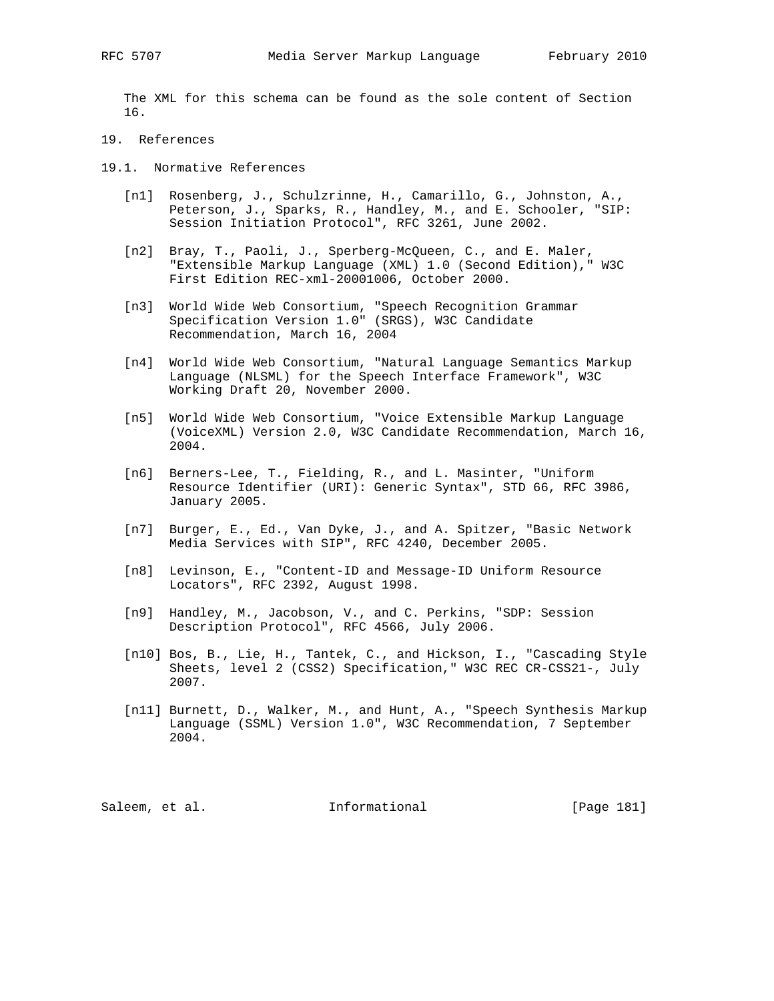The XML for this schema can be found as the sole content of Section 16.

- 19. References
- 19.1. Normative References
	- [n1] Rosenberg, J., Schulzrinne, H., Camarillo, G., Johnston, A., Peterson, J., Sparks, R., Handley, M., and E. Schooler, "SIP: Session Initiation Protocol", RFC 3261, June 2002.
	- [n2] Bray, T., Paoli, J., Sperberg-McQueen, C., and E. Maler, "Extensible Markup Language (XML) 1.0 (Second Edition)," W3C First Edition REC-xml-20001006, October 2000.
	- [n3] World Wide Web Consortium, "Speech Recognition Grammar Specification Version 1.0" (SRGS), W3C Candidate Recommendation, March 16, 2004
	- [n4] World Wide Web Consortium, "Natural Language Semantics Markup Language (NLSML) for the Speech Interface Framework", W3C Working Draft 20, November 2000.
	- [n5] World Wide Web Consortium, "Voice Extensible Markup Language (VoiceXML) Version 2.0, W3C Candidate Recommendation, March 16, 2004.
	- [n6] Berners-Lee, T., Fielding, R., and L. Masinter, "Uniform Resource Identifier (URI): Generic Syntax", STD 66, RFC 3986, January 2005.
	- [n7] Burger, E., Ed., Van Dyke, J., and A. Spitzer, "Basic Network Media Services with SIP", RFC 4240, December 2005.
	- [n8] Levinson, E., "Content-ID and Message-ID Uniform Resource Locators", RFC 2392, August 1998.
	- [n9] Handley, M., Jacobson, V., and C. Perkins, "SDP: Session Description Protocol", RFC 4566, July 2006.
	- [n10] Bos, B., Lie, H., Tantek, C., and Hickson, I., "Cascading Style Sheets, level 2 (CSS2) Specification," W3C REC CR-CSS21-, July 2007.
	- [n11] Burnett, D., Walker, M., and Hunt, A., "Speech Synthesis Markup Language (SSML) Version 1.0", W3C Recommendation, 7 September 2004.

Saleem, et al. 10. Informational [Page 181]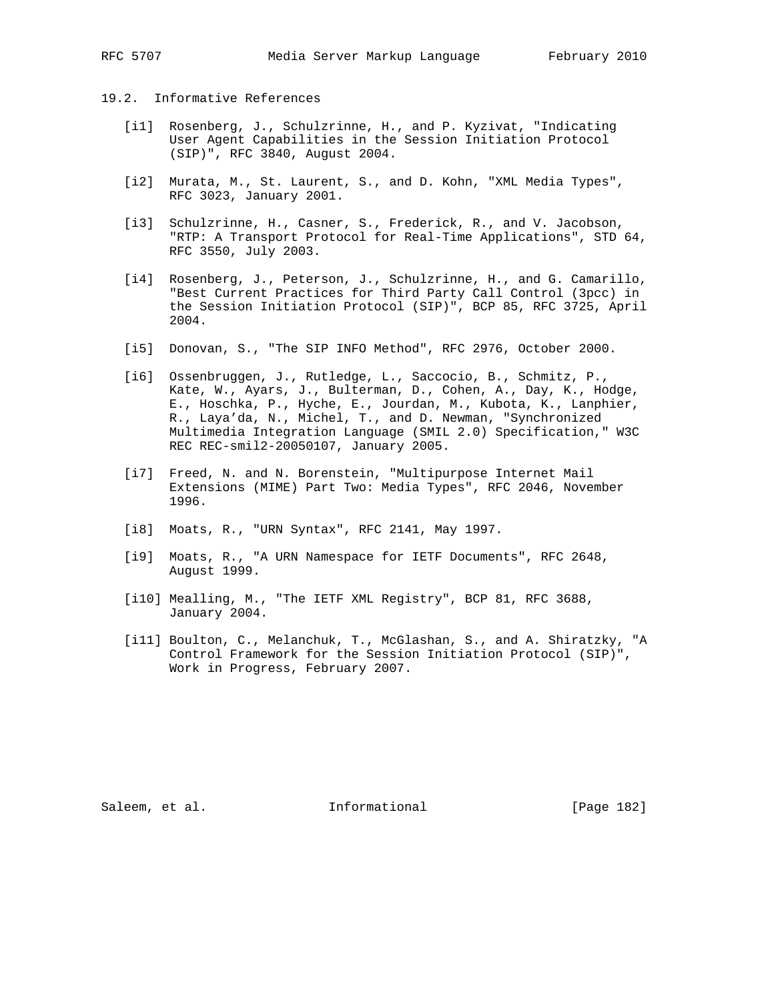## 19.2. Informative References

- [i1] Rosenberg, J., Schulzrinne, H., and P. Kyzivat, "Indicating User Agent Capabilities in the Session Initiation Protocol (SIP)", RFC 3840, August 2004.
- [i2] Murata, M., St. Laurent, S., and D. Kohn, "XML Media Types", RFC 3023, January 2001.
- [i3] Schulzrinne, H., Casner, S., Frederick, R., and V. Jacobson, "RTP: A Transport Protocol for Real-Time Applications", STD 64, RFC 3550, July 2003.
- [i4] Rosenberg, J., Peterson, J., Schulzrinne, H., and G. Camarillo, "Best Current Practices for Third Party Call Control (3pcc) in the Session Initiation Protocol (SIP)", BCP 85, RFC 3725, April 2004.
- [i5] Donovan, S., "The SIP INFO Method", RFC 2976, October 2000.
- [i6] Ossenbruggen, J., Rutledge, L., Saccocio, B., Schmitz, P., Kate, W., Ayars, J., Bulterman, D., Cohen, A., Day, K., Hodge, E., Hoschka, P., Hyche, E., Jourdan, M., Kubota, K., Lanphier, R., Laya'da, N., Michel, T., and D. Newman, "Synchronized Multimedia Integration Language (SMIL 2.0) Specification," W3C REC REC-smil2-20050107, January 2005.
- [i7] Freed, N. and N. Borenstein, "Multipurpose Internet Mail Extensions (MIME) Part Two: Media Types", RFC 2046, November 1996.
- [i8] Moats, R., "URN Syntax", RFC 2141, May 1997.
- [i9] Moats, R., "A URN Namespace for IETF Documents", RFC 2648, August 1999.
- [i10] Mealling, M., "The IETF XML Registry", BCP 81, RFC 3688, January 2004.
- [i11] Boulton, C., Melanchuk, T., McGlashan, S., and A. Shiratzky, "A Control Framework for the Session Initiation Protocol (SIP)", Work in Progress, February 2007.

Saleem, et al. 10. Informational 1. [Page 182]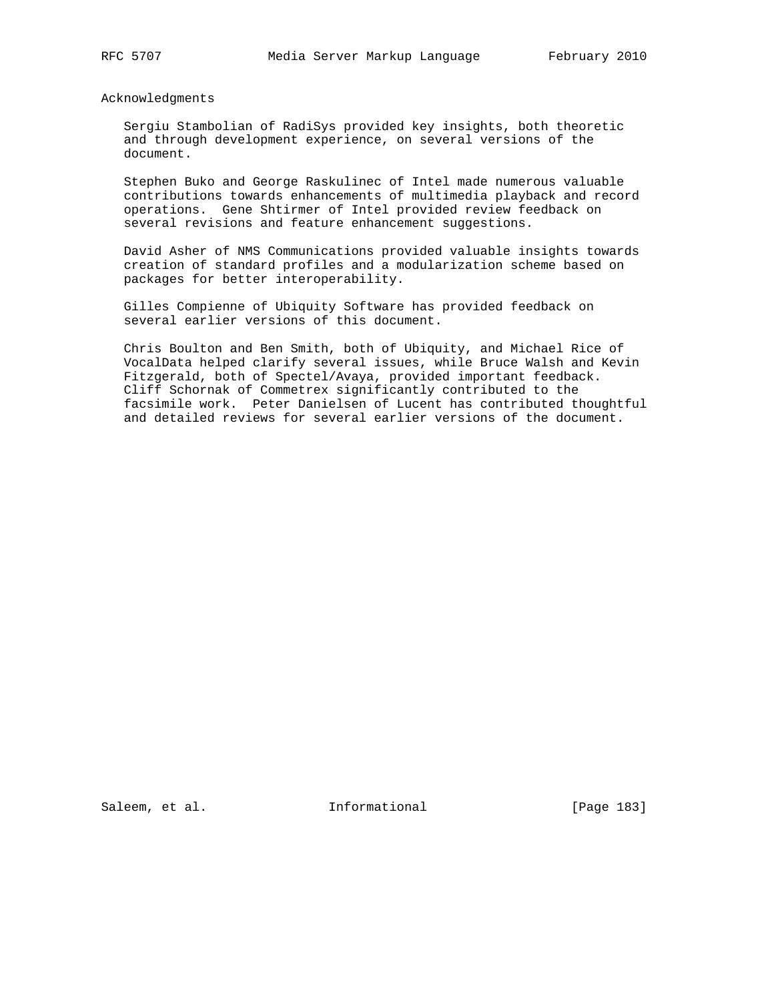Acknowledgments

 Sergiu Stambolian of RadiSys provided key insights, both theoretic and through development experience, on several versions of the document.

 Stephen Buko and George Raskulinec of Intel made numerous valuable contributions towards enhancements of multimedia playback and record operations. Gene Shtirmer of Intel provided review feedback on several revisions and feature enhancement suggestions.

 David Asher of NMS Communications provided valuable insights towards creation of standard profiles and a modularization scheme based on packages for better interoperability.

 Gilles Compienne of Ubiquity Software has provided feedback on several earlier versions of this document.

 Chris Boulton and Ben Smith, both of Ubiquity, and Michael Rice of VocalData helped clarify several issues, while Bruce Walsh and Kevin Fitzgerald, both of Spectel/Avaya, provided important feedback. Cliff Schornak of Commetrex significantly contributed to the facsimile work. Peter Danielsen of Lucent has contributed thoughtful and detailed reviews for several earlier versions of the document.

Saleem, et al. 10. Informational 1. [Page 183]